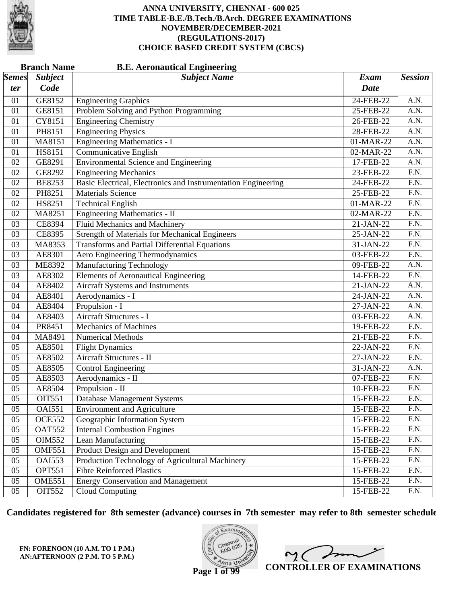

|              | <b>Branch Name</b><br><b>B.E. Aeronautical Engineering</b> |                                                               |             |                   |  |  |
|--------------|------------------------------------------------------------|---------------------------------------------------------------|-------------|-------------------|--|--|
| <i>Semes</i> | <b>Subject</b>                                             | <b>Subject Name</b>                                           | <b>Exam</b> | <b>Session</b>    |  |  |
| ter          | Code                                                       |                                                               | <b>Date</b> |                   |  |  |
| 01           | GE8152                                                     | <b>Engineering Graphics</b>                                   | 24-FEB-22   | A.N.              |  |  |
| 01           | GE8151                                                     | Problem Solving and Python Programming                        | 25-FEB-22   | A.N.              |  |  |
| 01           | CY8151                                                     | <b>Engineering Chemistry</b>                                  | 26-FEB-22   | $\overline{A.N.}$ |  |  |
| 01           | PH8151                                                     | <b>Engineering Physics</b>                                    | 28-FEB-22   | $\overline{A.N.}$ |  |  |
| 01           | MA8151                                                     | <b>Engineering Mathematics - I</b>                            | 01-MAR-22   | A.N.              |  |  |
| 01           | HS8151                                                     | Communicative English                                         | 02-MAR-22   | A.N.              |  |  |
| 02           | GE8291                                                     | <b>Environmental Science and Engineering</b>                  | 17-FEB-22   | $\overline{A.N.}$ |  |  |
| 02           | GE8292                                                     | <b>Engineering Mechanics</b>                                  | 23-FEB-22   | $\overline{F.N.}$ |  |  |
| 02           | <b>BE8253</b>                                              | Basic Electrical, Electronics and Instrumentation Engineering | 24-FEB-22   | F.N.              |  |  |
| 02           | PH8251                                                     | <b>Materials Science</b>                                      | 25-FEB-22   | $\overline{F.N.}$ |  |  |
| 02           | HS8251                                                     | <b>Technical English</b>                                      | 01-MAR-22   | $\overline{F.N.}$ |  |  |
| 02           | MA8251                                                     | <b>Engineering Mathematics - II</b>                           | 02-MAR-22   | $\overline{F.N.}$ |  |  |
| 03           | <b>CE8394</b>                                              | <b>Fluid Mechanics and Machinery</b>                          | 21-JAN-22   | F.N.              |  |  |
| 03           | CE8395                                                     | <b>Strength of Materials for Mechanical Engineers</b>         | 25-JAN-22   | F.N.              |  |  |
| 03           | MA8353                                                     | <b>Transforms and Partial Differential Equations</b>          | 31-JAN-22   | $\overline{F.N.}$ |  |  |
| 03           | AE8301                                                     | Aero Engineering Thermodynamics                               | 03-FEB-22   | $\overline{F.N.}$ |  |  |
| 03           | <b>ME8392</b>                                              | <b>Manufacturing Technology</b>                               | 09-FEB-22   | A.N.              |  |  |
| 03           | AE8302                                                     | <b>Elements of Aeronautical Engineering</b>                   | 14-FEB-22   | F.N.              |  |  |
| 04           | AE8402                                                     | Aircraft Systems and Instruments                              | 21-JAN-22   | $\overline{A.N.}$ |  |  |
| 04           | AE8401                                                     | Aerodynamics - I                                              | 24-JAN-22   | A.N.              |  |  |
| 04           | AE8404                                                     | Propulsion - I                                                | 27-JAN-22   | A.N.              |  |  |
| 04           | AE8403                                                     | Aircraft Structures - I                                       | 03-FEB-22   | A.N.              |  |  |
| 04           | PR8451                                                     | <b>Mechanics of Machines</b>                                  | 19-FEB-22   | $\overline{F.N.}$ |  |  |
| 04           | MA8491                                                     | <b>Numerical Methods</b>                                      | 21-FEB-22   | $\overline{F.N.}$ |  |  |
| 05           | AE8501                                                     | <b>Flight Dynamics</b>                                        | 22-JAN-22   | F.N.              |  |  |
| 05           | AE8502                                                     | Aircraft Structures - II                                      | 27-JAN-22   | F.N.              |  |  |
| 05           | AE8505                                                     | <b>Control Engineering</b>                                    | 31-JAN-22   | $\overline{A.N.}$ |  |  |
| 05           | AE8503                                                     | Aerodynamics - II                                             | 07-FEB-22   | $\overline{F.N.}$ |  |  |
| 05           | AE8504                                                     | Propulsion - II                                               | 10-FEB-22   | F.N.              |  |  |
| 05           | OIT551                                                     | Database Management Systems                                   | 15-FEB-22   | F.N.              |  |  |
| 05           | <b>OAI551</b>                                              | <b>Environment and Agriculture</b>                            | 15-FEB-22   | F.N.              |  |  |
| 05           | <b>OCE552</b>                                              | Geographic Information System                                 | 15-FEB-22   | F.N.              |  |  |
| 05           | <b>OAT552</b>                                              | <b>Internal Combustion Engines</b>                            | 15-FEB-22   | F.N.              |  |  |
| 05           | <b>OIM552</b>                                              | Lean Manufacturing                                            | 15-FEB-22   | F.N.              |  |  |
| 05           | <b>OMF551</b>                                              | Product Design and Development                                | 15-FEB-22   | F.N.              |  |  |
| 05           | <b>OAI553</b>                                              | Production Technology of Agricultural Machinery               | 15-FEB-22   | F.N.              |  |  |
| 05           | <b>OPT551</b>                                              | <b>Fibre Reinforced Plastics</b>                              | 15-FEB-22   | F.N.              |  |  |
| 05           | <b>OME551</b>                                              | <b>Energy Conservation and Management</b>                     | 15-FEB-22   | F.N.              |  |  |
| 05           | <b>OIT552</b>                                              | <b>Cloud Computing</b>                                        | 15-FEB-22   | F.N.              |  |  |

**Candidates registered for 8th semester (advance) courses in 7th semester may refer to 8th semester schedule**

**FN: FORENOON (10 A.M. TO 1 P.M.) AN:AFTERNOON (2 P.M. TO 5 P.M.)**



 $2<sub>1</sub>$ **CONTROLLER OF EXAMINATIONS**

**Page 1 of 99**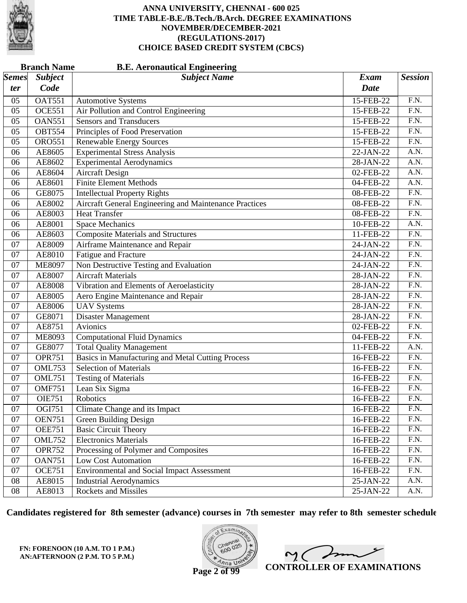

|              | <b>Branch Name</b> | <b>B.E. Aeronautical Engineering</b>                   |             |                   |
|--------------|--------------------|--------------------------------------------------------|-------------|-------------------|
| <b>Semes</b> | <b>Subject</b>     | <b>Subject Name</b>                                    | Exam        | <b>Session</b>    |
| ter          | Code               |                                                        | <b>Date</b> |                   |
| 05           | <b>OAT551</b>      | <b>Automotive Systems</b>                              | 15-FEB-22   | F.N.              |
| 05           | <b>OCE551</b>      | Air Pollution and Control Engineering                  | 15-FEB-22   | F.N.              |
| 05           | <b>OAN551</b>      | <b>Sensors and Transducers</b>                         | 15-FEB-22   | $\overline{F.N.}$ |
| 05           | <b>OBT554</b>      | Principles of Food Preservation                        | 15-FEB-22   | $\overline{F.N.}$ |
| 05           | <b>ORO551</b>      | <b>Renewable Energy Sources</b>                        | 15-FEB-22   | F.N.              |
| 06           | AE8605             | <b>Experimental Stress Analysis</b>                    | 22-JAN-22   | A.N.              |
| 06           | AE8602             | <b>Experimental Aerodynamics</b>                       | 28-JAN-22   | $\overline{A.N.}$ |
| 06           | AE8604             | <b>Aircraft Design</b>                                 | 02-FEB-22   | A.N.              |
| 06           | AE8601             | <b>Finite Element Methods</b>                          | 04-FEB-22   | A.N.              |
| 06           | GE8075             | <b>Intellectual Property Rights</b>                    | 08-FEB-22   | $\overline{F.N.}$ |
| 06           | AE8002             | Aircraft General Engineering and Maintenance Practices | 08-FEB-22   | $\overline{F.N.}$ |
| 06           | AE8003             | <b>Heat Transfer</b>                                   | 08-FEB-22   | $\overline{F.N.}$ |
| 06           | AE8001             | <b>Space Mechanics</b>                                 | 10-FEB-22   | A.N.              |
| 06           | AE8603             | <b>Composite Materials and Structures</b>              | 11-FEB-22   | $\overline{F.N.}$ |
| 07           | AE8009             | Airframe Maintenance and Repair                        | 24-JAN-22   | $\overline{F.N.}$ |
| 07           | AE8010             | <b>Fatigue and Fracture</b>                            | 24-JAN-22   | $\overline{F.N.}$ |
| 07           | <b>ME8097</b>      | Non Destructive Testing and Evaluation                 | 24-JAN-22   | $\overline{F.N.}$ |
| 07           | AE8007             | <b>Aircraft Materials</b>                              | 28-JAN-22   | F.N.              |
| 07           | AE8008             | Vibration and Elements of Aeroelasticity               | 28-JAN-22   | $\overline{F.N.}$ |
| 07           | AE8005             | Aero Engine Maintenance and Repair                     | 28-JAN-22   | $\overline{F.N.}$ |
| 07           | AE8006             | <b>UAV Systems</b>                                     | 28-JAN-22   | $\overline{F.N.}$ |
| 07           | GE8071             | <b>Disaster Management</b>                             | 28-JAN-22   | $\overline{F.N.}$ |
| 07           | AE8751             | Avionics                                               | 02-FEB-22   | $\overline{F.N.}$ |
| 07           | <b>ME8093</b>      | <b>Computational Fluid Dynamics</b>                    | 04-FEB-22   | $\overline{F.N.}$ |
| 07           | GE8077             | <b>Total Quality Management</b>                        | 11-FEB-22   | A.N.              |
| 07           | <b>OPR751</b>      | Basics in Manufacturing and Metal Cutting Process      | 16-FEB-22   | $\overline{F.N.}$ |
| 07           | <b>OML753</b>      | <b>Selection of Materials</b>                          | 16-FEB-22   | $\overline{F.N.}$ |
| 07           | <b>OML751</b>      | <b>Testing of Materials</b>                            | 16-FEB-22   | $\overline{F.N.}$ |
| 07           | <b>OMF751</b>      | Lean Six Sigma                                         | 16-FEB-22   | F.N.              |
| 07           | <b>OIE751</b>      | Robotics                                               | 16-FEB-22   | F.N.              |
| 07           | OGI751             | Climate Change and its Impact                          | 16-FEB-22   | F.N.              |
| 07           | <b>OEN751</b>      | Green Building Design                                  | 16-FEB-22   | F.N.              |
| 07           | <b>OEE751</b>      | <b>Basic Circuit Theory</b>                            | 16-FEB-22   | F.N.              |
| 07           | <b>OML752</b>      | <b>Electronics Materials</b>                           | 16-FEB-22   | F.N.              |
| 07           | <b>OPR752</b>      | Processing of Polymer and Composites                   | 16-FEB-22   | F.N.              |
| 07           | <b>OAN751</b>      | <b>Low Cost Automation</b>                             | 16-FEB-22   | F.N.              |
| 07           | <b>OCE751</b>      | <b>Environmental and Social Impact Assessment</b>      | 16-FEB-22   | F.N.              |
| 08           | AE8015             | <b>Industrial Aerodynamics</b>                         | 25-JAN-22   | A.N.              |
| 08           | AE8013             | <b>Rockets and Missiles</b>                            | 25-JAN-22   | A.N.              |

**Candidates registered for 8th semester (advance) courses in 7th semester may refer to 8th semester schedule**

**FN: FORENOON (10 A.M. TO 1 P.M.) AN:AFTERNOON (2 P.M. TO 5 P.M.)**



 $2<sub>1</sub>$ **CONTROLLER OF EXAMINATIONS**

**Page 2 of 99**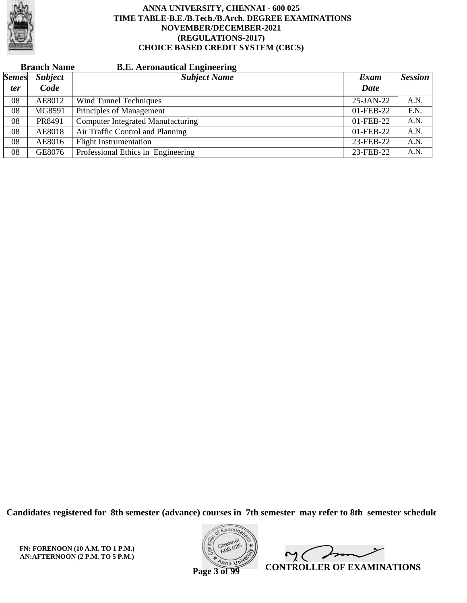

| <b>Branch Name</b> |                | <b>B.E. Aeronautical Engineering</b>     |              |                |
|--------------------|----------------|------------------------------------------|--------------|----------------|
| <b>Semes</b>       | <b>Subject</b> | <b>Subject Name</b>                      | Exam         | <b>Session</b> |
| <i>ter</i>         | Code           |                                          | Date         |                |
| 08                 | AE8012         | Wind Tunnel Techniques                   | $25$ -JAN-22 | A.N.           |
| 08                 | MG8591         | Principles of Management                 | 01-FEB-22    | F.N.           |
| 08                 | PR8491         | <b>Computer Integrated Manufacturing</b> | 01-FEB-22    | A.N.           |
| 08                 | AE8018         | Air Traffic Control and Planning         | 01-FEB-22    | A.N.           |
| 08                 | AE8016         | <b>Flight Instrumentation</b>            | 23-FEB-22    | A.N.           |
| 08                 | GE8076         | Professional Ethics in Engineering       | 23-FEB-22    | A.N.           |

**Candidates registered for 8th semester (advance) courses in 7th semester may refer to 8th semester schedule**

**FN: FORENOON (10 A.M. TO 1 P.M.) AN:AFTERNOON (2 P.M. TO 5 P.M.)**



 $\overline{\phantom{a}}$  $\gamma$  ( **CONTROLLER OF EXAMINATIONS**

**Page 3 of 99**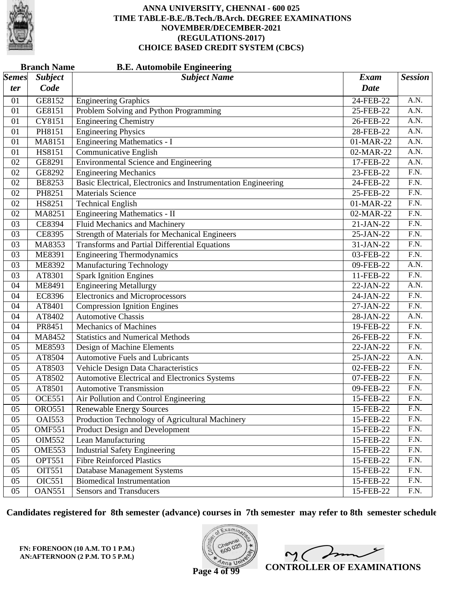

|              | <b>B.E. Automobile Engineering</b><br><b>Branch Name</b> |                                                               |              |                   |  |  |
|--------------|----------------------------------------------------------|---------------------------------------------------------------|--------------|-------------------|--|--|
| <i>Semes</i> | <b>Subject</b>                                           | <b>Subject Name</b>                                           | <b>Exam</b>  | <b>Session</b>    |  |  |
| ter          | Code                                                     |                                                               | <b>Date</b>  |                   |  |  |
| 01           | GE8152                                                   | <b>Engineering Graphics</b>                                   | 24-FEB-22    | A.N.              |  |  |
| 01           | GE8151                                                   | Problem Solving and Python Programming                        | 25-FEB-22    | A.N.              |  |  |
| 01           | CY8151                                                   | <b>Engineering Chemistry</b>                                  | 26-FEB-22    | $\overline{A.N.}$ |  |  |
| 01           | PH8151                                                   | <b>Engineering Physics</b>                                    | 28-FEB-22    | $\overline{A.N.}$ |  |  |
| 01           | MA8151                                                   | <b>Engineering Mathematics - I</b>                            | 01-MAR-22    | A.N.              |  |  |
| 01           | HS8151                                                   | Communicative English                                         | 02-MAR-22    | A.N.              |  |  |
| 02           | GE8291                                                   | <b>Environmental Science and Engineering</b>                  | 17-FEB-22    | $\overline{A.N.}$ |  |  |
| 02           | GE8292                                                   | <b>Engineering Mechanics</b>                                  | 23-FEB-22    | $\overline{F.N.}$ |  |  |
| 02           | <b>BE8253</b>                                            | Basic Electrical, Electronics and Instrumentation Engineering | 24-FEB-22    | F.N.              |  |  |
| 02           | PH8251                                                   | <b>Materials Science</b>                                      | 25-FEB-22    | $\overline{F.N.}$ |  |  |
| 02           | HS8251                                                   | <b>Technical English</b>                                      | 01-MAR-22    | $\overline{F.N.}$ |  |  |
| 02           | MA8251                                                   | Engineering Mathematics - II                                  | 02-MAR-22    | $\overline{F.N.}$ |  |  |
| 03           | <b>CE8394</b>                                            | Fluid Mechanics and Machinery                                 | 21-JAN-22    | F.N.              |  |  |
| 03           | CE8395                                                   | <b>Strength of Materials for Mechanical Engineers</b>         | 25-JAN-22    | F.N.              |  |  |
| 03           | MA8353                                                   | Transforms and Partial Differential Equations                 | 31-JAN-22    | $\overline{F.N.}$ |  |  |
| 03           | ME8391                                                   | <b>Engineering Thermodynamics</b>                             | 03-FEB-22    | $\overline{F.N.}$ |  |  |
| 03           | <b>ME8392</b>                                            | <b>Manufacturing Technology</b>                               | 09-FEB-22    | A.N.              |  |  |
| 03           | AT8301                                                   | <b>Spark Ignition Engines</b>                                 | 11-FEB-22    | F.N.              |  |  |
| 04           | <b>ME8491</b>                                            | <b>Engineering Metallurgy</b>                                 | 22-JAN-22    | $\overline{A.N.}$ |  |  |
| 04           | EC8396                                                   | <b>Electronics and Microprocessors</b>                        | 24-JAN-22    | $\overline{F.N.}$ |  |  |
| 04           | AT8401                                                   | <b>Compression Ignition Engines</b>                           | 27-JAN-22    | F.N.              |  |  |
| 04           | AT8402                                                   | <b>Automotive Chassis</b>                                     | 28-JAN-22    | A.N.              |  |  |
| 04           | PR8451                                                   | <b>Mechanics of Machines</b>                                  | 19-FEB-22    | $\overline{F.N.}$ |  |  |
| 04           | MA8452                                                   | <b>Statistics and Numerical Methods</b>                       | 26-FEB-22    | $\overline{F.N.}$ |  |  |
| 05           | <b>ME8593</b>                                            | Design of Machine Elements                                    | 22-JAN-22    | F.N.              |  |  |
| 05           | AT8504                                                   | <b>Automotive Fuels and Lubricants</b>                        | 25-JAN-22    | A.N.              |  |  |
| 05           | AT8503                                                   | Vehicle Design Data Characteristics                           | 02-FEB-22    | $\overline{F.N.}$ |  |  |
| 05           | AT8502                                                   | Automotive Electrical and Electronics Systems                 | 07-FEB-22    | $\overline{F.N.}$ |  |  |
| 05           | AT8501                                                   | <b>Automotive Transmission</b>                                | 09-FEB-22    | F.N.              |  |  |
| 05           | <b>OCE551</b>                                            | Air Pollution and Control Engineering                         | 15-FEB-22    | F.N.              |  |  |
| 05           | <b>ORO551</b>                                            | <b>Renewable Energy Sources</b>                               | 15-FEB-22    | F.N.              |  |  |
| 05           | <b>OAI553</b>                                            | Production Technology of Agricultural Machinery               | 15-FEB-22    | F.N.              |  |  |
| 05           | <b>OMF551</b>                                            | Product Design and Development                                | 15-FEB-22    | F.N.              |  |  |
| 05           | <b>OIM552</b>                                            | Lean Manufacturing                                            | 15-FEB-22    | F.N.              |  |  |
| 05           | OME553                                                   | <b>Industrial Safety Engineering</b>                          | 15-FEB-22    | F.N.              |  |  |
| 05           | <b>OPT551</b>                                            | <b>Fibre Reinforced Plastics</b>                              | 15-FEB-22    | F.N.              |  |  |
| 05           | OIT551                                                   | <b>Database Management Systems</b>                            | 15-FEB-22    | F.N.              |  |  |
| 05           | <b>OIC551</b>                                            | <b>Biomedical Instrumentation</b>                             | 15-FEB-22    | F.N.              |  |  |
| 05           | <b>OAN551</b>                                            | <b>Sensors and Transducers</b>                                | $15$ -FEB-22 | F.N.              |  |  |

**Candidates registered for 8th semester (advance) courses in 7th semester may refer to 8th semester schedule**

**FN: FORENOON (10 A.M. TO 1 P.M.) AN:AFTERNOON (2 P.M. TO 5 P.M.)**



 $\overline{\phantom{a}}$  $2<sub>1</sub>$ **CONTROLLER OF EXAMINATIONS**

**Page 4 of 99**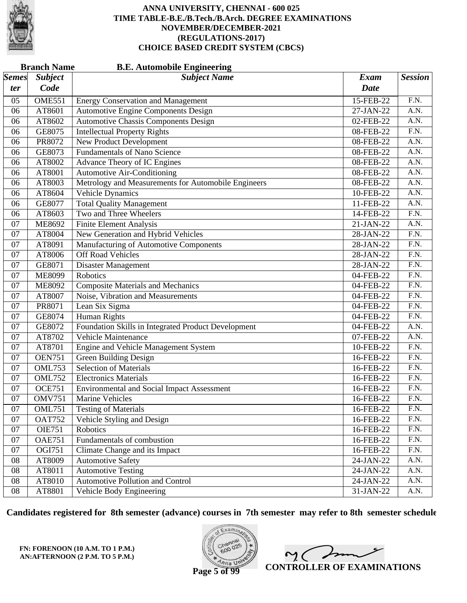

|              | <b>Branch Name</b> | <b>B.E. Automobile Engineering</b>                  |             |                   |
|--------------|--------------------|-----------------------------------------------------|-------------|-------------------|
| <i>Semes</i> | <b>Subject</b>     | <b>Subject Name</b>                                 | <b>Exam</b> | <b>Session</b>    |
| ter          | Code               |                                                     | <b>Date</b> |                   |
| 05           | <b>OME551</b>      | <b>Energy Conservation and Management</b>           | 15-FEB-22   | F.N.              |
| 06           | AT8601             | <b>Automotive Engine Components Design</b>          | 27-JAN-22   | A.N.              |
| 06           | AT8602             | <b>Automotive Chassis Components Design</b>         | 02-FEB-22   | $\overline{A.N.}$ |
| 06           | GE8075             | <b>Intellectual Property Rights</b>                 | 08-FEB-22   | $\overline{F.N.}$ |
| 06           | PR8072             | New Product Development                             | 08-FEB-22   | A.N.              |
| 06           | GE8073             | <b>Fundamentals of Nano Science</b>                 | 08-FEB-22   | A.N.              |
| 06           | AT8002             | Advance Theory of IC Engines                        | 08-FEB-22   | $\overline{A.N.}$ |
| 06           | AT8001             | <b>Automotive Air-Conditioning</b>                  | 08-FEB-22   | A.N.              |
| 06           | AT8003             | Metrology and Measurements for Automobile Engineers | 08-FEB-22   | A.N.              |
| 06           | AT8604             | <b>Vehicle Dynamics</b>                             | 10-FEB-22   | A.N.              |
| 06           | GE8077             | <b>Total Quality Management</b>                     | 11-FEB-22   | $\overline{A.N.}$ |
| 06           | AT8603             | Two and Three Wheelers                              | 14-FEB-22   | $\overline{F.N.}$ |
| 07           | <b>ME8692</b>      | <b>Finite Element Analysis</b>                      | 21-JAN-22   | A.N.              |
| 07           | AT8004             | New Generation and Hybrid Vehicles                  | 28-JAN-22   | $\overline{F.N.}$ |
| 07           | AT8091             | <b>Manufacturing of Automotive Components</b>       | 28-JAN-22   | $\overline{F.N.}$ |
| 07           | AT8006             | <b>Off Road Vehicles</b>                            | 28-JAN-22   | $\overline{F.N.}$ |
| 07           | GE8071             | Disaster Management                                 | 28-JAN-22   | $\overline{F.N.}$ |
| 07           | <b>ME8099</b>      | Robotics                                            | 04-FEB-22   | $\overline{F.N.}$ |
| 07           | <b>ME8092</b>      | <b>Composite Materials and Mechanics</b>            | 04-FEB-22   | $\overline{F.N.}$ |
| 07           | AT8007             | Noise, Vibration and Measurements                   | 04-FEB-22   | F.N.              |
| 07           | PR8071             | Lean Six Sigma                                      | 04-FEB-22   | $\overline{F.N.}$ |
| 07           | GE8074             | <b>Human Rights</b>                                 | 04-FEB-22   | $\overline{F.N.}$ |
| 07           | GE8072             | Foundation Skills in Integrated Product Development | 04-FEB-22   | $\overline{A.N.}$ |
| 07           | AT8702             | Vehicle Maintenance                                 | 07-FEB-22   | A.N.              |
| 07           | AT8701             | <b>Engine and Vehicle Management System</b>         | 10-FEB-22   | F.N.              |
| 07           | <b>OEN751</b>      | <b>Green Building Design</b>                        | 16-FEB-22   | $\overline{F.N.}$ |
| 07           | <b>OML753</b>      | <b>Selection of Materials</b>                       | 16-FEB-22   | $\overline{F.N.}$ |
| 07           | <b>OML752</b>      | <b>Electronics Materials</b>                        | 16-FEB-22   | $\overline{F.N.}$ |
| 07           | <b>OCE751</b>      | <b>Environmental and Social Impact Assessment</b>   | 16-FEB-22   | F.N.              |
| 07           | <b>OMV751</b>      | <b>Marine Vehicles</b>                              | 16-FEB-22   | F.N.              |
| 07           | <b>OML751</b>      | <b>Testing of Materials</b>                         | 16-FEB-22   | F.N.              |
| 07           | <b>OAT752</b>      | Vehicle Styling and Design                          | 16-FEB-22   | F.N.              |
| 07           | <b>OIE751</b>      | <b>Robotics</b>                                     | 16-FEB-22   | F.N.              |
| 07           | <b>OAE751</b>      | Fundamentals of combustion                          | 16-FEB-22   | F.N.              |
| 07           | <b>OGI751</b>      | Climate Change and its Impact                       | 16-FEB-22   | F.N.              |
| 08           | AT8009             | <b>Automotive Safety</b>                            | 24-JAN-22   | A.N.              |
| 08           | AT8011             | <b>Automotive Testing</b>                           | 24-JAN-22   | A.N.              |
| 08           | AT8010             | Automotive Pollution and Control                    | 24-JAN-22   | A.N.              |
| 08           | AT8801             | Vehicle Body Engineering                            | 31-JAN-22   | A.N.              |

**Candidates registered for 8th semester (advance) courses in 7th semester may refer to 8th semester schedule**

**FN: FORENOON (10 A.M. TO 1 P.M.) AN:AFTERNOON (2 P.M. TO 5 P.M.)**



 $\overline{\phantom{a}}$  $\sim$  ( **CONTROLLER OF EXAMINATIONS**

**Page 5 of 99**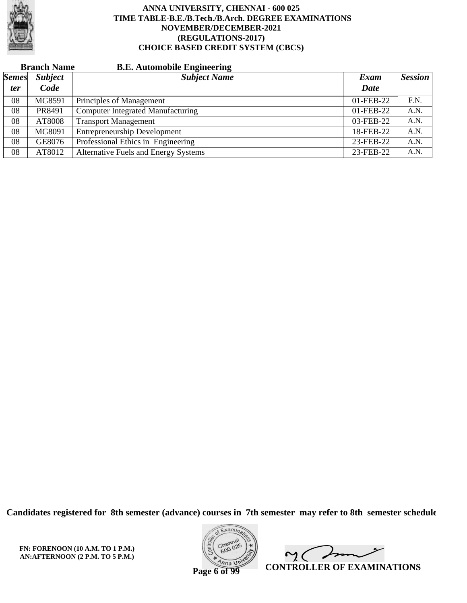

| <b>Branch Name</b> |                | <b>B.E. Automobile Engineering</b>          |           |                |
|--------------------|----------------|---------------------------------------------|-----------|----------------|
| <b>Semes</b>       | <b>Subject</b> | <b>Subject Name</b>                         | Exam      | <b>Session</b> |
| <i>ter</i>         | Code           |                                             | Date      |                |
| 08                 | MG8591         | Principles of Management                    | 01-FEB-22 | F.N.           |
| 08                 | PR8491         | <b>Computer Integrated Manufacturing</b>    | 01-FEB-22 | A.N.           |
| 08                 | AT8008         | <b>Transport Management</b>                 | 03-FEB-22 | A.N.           |
| 08                 | MG8091         | <b>Entrepreneurship Development</b>         | 18-FEB-22 | A.N.           |
| 08                 | GE8076         | Professional Ethics in Engineering          | 23-FEB-22 | A.N.           |
| 08                 | AT8012         | <b>Alternative Fuels and Energy Systems</b> | 23-FEB-22 | A.N.           |

**Candidates registered for 8th semester (advance) courses in 7th semester may refer to 8th semester schedule**

**FN: FORENOON (10 A.M. TO 1 P.M.) AN:AFTERNOON (2 P.M. TO 5 P.M.)**



 $\overline{\phantom{a}}$  $\gamma$  ( **CONTROLLER OF EXAMINATIONS**

**Page 6 of 99**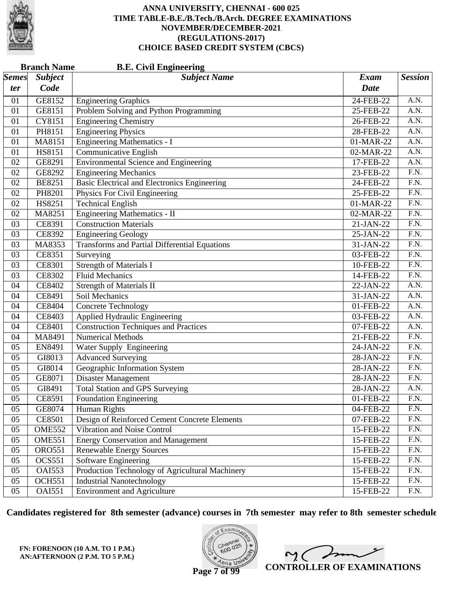

|              | <b>Branch Name</b><br><b>B.E. Civil Engineering</b> |                                                      |              |                   |  |  |
|--------------|-----------------------------------------------------|------------------------------------------------------|--------------|-------------------|--|--|
| <i>Semes</i> | <b>Subject</b>                                      | <b>Subject Name</b>                                  | <b>Exam</b>  | <b>Session</b>    |  |  |
| ter          | Code                                                |                                                      | <b>Date</b>  |                   |  |  |
| 01           | GE8152                                              | <b>Engineering Graphics</b>                          | 24-FEB-22    | A.N.              |  |  |
| 01           | GE8151                                              | Problem Solving and Python Programming               | 25-FEB-22    | A.N.              |  |  |
| 01           | CY8151                                              | <b>Engineering Chemistry</b>                         | 26-FEB-22    | $\overline{A.N.}$ |  |  |
| 01           | PH8151                                              | <b>Engineering Physics</b>                           | 28-FEB-22    | A.N.              |  |  |
| 01           | MA8151                                              | <b>Engineering Mathematics - I</b>                   | 01-MAR-22    | A.N.              |  |  |
| 01           | HS8151                                              | <b>Communicative English</b>                         | 02-MAR-22    | A.N.              |  |  |
| 02           | GE8291                                              | <b>Environmental Science and Engineering</b>         | 17-FEB-22    | $\overline{A.N.}$ |  |  |
| 02           | GE8292                                              | <b>Engineering Mechanics</b>                         | 23-FEB-22    | $\overline{F.N.}$ |  |  |
| 02           | <b>BE8251</b>                                       | <b>Basic Electrical and Electronics Engineering</b>  | 24-FEB-22    | F.N.              |  |  |
| 02           | PH8201                                              | Physics For Civil Engineering                        | 25-FEB-22    | F.N.              |  |  |
| 02           | HS8251                                              | <b>Technical English</b>                             | 01-MAR-22    | $\overline{F.N.}$ |  |  |
| 02           | MA8251                                              | <b>Engineering Mathematics - II</b>                  | 02-MAR-22    | $\overline{F.N.}$ |  |  |
| 03           | CE8391                                              | <b>Construction Materials</b>                        | 21-JAN-22    | F.N.              |  |  |
| 03           | CE8392                                              | <b>Engineering Geology</b>                           | 25-JAN-22    | F.N.              |  |  |
| 03           | MA8353                                              | <b>Transforms and Partial Differential Equations</b> | 31-JAN-22    | $\overline{F.N.}$ |  |  |
| 03           | CE8351                                              | Surveying                                            | 03-FEB-22    | $\overline{F.N.}$ |  |  |
| 03           | <b>CE8301</b>                                       | <b>Strength of Materials I</b>                       | 10-FEB-22    | F.N.              |  |  |
| 03           | <b>CE8302</b>                                       | <b>Fluid Mechanics</b>                               | 14-FEB-22    | F.N.              |  |  |
| 04           | <b>CE8402</b>                                       | <b>Strength of Materials II</b>                      | 22-JAN-22    | $\overline{A.N.}$ |  |  |
| 04           | CE8491                                              | Soil Mechanics                                       | 31-JAN-22    | A.N.              |  |  |
| 04           | CE8404                                              | <b>Concrete Technology</b>                           | 01-FEB-22    | A.N.              |  |  |
| 04           | CE8403                                              | Applied Hydraulic Engineering                        | 03-FEB-22    | A.N.              |  |  |
| 04           | CE8401                                              | <b>Construction Techniques and Practices</b>         | 07-FEB-22    | $\overline{A.N.}$ |  |  |
| 04           | MA8491                                              | <b>Numerical Methods</b>                             | 21-FEB-22    | $\overline{F.N.}$ |  |  |
| 05           | EN8491                                              | Water Supply Engineering                             | 24-JAN-22    | F.N.              |  |  |
| 05           | GI8013                                              | <b>Advanced Surveying</b>                            | 28-JAN-22    | F.N.              |  |  |
| 05           | GI8014                                              | Geographic Information System                        | 28-JAN-22    | $\overline{F.N.}$ |  |  |
| 05           | GE8071                                              | Disaster Management                                  | 28-JAN-22    | $\overline{F.N.}$ |  |  |
| 05           | GI8491                                              | <b>Total Station and GPS Surveying</b>               | 28-JAN-22    | A.N.              |  |  |
| 05           | CE8591                                              | <b>Foundation Engineering</b>                        | 01-FEB-22    | F.N.              |  |  |
| 05           | GE8074                                              | <b>Human Rights</b>                                  | 04-FEB-22    | F.N.              |  |  |
| 05           | <b>CE8501</b>                                       | Design of Reinforced Cement Concrete Elements        | 07-FEB-22    | F.N.              |  |  |
| 05           | <b>OME552</b>                                       | Vibration and Noise Control                          | 15-FEB-22    | F.N.              |  |  |
| 05           | <b>OME551</b>                                       | <b>Energy Conservation and Management</b>            | 15-FEB-22    | F.N.              |  |  |
| 05           | <b>ORO551</b>                                       | <b>Renewable Energy Sources</b>                      | 15-FEB-22    | F.N.              |  |  |
| 05           | <b>OCS551</b>                                       | <b>Software Engineering</b>                          | 15-FEB-22    | F.N.              |  |  |
| 05           | <b>OAI553</b>                                       | Production Technology of Agricultural Machinery      | 15-FEB-22    | F.N.              |  |  |
| 05           | <b>OCH551</b>                                       | <b>Industrial Nanotechnology</b>                     | 15-FEB-22    | F.N.              |  |  |
| 05           | <b>OAI551</b>                                       | <b>Environment and Agriculture</b>                   | $15$ -FEB-22 | F.N.              |  |  |

**Candidates registered for 8th semester (advance) courses in 7th semester may refer to 8th semester schedule**

**FN: FORENOON (10 A.M. TO 1 P.M.) AN:AFTERNOON (2 P.M. TO 5 P.M.)**



 $\overline{\phantom{a}}$  $2<sub>1</sub>$ **CONTROLLER OF EXAMINATIONS**

**Page 7 of 99**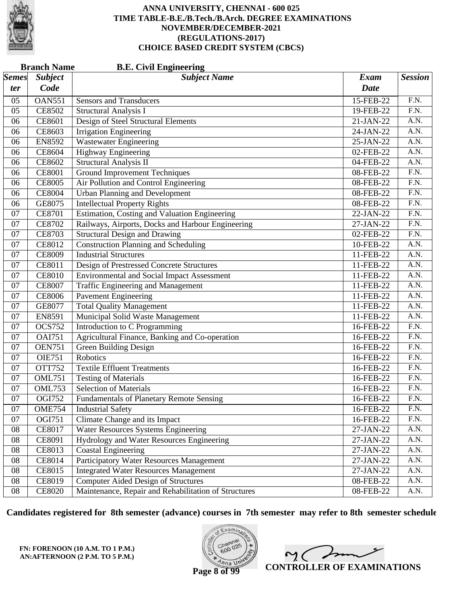

|                       | <b>Branch Name</b> | <b>B.E. Civil Engineering</b>                        |             |                   |
|-----------------------|--------------------|------------------------------------------------------|-------------|-------------------|
| $\vert$ Semes $\vert$ | <b>Subject</b>     | <b>Subject Name</b>                                  | <b>Exam</b> | <b>Session</b>    |
| ter                   | Code               |                                                      | <b>Date</b> |                   |
| 05                    | <b>OAN551</b>      | <b>Sensors and Transducers</b>                       | 15-FEB-22   | F.N.              |
| 05                    | <b>CE8502</b>      | <b>Structural Analysis I</b>                         | 19-FEB-22   | F.N.              |
| 06                    | CE8601             | Design of Steel Structural Elements                  | 21-JAN-22   | A.N.              |
| 06                    | CE8603             | <b>Irrigation Engineering</b>                        | 24-JAN-22   | $\overline{A.N.}$ |
| 06                    | <b>EN8592</b>      | <b>Wastewater Engineering</b>                        | 25-JAN-22   | A.N.              |
| 06                    | <b>CE8604</b>      | <b>Highway Engineering</b>                           | 02-FEB-22   | A.N.              |
| 06                    | CE8602             | <b>Structural Analysis II</b>                        | 04-FEB-22   | $\overline{A.N.}$ |
| 06                    | <b>CE8001</b>      | <b>Ground Improvement Techniques</b>                 | 08-FEB-22   | $\overline{F.N.}$ |
| 06                    | <b>CE8005</b>      | Air Pollution and Control Engineering                | 08-FEB-22   | F.N.              |
| 06                    | <b>CE8004</b>      | <b>Urban Planning and Development</b>                | 08-FEB-22   | $\overline{F.N.}$ |
| 06                    | GE8075             | <b>Intellectual Property Rights</b>                  | 08-FEB-22   | $\overline{F.N.}$ |
| 07                    | <b>CE8701</b>      | Estimation, Costing and Valuation Engineering        | 22-JAN-22   | $\overline{F.N.}$ |
| 07                    | <b>CE8702</b>      | Railways, Airports, Docks and Harbour Engineering    | 27-JAN-22   | F.N.              |
| 07                    | <b>CE8703</b>      | <b>Structural Design and Drawing</b>                 | 02-FEB-22   | F.N.              |
| 07                    | <b>CE8012</b>      | <b>Construction Planning and Scheduling</b>          | 10-FEB-22   | $\overline{A.N.}$ |
| 07                    | <b>CE8009</b>      | <b>Industrial Structures</b>                         | 11-FEB-22   | $\overline{A.N.}$ |
| 07                    | CE8011             | Design of Prestressed Concrete Structures            | 11-FEB-22   | A.N.              |
| 07                    | <b>CE8010</b>      | <b>Environmental and Social Impact Assessment</b>    | 11-FEB-22   | A.N.              |
| 07                    | <b>CE8007</b>      | Traffic Engineering and Management                   | 11-FEB-22   | $\overline{A.N.}$ |
| 07                    | <b>CE8006</b>      | <b>Pavement Engineering</b>                          | 11-FEB-22   | A.N.              |
| 07                    | GE8077             | <b>Total Quality Management</b>                      | 11-FEB-22   | A.N.              |
| 07                    | EN8591             | Municipal Solid Waste Management                     | 11-FEB-22   | A.N.              |
| 07                    | <b>OCS752</b>      | <b>Introduction to C Programming</b>                 | 16-FEB-22   | $\overline{F.N.}$ |
| 07                    | <b>OAI751</b>      | Agricultural Finance, Banking and Co-operation       | 16-FEB-22   | $\overline{F.N.}$ |
| 07                    | <b>OEN751</b>      | <b>Green Building Design</b>                         | 16-FEB-22   | F.N.              |
| 07                    | <b>OIE751</b>      | Robotics                                             | 16-FEB-22   | F.N.              |
| 07                    | <b>OTT752</b>      | <b>Textile Effluent Treatments</b>                   | 16-FEB-22   | $\overline{F.N.}$ |
| 07                    | <b>OML751</b>      | <b>Testing of Materials</b>                          | 16-FEB-22   | $\overline{F.N.}$ |
| 07                    | OML753             | <b>Selection of Materials</b>                        | 16-FEB-22   | F.N.              |
| 07                    | <b>OGI752</b>      | <b>Fundamentals of Planetary Remote Sensing</b>      | 16-FEB-22   | F.N.              |
| 07                    | <b>OME754</b>      | <b>Industrial Safety</b>                             | 16-FEB-22   | F.N.              |
| 07                    | OGI751             | Climate Change and its Impact                        | 16-FEB-22   | F.N.              |
| 08                    | <b>CE8017</b>      | <b>Water Resources Systems Engineering</b>           | 27-JAN-22   | A.N.              |
| 08                    | CE8091             | Hydrology and Water Resources Engineering            | 27-JAN-22   | A.N.              |
| 08                    | CE8013             | <b>Coastal Engineering</b>                           | $27-JAN-22$ | A.N.              |
| 08                    | CE8014             | <b>Participatory Water Resources Management</b>      | 27-JAN-22   | A.N.              |
| 08                    | CE8015             | <b>Integrated Water Resources Management</b>         | 27-JAN-22   | A.N.              |
| 08                    | CE8019             | <b>Computer Aided Design of Structures</b>           | 08-FEB-22   | A.N.              |
| 08                    | <b>CE8020</b>      | Maintenance, Repair and Rehabilitation of Structures | 08-FEB-22   | A.N.              |

**Candidates registered for 8th semester (advance) courses in 7th semester may refer to 8th semester schedule**

**FN: FORENOON (10 A.M. TO 1 P.M.) AN:AFTERNOON (2 P.M. TO 5 P.M.)**



 $2<sub>1</sub>$ **CONTROLLER OF EXAMINATIONS**

**Page 8 of 99**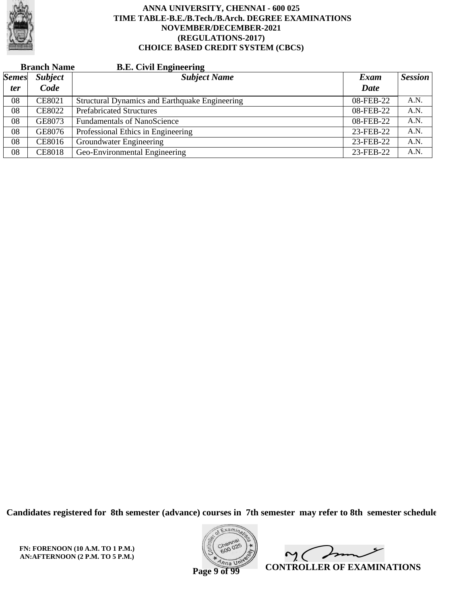

|              | <b>Branch Name</b> | <b>B.E. Civil Engineering</b>                  |           |                |
|--------------|--------------------|------------------------------------------------|-----------|----------------|
| <b>Semes</b> | <b>Subject</b>     | <b>Subject Name</b>                            | Exam      | <b>Session</b> |
| <i>ter</i>   | Code               |                                                | Date      |                |
| 08           | <b>CE8021</b>      | Structural Dynamics and Earthquake Engineering | 08-FEB-22 | A.N.           |
| 08           | <b>CE8022</b>      | <b>Prefabricated Structures</b>                | 08-FEB-22 | A.N.           |
| 08           | GE8073             | <b>Fundamentals of NanoScience</b>             | 08-FEB-22 | A.N.           |
| 08           | GE8076             | Professional Ethics in Engineering             | 23-FEB-22 | A.N.           |
| 08           | <b>CE8016</b>      | Groundwater Engineering                        | 23-FEB-22 | A.N.           |
| 08           | <b>CE8018</b>      | Geo-Environmental Engineering                  | 23-FEB-22 | A.N.           |

**Candidates registered for 8th semester (advance) courses in 7th semester may refer to 8th semester schedule**

**FN: FORENOON (10 A.M. TO 1 P.M.) AN:AFTERNOON (2 P.M. TO 5 P.M.)**



 $\overline{\phantom{a}}$  $\gamma$  ( **CONTROLLER OF EXAMINATIONS**

**Page 9 of 99**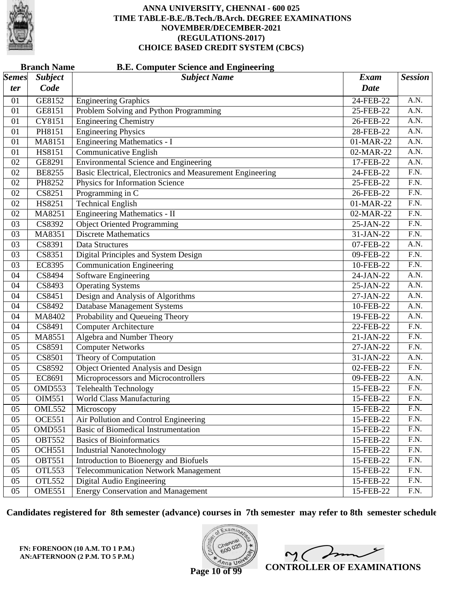

|              | <b>Branch Name</b>  | <b>B.E. Computer Science and Engineering</b>              |             |                   |
|--------------|---------------------|-----------------------------------------------------------|-------------|-------------------|
| <b>Semes</b> | <b>Subject</b>      | <b>Subject Name</b>                                       | <b>Exam</b> | <b>Session</b>    |
| ter          | Code                |                                                           | <b>Date</b> |                   |
| 01           | GE8152              | <b>Engineering Graphics</b>                               | 24-FEB-22   | A.N.              |
| 01           | GE8151              | Problem Solving and Python Programming                    | 25-FEB-22   | A.N.              |
| 01           | CY8151              | <b>Engineering Chemistry</b>                              | 26-FEB-22   | $\overline{A.N.}$ |
| 01           | PH8151              | <b>Engineering Physics</b>                                | 28-FEB-22   | A.N.              |
| 01           | MA8151              | <b>Engineering Mathematics - I</b>                        | 01-MAR-22   | A.N.              |
| 01           | HS8151              | <b>Communicative English</b>                              | 02-MAR-22   | $\overline{A.N.}$ |
| 02           | GE8291              | <b>Environmental Science and Engineering</b>              | 17-FEB-22   | $\overline{A.N.}$ |
| 02           | <b>BE8255</b>       | Basic Electrical, Electronics and Measurement Engineering | 24-FEB-22   | F.N.              |
| 02           | PH8252              | Physics for Information Science                           | 25-FEB-22   | F.N.              |
| 02           | CS8251              | Programming in C                                          | 26-FEB-22   | $\overline{F.N.}$ |
| 02           | HS8251              | <b>Technical English</b>                                  | 01-MAR-22   | $\overline{F.N.}$ |
| 02           | MA8251              | <b>Engineering Mathematics - II</b>                       | 02-MAR-22   | F.N.              |
| 03           | CS8392              | <b>Object Oriented Programming</b>                        | 25-JAN-22   | F.N.              |
| 03           | MA8351              | <b>Discrete Mathematics</b>                               | 31-JAN-22   | $\overline{F.N.}$ |
| 03           | CS8391              | <b>Data Structures</b>                                    | 07-FEB-22   | $\overline{A.N.}$ |
| 03           | CS8351              | Digital Principles and System Design                      | 09-FEB-22   | F.N.              |
| 03           | <b>EC8395</b>       | <b>Communication Engineering</b>                          | 10-FEB-22   | F.N.              |
| 04           | CS8494              | <b>Software Engineering</b>                               | 24-JAN-22   | A.N.              |
| 04           | CS8493              | <b>Operating Systems</b>                                  | 25-JAN-22   | $\overline{A.N.}$ |
| 04           | CS8451              | Design and Analysis of Algorithms                         | 27-JAN-22   | A.N.              |
| 04           | CS8492              | <b>Database Management Systems</b>                        | 10-FEB-22   | A.N.              |
| 04           | MA8402              | Probability and Queueing Theory                           | 19-FEB-22   | A.N.              |
| 04           | CS8491              | <b>Computer Architecture</b>                              | 22-FEB-22   | $\overline{F.N.}$ |
| 05           | MA8551              | Algebra and Number Theory                                 | 21-JAN-22   | F.N.              |
| 05           | CS8591              | <b>Computer Networks</b>                                  | 27-JAN-22   | F.N.              |
| 05           | CS8501              | Theory of Computation                                     | 31-JAN-22   | A.N.              |
| 05           | CS8592              | <b>Object Oriented Analysis and Design</b>                | 02-FEB-22   | $\overline{F.N.}$ |
| 05           | EC8691              | Microprocessors and Microcontrollers                      | 09-FEB-22   | A.N.              |
| 05           | OMD553              | Telehealth Technology                                     | 15-FEB-22   | F.N.              |
| 05           | OIM551              | <b>World Class Manufacturing</b>                          | 15-FEB-22   | F.N.              |
| 05           | <b>OML552</b>       | Microscopy                                                | 15-FEB-22   | F.N.              |
| 05           | $OCE5\overline{51}$ | Air Pollution and Control Engineering                     | 15-FEB-22   | F.N.              |
| 05           | OMD551              | Basic of Biomedical Instrumentation                       | 15-FEB-22   | F.N.              |
| 05           | <b>OBT552</b>       | <b>Basics of Bioinformatics</b>                           | 15-FEB-22   | F.N.              |
| 05           | <b>OCH551</b>       | <b>Industrial Nanotechnology</b>                          | 15-FEB-22   | F.N.              |
| 05           | <b>OBT551</b>       | Introduction to Bioenergy and Biofuels                    | 15-FEB-22   | F.N.              |
| 05           | <b>OTL553</b>       | <b>Telecommunication Network Management</b>               | 15-FEB-22   | F.N.              |
| 05           | OTL552              | Digital Audio Engineering                                 | 15-FEB-22   | F.N.              |
| 05           | <b>OME551</b>       | <b>Energy Conservation and Management</b>                 | 15-FEB-22   | F.N.              |

**Candidates registered for 8th semester (advance) courses in 7th semester may refer to 8th semester schedule**

**FN: FORENOON (10 A.M. TO 1 P.M.) AN:AFTERNOON (2 P.M. TO 5 P.M.)**



 $\sim$  ( **CONTROLLER OF EXAMINATIONS**

**Page 10 of 99**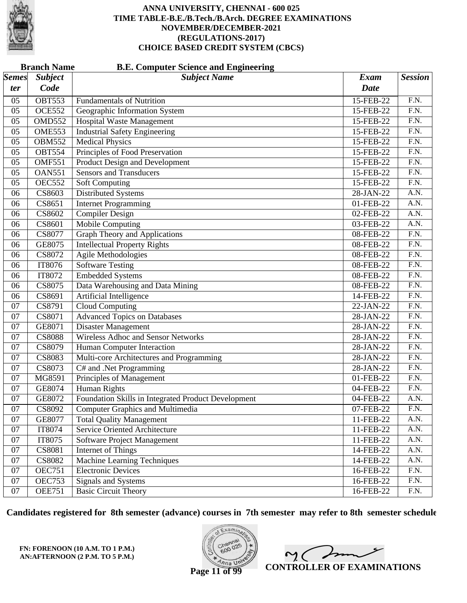

|              | <b>Branch Name</b>         | <b>B.E. Computer Science and Engineering</b>        |             |                   |
|--------------|----------------------------|-----------------------------------------------------|-------------|-------------------|
| <b>Semes</b> | <b>Subject</b>             | <b>Subject Name</b>                                 | Exam        | <b>Session</b>    |
| ter          | Code                       |                                                     | <b>Date</b> |                   |
| 05           | <b>OBT553</b>              | <b>Fundamentals of Nutrition</b>                    | 15-FEB-22   | $\overline{F}N.$  |
| 05           | <b>OCE552</b>              | Geographic Information System                       | 15-FEB-22   | $\overline{F.N.}$ |
| 05           | <b>OMD552</b>              | <b>Hospital Waste Management</b>                    | 15-FEB-22   | $\overline{F.N.}$ |
| 05           | <b>OME553</b>              | <b>Industrial Safety Engineering</b>                | 15-FEB-22   | $\overline{F.N.}$ |
| 05           | <b>OBM552</b>              | <b>Medical Physics</b>                              | 15-FEB-22   | F.N.              |
| 05           | <b>OBT554</b>              | Principles of Food Preservation                     | 15-FEB-22   | $\overline{F.N.}$ |
| 05           | $\overline{\text{OMF551}}$ | <b>Product Design and Development</b>               | 15-FEB-22   | $\overline{F.N.}$ |
| 05           | <b>OAN551</b>              | <b>Sensors and Transducers</b>                      | 15-FEB-22   | F.N.              |
| 05           | <b>OEC552</b>              | <b>Soft Computing</b>                               | 15-FEB-22   | F.N.              |
| 06           | CS8603                     | <b>Distributed Systems</b>                          | 28-JAN-22   | A.N.              |
| 06           | CS8651                     | <b>Internet Programming</b>                         | 01-FEB-22   | $\overline{A.N.}$ |
| 06           | CS8602                     | Compiler Design                                     | 02-FEB-22   | A.N.              |
| 06           | CS8601                     | <b>Mobile Computing</b>                             | 03-FEB-22   | A.N.              |
| 06           | CS8077                     | <b>Graph Theory and Applications</b>                | 08-FEB-22   | $\overline{F.N.}$ |
| 06           | GE8075                     | <b>Intellectual Property Rights</b>                 | 08-FEB-22   | $\overline{F.N.}$ |
| 06           | CS8072                     | <b>Agile Methodologies</b>                          | 08-FEB-22   | F.N.              |
| 06           | IT8076                     | <b>Software Testing</b>                             | 08-FEB-22   | F.N.              |
| 06           | IT8072                     | <b>Embedded Systems</b>                             | 08-FEB-22   | $\overline{F.N.}$ |
| 06           | CS8075                     | Data Warehousing and Data Mining                    | 08-FEB-22   | $\overline{F.N.}$ |
| 06           | CS8691                     | Artificial Intelligence                             | 14-FEB-22   | $\overline{F.N.}$ |
| 07           | CS8791                     | <b>Cloud Computing</b>                              | 22-JAN-22   | F.N.              |
| 07           | CS8071                     | <b>Advanced Topics on Databases</b>                 | 28-JAN-22   | $\overline{F.N.}$ |
| 07           | GE8071                     | <b>Disaster Management</b>                          | 28-JAN-22   | $\overline{F.N.}$ |
| 07           | <b>CS8088</b>              | <b>Wireless Adhoc and Sensor Networks</b>           | 28-JAN-22   | F.N.              |
| 07           | CS8079                     | Human Computer Interaction                          | 28-JAN-22   | F.N.              |
| 07           | <b>CS8083</b>              | Multi-core Architectures and Programming            | 28-JAN-22   | $\overline{F.N.}$ |
| 07           | CS8073                     | C# and .Net Programming                             | 28-JAN-22   | $\overline{F.N.}$ |
| 07           | MG8591                     | Principles of Management                            | 01-FEB-22   | F.N.              |
| 07           | GE8074                     | <b>Human Rights</b>                                 | 04-FEB-22   | F.N.              |
| 07           | GE8072                     | Foundation Skills in Integrated Product Development | 04-FEB-22   | A.N.              |
| 07           | CS8092                     | <b>Computer Graphics and Multimedia</b>             | 07-FEB-22   | F.N.              |
| 07           | GE8077                     | <b>Total Quality Management</b>                     | 11-FEB-22   | A.N.              |
| 07           | IT8074                     | Service Oriented Architecture                       | 11-FEB-22   | A.N.              |
| 07           | IT8075                     | Software Project Management                         | 11-FEB-22   | A.N.              |
| 07           | <b>CS8081</b>              | Internet of Things                                  | 14-FEB-22   | A.N.              |
| 07           | <b>CS8082</b>              | <b>Machine Learning Techniques</b>                  | 14-FEB-22   | A.N.              |
| 07           | <b>OEC751</b>              | <b>Electronic Devices</b>                           | 16-FEB-22   | F.N.              |
| 07           | <b>OEC753</b>              | Signals and Systems                                 | 16-FEB-22   | F.N.              |
| 07           | <b>OEE751</b>              | <b>Basic Circuit Theory</b>                         | 16-FEB-22   | F.N.              |

**Candidates registered for 8th semester (advance) courses in 7th semester may refer to 8th semester schedule**

**FN: FORENOON (10 A.M. TO 1 P.M.) AN:AFTERNOON (2 P.M. TO 5 P.M.)**



 $\overline{\phantom{a}}$  $\sim$  ( **CONTROLLER OF EXAMINATIONS**

**Page 11 of 99**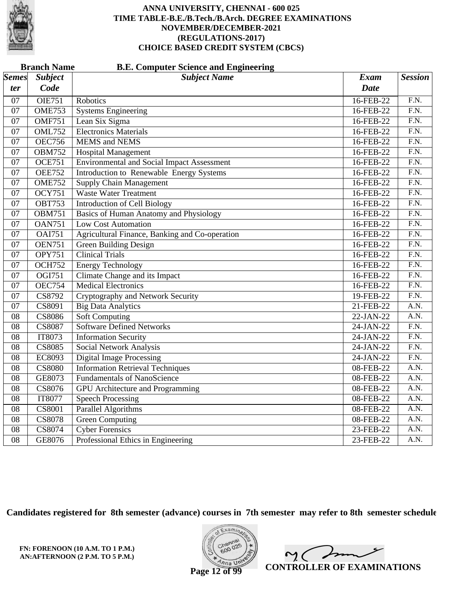

|                 | <b>Branch Name</b><br><b>B.E. Computer Science and Engineering</b> |                                                   |             |                   |  |  |
|-----------------|--------------------------------------------------------------------|---------------------------------------------------|-------------|-------------------|--|--|
| <i>Semes</i>    | <b>Subject</b>                                                     | <b>Subject Name</b>                               | <b>Exam</b> | <b>Session</b>    |  |  |
| ter             | Code                                                               |                                                   | <b>Date</b> |                   |  |  |
| 07              | <b>OIE751</b>                                                      | Robotics                                          | 16-FEB-22   | $\overline{FN}$ . |  |  |
| 07              | <b>OME753</b>                                                      | <b>Systems Engineering</b>                        | 16-FEB-22   | F.N.              |  |  |
| 07              | <b>OMF751</b>                                                      | Lean Six Sigma                                    | 16-FEB-22   | $\overline{F.N.}$ |  |  |
| $\overline{07}$ | <b>OML752</b>                                                      | <b>Electronics Materials</b>                      | 16-FEB-22   | F.N.              |  |  |
| $\overline{07}$ | <b>OEC756</b>                                                      | <b>MEMS</b> and <b>NEMS</b>                       | 16-FEB-22   | $\overline{F.N.}$ |  |  |
| 07              | <b>OBM752</b>                                                      | <b>Hospital Management</b>                        | 16-FEB-22   | F.N.              |  |  |
| $\overline{07}$ | <b>OCE751</b>                                                      | <b>Environmental and Social Impact Assessment</b> | 16-FEB-22   | $\overline{F.N.}$ |  |  |
| $\overline{07}$ | <b>OEE752</b>                                                      | Introduction to Renewable Energy Systems          | 16-FEB-22   | F.N.              |  |  |
| 07              | <b>OME752</b>                                                      | <b>Supply Chain Management</b>                    | 16-FEB-22   | $\overline{F.N.}$ |  |  |
| 07              | <b>OCY751</b>                                                      | <b>Waste Water Treatment</b>                      | 16-FEB-22   | F.N.              |  |  |
| $\overline{07}$ | <b>OBT753</b>                                                      | <b>Introduction of Cell Biology</b>               | 16-FEB-22   | F.N.              |  |  |
| $\overline{07}$ | <b>OBM751</b>                                                      | <b>Basics of Human Anatomy and Physiology</b>     | 16-FEB-22   | $\overline{F.N.}$ |  |  |
| $\overline{07}$ | <b>OAN751</b>                                                      | <b>Low Cost Automation</b>                        | 16-FEB-22   | $\overline{F.N.}$ |  |  |
| 07              | <b>OAI751</b>                                                      | Agricultural Finance, Banking and Co-operation    | 16-FEB-22   | F.N.              |  |  |
| $\overline{07}$ | <b>OEN751</b>                                                      | <b>Green Building Design</b>                      | 16-FEB-22   | $\overline{F.N.}$ |  |  |
| $\overline{07}$ | <b>OPY751</b>                                                      | <b>Clinical Trials</b>                            | 16-FEB-22   | F.N.              |  |  |
| 07              | <b>OCH752</b>                                                      | <b>Energy Technology</b>                          | 16-FEB-22   | $\overline{F.N.}$ |  |  |
| 07              | $\overline{OGI751}$                                                | Climate Change and its Impact                     | 16-FEB-22   | F.N.              |  |  |
| $\overline{07}$ | <b>OEC754</b>                                                      | <b>Medical Electronics</b>                        | 16-FEB-22   | $\overline{F.N.}$ |  |  |
| $\overline{07}$ | CS8792                                                             | Cryptography and Network Security                 | 19-FEB-22   | F.N.              |  |  |
| $\overline{07}$ | CS8091                                                             | <b>Big Data Analytics</b>                         | 21-FEB-22   | A.N.              |  |  |
| $\overline{08}$ | <b>CS8086</b>                                                      | <b>Soft Computing</b>                             | 22-JAN-22   | A.N.              |  |  |
| $\overline{08}$ | <b>CS8087</b>                                                      | <b>Software Defined Networks</b>                  | $24-JAN-22$ | $\overline{F.N.}$ |  |  |
| $\overline{08}$ | IT8073                                                             | <b>Information Security</b>                       | 24-JAN-22   | F.N.              |  |  |
| $\overline{08}$ | <b>CS8085</b>                                                      | <b>Social Network Analysis</b>                    | 24-JAN-22   | $\overline{F.N.}$ |  |  |
| $\overline{08}$ | EC8093                                                             | <b>Digital Image Processing</b>                   | 24-JAN-22   | F.N.              |  |  |
| $\overline{08}$ | <b>CS8080</b>                                                      | <b>Information Retrieval Techniques</b>           | 08-FEB-22   | A.N.              |  |  |
| $\overline{08}$ | GE8073                                                             | <b>Fundamentals of NanoScience</b>                | 08-FEB-22   | A.N.              |  |  |
| 08              | CS8076                                                             | <b>GPU</b> Architecture and Programming           | 08-FEB-22   | $\overline{A.N.}$ |  |  |
| $\overline{08}$ | IT8077                                                             | <b>Speech Processing</b>                          | 08-FEB-22   | A.N.              |  |  |
| $\overline{08}$ | CS8001                                                             | Parallel Algorithms                               | 08-FEB-22   | $\overline{A.N.}$ |  |  |
| $\overline{08}$ | <b>CS8078</b>                                                      | <b>Green Computing</b>                            | 08-FEB-22   | A.N.              |  |  |
| 08              | CS8074                                                             | <b>Cyber Forensics</b>                            | 23-FEB-22   | A.N.              |  |  |
| $\overline{08}$ | GE8076                                                             | Professional Ethics in Engineering                | 23-FEB-22   | $\overline{A.N.}$ |  |  |

**Candidates registered for 8th semester (advance) courses in 7th semester may refer to 8th semester schedule**

**FN: FORENOON (10 A.M. TO 1 P.M.) AN:AFTERNOON (2 P.M. TO 5 P.M.)**



mme  $\mathsf{M}(\mathbb{C})$ **CONTROLLER OF EXAMINATIONS**

**Page 12 of 99**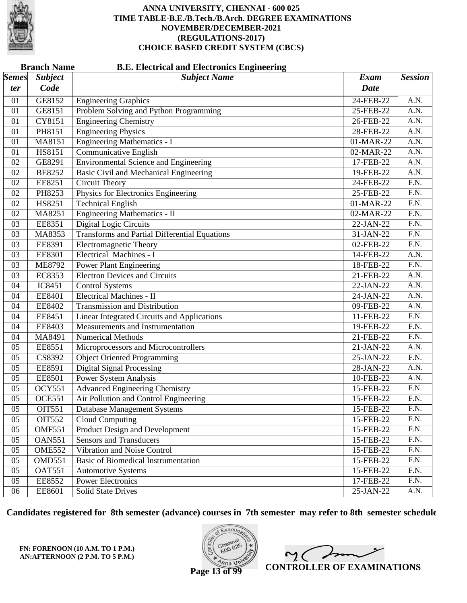

|              | <b>Branch Name</b><br><b>B.E. Electrical and Electronics Engineering</b> |                                                      |             |                   |  |  |
|--------------|--------------------------------------------------------------------------|------------------------------------------------------|-------------|-------------------|--|--|
| <b>Semes</b> | <b>Subject</b>                                                           | <b>Subject Name</b>                                  | <b>Exam</b> | <b>Session</b>    |  |  |
| ter          | Code                                                                     |                                                      | Date        |                   |  |  |
| 01           | GE8152                                                                   | <b>Engineering Graphics</b>                          | 24-FEB-22   | A.N.              |  |  |
| 01           | GE8151                                                                   | Problem Solving and Python Programming               | 25-FEB-22   | A.N.              |  |  |
| 01           | CY8151                                                                   | <b>Engineering Chemistry</b>                         | 26-FEB-22   | A.N.              |  |  |
| 01           | PH8151                                                                   | <b>Engineering Physics</b>                           | 28-FEB-22   | A.N.              |  |  |
| 01           | MA8151                                                                   | <b>Engineering Mathematics - I</b>                   | 01-MAR-22   | A.N.              |  |  |
| 01           | HS8151                                                                   | <b>Communicative English</b>                         | 02-MAR-22   | A.N.              |  |  |
| 02           | GE8291                                                                   | <b>Environmental Science and Engineering</b>         | 17-FEB-22   | A.N.              |  |  |
| 02           | <b>BE8252</b>                                                            | <b>Basic Civil and Mechanical Engineering</b>        | 19-FEB-22   | A.N.              |  |  |
| 02           | EE8251                                                                   | Circuit Theory                                       | 24-FEB-22   | $\overline{F.N.}$ |  |  |
| 02           | PH8253                                                                   | Physics for Electronics Engineering                  | 25-FEB-22   | F.N.              |  |  |
| 02           | HS8251                                                                   | <b>Technical English</b>                             | 01-MAR-22   | F.N.              |  |  |
| 02           | MA8251                                                                   | <b>Engineering Mathematics - II</b>                  | 02-MAR-22   | $\overline{F.N.}$ |  |  |
| 03           | EE8351                                                                   | <b>Digital Logic Circuits</b>                        | 22-JAN-22   | $\overline{F.N.}$ |  |  |
| 03           | MA8353                                                                   | <b>Transforms and Partial Differential Equations</b> | 31-JAN-22   | F.N.              |  |  |
| 03           | EE8391                                                                   | <b>Electromagnetic Theory</b>                        | 02-FEB-22   | $\overline{F.N.}$ |  |  |
| 03           | EE8301                                                                   | <b>Electrical Machines - I</b>                       | 14-FEB-22   | A.N.              |  |  |
| 03           | <b>ME8792</b>                                                            | <b>Power Plant Engineering</b>                       | 18-FEB-22   | $\overline{F.N.}$ |  |  |
| 03           | EC8353                                                                   | <b>Electron Devices and Circuits</b>                 | 21-FEB-22   | A.N.              |  |  |
| 04           | IC8451                                                                   | <b>Control Systems</b>                               | 22-JAN-22   | A.N.              |  |  |
| 04           | EE8401                                                                   | <b>Electrical Machines - II</b>                      | 24-JAN-22   | A.N.              |  |  |
| 04           | EE8402                                                                   | <b>Transmission and Distribution</b>                 | 09-FEB-22   | A.N.              |  |  |
| 04           | EE8451                                                                   | Linear Integrated Circuits and Applications          | 11-FEB-22   | $\overline{F.N.}$ |  |  |
| 04           | EE8403                                                                   | Measurements and Instrumentation                     | 19-FEB-22   | F.N.              |  |  |
| 04           | MA8491                                                                   | <b>Numerical Methods</b>                             | 21-FEB-22   | F.N.              |  |  |
| 05           | EE8551                                                                   | Microprocessors and Microcontrollers                 | 21-JAN-22   | A.N.              |  |  |
| 05           | CS8392                                                                   | <b>Object Oriented Programming</b>                   | 25-JAN-22   | F.N.              |  |  |
| 05           | EE8591                                                                   | <b>Digital Signal Processing</b>                     | $28-JAN-22$ | A.N.              |  |  |
| 05           | <b>EE8501</b>                                                            | Power System Analysis                                | 10-FEB-22   | A.N.              |  |  |
| 05           | <b>OCY551</b>                                                            | <b>Advanced Engineering Chemistry</b>                | 15-FEB-22   | $\overline{F.N.}$ |  |  |
| 05           | <b>OCE551</b>                                                            | Air Pollution and Control Engineering                | 15-FEB-22   | F.N.              |  |  |
| 05           | <b>OIT551</b>                                                            | Database Management Systems                          | 15-FEB-22   | F.N.              |  |  |
| 05           | OIT552                                                                   | <b>Cloud Computing</b>                               | 15-FEB-22   | F.N.              |  |  |
| 05           | <b>OMF551</b>                                                            | Product Design and Development                       | 15-FEB-22   | F.N.              |  |  |
| 05           | <b>OAN551</b>                                                            | <b>Sensors and Transducers</b>                       | 15-FEB-22   | F.N.              |  |  |
| 05           | <b>OME552</b>                                                            | Vibration and Noise Control                          | 15-FEB-22   | F.N.              |  |  |
| 05           | OMD551                                                                   | Basic of Biomedical Instrumentation                  | 15-FEB-22   | F.N.              |  |  |
| 05           | <b>OAT551</b>                                                            | <b>Automotive Systems</b>                            | 15-FEB-22   | F.N.              |  |  |
| 05           | EE8552                                                                   | <b>Power Electronics</b>                             | 17-FEB-22   | F.N.              |  |  |
| 06           | EE8601                                                                   | <b>Solid State Drives</b>                            | $25-JAN-22$ | A.N.              |  |  |

**Candidates registered for 8th semester (advance) courses in 7th semester may refer to 8th semester schedule**

**FN: FORENOON (10 A.M. TO 1 P.M.) AN:AFTERNOON (2 P.M. TO 5 P.M.)**



 $\overline{\phantom{a}}$  $\sim$  ( **CONTROLLER OF EXAMINATIONS**

**Page 13 of 99**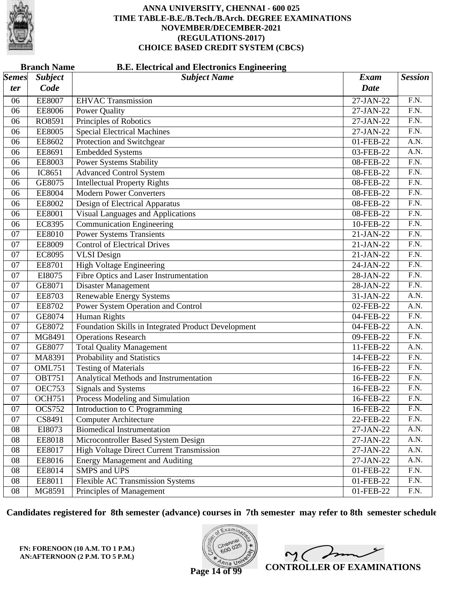

| <b>Branch Name</b><br><b>B.E. Electrical and Electronics Engineering</b> |                |                                                     |             |                   |  |
|--------------------------------------------------------------------------|----------------|-----------------------------------------------------|-------------|-------------------|--|
| <b>Semes</b>                                                             | <b>Subject</b> | <b>Subject Name</b>                                 | <b>Exam</b> | <b>Session</b>    |  |
| ter                                                                      | Code           |                                                     | <b>Date</b> |                   |  |
| 06                                                                       | <b>EE8007</b>  | <b>EHVAC Transmission</b>                           | 27-JAN-22   | F.N.              |  |
| 06                                                                       | <b>EE8006</b>  | <b>Power Quality</b>                                | $27-JAN-22$ | $\overline{F.N.}$ |  |
| 06                                                                       | RO8591         | Principles of Robotics                              | 27-JAN-22   | $\overline{F.N.}$ |  |
| 06                                                                       | <b>EE8005</b>  | <b>Special Electrical Machines</b>                  | 27-JAN-22   | $\overline{F.N.}$ |  |
| 06                                                                       | EE8602         | Protection and Switchgear                           | 01-FEB-22   | A.N.              |  |
| 06                                                                       | EE8691         | <b>Embedded Systems</b>                             | 03-FEB-22   | A.N.              |  |
| 06                                                                       | <b>EE8003</b>  | <b>Power Systems Stability</b>                      | 08-FEB-22   | $\overline{F.N.}$ |  |
| 06                                                                       | IC8651         | <b>Advanced Control System</b>                      | 08-FEB-22   | $\overline{F.N.}$ |  |
| 06                                                                       | GE8075         | <b>Intellectual Property Rights</b>                 | 08-FEB-22   | $\overline{F.N.}$ |  |
| 06                                                                       | <b>EE8004</b>  | <b>Modern Power Converters</b>                      | 08-FEB-22   | F.N.              |  |
| 06                                                                       | <b>EE8002</b>  | Design of Electrical Apparatus                      | 08-FEB-22   | $\overline{F.N.}$ |  |
| 06                                                                       | <b>EE8001</b>  | Visual Languages and Applications                   | 08-FEB-22   | $\overline{F.N.}$ |  |
| 06                                                                       | <b>EC8395</b>  | <b>Communication Engineering</b>                    | 10-FEB-22   | $\overline{F.N.}$ |  |
| 07                                                                       | <b>EE8010</b>  | <b>Power Systems Transients</b>                     | 21-JAN-22   | F.N.              |  |
| 07                                                                       | <b>EE8009</b>  | <b>Control of Electrical Drives</b>                 | 21-JAN-22   | $\overline{F.N.}$ |  |
| 07                                                                       | EC8095         | <b>VLSI</b> Design                                  | 21-JAN-22   | F.N.              |  |
| 07                                                                       | <b>EE8701</b>  | <b>High Voltage Engineering</b>                     | 24-JAN-22   | $\overline{F.N.}$ |  |
| 07                                                                       | EI8075         | Fibre Optics and Laser Instrumentation              | $28-JAN-22$ | F.N.              |  |
| 07                                                                       | GE8071         | <b>Disaster Management</b>                          | 28-JAN-22   | $\overline{F.N.}$ |  |
| 07                                                                       | EE8703         | <b>Renewable Energy Systems</b>                     | 31-JAN-22   | A.N.              |  |
| 07                                                                       | <b>EE8702</b>  | Power System Operation and Control                  | 02-FEB-22   | A.N.              |  |
| 07                                                                       | GE8074         | Human Rights                                        | 04-FEB-22   | F.N.              |  |
| 07                                                                       | GE8072         | Foundation Skills in Integrated Product Development | 04-FEB-22   | A.N.              |  |
| 07                                                                       | MG8491         | <b>Operations Research</b>                          | 09-FEB-22   | $\overline{F.N.}$ |  |
| 07                                                                       | GE8077         | <b>Total Quality Management</b>                     | 11-FEB-22   | A.N.              |  |
| 07                                                                       | MA8391         | Probability and Statistics                          | 14-FEB-22   | F.N.              |  |
| 07                                                                       | <b>OML751</b>  | <b>Testing of Materials</b>                         | 16-FEB-22   | $\overline{F.N.}$ |  |
| 07                                                                       | <b>OBT751</b>  | Analytical Methods and Instrumentation              | 16-FEB-22   | F.N.              |  |
| 07                                                                       | <b>OEC753</b>  | <b>Signals and Systems</b>                          | 16-FEB-22   | $\overline{F.N.}$ |  |
| 07                                                                       | <b>OCH751</b>  | Process Modeling and Simulation                     | 16-FEB-22   | $\overline{F.N.}$ |  |
| 07                                                                       | <b>OCS752</b>  | Introduction to C Programming                       | 16-FEB-22   | F.N.              |  |
| 07                                                                       | CS8491         | <b>Computer Architecture</b>                        | 22-FEB-22   | F.N.              |  |
| 08                                                                       | EI8073         | <b>Biomedical Instrumentation</b>                   | 27-JAN-22   | A.N.              |  |
| ${\bf 08}$                                                               | EE8018         | Microcontroller Based System Design                 | 27-JAN-22   | A.N.              |  |
| 08                                                                       | EE8017         | <b>High Voltage Direct Current Transmission</b>     | 27-JAN-22   | A.N.              |  |
| 08                                                                       | EE8016         | <b>Energy Management and Auditing</b>               | 27-JAN-22   | A.N.              |  |
| 08                                                                       | EE8014         | <b>SMPS</b> and <b>UPS</b>                          | 01-FEB-22   | F.N.              |  |
| ${\bf 08}$                                                               | EE8011         | <b>Flexible AC Transmission Systems</b>             | 01-FEB-22   | F.N.              |  |
| 08                                                                       | MG8591         | Principles of Management                            | 01-FEB-22   | F.N.              |  |

**Candidates registered for 8th semester (advance) courses in 7th semester may refer to 8th semester schedule**

**FN: FORENOON (10 A.M. TO 1 P.M.) AN:AFTERNOON (2 P.M. TO 5 P.M.)**



 $\overline{\mathscr{P}}$  $\sim$  ( **CONTROLLER OF EXAMINATIONS**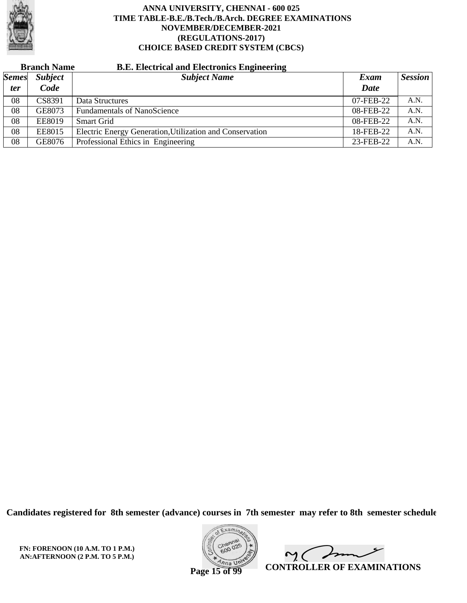

# **Branch Name B.E. Electrical and Electronics Engineering**

| <b>Semes</b> | <b>Subject</b> | <b>Subject Name</b>                                      | Exam        | <b>Session</b> |
|--------------|----------------|----------------------------------------------------------|-------------|----------------|
| <i>ter</i>   | Code           |                                                          | <b>Date</b> |                |
| 08           | CS8391         | Data Structures                                          | 07-FEB-22   | A.N.           |
| 08           | GE8073         | <b>Fundamentals of NanoScience</b>                       | 08-FEB-22   | A.N.           |
| 08           | <b>EE8019</b>  | <b>Smart Grid</b>                                        | 08-FEB-22   | A.N.           |
| 08           | <b>EE8015</b>  | Electric Energy Generation, Utilization and Conservation | 18-FEB-22   | A.N.           |
| 08           | GE8076         | Professional Ethics in Engineering                       | 23-FEB-22   | A.N.           |

**Candidates registered for 8th semester (advance) courses in 7th semester may refer to 8th semester schedule**

**FN: FORENOON (10 A.M. TO 1 P.M.) AN:AFTERNOON (2 P.M. TO 5 P.M.)**



Imm  $\mathsf{M}(\mathbb{C})$ **CONTROLLER OF EXAMINATIONS**

**Page 15 of 99**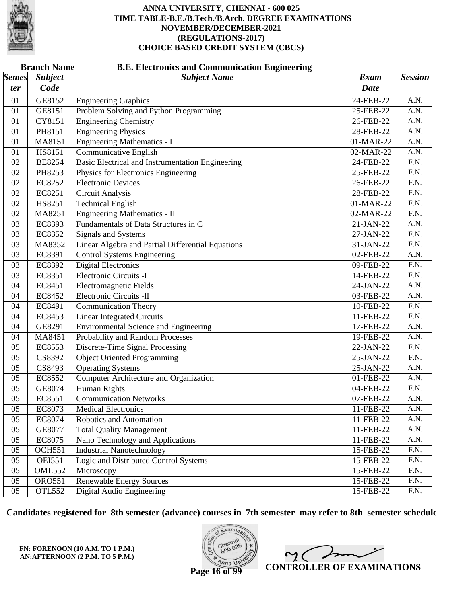

|              | <b>Branch Name</b><br><b>B.E. Electronics and Communication Engineering</b> |                                                         |              |                   |  |  |  |
|--------------|-----------------------------------------------------------------------------|---------------------------------------------------------|--------------|-------------------|--|--|--|
| <b>Semes</b> | <b>Subject</b>                                                              | <b>Subject Name</b>                                     | Exam         | <b>Session</b>    |  |  |  |
| ter          | Code                                                                        |                                                         | Date         |                   |  |  |  |
| 01           | GE8152                                                                      | <b>Engineering Graphics</b>                             | 24-FEB-22    | A.N.              |  |  |  |
| 01           | GE8151                                                                      | Problem Solving and Python Programming                  | 25-FEB-22    | A.N.              |  |  |  |
| 01           | CY8151                                                                      | <b>Engineering Chemistry</b>                            | 26-FEB-22    | $\overline{A.N.}$ |  |  |  |
| 01           | PH8151                                                                      | <b>Engineering Physics</b>                              | 28-FEB-22    | A.N.              |  |  |  |
| 01           | MA8151                                                                      | <b>Engineering Mathematics - I</b>                      | 01-MAR-22    | A.N.              |  |  |  |
| 01           | HS8151                                                                      | <b>Communicative English</b>                            | 02-MAR-22    | A.N.              |  |  |  |
| 02           | <b>BE8254</b>                                                               | <b>Basic Electrical and Instrumentation Engineering</b> | 24-FEB-22    | $\overline{F.N.}$ |  |  |  |
| 02           | PH8253                                                                      | Physics for Electronics Engineering                     | 25-FEB-22    | F.N.              |  |  |  |
| 02           | <b>EC8252</b>                                                               | <b>Electronic Devices</b>                               | 26-FEB-22    | F.N.              |  |  |  |
| 02           | EC8251                                                                      | <b>Circuit Analysis</b>                                 | 28-FEB-22    | $\overline{F.N.}$ |  |  |  |
| 02           | HS8251                                                                      | <b>Technical English</b>                                | 01-MAR-22    | $\overline{F.N.}$ |  |  |  |
| 02           | MA8251                                                                      | <b>Engineering Mathematics - II</b>                     | 02-MAR-22    | F.N.              |  |  |  |
| 03           | EC8393                                                                      | Fundamentals of Data Structures in C                    | 21-JAN-22    | A.N.              |  |  |  |
| 03           | EC8352                                                                      | Signals and Systems                                     | 27-JAN-22    | $\overline{F.N.}$ |  |  |  |
| 03           | MA8352                                                                      | Linear Algebra and Partial Differential Equations       | 31-JAN-22    | $\overline{F.N.}$ |  |  |  |
| 03           | EC8391                                                                      | <b>Control Systems Engineering</b>                      | 02-FEB-22    | A.N.              |  |  |  |
| 03           | EC8392                                                                      | <b>Digital Electronics</b>                              | 09-FEB-22    | F.N.              |  |  |  |
| 03           | EC8351                                                                      | Electronic Circuits -I                                  | 14-FEB-22    | F.N.              |  |  |  |
| 04           | EC8451                                                                      | <b>Electromagnetic Fields</b>                           | 24-JAN-22    | $\overline{A.N.}$ |  |  |  |
| 04           | EC8452                                                                      | <b>Electronic Circuits -II</b>                          | $03$ -FEB-22 | A.N.              |  |  |  |
| 04           | EC8491                                                                      | <b>Communication Theory</b>                             | 10-FEB-22    | $\overline{F.N.}$ |  |  |  |
| 04           | EC8453                                                                      | <b>Linear Integrated Circuits</b>                       | 11-FEB-22    | F.N.              |  |  |  |
| 04           | GE8291                                                                      | <b>Environmental Science and Engineering</b>            | 17-FEB-22    | $\overline{A.N.}$ |  |  |  |
| 04           | MA8451                                                                      | Probability and Random Processes                        | 19-FEB-22    | A.N.              |  |  |  |
| 05           | EC8553                                                                      | <b>Discrete-Time Signal Processing</b>                  | 22-JAN-22    | F.N.              |  |  |  |
| 05           | CS8392                                                                      | <b>Object Oriented Programming</b>                      | 25-JAN-22    | F.N.              |  |  |  |
| 05           | CS8493                                                                      | <b>Operating Systems</b>                                | 25-JAN-22    | $\overline{A.N.}$ |  |  |  |
| 05           | EC8552                                                                      | <b>Computer Architecture and Organization</b>           | 01-FEB-22    | A.N.              |  |  |  |
| 05           | GE8074                                                                      | <b>Human Rights</b>                                     | 04-FEB-22    | F.N.              |  |  |  |
| 05           | EC8551                                                                      | <b>Communication Networks</b>                           | 07-FEB-22    | A.N.              |  |  |  |
| 05           | EC8073                                                                      | <b>Medical Electronics</b>                              | 11-FEB-22    | A.N.              |  |  |  |
| 05           | EC8074                                                                      | Robotics and Automation                                 | 11-FEB-22    | A.N.              |  |  |  |
| 05           | GE8077                                                                      | <b>Total Quality Management</b>                         | 11-FEB-22    | A.N.              |  |  |  |
| 05           | EC8075                                                                      | Nano Technology and Applications                        | 11-FEB-22    | A.N.              |  |  |  |
| 05           | <b>OCH551</b>                                                               | <b>Industrial Nanotechnology</b>                        | 15-FEB-22    | F.N.              |  |  |  |
| 05           | <b>OEI551</b>                                                               | Logic and Distributed Control Systems                   | 15-FEB-22    | F.N.              |  |  |  |
| 05           | <b>OML552</b>                                                               | Microscopy                                              | 15-FEB-22    | F.N.              |  |  |  |
| 05           | <b>ORO551</b>                                                               | <b>Renewable Energy Sources</b>                         | 15-FEB-22    | F.N.              |  |  |  |
| 05           | <b>OTL552</b>                                                               | Digital Audio Engineering                               | 15-FEB-22    | F.N.              |  |  |  |

**Candidates registered for 8th semester (advance) courses in 7th semester may refer to 8th semester schedule**

**FN: FORENOON (10 A.M. TO 1 P.M.) AN:AFTERNOON (2 P.M. TO 5 P.M.)**



 $\overline{\phantom{a}}$  $\mathsf{M}(\mathbb{C})$ **CONTROLLER OF EXAMINATIONS**

**Page 16 of 99**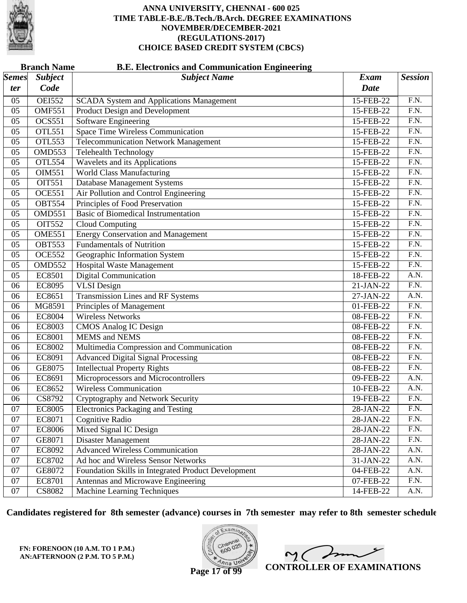

|              | <b>Branch Name</b><br><b>B.E. Electronics and Communication Engineering</b> |                                                     |             |                   |  |  |  |
|--------------|-----------------------------------------------------------------------------|-----------------------------------------------------|-------------|-------------------|--|--|--|
| <b>Semes</b> | <b>Subject</b>                                                              | <b>Subject Name</b>                                 | <b>Exam</b> | <b>Session</b>    |  |  |  |
| ter          | Code                                                                        |                                                     | <b>Date</b> |                   |  |  |  |
| 05           | <b>OEI552</b>                                                               | <b>SCADA System and Applications Management</b>     | 15-FEB-22   | F.N.              |  |  |  |
| 05           | <b>OMF551</b>                                                               | Product Design and Development                      | 15-FEB-22   | F.N.              |  |  |  |
| 05           | <b>OCS551</b>                                                               | <b>Software Engineering</b>                         | 15-FEB-22   | $\overline{F.N.}$ |  |  |  |
| 05           | <b>OTL551</b>                                                               | <b>Space Time Wireless Communication</b>            | 15-FEB-22   | $\overline{F.N.}$ |  |  |  |
| 05           | <b>OTL553</b>                                                               | <b>Telecommunication Network Management</b>         | 15-FEB-22   | F.N.              |  |  |  |
| 05           | OMD553                                                                      | Telehealth Technology                               | 15-FEB-22   | $\overline{F.N.}$ |  |  |  |
| 05           | <b>OTL554</b>                                                               | Wavelets and its Applications                       | 15-FEB-22   | $\overline{F.N.}$ |  |  |  |
| 05           | OIM551                                                                      | <b>World Class Manufacturing</b>                    | 15-FEB-22   | $\overline{F.N.}$ |  |  |  |
| 05           | <b>OIT551</b>                                                               | Database Management Systems                         | 15-FEB-22   | F.N.              |  |  |  |
| 05           | <b>OCE551</b>                                                               | Air Pollution and Control Engineering               | 15-FEB-22   | $\overline{F.N.}$ |  |  |  |
| 05           | <b>OBT554</b>                                                               | Principles of Food Preservation                     | 15-FEB-22   | $\overline{F.N.}$ |  |  |  |
| 05           | OMD551                                                                      | <b>Basic of Biomedical Instrumentation</b>          | 15-FEB-22   | $\overline{F.N.}$ |  |  |  |
| 05           | <b>OIT552</b>                                                               | Cloud Computing                                     | 15-FEB-22   | F.N.              |  |  |  |
| 05           | <b>OME551</b>                                                               | <b>Energy Conservation and Management</b>           | 15-FEB-22   | $\overline{F.N.}$ |  |  |  |
| 05           | <b>OBT553</b>                                                               | <b>Fundamentals of Nutrition</b>                    | 15-FEB-22   | $\overline{F.N.}$ |  |  |  |
| 05           | <b>OCE552</b>                                                               | Geographic Information System                       | 15-FEB-22   | $\overline{F.N.}$ |  |  |  |
| 05           | <b>OMD552</b>                                                               | <b>Hospital Waste Management</b>                    | 15-FEB-22   | F.N.              |  |  |  |
| 05           | <b>EC8501</b>                                                               | <b>Digital Communication</b>                        | 18-FEB-22   | A.N.              |  |  |  |
| 06           | <b>EC8095</b>                                                               | <b>VLSI</b> Design                                  | 21-JAN-22   | $\overline{F.N.}$ |  |  |  |
| 06           | EC8651                                                                      | Transmission Lines and RF Systems                   | 27-JAN-22   | A.N.              |  |  |  |
| 06           | MG8591                                                                      | Principles of Management                            | 01-FEB-22   | F.N.              |  |  |  |
| 06           | <b>EC8004</b>                                                               | <b>Wireless Networks</b>                            | 08-FEB-22   | F.N.              |  |  |  |
| 06           | <b>EC8003</b>                                                               | <b>CMOS Analog IC Design</b>                        | 08-FEB-22   | $\overline{F.N.}$ |  |  |  |
| 06           | <b>EC8001</b>                                                               | <b>MEMS</b> and <b>NEMS</b>                         | 08-FEB-22   | $\overline{F.N.}$ |  |  |  |
| 06           | <b>EC8002</b>                                                               | Multimedia Compression and Communication            | 08-FEB-22   | F.N.              |  |  |  |
| 06           | EC8091                                                                      | <b>Advanced Digital Signal Processing</b>           | 08-FEB-22   | F.N.              |  |  |  |
| 06           | GE8075                                                                      | <b>Intellectual Property Rights</b>                 | 08-FEB-22   | $\overline{F.N.}$ |  |  |  |
| 06           | EC8691                                                                      | Microprocessors and Microcontrollers                | 09-FEB-22   | A.N.              |  |  |  |
| 06           | EC8652                                                                      | <b>Wireless Communication</b>                       | 10-FEB-22   | A.N.              |  |  |  |
| 06           | CS8792                                                                      | Cryptography and Network Security                   | 19-FEB-22   | F.N.              |  |  |  |
| 07           | <b>EC8005</b>                                                               | <b>Electronics Packaging and Testing</b>            | 28-JAN-22   | F.N.              |  |  |  |
| 07           | EC8071                                                                      | Cognitive Radio                                     | 28-JAN-22   | F.N.              |  |  |  |
| 07           | <b>EC8006</b>                                                               | Mixed Signal IC Design                              | 28-JAN-22   | F.N.              |  |  |  |
| 07           | GE8071                                                                      | Disaster Management                                 | 28-JAN-22   | F.N.              |  |  |  |
| 07           | EC8092                                                                      | <b>Advanced Wireless Communication</b>              | $28-JAN-22$ | A.N.              |  |  |  |
| 07           | EC8702                                                                      | Ad hoc and Wireless Sensor Networks                 | 31-JAN-22   | A.N.              |  |  |  |
| 07           | GE8072                                                                      | Foundation Skills in Integrated Product Development | 04-FEB-22   | A.N.              |  |  |  |
| 07           | EC8701                                                                      | Antennas and Microwave Engineering                  | 07-FEB-22   | F.N.              |  |  |  |
| 07           | CS8082                                                                      | Machine Learning Techniques                         | 14-FEB-22   | A.N.              |  |  |  |

**Candidates registered for 8th semester (advance) courses in 7th semester may refer to 8th semester schedule**

**FN: FORENOON (10 A.M. TO 1 P.M.) AN:AFTERNOON (2 P.M. TO 5 P.M.)**



 $\sim$  ( **CONTROLLER OF EXAMINATIONS**

**Page 17 of 99**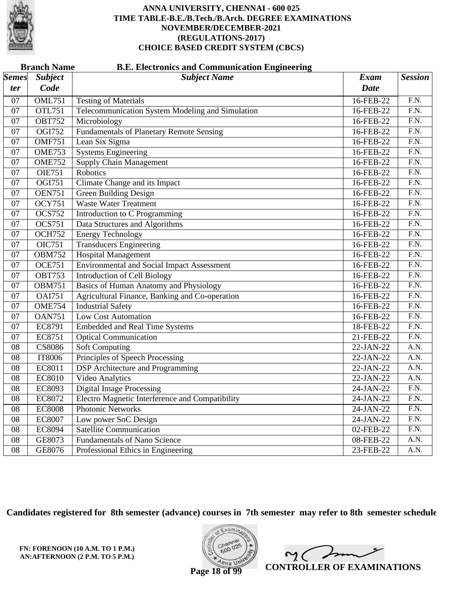

| <b>Branch Name</b><br><b>B.E. Electronics and Communication Engineering</b> |                |                                                        |             |                   |  |
|-----------------------------------------------------------------------------|----------------|--------------------------------------------------------|-------------|-------------------|--|
| $\vert$ Semes $\vert$                                                       | <b>Subject</b> | <b>Subject Name</b>                                    | <b>Exam</b> | <b>Session</b>    |  |
| <i>ter</i>                                                                  | Code           |                                                        | <b>Date</b> |                   |  |
| 07                                                                          | <b>OML751</b>  | <b>Testing of Materials</b>                            | 16-FEB-22   | $\overline{F.N.}$ |  |
| $\overline{07}$                                                             | <b>OTL751</b>  | Telecommunication System Modeling and Simulation       | 16-FEB-22   | F.N.              |  |
| $\overline{07}$                                                             | <b>OBT752</b>  | Microbiology                                           | 16-FEB-22   | $\overline{F.N.}$ |  |
| $\overline{07}$                                                             | OGI752         | <b>Fundamentals of Planetary Remote Sensing</b>        | 16-FEB-22   | F.N.              |  |
| $\overline{07}$                                                             | <b>OMF751</b>  | Lean Six Sigma                                         | 16-FEB-22   | F.N.              |  |
| $\overline{07}$                                                             | <b>OME753</b>  | <b>Systems Engineering</b>                             | 16-FEB-22   | F.N.              |  |
| $\overline{07}$                                                             | <b>OME752</b>  | <b>Supply Chain Management</b>                         | 16-FEB-22   | F.N.              |  |
| $\overline{07}$                                                             | <b>OIE751</b>  | Robotics                                               | 16-FEB-22   | F.N.              |  |
| $\overline{07}$                                                             | OGI751         | Climate Change and its Impact                          | 16-FEB-22   | F.N.              |  |
| $\overline{07}$                                                             | <b>OEN751</b>  | <b>Green Building Design</b>                           | 16-FEB-22   | F.N.              |  |
| $\overline{07}$                                                             | <b>OCY751</b>  | <b>Waste Water Treatment</b>                           | 16-FEB-22   | F.N.              |  |
| $\overline{07}$                                                             | <b>OCS752</b>  | Introduction to C Programming                          | 16-FEB-22   | F.N.              |  |
| $\overline{07}$                                                             | <b>OCS751</b>  | Data Structures and Algorithms                         | 16-FEB-22   | F.N.              |  |
| $\overline{07}$                                                             | <b>OCH752</b>  | <b>Energy Technology</b>                               | 16-FEB-22   | F.N.              |  |
| 07                                                                          | <b>OIC751</b>  | <b>Transducers Engineering</b>                         | 16-FEB-22   | F.N.              |  |
| 07                                                                          | <b>OBM752</b>  | <b>Hospital Management</b>                             | 16-FEB-22   | F.N.              |  |
| $\overline{07}$                                                             | <b>OCE751</b>  | <b>Environmental and Social Impact Assessment</b>      | 16-FEB-22   | $\overline{F.N.}$ |  |
| $\overline{07}$                                                             | <b>OBT753</b>  | <b>Introduction of Cell Biology</b>                    | 16-FEB-22   | F.N.              |  |
| $\overline{07}$                                                             | <b>OBM751</b>  | <b>Basics of Human Anatomy and Physiology</b>          | 16-FEB-22   | F.N.              |  |
| $\overline{07}$                                                             | <b>OAI751</b>  | Agricultural Finance, Banking and Co-operation         | 16-FEB-22   | F.N.              |  |
| $\overline{07}$                                                             | <b>OME754</b>  | <b>Industrial Safety</b>                               | 16-FEB-22   | F.N.              |  |
| $\overline{07}$                                                             | <b>OAN751</b>  | <b>Low Cost Automation</b>                             | 16-FEB-22   | F.N.              |  |
| 07                                                                          | EC8791         | <b>Embedded and Real Time Systems</b>                  | 18-FEB-22   | F.N.              |  |
| $\overline{07}$                                                             | EC8751         | <b>Optical Communication</b>                           | 21-FEB-22   | F.N.              |  |
| 08                                                                          | <b>CS8086</b>  | <b>Soft Computing</b>                                  | 22-JAN-22   | $\overline{A.N.}$ |  |
| $\overline{08}$                                                             | <b>IT8006</b>  | Principles of Speech Processing                        | $22-JAN-22$ | A.N.              |  |
| $\overline{08}$                                                             | EC8011         | <b>DSP</b> Architecture and Programming                | 22-JAN-22   | $\overline{A.N.}$ |  |
| $\overline{08}$                                                             | <b>EC8010</b>  | <b>Video Analytics</b>                                 | $22-JAN-22$ | A.N.              |  |
| $\overline{08}$                                                             | EC8093         | <b>Digital Image Processing</b>                        | 24-JAN-22   | $\overline{F.N.}$ |  |
| 08                                                                          | EC8072         | <b>Electro Magnetic Interference and Compatibility</b> | 24-JAN-22   | F.N.              |  |
| $\overline{08}$                                                             | <b>EC8008</b>  | <b>Photonic Networks</b>                               | 24-JAN-22   | $\overline{F.N.}$ |  |
| $\overline{08}$                                                             | <b>EC8007</b>  | Low power SoC Design                                   | 24-JAN-22   | F.N.              |  |
| $\overline{08}$                                                             | <b>EC8094</b>  | <b>Satellite Communication</b>                         | 02-FEB-22   | $\overline{F.N.}$ |  |
| $\overline{08}$                                                             | GE8073         | <b>Fundamentals of Nano Science</b>                    | 08-FEB-22   | A.N.              |  |
| $\overline{08}$                                                             | GE8076         | Professional Ethics in Engineering                     | 23-FEB-22   | A.N.              |  |

**Candidates registered for 8th semester (advance) courses in 7th semester may refer to 8th semester schedule**

 $x$ am na U

mm  $\mathsf{M}(\mathbb{C})$ **CONTROLLER OF EXAMINATIONS**

**Page 18 of 99**

**FN: FORENOON (10 A.M. TO 1 P.M.) AN:AFTERNOON (2 P.M. TO 5 P.M.)**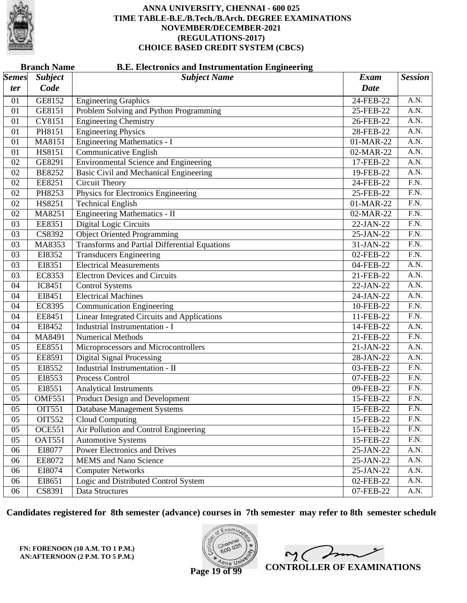

|              | <b>Branch Name</b><br><b>B.E. Electronics and Instrumentation Engineering</b> |                                                      |           |                   |  |  |  |
|--------------|-------------------------------------------------------------------------------|------------------------------------------------------|-----------|-------------------|--|--|--|
| <b>Semes</b> | <b>Subject</b>                                                                | <b>Subject Name</b>                                  | Exam      | <b>Session</b>    |  |  |  |
| ter          | Code                                                                          |                                                      | Date      |                   |  |  |  |
| 01           | GE8152                                                                        | <b>Engineering Graphics</b>                          | 24-FEB-22 | A.N.              |  |  |  |
| 01           | GE8151                                                                        | Problem Solving and Python Programming               | 25-FEB-22 | A.N.              |  |  |  |
| 01           | <b>CY8151</b>                                                                 | <b>Engineering Chemistry</b>                         | 26-FEB-22 | A.N.              |  |  |  |
| 01           | PH8151                                                                        | <b>Engineering Physics</b>                           | 28-FEB-22 | A.N.              |  |  |  |
| 01           | MA8151                                                                        | <b>Engineering Mathematics - I</b>                   | 01-MAR-22 | A.N.              |  |  |  |
| 01           | HS8151                                                                        | <b>Communicative English</b>                         | 02-MAR-22 | A.N.              |  |  |  |
| 02           | GE8291                                                                        | <b>Environmental Science and Engineering</b>         | 17-FEB-22 | A.N.              |  |  |  |
| 02           | <b>BE8252</b>                                                                 | <b>Basic Civil and Mechanical Engineering</b>        | 19-FEB-22 | A.N.              |  |  |  |
| 02           | EE8251                                                                        | Circuit Theory                                       | 24-FEB-22 | $\overline{F.N.}$ |  |  |  |
| 02           | PH8253                                                                        | Physics for Electronics Engineering                  | 25-FEB-22 | F.N.              |  |  |  |
| 02           | HS8251                                                                        | <b>Technical English</b>                             | 01-MAR-22 | F.N.              |  |  |  |
| 02           | MA8251                                                                        | <b>Engineering Mathematics - II</b>                  | 02-MAR-22 | $\overline{F.N.}$ |  |  |  |
| 03           | EE8351                                                                        | <b>Digital Logic Circuits</b>                        | 22-JAN-22 | $\overline{F.N.}$ |  |  |  |
| 03           | CS8392                                                                        | <b>Object Oriented Programming</b>                   | 25-JAN-22 | $\overline{F.N.}$ |  |  |  |
| 03           | MA8353                                                                        | <b>Transforms and Partial Differential Equations</b> | 31-JAN-22 | F.N.              |  |  |  |
| 03           | EI8352                                                                        | <b>Transducers Engineering</b>                       | 02-FEB-22 | $\overline{F.N.}$ |  |  |  |
| 03           | EI8351                                                                        | <b>Electrical Measurements</b>                       | 04-FEB-22 | A.N.              |  |  |  |
| 03           | <b>EC8353</b>                                                                 | <b>Electron Devices and Circuits</b>                 | 21-FEB-22 | A.N.              |  |  |  |
| 04           | IC8451                                                                        | <b>Control Systems</b>                               | 22-JAN-22 | A.N.              |  |  |  |
| 04           | EI8451                                                                        | <b>Electrical Machines</b>                           | 24-JAN-22 | A.N.              |  |  |  |
| 04           | <b>EC8395</b>                                                                 | <b>Communication Engineering</b>                     | 10-FEB-22 | $\overline{F.N.}$ |  |  |  |
| 04           | EE8451                                                                        | <b>Linear Integrated Circuits and Applications</b>   | 11-FEB-22 | F.N.              |  |  |  |
| 04           | EI8452                                                                        | Industrial Instrumentation - I                       | 14-FEB-22 | A.N.              |  |  |  |
| 04           | MA8491                                                                        | <b>Numerical Methods</b>                             | 21-FEB-22 | $\overline{F.N.}$ |  |  |  |
| 05           | EE8551                                                                        | Microprocessors and Microcontrollers                 | 21-JAN-22 | A.N.              |  |  |  |
| 05           | EE8591                                                                        | <b>Digital Signal Processing</b>                     | 28-JAN-22 | A.N.              |  |  |  |
| 05           | EI8552                                                                        | <b>Industrial Instrumentation - II</b>               | 03-FEB-22 | F.N.              |  |  |  |
| 05           | EI8553                                                                        | Process Control                                      | 07-FEB-22 | $\overline{F.N.}$ |  |  |  |
| 05           | EI8551                                                                        | <b>Analytical Instruments</b>                        | 09-FEB-22 | F.N.              |  |  |  |
| 05           | <b>OMF551</b>                                                                 | <b>Product Design and Development</b>                | 15-FEB-22 | F.N.              |  |  |  |
| 05           | <b>OIT551</b>                                                                 | Database Management Systems                          | 15-FEB-22 | F.N.              |  |  |  |
| 05           | <b>OIT552</b>                                                                 | <b>Cloud Computing</b>                               | 15-FEB-22 | F.N.              |  |  |  |
| 05           | <b>OCE551</b>                                                                 | Air Pollution and Control Engineering                | 15-FEB-22 | F.N.              |  |  |  |
| 05           | <b>OAT551</b>                                                                 | <b>Automotive Systems</b>                            | 15-FEB-22 | F.N.              |  |  |  |
| 06           | EI8077                                                                        | <b>Power Electronics and Drives</b>                  | 25-JAN-22 | A.N.              |  |  |  |
| 06           | EE8072                                                                        | <b>MEMS</b> and Nano Science                         | 25-JAN-22 | A.N.              |  |  |  |
| 06           | EI8074                                                                        | <b>Computer Networks</b>                             | 25-JAN-22 | A.N.              |  |  |  |
| 06           | EI8651                                                                        | Logic and Distributed Control System                 | 02-FEB-22 | A.N.              |  |  |  |
| 06           | CS8391                                                                        | Data Structures                                      | 07-FEB-22 | A.N.              |  |  |  |

**Candidates registered for 8th semester (advance) courses in 7th semester may refer to 8th semester schedule**

**FN: FORENOON (10 A.M. TO 1 P.M.) AN:AFTERNOON (2 P.M. TO 5 P.M.)**



 $\overline{\phantom{a}}$  $\sim$  ( **CONTROLLER OF EXAMINATIONS**

**Page 19 of 99**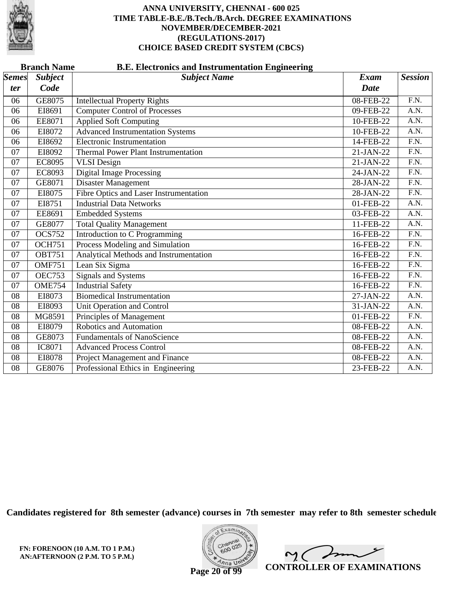

|                 | <b>Branch Name</b><br><b>B.E. Electronics and Instrumentation Engineering</b> |                                               |                 |                   |  |  |  |
|-----------------|-------------------------------------------------------------------------------|-----------------------------------------------|-----------------|-------------------|--|--|--|
| <b>Semes</b>    | <b>Subject</b>                                                                | <b>Subject Name</b>                           | <b>Exam</b>     | <b>Session</b>    |  |  |  |
| <i>ter</i>      | Code                                                                          |                                               | <b>Date</b>     |                   |  |  |  |
| 06              | GE8075                                                                        | <b>Intellectual Property Rights</b>           | 08-FEB-22       | F.N.              |  |  |  |
| 06              | EI8691                                                                        | <b>Computer Control of Processes</b>          | 09-FEB-22       | A.N.              |  |  |  |
| 06              | EE8071                                                                        | <b>Applied Soft Computing</b>                 | 10-FEB-22       | A.N.              |  |  |  |
| 06              | EI8072                                                                        | <b>Advanced Instrumentation Systems</b>       | 10-FEB-22       | A.N.              |  |  |  |
| 06              | EI8692                                                                        | <b>Electronic Instrumentation</b>             | 14-FEB-22       | $\overline{F.N.}$ |  |  |  |
| 07              | EI8092                                                                        | <b>Thermal Power Plant Instrumentation</b>    | 21-JAN-22       | $\overline{FN}$ . |  |  |  |
| 07              | <b>EC8095</b>                                                                 | <b>VLSI</b> Design                            | 21-JAN-22       | $\overline{F.N.}$ |  |  |  |
| 07              | EC8093                                                                        | <b>Digital Image Processing</b>               | 24-JAN-22       | F.N.              |  |  |  |
| 07              | GE8071                                                                        | Disaster Management                           | 28-JAN-22       | $\overline{F.N.}$ |  |  |  |
| 07              | EI8075                                                                        | <b>Fibre Optics and Laser Instrumentation</b> | 28-JAN-22       | F.N.              |  |  |  |
| 07              | EI8751                                                                        | <b>Industrial Data Networks</b>               | $01$ -FEB-22    | A.N.              |  |  |  |
| 07              | EE8691                                                                        | <b>Embedded Systems</b>                       | 03-FEB-22       | $\overline{A.N.}$ |  |  |  |
| 07              | GE8077                                                                        | <b>Total Quality Management</b>               | $11 - FEB - 22$ | A.N.              |  |  |  |
| 07              | <b>OCS752</b>                                                                 | Introduction to C Programming                 | 16-FEB-22       | F.N.              |  |  |  |
| 07              | <b>OCH751</b>                                                                 | Process Modeling and Simulation               | 16-FEB-22       | $\overline{F.N.}$ |  |  |  |
| 07              | <b>OBT751</b>                                                                 | Analytical Methods and Instrumentation        | 16-FEB-22       | $\overline{FN}$ . |  |  |  |
| 07              | <b>OMF751</b>                                                                 | Lean Six Sigma                                | 16-FEB-22       | $\overline{F.N.}$ |  |  |  |
| 07              | <b>OEC753</b>                                                                 | <b>Signals and Systems</b>                    | 16-FEB-22       | F.N.              |  |  |  |
| 07              | <b>OME754</b>                                                                 | <b>Industrial Safety</b>                      | 16-FEB-22       | $\overline{F.N.}$ |  |  |  |
| 08              | EI8073                                                                        | <b>Biomedical Instrumentation</b>             | 27-JAN-22       | A.N.              |  |  |  |
| $\overline{08}$ | EI8093                                                                        | Unit Operation and Control                    | 31-JAN-22       | A.N.              |  |  |  |
| 08              | MG8591                                                                        | Principles of Management                      | 01-FEB-22       | F.N.              |  |  |  |
| 08              | EI8079                                                                        | Robotics and Automation                       | 08-FEB-22       | A.N.              |  |  |  |
| 08              | GE8073                                                                        | <b>Fundamentals of NanoScience</b>            | 08-FEB-22       | A.N.              |  |  |  |
| 08              | <b>IC8071</b>                                                                 | <b>Advanced Process Control</b>               | 08-FEB-22       | A.N.              |  |  |  |
| 08              | EI8078                                                                        | Project Management and Finance                | 08-FEB-22       | A.N.              |  |  |  |
| 08              | GE8076                                                                        | Professional Ethics in Engineering            | 23-FEB-22       | A.N.              |  |  |  |

**Candidates registered for 8th semester (advance) courses in 7th semester may refer to 8th semester schedule**



 $\overline{\phantom{m}}$  $\sim$  ( **CONTROLLER OF EXAMINATIONS**

**Page 20 of 99**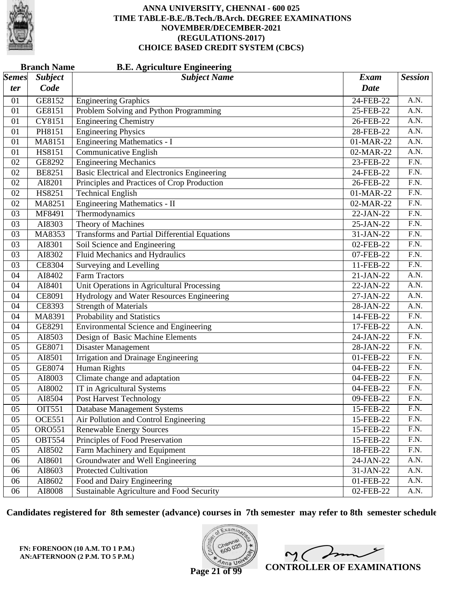

|                       | <b>Branch Name</b><br><b>B.E. Agriculture Engineering</b> |                                                      |             |                   |  |  |
|-----------------------|-----------------------------------------------------------|------------------------------------------------------|-------------|-------------------|--|--|
| $\vert$ Semes $\vert$ | <b>Subject</b>                                            | <b>Subject Name</b>                                  | <b>Exam</b> | <b>Session</b>    |  |  |
| ter                   | Code                                                      |                                                      | <b>Date</b> |                   |  |  |
| 01                    | GE8152                                                    | <b>Engineering Graphics</b>                          | 24-FEB-22   | A.N.              |  |  |
| 01                    | GE8151                                                    | Problem Solving and Python Programming               | 25-FEB-22   | A.N.              |  |  |
| 01                    | CY8151                                                    | <b>Engineering Chemistry</b>                         | 26-FEB-22   | $\overline{A.N.}$ |  |  |
| 01                    | PH8151                                                    | <b>Engineering Physics</b>                           | 28-FEB-22   | $\overline{A.N.}$ |  |  |
| 01                    | MA8151                                                    | <b>Engineering Mathematics - I</b>                   | 01-MAR-22   | A.N.              |  |  |
| 01                    | HS8151                                                    | Communicative English                                | 02-MAR-22   | A.N.              |  |  |
| 02                    | GE8292                                                    | <b>Engineering Mechanics</b>                         | 23-FEB-22   | $\overline{F.N.}$ |  |  |
| 02                    | <b>BE8251</b>                                             | Basic Electrical and Electronics Engineering         | 24-FEB-22   | $\overline{F.N.}$ |  |  |
| 02                    | AI8201                                                    | Principles and Practices of Crop Production          | 26-FEB-22   | F.N.              |  |  |
| 02                    | HS8251                                                    | <b>Technical English</b>                             | 01-MAR-22   | $\overline{F.N.}$ |  |  |
| 02                    | MA8251                                                    | Engineering Mathematics - II                         | 02-MAR-22   | $\overline{F.N.}$ |  |  |
| 03                    | MF8491                                                    | Thermodynamics                                       | 22-JAN-22   | $\overline{F.N.}$ |  |  |
| 03                    | AI8303                                                    | Theory of Machines                                   | 25-JAN-22   | F.N.              |  |  |
| 03                    | MA8353                                                    | <b>Transforms and Partial Differential Equations</b> | 31-JAN-22   | F.N.              |  |  |
| 03                    | AI8301                                                    | Soil Science and Engineering                         | 02-FEB-22   | $\overline{F.N.}$ |  |  |
| 03                    | AI8302                                                    | <b>Fluid Mechanics and Hydraulics</b>                | 07-FEB-22   | $\overline{F.N.}$ |  |  |
| 03                    | <b>CE8304</b>                                             | Surveying and Levelling                              | 11-FEB-22   | F.N.              |  |  |
| 04                    | AI8402                                                    | <b>Farm Tractors</b>                                 | 21-JAN-22   | A.N.              |  |  |
| 04                    | AI8401                                                    | Unit Operations in Agricultural Processing           | 22-JAN-22   | $\overline{A.N.}$ |  |  |
| 04                    | CE8091                                                    | Hydrology and Water Resources Engineering            | 27-JAN-22   | $\overline{A.N.}$ |  |  |
| 04                    | CE8393                                                    | <b>Strength of Materials</b>                         | 28-JAN-22   | A.N.              |  |  |
| 04                    | MA8391                                                    | Probability and Statistics                           | 14-FEB-22   | F.N.              |  |  |
| 04                    | GE8291                                                    | <b>Environmental Science and Engineering</b>         | 17-FEB-22   | $\overline{A.N.}$ |  |  |
| 05                    | AI8503                                                    | Design of Basic Machine Elements                     | 24-JAN-22   | $\overline{F.N.}$ |  |  |
| 05                    | GE8071                                                    | Disaster Management                                  | 28-JAN-22   | F.N.              |  |  |
| 05                    | AI8501                                                    | Irrigation and Drainage Engineering                  | 01-FEB-22   | F.N.              |  |  |
| 05                    | GE8074                                                    | Human Rights                                         | 04-FEB-22   | $\overline{F.N.}$ |  |  |
| 05                    | AI8003                                                    | Climate change and adaptation                        | 04-FEB-22   | $\overline{F.N.}$ |  |  |
| 05                    | AI8002                                                    | IT in Agricultural Systems                           | 04-FEB-22   | F.N.              |  |  |
| 05                    | AI8504                                                    | <b>Post Harvest Technology</b>                       | 09-FEB-22   | F.N.              |  |  |
| 05                    | <b>OIT551</b>                                             | <b>Database Management Systems</b>                   | 15-FEB-22   | F.N.              |  |  |
| 05                    | <b>OCE551</b>                                             | Air Pollution and Control Engineering                | 15-FEB-22   | F.N.              |  |  |
| 05                    | <b>ORO551</b>                                             | <b>Renewable Energy Sources</b>                      | 15-FEB-22   | F.N.              |  |  |
| 05                    | <b>OBT554</b>                                             | Principles of Food Preservation                      | 15-FEB-22   | F.N.              |  |  |
| 05                    | AI8502                                                    | Farm Machinery and Equipment                         | 18-FEB-22   | F.N.              |  |  |
| 06                    | AI8601                                                    | Groundwater and Well Engineering                     | 24-JAN-22   | A.N.              |  |  |
| 06                    | AI8603                                                    | <b>Protected Cultivation</b>                         | 31-JAN-22   | A.N.              |  |  |
| 06                    | AI8602                                                    | Food and Dairy Engineering                           | 01-FEB-22   | A.N.              |  |  |
| 06                    | AI8008                                                    | Sustainable Agriculture and Food Security            | 02-FEB-22   | A.N.              |  |  |

**Candidates registered for 8th semester (advance) courses in 7th semester may refer to 8th semester schedule**

**FN: FORENOON (10 A.M. TO 1 P.M.) AN:AFTERNOON (2 P.M. TO 5 P.M.)**



 $\overline{\phantom{a}}$  $2<sub>1</sub>$ **CONTROLLER OF EXAMINATIONS**

**Page 21 of 99**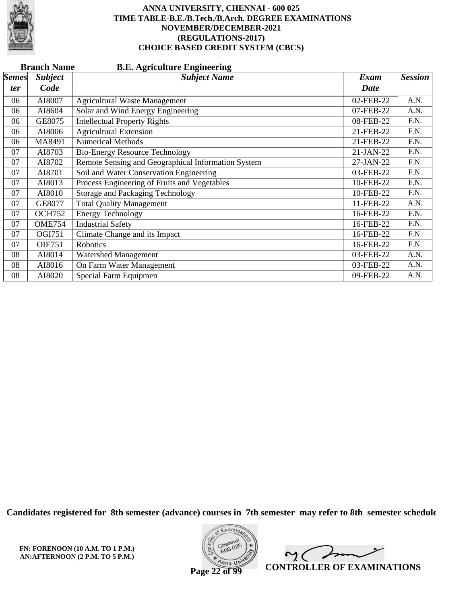

|              | <b>Branch Name</b><br><b>B.E. Agriculture Engineering</b> |                                                    |             |                |  |  |  |
|--------------|-----------------------------------------------------------|----------------------------------------------------|-------------|----------------|--|--|--|
| <b>Semes</b> | <b>Subject</b>                                            | <b>Subject Name</b>                                | <b>Exam</b> | <b>Session</b> |  |  |  |
| ter          | Code                                                      |                                                    | <b>Date</b> |                |  |  |  |
| 06           | AI8007                                                    | <b>Agricultural Waste Management</b>               | 02-FEB-22   | A.N.           |  |  |  |
| 06           | AI8604                                                    | Solar and Wind Energy Engineering                  | 07-FEB-22   | A.N.           |  |  |  |
| 06           | GE8075                                                    | <b>Intellectual Property Rights</b>                | 08-FEB-22   | F.N.           |  |  |  |
| 06           | AI8006                                                    | <b>Agricultural Extension</b>                      | 21-FEB-22   | F.N.           |  |  |  |
| 06           | MA8491                                                    | <b>Numerical Methods</b>                           | 21-FEB-22   | F.N.           |  |  |  |
| 07           | AI8703                                                    | <b>Bio-Energy Resource Technology</b>              | 21-JAN-22   | F.N.           |  |  |  |
| 07           | AI8702                                                    | Remote Sensing and Geographical Information System | 27-JAN-22   | F.N.           |  |  |  |
| 07           | AI8701                                                    | Soil and Water Conservation Engineering            | 03-FEB-22   | F.N.           |  |  |  |
| 07           | AI8013                                                    | Process Engineering of Fruits and Vegetables       | 10-FEB-22   | F.N.           |  |  |  |
| 07           | AI8010                                                    | <b>Storage and Packaging Technology</b>            | 10-FEB-22   | F.N.           |  |  |  |
| 07           | GE8077                                                    | <b>Total Quality Management</b>                    | 11-FEB-22   | A.N.           |  |  |  |
| 07           | <b>OCH752</b>                                             | <b>Energy Technology</b>                           | 16-FEB-22   | F.N.           |  |  |  |
| 07           | <b>OME754</b>                                             | <b>Industrial Safety</b>                           | 16-FEB-22   | F.N.           |  |  |  |
| 07           | OGI751                                                    | Climate Change and its Impact                      | 16-FEB-22   | F.N.           |  |  |  |
| 07           | <b>OIE751</b>                                             | Robotics                                           | 16-FEB-22   | F.N.           |  |  |  |
| 08           | AI8014                                                    | Watershed Management                               | 03-FEB-22   | A.N.           |  |  |  |
| 08           | AI8016                                                    | On Farm Water Management                           | 03-FEB-22   | A.N.           |  |  |  |
| 08           | AI8020                                                    | Special Farm Equipmen                              | 09-FEB-22   | A.N.           |  |  |  |

**Candidates registered for 8th semester (advance) courses in 7th semester may refer to 8th semester schedule**

**FN: FORENOON (10 A.M. TO 1 P.M.) AN:AFTERNOON (2 P.M. TO 5 P.M.)**



 $\overline{\phantom{a}}$  $\sim$  ( **CONTROLLER OF EXAMINATIONS**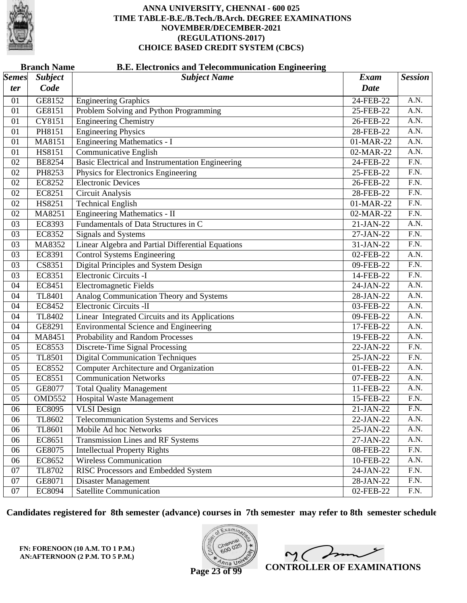

|                     | <b>Branch Name</b><br><b>B.E. Electronics and Telecommunication Engineering</b> |                                                         |                            |                   |  |  |  |
|---------------------|---------------------------------------------------------------------------------|---------------------------------------------------------|----------------------------|-------------------|--|--|--|
| <b>Semes</b><br>ter | <b>Subject</b><br>Code                                                          | <b>Subject Name</b>                                     | <b>Exam</b><br><b>Date</b> | <b>Session</b>    |  |  |  |
|                     |                                                                                 |                                                         |                            |                   |  |  |  |
| 01                  | GE8152                                                                          | <b>Engineering Graphics</b>                             | 24-FEB-22                  | A.N.              |  |  |  |
| 01                  | GE8151                                                                          | Problem Solving and Python Programming                  | 25-FEB-22                  | A.N.              |  |  |  |
| 01                  | CY8151                                                                          | <b>Engineering Chemistry</b>                            | 26-FEB-22                  | A.N.              |  |  |  |
| 01                  | PH8151                                                                          | <b>Engineering Physics</b>                              | 28-FEB-22                  | A.N.              |  |  |  |
| 01                  | MA8151                                                                          | <b>Engineering Mathematics - I</b>                      | 01-MAR-22                  | A.N.              |  |  |  |
| 01                  | <b>HS8151</b>                                                                   | <b>Communicative English</b>                            | 02-MAR-22                  | $\overline{A.N.}$ |  |  |  |
| 02                  | <b>BE8254</b>                                                                   | <b>Basic Electrical and Instrumentation Engineering</b> | 24-FEB-22                  | $\overline{F.N.}$ |  |  |  |
| 02                  | PH8253                                                                          | Physics for Electronics Engineering                     | 25-FEB-22                  | $\overline{F.N.}$ |  |  |  |
| 02                  | EC8252                                                                          | <b>Electronic Devices</b>                               | 26-FEB-22                  | F.N.              |  |  |  |
| 02                  | EC8251                                                                          | <b>Circuit Analysis</b>                                 | 28-FEB-22                  | $\overline{F.N.}$ |  |  |  |
| 02                  | HS8251                                                                          | <b>Technical English</b>                                | 01-MAR-22                  | $\overline{F.N.}$ |  |  |  |
| 02                  | MA8251                                                                          | <b>Engineering Mathematics - II</b>                     | 02-MAR-22                  | $\overline{F.N.}$ |  |  |  |
| 03                  | EC8393                                                                          | Fundamentals of Data Structures in C                    | 21-JAN-22                  | A.N.              |  |  |  |
| 03                  | EC8352                                                                          | Signals and Systems                                     | 27-JAN-22                  | $\overline{F.N.}$ |  |  |  |
| 03                  | MA8352                                                                          | Linear Algebra and Partial Differential Equations       | 31-JAN-22                  | $\overline{F.N.}$ |  |  |  |
| 03                  | EC8391                                                                          | <b>Control Systems Engineering</b>                      | 02-FEB-22                  | A.N.              |  |  |  |
| 03                  | CS8351                                                                          | Digital Principles and System Design                    | 09-FEB-22                  | F.N.              |  |  |  |
| 03                  | EC8351                                                                          | Electronic Circuits -I                                  | 14-FEB-22                  | $\overline{F.N.}$ |  |  |  |
| 04                  | EC8451                                                                          | <b>Electromagnetic Fields</b>                           | 24-JAN-22                  | A.N.              |  |  |  |
| 04                  | <b>TL8401</b>                                                                   | Analog Communication Theory and Systems                 | 28-JAN-22                  | A.N.              |  |  |  |
| 04                  | EC8452                                                                          | Electronic Circuits -II                                 | 03-FEB-22                  | A.N.              |  |  |  |
| 04                  | TL8402                                                                          | Linear Integrated Circuits and its Applications         | 09-FEB-22                  | $\overline{A.N.}$ |  |  |  |
| 04                  | GE8291                                                                          | <b>Environmental Science and Engineering</b>            | 17-FEB-22                  | $\overline{A.N.}$ |  |  |  |
| 04                  | MA8451                                                                          | Probability and Random Processes                        | 19-FEB-22                  | A.N.              |  |  |  |
| 05                  | EC8553                                                                          | <b>Discrete-Time Signal Processing</b>                  | 22-JAN-22                  | F.N.              |  |  |  |
| 05                  | TL8501                                                                          | <b>Digital Communication Techniques</b>                 | 25-JAN-22                  | $\overline{F.N.}$ |  |  |  |
| 05                  | EC8552                                                                          | <b>Computer Architecture and Organization</b>           | 01-FEB-22                  | A.N.              |  |  |  |
| 05                  | EC8551                                                                          | <b>Communication Networks</b>                           | 07-FEB-22                  | A.N.              |  |  |  |
| 05                  | GE8077                                                                          | <b>Total Quality Management</b>                         | 11-FEB-22                  | A.N.              |  |  |  |
| 05                  | <b>OMD552</b>                                                                   | <b>Hospital Waste Management</b>                        | 15-FEB-22                  | $\overline{F.N.}$ |  |  |  |
| 06                  | EC8095                                                                          | <b>VLSI</b> Design                                      | 21-JAN-22                  | F.N.              |  |  |  |
| 06                  | TL8602                                                                          | Telecommunication Systems and Services                  | 22-JAN-22                  | A.N.              |  |  |  |
| 06                  | TL8601                                                                          | Mobile Ad hoc Networks                                  | 25-JAN-22                  | A.N.              |  |  |  |
| 06                  | EC8651                                                                          | <b>Transmission Lines and RF Systems</b>                | 27-JAN-22                  | A.N.              |  |  |  |
| 06                  | GE8075                                                                          | <b>Intellectual Property Rights</b>                     | 08-FEB-22                  | F.N.              |  |  |  |
| 06                  | EC8652                                                                          | Wireless Communication                                  | 10-FEB-22                  | A.N.              |  |  |  |
| 07                  | TL8702                                                                          | <b>RISC Processors and Embedded System</b>              | 24-JAN-22                  | F.N.              |  |  |  |
| 07                  | GE8071                                                                          | Disaster Management                                     | $28-JAN-22$                | F.N.              |  |  |  |
| 07                  | EC8094                                                                          | <b>Satellite Communication</b>                          | 02-FEB-22                  | F.N.              |  |  |  |
|                     |                                                                                 |                                                         |                            |                   |  |  |  |

**Candidates registered for 8th semester (advance) courses in 7th semester may refer to 8th semester schedule**

**FN: FORENOON (10 A.M. TO 1 P.M.) AN:AFTERNOON (2 P.M. TO 5 P.M.)**



 $\overline{\phantom{a}}$  $\sim$  ( **CONTROLLER OF EXAMINATIONS**

**Page 23 of 99**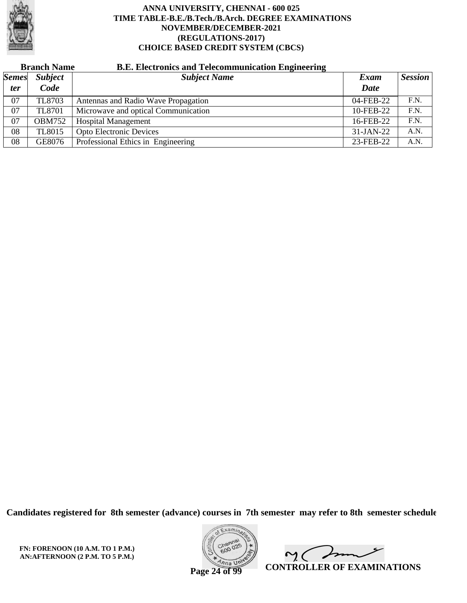

# **Branch Name B.E. Electronics and Telecommunication Engineering**

| <b>Semes</b> | <b>Subject</b> | .<br>ັ<br><b>Subject Name</b>       | Exam        | <b>Session</b> |
|--------------|----------------|-------------------------------------|-------------|----------------|
| <i>ter</i>   | Code           |                                     | <b>Date</b> |                |
| 07           | TL8703         | Antennas and Radio Wave Propagation | 04-FEB-22   | F.N.           |
| 07           | <b>TL8701</b>  | Microwave and optical Communication | 10-FEB-22   | F.N.           |
| 07           | <b>OBM752</b>  | <b>Hospital Management</b>          | 16-FEB-22   | F.N.           |
| 08           | <b>TL8015</b>  | <b>Opto Electronic Devices</b>      | $31-JAN-22$ | A.N.           |
| 08           | GE8076         | Professional Ethics in Engineering  | 23-FEB-22   | A.N.           |

**Candidates registered for 8th semester (advance) courses in 7th semester may refer to 8th semester schedule**

**FN: FORENOON (10 A.M. TO 1 P.M.) AN:AFTERNOON (2 P.M. TO 5 P.M.)**



mme  $\mathsf{M}(\mathbb{C})$ **CONTROLLER OF EXAMINATIONS**

**Page 24 of 99**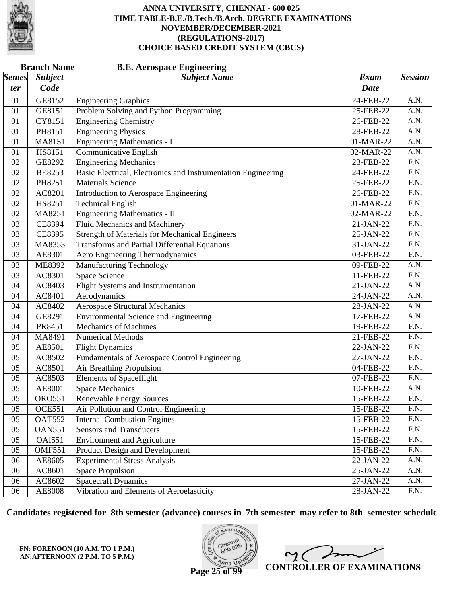

| <b>Branch Name</b><br><b>B.E. Aerospace Engineering</b> |                     |                                                               |             |                   |  |
|---------------------------------------------------------|---------------------|---------------------------------------------------------------|-------------|-------------------|--|
| <i>Semes</i>                                            | <b>Subject</b>      | <b>Subject Name</b>                                           | <b>Exam</b> | <b>Session</b>    |  |
| ter                                                     | Code                |                                                               | <b>Date</b> |                   |  |
| 01                                                      | GE8152              | <b>Engineering Graphics</b>                                   | 24-FEB-22   | A.N.              |  |
| 01                                                      | GE8151              | Problem Solving and Python Programming                        | 25-FEB-22   | A.N.              |  |
| 01                                                      | CY8151              | <b>Engineering Chemistry</b>                                  | 26-FEB-22   | $\overline{A.N.}$ |  |
| 01                                                      | PH8151              | <b>Engineering Physics</b>                                    | 28-FEB-22   | $\overline{A.N.}$ |  |
| 01                                                      | MA8151              | <b>Engineering Mathematics - I</b>                            | 01-MAR-22   | A.N.              |  |
| 01                                                      | HS8151              | <b>Communicative English</b>                                  | 02-MAR-22   | A.N.              |  |
| 02                                                      | GE8292              | <b>Engineering Mechanics</b>                                  | 23-FEB-22   | $\overline{F.N.}$ |  |
| 02                                                      | <b>BE8253</b>       | Basic Electrical, Electronics and Instrumentation Engineering | 24-FEB-22   | $\overline{F.N.}$ |  |
| 02                                                      | PH8251              | <b>Materials Science</b>                                      | 25-FEB-22   | F.N.              |  |
| 02                                                      | AC8201              | Introduction to Aerospace Engineering                         | 26-FEB-22   | $\overline{F.N.}$ |  |
| 02                                                      | HS8251              | <b>Technical English</b>                                      | 01-MAR-22   | $\overline{F.N.}$ |  |
| 02                                                      | MA8251              | Engineering Mathematics - II                                  | 02-MAR-22   | $\overline{F.N.}$ |  |
| 03                                                      | <b>CE8394</b>       | <b>Fluid Mechanics and Machinery</b>                          | 21-JAN-22   | F.N.              |  |
| 03                                                      | CE8395              | <b>Strength of Materials for Mechanical Engineers</b>         | 25-JAN-22   | F.N.              |  |
| 03                                                      | MA8353              | <b>Transforms and Partial Differential Equations</b>          | 31-JAN-22   | $\overline{F.N.}$ |  |
| 03                                                      | AE8301              | Aero Engineering Thermodynamics                               | 03-FEB-22   | $\overline{F.N.}$ |  |
| 03                                                      | <b>ME8392</b>       | <b>Manufacturing Technology</b>                               | 09-FEB-22   | A.N.              |  |
| 03                                                      | AC8301              | Space Science                                                 | 11-FEB-22   | F.N.              |  |
| 04                                                      | AC8403              | <b>Flight Systems and Instrumentation</b>                     | 21-JAN-22   | $\overline{A.N.}$ |  |
| 04                                                      | AC8401              | Aerodynamics                                                  | 24-JAN-22   | $\overline{A.N.}$ |  |
| 04                                                      | AC8402              | <b>Aerospace Structural Mechanics</b>                         | 28-JAN-22   | A.N.              |  |
| 04                                                      | GE8291              | <b>Environmental Science and Engineering</b>                  | 17-FEB-22   | A.N.              |  |
| 04                                                      | PR8451              | <b>Mechanics of Machines</b>                                  | 19-FEB-22   | $\overline{F.N.}$ |  |
| 04                                                      | MA8491              | <b>Numerical Methods</b>                                      | 21-FEB-22   | $\overline{F.N.}$ |  |
| 05                                                      | AE8501              | <b>Flight Dynamics</b>                                        | 22-JAN-22   | F.N.              |  |
| 05                                                      | AC8502              | Fundamentals of Aerospace Control Engineering                 | 27-JAN-22   | F.N.              |  |
| 05                                                      | AC8501              | Air Breathing Propulsion                                      | 04-FEB-22   | $\overline{F.N.}$ |  |
| 05                                                      | AC8503              | <b>Elements of Spaceflight</b>                                | 07-FEB-22   | $\overline{F.N.}$ |  |
| 05                                                      | AE8001              | <b>Space Mechanics</b>                                        | 10-FEB-22   | A.N.              |  |
| 05                                                      | <b>ORO551</b>       | Renewable Energy Sources                                      | 15-FEB-22   | F.N.              |  |
| 05                                                      | <b>OCE551</b>       | Air Pollution and Control Engineering                         | 15-FEB-22   | F.N.              |  |
| 05                                                      | <b>OAT552</b>       | <b>Internal Combustion Engines</b>                            | 15-FEB-22   | F.N.              |  |
| 05                                                      | <b>OAN551</b>       | <b>Sensors and Transducers</b>                                | 15-FEB-22   | F.N.              |  |
| 05                                                      | <b>OAI551</b>       | <b>Environment and Agriculture</b>                            | 15-FEB-22   | F.N.              |  |
| 05                                                      | <b>OMF551</b>       | <b>Product Design and Development</b>                         | 15-FEB-22   | F.N.              |  |
| 06                                                      | $AE860\overline{5}$ | <b>Experimental Stress Analysis</b>                           | 22-JAN-22   | A.N.              |  |
| 06                                                      | AC8601              | <b>Space Propulsion</b>                                       | 25-JAN-22   | A.N.              |  |
| 06                                                      | AC8602              | <b>Spacecraft Dynamics</b>                                    | 27-JAN-22   | A.N.              |  |
| 06                                                      | AE8008              | Vibration and Elements of Aeroelasticity                      | 28-JAN-22   | F.N.              |  |

**Candidates registered for 8th semester (advance) courses in 7th semester may refer to 8th semester schedule**

**FN: FORENOON (10 A.M. TO 1 P.M.) AN:AFTERNOON (2 P.M. TO 5 P.M.)**



 $\overline{\phantom{a}}$  $2<sub>1</sub>$ **CONTROLLER OF EXAMINATIONS**

**Page 25 of 99**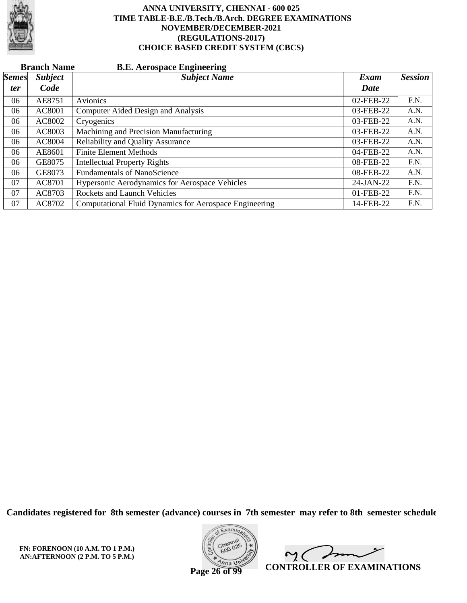

|              | <b>Branch Name</b><br><b>B.E. Aerospace Engineering</b> |                                                               |           |                |  |  |  |
|--------------|---------------------------------------------------------|---------------------------------------------------------------|-----------|----------------|--|--|--|
| <b>Semes</b> | <b>Subject</b>                                          | <b>Subject Name</b>                                           | Exam      | <b>Session</b> |  |  |  |
| <i>ter</i>   | Code                                                    |                                                               | Date      |                |  |  |  |
| 06           | AE8751                                                  | Avionics                                                      | 02-FEB-22 | F.N.           |  |  |  |
| 06           | AC8001                                                  | Computer Aided Design and Analysis                            | 03-FEB-22 | A.N.           |  |  |  |
| 06           | AC8002                                                  | Cryogenics                                                    | 03-FEB-22 | A.N.           |  |  |  |
| 06           | AC8003                                                  | Machining and Precision Manufacturing                         | 03-FEB-22 | A.N.           |  |  |  |
| 06           | AC8004                                                  | <b>Reliability and Quality Assurance</b>                      | 03-FEB-22 | A.N.           |  |  |  |
| 06           | AE8601                                                  | <b>Finite Element Methods</b>                                 | 04-FEB-22 | A.N.           |  |  |  |
| 06           | GE8075                                                  | <b>Intellectual Property Rights</b>                           | 08-FEB-22 | F.N.           |  |  |  |
| 06           | GE8073                                                  | <b>Fundamentals of NanoScience</b>                            | 08-FEB-22 | A.N.           |  |  |  |
| 07           | AC8701                                                  | Hypersonic Aerodynamics for Aerospace Vehicles                | 24-JAN-22 | F.N.           |  |  |  |
| 07           | AC8703                                                  | <b>Rockets and Launch Vehicles</b>                            | 01-FEB-22 | F.N.           |  |  |  |
| 07           | AC8702                                                  | <b>Computational Fluid Dynamics for Aerospace Engineering</b> | 14-FEB-22 | F.N.           |  |  |  |

**Candidates registered for 8th semester (advance) courses in 7th semester may refer to 8th semester schedule**

**FN: FORENOON (10 A.M. TO 1 P.M.) AN:AFTERNOON (2 P.M. TO 5 P.M.)**



 $\overline{\phantom{a}}$  $\mathsf{M}(\mathbb{C})$ **CONTROLLER OF EXAMINATIONS**

**Page 26 of 99**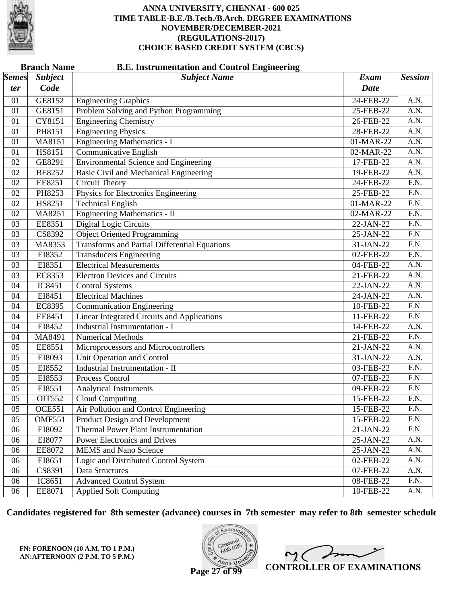

| <b>Branch Name</b><br><b>B.E. Instrumentation and Control Engineering</b> |                |                                                      |             |                   |  |
|---------------------------------------------------------------------------|----------------|------------------------------------------------------|-------------|-------------------|--|
| <b>Semes</b>                                                              | <b>Subject</b> | <b>Subject Name</b>                                  | <b>Exam</b> | <b>Session</b>    |  |
| ter                                                                       | Code           |                                                      | <b>Date</b> |                   |  |
| 01                                                                        | GE8152         | <b>Engineering Graphics</b>                          | 24-FEB-22   | A.N.              |  |
| 01                                                                        | GE8151         | Problem Solving and Python Programming               | 25-FEB-22   | A.N.              |  |
| 01                                                                        | CY8151         | <b>Engineering Chemistry</b>                         | 26-FEB-22   | $\overline{A.N.}$ |  |
| 01                                                                        | PH8151         | <b>Engineering Physics</b>                           | 28-FEB-22   | $\overline{A.N.}$ |  |
| 01                                                                        | MA8151         | <b>Engineering Mathematics - I</b>                   | 01-MAR-22   | A.N.              |  |
| 01                                                                        | HS8151         | Communicative English                                | 02-MAR-22   | A.N.              |  |
| 02                                                                        | GE8291         | <b>Environmental Science and Engineering</b>         | 17-FEB-22   | $\overline{A.N.}$ |  |
| 02                                                                        | <b>BE8252</b>  | Basic Civil and Mechanical Engineering               | 19-FEB-22   | $\overline{A.N.}$ |  |
| 02                                                                        | EE8251         | <b>Circuit Theory</b>                                | 24-FEB-22   | F.N.              |  |
| 02                                                                        | PH8253         | Physics for Electronics Engineering                  | 25-FEB-22   | $\overline{F.N.}$ |  |
| 02                                                                        | HS8251         | <b>Technical English</b>                             | 01-MAR-22   | $\overline{F.N.}$ |  |
| 02                                                                        | MA8251         | Engineering Mathematics - II                         | 02-MAR-22   | $\overline{F.N.}$ |  |
| 03                                                                        | EE8351         | <b>Digital Logic Circuits</b>                        | 22-JAN-22   | F.N.              |  |
| 03                                                                        | CS8392         | <b>Object Oriented Programming</b>                   | 25-JAN-22   | F.N.              |  |
| 03                                                                        | MA8353         | <b>Transforms and Partial Differential Equations</b> | 31-JAN-22   | $\overline{F.N.}$ |  |
| 03                                                                        | EI8352         | <b>Transducers Engineering</b>                       | 02-FEB-22   | $\overline{F.N.}$ |  |
| 03                                                                        | EI8351         | <b>Electrical Measurements</b>                       | 04-FEB-22   | A.N.              |  |
| 03                                                                        | EC8353         | <b>Electron Devices and Circuits</b>                 | 21-FEB-22   | A.N.              |  |
| 04                                                                        | IC8451         | <b>Control Systems</b>                               | 22-JAN-22   | $\overline{A.N.}$ |  |
| 04                                                                        | EI8451         | <b>Electrical Machines</b>                           | 24-JAN-22   | $\overline{A.N.}$ |  |
| 04                                                                        | EC8395         | <b>Communication Engineering</b>                     | 10-FEB-22   | F.N.              |  |
| 04                                                                        | EE8451         | <b>Linear Integrated Circuits and Applications</b>   | 11-FEB-22   | F.N.              |  |
| 04                                                                        | EI8452         | Industrial Instrumentation - I                       | 14-FEB-22   | $\overline{A.N.}$ |  |
| 04                                                                        | MA8491         | <b>Numerical Methods</b>                             | 21-FEB-22   | $\overline{F.N.}$ |  |
| 05                                                                        | EE8551         | Microprocessors and Microcontrollers                 | 21-JAN-22   | A.N.              |  |
| 05                                                                        | EI8093         | Unit Operation and Control                           | 31-JAN-22   | A.N.              |  |
| 05                                                                        | EI8552         | <b>Industrial Instrumentation - II</b>               | 03-FEB-22   | $\overline{F.N.}$ |  |
| 05                                                                        | EI8553         | Process Control                                      | 07-FEB-22   | $\overline{F.N.}$ |  |
| 05                                                                        | EI8551         | <b>Analytical Instruments</b>                        | 09-FEB-22   | F.N.              |  |
| 05                                                                        | OIT552         | Cloud Computing                                      | 15-FEB-22   | F.N.              |  |
| 05                                                                        | <b>OCE551</b>  | Air Pollution and Control Engineering                | 15-FEB-22   | F.N.              |  |
| 05                                                                        | <b>OMF551</b>  | Product Design and Development                       | 15-FEB-22   | F.N.              |  |
| 06                                                                        | EI8092         | <b>Thermal Power Plant Instrumentation</b>           | 21-JAN-22   | F.N.              |  |
| 06                                                                        | EI8077         | <b>Power Electronics and Drives</b>                  | 25-JAN-22   | A.N.              |  |
| 06                                                                        | EE8072         | <b>MEMS</b> and Nano Science                         | 25-JAN-22   | A.N.              |  |
| 06                                                                        | EI8651         | Logic and Distributed Control System                 | 02-FEB-22   | A.N.              |  |
| 06                                                                        | CS8391         | Data Structures                                      | 07-FEB-22   | A.N.              |  |
| 06                                                                        | IC8651         | <b>Advanced Control System</b>                       | 08-FEB-22   | F.N.              |  |
| 06                                                                        | EE8071         | <b>Applied Soft Computing</b>                        | 10-FEB-22   | A.N.              |  |

**Candidates registered for 8th semester (advance) courses in 7th semester may refer to 8th semester schedule**

**FN: FORENOON (10 A.M. TO 1 P.M.) AN:AFTERNOON (2 P.M. TO 5 P.M.)**



 $\overline{\phantom{a}}$  $\sim$  ( **CONTROLLER OF EXAMINATIONS**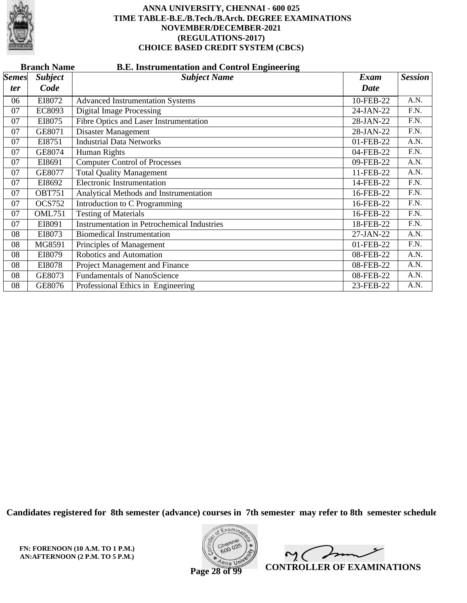

|              | <b>Branch Name</b><br><b>B.E. Instrumentation and Control Engineering</b> |                                                    |             |                |  |  |  |
|--------------|---------------------------------------------------------------------------|----------------------------------------------------|-------------|----------------|--|--|--|
| <b>Semes</b> | <b>Subject</b>                                                            | <b>Subject Name</b>                                | <b>Exam</b> | <b>Session</b> |  |  |  |
| <i>ter</i>   | Code                                                                      |                                                    | Date        |                |  |  |  |
| 06           | EI8072                                                                    | <b>Advanced Instrumentation Systems</b>            | 10-FEB-22   | A.N.           |  |  |  |
| 07           | <b>EC8093</b>                                                             | <b>Digital Image Processing</b>                    | 24-JAN-22   | F.N.           |  |  |  |
| 07           | EI8075                                                                    | Fibre Optics and Laser Instrumentation             | 28-JAN-22   | F.N.           |  |  |  |
| 07           | GE8071                                                                    | Disaster Management                                | 28-JAN-22   | F.N.           |  |  |  |
| 07           | EI8751                                                                    | <b>Industrial Data Networks</b>                    | 01-FEB-22   | A.N.           |  |  |  |
| 07           | GE8074                                                                    | Human Rights                                       | 04-FEB-22   | F.N.           |  |  |  |
| 07           | EI8691                                                                    | <b>Computer Control of Processes</b>               | 09-FEB-22   | A.N.           |  |  |  |
| 07           | GE8077                                                                    | <b>Total Quality Management</b>                    | 11-FEB-22   | A.N.           |  |  |  |
| 07           | EI8692                                                                    | <b>Electronic Instrumentation</b>                  | 14-FEB-22   | F.N.           |  |  |  |
| 07           | <b>OBT751</b>                                                             | Analytical Methods and Instrumentation             | 16-FEB-22   | F.N.           |  |  |  |
| 07           | <b>OCS752</b>                                                             | Introduction to C Programming                      | 16-FEB-22   | F.N.           |  |  |  |
| 07           | <b>OML751</b>                                                             | <b>Testing of Materials</b>                        | 16-FEB-22   | F.N.           |  |  |  |
| 07           | EI8091                                                                    | <b>Instrumentation in Petrochemical Industries</b> | 18-FEB-22   | F.N.           |  |  |  |
| 08           | EI8073                                                                    | <b>Biomedical Instrumentation</b>                  | 27-JAN-22   | A.N.           |  |  |  |
| 08           | MG8591                                                                    | Principles of Management                           | 01-FEB-22   | F.N.           |  |  |  |
| 08           | EI8079                                                                    | Robotics and Automation                            | 08-FEB-22   | A.N.           |  |  |  |
| 08           | EI8078                                                                    | Project Management and Finance                     | 08-FEB-22   | A.N.           |  |  |  |
| 08           | GE8073                                                                    | <b>Fundamentals of NanoScience</b>                 | 08-FEB-22   | A.N.           |  |  |  |
| 08           | GE8076                                                                    | Professional Ethics in Engineering                 | 23-FEB-22   | A.N.           |  |  |  |

**Candidates registered for 8th semester (advance) courses in 7th semester may refer to 8th semester schedule**

**FN: FORENOON (10 A.M. TO 1 P.M.) AN:AFTERNOON (2 P.M. TO 5 P.M.)**



In 2. C  $\overline{a}$ **CONTROLLER OF EXAMINATIONS**

**Page 28 of 99**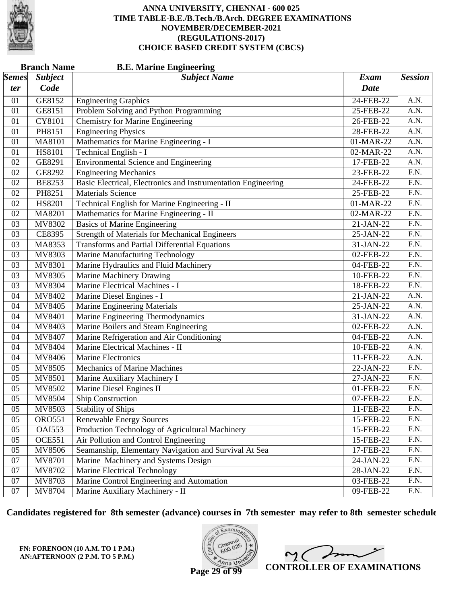

|                       | <b>Branch Name</b><br><b>B.E. Marine Engineering</b> |                                                               |             |                   |  |  |
|-----------------------|------------------------------------------------------|---------------------------------------------------------------|-------------|-------------------|--|--|
| $\vert$ Semes $\vert$ | <b>Subject</b>                                       | <b>Subject Name</b>                                           | <b>Exam</b> | <b>Session</b>    |  |  |
| ter                   | Code                                                 |                                                               | <b>Date</b> |                   |  |  |
| 01                    | GE8152                                               | <b>Engineering Graphics</b>                                   | 24-FEB-22   | A.N.              |  |  |
| 01                    | GE8151                                               | Problem Solving and Python Programming                        | 25-FEB-22   | A.N.              |  |  |
| 01                    | CY8101                                               | <b>Chemistry for Marine Engineering</b>                       | 26-FEB-22   | A.N.              |  |  |
| 01                    | PH8151                                               | <b>Engineering Physics</b>                                    | 28-FEB-22   | $\overline{A.N.}$ |  |  |
| 01                    | <b>MA8101</b>                                        | Mathematics for Marine Engineering - I                        | 01-MAR-22   | A.N.              |  |  |
| 01                    | HS8101                                               | Technical English - I                                         | 02-MAR-22   | A.N.              |  |  |
| 02                    | GE8291                                               | <b>Environmental Science and Engineering</b>                  | 17-FEB-22   | $\overline{A.N.}$ |  |  |
| 02                    | GE8292                                               | <b>Engineering Mechanics</b>                                  | 23-FEB-22   | $\overline{F.N.}$ |  |  |
| 02                    | <b>BE8253</b>                                        | Basic Electrical, Electronics and Instrumentation Engineering | 24-FEB-22   | F.N.              |  |  |
| 02                    | PH8251                                               | <b>Materials Science</b>                                      | 25-FEB-22   | $\overline{F.N.}$ |  |  |
| 02                    | <b>HS8201</b>                                        | Technical English for Marine Engineering - II                 | 01-MAR-22   | $\overline{F.N.}$ |  |  |
| 02                    | MA8201                                               | Mathematics for Marine Engineering - II                       | 02-MAR-22   | $\overline{F.N.}$ |  |  |
| 03                    | MV8302                                               | <b>Basics of Marine Engineering</b>                           | 21-JAN-22   | F.N.              |  |  |
| 03                    | CE8395                                               | <b>Strength of Materials for Mechanical Engineers</b>         | 25-JAN-22   | $\overline{F.N.}$ |  |  |
| 03                    | MA8353                                               | <b>Transforms and Partial Differential Equations</b>          | 31-JAN-22   | $\overline{F.N.}$ |  |  |
| 03                    | MV8303                                               | Marine Manufacturing Technology                               | 02-FEB-22   | $\overline{F.N.}$ |  |  |
| 03                    | MV8301                                               | Marine Hydraulics and Fluid Machinery                         | 04-FEB-22   | F.N.              |  |  |
| 03                    | <b>MV8305</b>                                        | <b>Marine Machinery Drawing</b>                               | 10-FEB-22   | F.N.              |  |  |
| 03                    | <b>MV8304</b>                                        | Marine Electrical Machines - I                                | 18-FEB-22   | $\overline{F.N.}$ |  |  |
| 04                    | MV8402                                               | Marine Diesel Engines - I                                     | 21-JAN-22   | A.N.              |  |  |
| 04                    | MV8405                                               | <b>Marine Engineering Materials</b>                           | 25-JAN-22   | A.N.              |  |  |
| 04                    | MV8401                                               | Marine Engineering Thermodynamics                             | 31-JAN-22   | A.N.              |  |  |
| 04                    | MV8403                                               | Marine Boilers and Steam Engineering                          | 02-FEB-22   | $\overline{A.N.}$ |  |  |
| 04                    | MV8407                                               | Marine Refrigeration and Air Conditioning                     | 04-FEB-22   | A.N.              |  |  |
| 04                    | MV8404                                               | Marine Electrical Machines - II                               | 10-FEB-22   | A.N.              |  |  |
| 04                    | MV8406                                               | Marine Electronics                                            | 11-FEB-22   | A.N.              |  |  |
| 05                    | MV8505                                               | <b>Mechanics of Marine Machines</b>                           | 22-JAN-22   | $\overline{F.N.}$ |  |  |
| 05                    | MV8501                                               | Marine Auxiliary Machinery I                                  | 27-JAN-22   | $\overline{F.N.}$ |  |  |
| 05                    | MV8502                                               | Marine Diesel Engines II                                      | 01-FEB-22   | F.N.              |  |  |
| 05                    | MV8504                                               | Ship Construction                                             | 07-FEB-22   | F.N.              |  |  |
| 05                    | MV8503                                               | <b>Stability of Ships</b>                                     | 11-FEB-22   | F.N.              |  |  |
| 05                    | <b>ORO551</b>                                        | <b>Renewable Energy Sources</b>                               | 15-FEB-22   | F.N.              |  |  |
| 05                    | <b>OAI553</b>                                        | Production Technology of Agricultural Machinery               | 15-FEB-22   | F.N.              |  |  |
| 05                    | <b>OCE551</b>                                        | Air Pollution and Control Engineering                         | 15-FEB-22   | F.N.              |  |  |
| 05                    | MV8506                                               | Seamanship, Elementary Navigation and Survival At Sea         | 17-FEB-22   | F.N.              |  |  |
| 07                    | MV8701                                               | Marine Machinery and Systems Design                           | 24-JAN-22   | F.N.              |  |  |
| 07                    | MV8702                                               | Marine Electrical Technology                                  | 28-JAN-22   | F.N.              |  |  |
| 07                    | MV8703                                               | Marine Control Engineering and Automation                     | 03-FEB-22   | F.N.              |  |  |
| 07                    | MV8704                                               | Marine Auxiliary Machinery - II                               | 09-FEB-22   | F.N.              |  |  |

**Candidates registered for 8th semester (advance) courses in 7th semester may refer to 8th semester schedule**

**FN: FORENOON (10 A.M. TO 1 P.M.) AN:AFTERNOON (2 P.M. TO 5 P.M.)**



 $2<sub>0</sub>$ **CONTROLLER OF EXAMINATIONS**

**Page 29 of 99**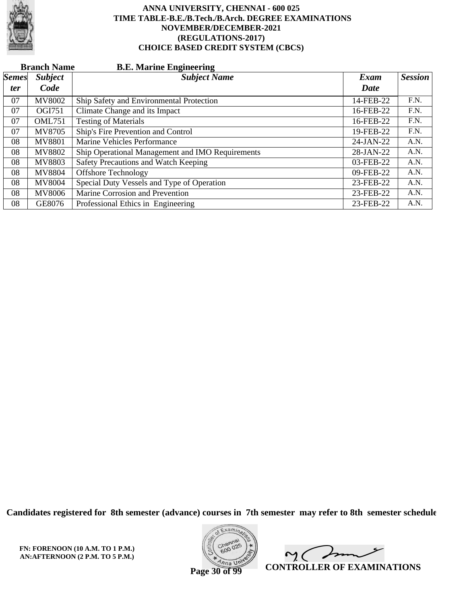

|              | <b>Branch Name</b><br><b>B.E. Marine Engineering</b> |                                                  |             |                |  |  |  |
|--------------|------------------------------------------------------|--------------------------------------------------|-------------|----------------|--|--|--|
| <i>Semes</i> | <b>Subject</b>                                       | <b>Subject Name</b>                              | Exam        | <b>Session</b> |  |  |  |
| ter          | Code                                                 |                                                  | Date        |                |  |  |  |
| 07           | <b>MV8002</b>                                        | Ship Safety and Environmental Protection         | 14-FEB-22   | F.N.           |  |  |  |
| 07           | <b>OGI751</b>                                        | Climate Change and its Impact                    | 16-FEB-22   | F.N.           |  |  |  |
| 07           | <b>OML751</b>                                        | <b>Testing of Materials</b>                      | 16-FEB-22   | F.N.           |  |  |  |
| 07           | MV8705                                               | Ship's Fire Prevention and Control               | 19-FEB-22   | F.N.           |  |  |  |
| 08           | <b>MV8801</b>                                        | Marine Vehicles Performance                      | $24-JAN-22$ | A.N.           |  |  |  |
| 08           | <b>MV8802</b>                                        | Ship Operational Management and IMO Requirements | 28-JAN-22   | A.N.           |  |  |  |
| 08           | MV8803                                               | Safety Precautions and Watch Keeping             | 03-FEB-22   | A.N.           |  |  |  |
| 08           | MV8804                                               | <b>Offshore Technology</b>                       | 09-FEB-22   | A.N.           |  |  |  |
| 08           | <b>MV8004</b>                                        | Special Duty Vessels and Type of Operation       | 23-FEB-22   | A.N.           |  |  |  |
| 08           | <b>MV8006</b>                                        | Marine Corrosion and Prevention                  | 23-FEB-22   | A.N.           |  |  |  |
| 08           | GE8076                                               | Professional Ethics in Engineering               | 23-FEB-22   | A.N.           |  |  |  |

**Candidates registered for 8th semester (advance) courses in 7th semester may refer to 8th semester schedule**

**FN: FORENOON (10 A.M. TO 1 P.M.) AN:AFTERNOON (2 P.M. TO 5 P.M.)**



 $\overline{\phantom{a}}$  $\sim$  ( **CONTROLLER OF EXAMINATIONS**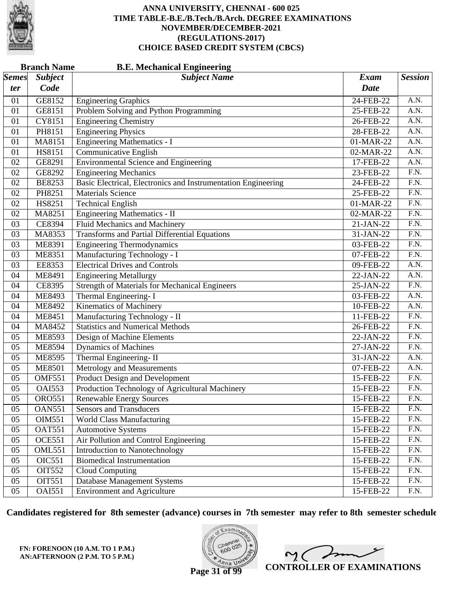

|              | <b>B.E. Mechanical Engineering</b><br><b>Branch Name</b> |                                                               |             |                   |  |  |
|--------------|----------------------------------------------------------|---------------------------------------------------------------|-------------|-------------------|--|--|
| <i>Semes</i> | <b>Subject</b>                                           | <b>Subject Name</b>                                           | <b>Exam</b> | <b>Session</b>    |  |  |
| ter          | Code                                                     |                                                               | <b>Date</b> |                   |  |  |
| 01           | GE8152                                                   | <b>Engineering Graphics</b>                                   | 24-FEB-22   | A.N.              |  |  |
| 01           | GE8151                                                   | Problem Solving and Python Programming                        | 25-FEB-22   | A.N.              |  |  |
| 01           | CY8151                                                   | <b>Engineering Chemistry</b>                                  | 26-FEB-22   | A.N.              |  |  |
| 01           | PH8151                                                   | <b>Engineering Physics</b>                                    | 28-FEB-22   | $\overline{A.N.}$ |  |  |
| 01           | MA8151                                                   | <b>Engineering Mathematics - I</b>                            | 01-MAR-22   | A.N.              |  |  |
| 01           | HS8151                                                   | Communicative English                                         | 02-MAR-22   | A.N.              |  |  |
| 02           | GE8291                                                   | <b>Environmental Science and Engineering</b>                  | 17-FEB-22   | $\overline{A.N.}$ |  |  |
| 02           | GE8292                                                   | <b>Engineering Mechanics</b>                                  | 23-FEB-22   | $\overline{F.N.}$ |  |  |
| 02           | <b>BE8253</b>                                            | Basic Electrical, Electronics and Instrumentation Engineering | 24-FEB-22   | F.N.              |  |  |
| 02           | PH8251                                                   | <b>Materials Science</b>                                      | 25-FEB-22   | $\overline{F.N.}$ |  |  |
| 02           | HS8251                                                   | <b>Technical English</b>                                      | 01-MAR-22   | $\overline{F.N.}$ |  |  |
| 02           | MA8251                                                   | Engineering Mathematics - II                                  | 02-MAR-22   | $\overline{F.N.}$ |  |  |
| 03           | <b>CE8394</b>                                            | <b>Fluid Mechanics and Machinery</b>                          | 21-JAN-22   | F.N.              |  |  |
| 03           | MA8353                                                   | <b>Transforms and Partial Differential Equations</b>          | 31-JAN-22   | F.N.              |  |  |
| 03           | ME8391                                                   | <b>Engineering Thermodynamics</b>                             | 03-FEB-22   | $\overline{F.N.}$ |  |  |
| 03           | <b>ME8351</b>                                            | Manufacturing Technology - I                                  | 07-FEB-22   | $\overline{F.N.}$ |  |  |
| 03           | EE8353                                                   | <b>Electrical Drives and Controls</b>                         | 09-FEB-22   | A.N.              |  |  |
| 04           | ME8491                                                   | <b>Engineering Metallurgy</b>                                 | 22-JAN-22   | A.N.              |  |  |
| 04           | CE8395                                                   | <b>Strength of Materials for Mechanical Engineers</b>         | 25-JAN-22   | $\overline{F.N.}$ |  |  |
| 04           | ME8493                                                   | Thermal Engineering-I                                         | 03-FEB-22   | A.N.              |  |  |
| 04           | <b>ME8492</b>                                            | <b>Kinematics of Machinery</b>                                | 10-FEB-22   | A.N.              |  |  |
| 04           | ME8451                                                   | Manufacturing Technology - II                                 | 11-FEB-22   | F.N.              |  |  |
| 04           | MA8452                                                   | <b>Statistics and Numerical Methods</b>                       | 26-FEB-22   | $\overline{F.N.}$ |  |  |
| 05           | ME8593                                                   | Design of Machine Elements                                    | 22-JAN-22   | $\overline{F.N.}$ |  |  |
| 05           | ME8594                                                   | <b>Dynamics of Machines</b>                                   | 27-JAN-22   | F.N.              |  |  |
| 05           | <b>ME8595</b>                                            | Thermal Engineering-II                                        | 31-JAN-22   | A.N.              |  |  |
| 05           | <b>ME8501</b>                                            | Metrology and Measurements                                    | 07-FEB-22   | A.N.              |  |  |
| 05           | <b>OMF551</b>                                            | <b>Product Design and Development</b>                         | 15-FEB-22   | $\overline{F.N.}$ |  |  |
| 05           | <b>OAI553</b>                                            | Production Technology of Agricultural Machinery               | 15-FEB-22   | F.N.              |  |  |
| 05           | <b>ORO551</b>                                            | <b>Renewable Energy Sources</b>                               | 15-FEB-22   | F.N.              |  |  |
| 05           | <b>OAN551</b>                                            | Sensors and Transducers                                       | 15-FEB-22   | F.N.              |  |  |
| 05           | OIM551                                                   | <b>World Class Manufacturing</b>                              | 15-FEB-22   | F.N.              |  |  |
| 05           | <b>OAT551</b>                                            | <b>Automotive Systems</b>                                     | 15-FEB-22   | F.N.              |  |  |
| 05           | <b>OCE551</b>                                            | Air Pollution and Control Engineering                         | 15-FEB-22   | F.N.              |  |  |
| 05           | <b>OML551</b>                                            | Introduction to Nanotechnology                                | 15-FEB-22   | F.N.              |  |  |
| 05           | <b>OIC551</b>                                            | <b>Biomedical Instrumentation</b>                             | 15-FEB-22   | F.N.              |  |  |
| 05           | OIT552                                                   | Cloud Computing                                               | 15-FEB-22   | F.N.              |  |  |
| 05           | OIT551                                                   | <b>Database Management Systems</b>                            | 15-FEB-22   | F.N.              |  |  |
| 05           | <b>OAI551</b>                                            | <b>Environment and Agriculture</b>                            | 15-FEB-22   | F.N.              |  |  |

**Candidates registered for 8th semester (advance) courses in 7th semester may refer to 8th semester schedule**

**FN: FORENOON (10 A.M. TO 1 P.M.) AN:AFTERNOON (2 P.M. TO 5 P.M.)**



 $2<sub>0</sub>$ **CONTROLLER OF EXAMINATIONS**

**Page 31 of 99**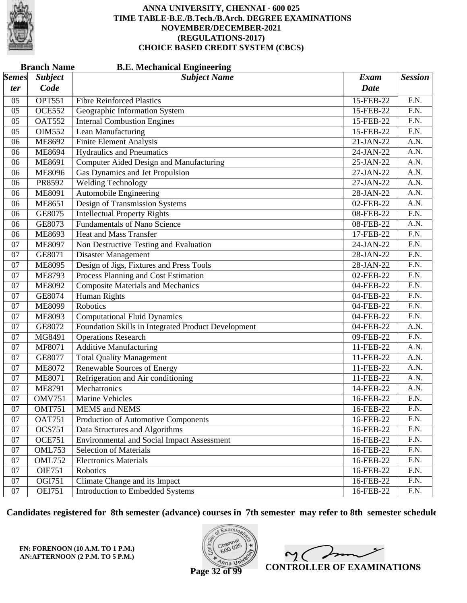

|              | <b>Branch Name</b><br><b>B.E. Mechanical Engineering</b> |                                                     |             |                   |  |
|--------------|----------------------------------------------------------|-----------------------------------------------------|-------------|-------------------|--|
| <b>Semes</b> | <b>Subject</b>                                           | <b>Subject Name</b>                                 | <b>Exam</b> | <b>Session</b>    |  |
| ter          | Code                                                     |                                                     | <b>Date</b> |                   |  |
| 05           | <b>OPT551</b>                                            | <b>Fibre Reinforced Plastics</b>                    | 15-FEB-22   | F.N.              |  |
| 05           | <b>OCE552</b>                                            | Geographic Information System                       | 15-FEB-22   | $\overline{F.N.}$ |  |
| 05           | <b>OAT552</b>                                            | <b>Internal Combustion Engines</b>                  | 15-FEB-22   | $\overline{F.N.}$ |  |
| 05           | <b>OIM552</b>                                            | Lean Manufacturing                                  | 15-FEB-22   | $\overline{F.N.}$ |  |
| 06           | <b>ME8692</b>                                            | <b>Finite Element Analysis</b>                      | 21-JAN-22   | A.N.              |  |
| 06           | <b>ME8694</b>                                            | <b>Hydraulics and Pneumatics</b>                    | 24-JAN-22   | A.N.              |  |
| 06           | ME8691                                                   | <b>Computer Aided Design and Manufacturing</b>      | 25-JAN-22   | $\overline{A.N.}$ |  |
| 06           | <b>ME8096</b>                                            | <b>Gas Dynamics and Jet Propulsion</b>              | 27-JAN-22   | A.N.              |  |
| 06           | PR8592                                                   | <b>Welding Technology</b>                           | 27-JAN-22   | A.N.              |  |
| 06           | <b>ME8091</b>                                            | Automobile Engineering                              | 28-JAN-22   | A.N.              |  |
| 06           | <b>ME8651</b>                                            | Design of Transmission Systems                      | 02-FEB-22   | $\overline{A.N.}$ |  |
| 06           | GE8075                                                   | <b>Intellectual Property Rights</b>                 | 08-FEB-22   | $\overline{F.N.}$ |  |
| 06           | GE8073                                                   | <b>Fundamentals of Nano Science</b>                 | 08-FEB-22   | A.N.              |  |
| 06           | ME8693                                                   | <b>Heat and Mass Transfer</b>                       | 17-FEB-22   | $\overline{F.N.}$ |  |
| 07           | <b>ME8097</b>                                            | Non Destructive Testing and Evaluation              | 24-JAN-22   | $\overline{F.N.}$ |  |
| 07           | GE8071                                                   | <b>Disaster Management</b>                          | 28-JAN-22   | $\overline{F.N.}$ |  |
| 07           | <b>ME8095</b>                                            | Design of Jigs, Fixtures and Press Tools            | 28-JAN-22   | $\overline{F.N.}$ |  |
| 07           | <b>ME8793</b>                                            | Process Planning and Cost Estimation                | 02-FEB-22   | $\overline{F.N.}$ |  |
| 07           | <b>ME8092</b>                                            | <b>Composite Materials and Mechanics</b>            | 04-FEB-22   | $\overline{F.N.}$ |  |
| 07           | GE8074                                                   | <b>Human Rights</b>                                 | 04-FEB-22   | $\overline{F.N.}$ |  |
| 07           | <b>ME8099</b>                                            | Robotics                                            | 04-FEB-22   | $\overline{F.N.}$ |  |
| 07           | <b>ME8093</b>                                            | <b>Computational Fluid Dynamics</b>                 | 04-FEB-22   | $\overline{F.N.}$ |  |
| 07           | GE8072                                                   | Foundation Skills in Integrated Product Development | 04-FEB-22   | $\overline{A.N.}$ |  |
| 07           | MG8491                                                   | <b>Operations Research</b>                          | 09-FEB-22   | $\overline{F.N.}$ |  |
| 07           | MF8071                                                   | <b>Additive Manufacturing</b>                       | 11-FEB-22   | A.N.              |  |
| 07           | GE8077                                                   | <b>Total Quality Management</b>                     | 11-FEB-22   | A.N.              |  |
| 07           | <b>ME8072</b>                                            | <b>Renewable Sources of Energy</b>                  | 11-FEB-22   | $\overline{A.N.}$ |  |
| 07           | <b>ME8071</b>                                            | Refrigeration and Air conditioning                  | 11-FEB-22   | A.N.              |  |
| 07           | <b>ME8791</b>                                            | Mechatronics                                        | 14-FEB-22   | A.N.              |  |
| 07           | <b>OMV751</b>                                            | <b>Marine Vehicles</b>                              | 16-FEB-22   | F.N.              |  |
| 07           | <b>OMT751</b>                                            | <b>MEMS</b> and NEMS                                | 16-FEB-22   | F.N.              |  |
| 07           | <b>OAT751</b>                                            | Production of Automotive Components                 | 16-FEB-22   | F.N.              |  |
| 07           | <b>OCS751</b>                                            | Data Structures and Algorithms                      | 16-FEB-22   | F.N.              |  |
| 07           | <b>OCE751</b>                                            | <b>Environmental and Social Impact Assessment</b>   | 16-FEB-22   | $\overline{F.N.}$ |  |
| 07           | <b>OML753</b>                                            | <b>Selection of Materials</b>                       | 16-FEB-22   | F.N.              |  |
| $07\,$       | <b>OML752</b>                                            | <b>Electronics Materials</b>                        | 16-FEB-22   | F.N.              |  |
| 07           | <b>OIE751</b>                                            | Robotics                                            | 16-FEB-22   | F.N.              |  |
| 07           | OGI751                                                   | Climate Change and its Impact                       | 16-FEB-22   | F.N.              |  |
| 07           | <b>OEI751</b>                                            | Introduction to Embedded Systems                    | 16-FEB-22   | F.N.              |  |

**Candidates registered for 8th semester (advance) courses in 7th semester may refer to 8th semester schedule**

**FN: FORENOON (10 A.M. TO 1 P.M.) AN:AFTERNOON (2 P.M. TO 5 P.M.)**



 $\overline{\phantom{a}}$  $2<sub>1</sub>$ **CONTROLLER OF EXAMINATIONS**

**Page 32 of 99**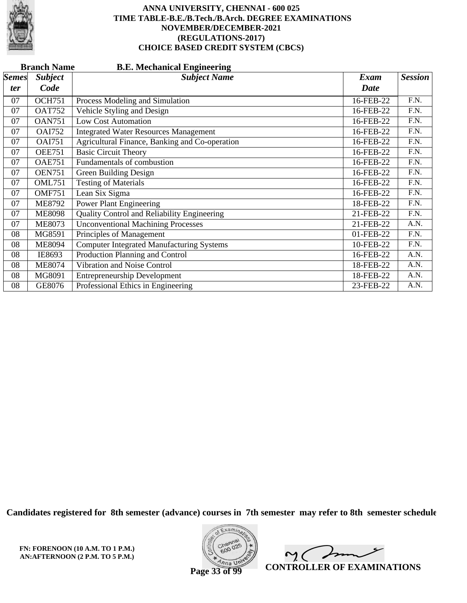

|                           | <b>Branch Name</b><br><b>B.E. Mechanical Engineering</b> |                                                  |             |                |  |  |  |
|---------------------------|----------------------------------------------------------|--------------------------------------------------|-------------|----------------|--|--|--|
| $\mathcal{S}$ <i>emes</i> | <b>Subject</b>                                           | <b>Subject Name</b>                              | <b>Exam</b> | <b>Session</b> |  |  |  |
| ter                       | Code                                                     |                                                  | <b>Date</b> |                |  |  |  |
| 07                        | <b>OCH751</b>                                            | Process Modeling and Simulation                  | 16-FEB-22   | F.N.           |  |  |  |
| 07                        | <b>OAT752</b>                                            | Vehicle Styling and Design                       | 16-FEB-22   | F.N.           |  |  |  |
| 07                        | <b>OAN751</b>                                            | <b>Low Cost Automation</b>                       | 16-FEB-22   | F.N.           |  |  |  |
| 07                        | <b>OAI752</b>                                            | <b>Integrated Water Resources Management</b>     | 16-FEB-22   | F.N.           |  |  |  |
| 07                        | <b>OAI751</b>                                            | Agricultural Finance, Banking and Co-operation   | 16-FEB-22   | F.N.           |  |  |  |
| 07                        | <b>OEE751</b>                                            | <b>Basic Circuit Theory</b>                      | 16-FEB-22   | F.N.           |  |  |  |
| 07                        | <b>OAE751</b>                                            | Fundamentals of combustion                       | 16-FEB-22   | F.N.           |  |  |  |
| 07                        | <b>OEN751</b>                                            | Green Building Design                            | 16-FEB-22   | F.N.           |  |  |  |
| 07                        | <b>OML751</b>                                            | <b>Testing of Materials</b>                      | 16-FEB-22   | F.N.           |  |  |  |
| 07                        | <b>OMF751</b>                                            | Lean Six Sigma                                   | 16-FEB-22   | F.N.           |  |  |  |
| 07                        | <b>ME8792</b>                                            | <b>Power Plant Engineering</b>                   | 18-FEB-22   | F.N.           |  |  |  |
| 07                        | <b>ME8098</b>                                            | Quality Control and Reliability Engineering      | 21-FEB-22   | F.N.           |  |  |  |
| 07                        | <b>ME8073</b>                                            | <b>Unconventional Machining Processes</b>        | 21-FEB-22   | A.N.           |  |  |  |
| 08                        | MG8591                                                   | Principles of Management                         | 01-FEB-22   | F.N.           |  |  |  |
| 08                        | <b>ME8094</b>                                            | <b>Computer Integrated Manufacturing Systems</b> | 10-FEB-22   | F.N.           |  |  |  |
| 08                        | IE8693                                                   | Production Planning and Control                  | 16-FEB-22   | A.N.           |  |  |  |
| 08                        | <b>ME8074</b>                                            | Vibration and Noise Control                      | 18-FEB-22   | A.N.           |  |  |  |
| 08                        | MG8091                                                   | <b>Entrepreneurship Development</b>              | 18-FEB-22   | A.N.           |  |  |  |
| 08                        | GE8076                                                   | Professional Ethics in Engineering               | 23-FEB-22   | A.N.           |  |  |  |

**Candidates registered for 8th semester (advance) courses in 7th semester may refer to 8th semester schedule**

**FN: FORENOON (10 A.M. TO 1 P.M.) AN:AFTERNOON (2 P.M. TO 5 P.M.)**



 $\sqrt{ }$  $\sim$  ( **CONTROLLER OF EXAMINATIONS**

**Page 33 of 99**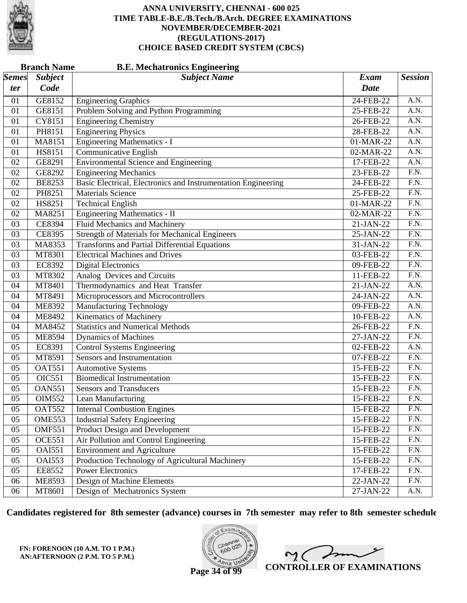

|              | <b>Branch Name</b><br><b>B.E. Mechatronics Engineering</b> |                                                               |             |                   |  |  |
|--------------|------------------------------------------------------------|---------------------------------------------------------------|-------------|-------------------|--|--|
| <i>Semes</i> | <b>Subject</b>                                             | <b>Subject Name</b>                                           | <b>Exam</b> | <b>Session</b>    |  |  |
| ter          | Code                                                       |                                                               | <b>Date</b> |                   |  |  |
| 01           | GE8152                                                     | <b>Engineering Graphics</b>                                   | 24-FEB-22   | A.N.              |  |  |
| 01           | GE8151                                                     | Problem Solving and Python Programming                        | 25-FEB-22   | A.N.              |  |  |
| 01           | CY8151                                                     | <b>Engineering Chemistry</b>                                  | 26-FEB-22   | $\overline{A.N.}$ |  |  |
| 01           | PH8151                                                     | <b>Engineering Physics</b>                                    | 28-FEB-22   | $\overline{A.N.}$ |  |  |
| 01           | MA8151                                                     | <b>Engineering Mathematics - I</b>                            | 01-MAR-22   | A.N.              |  |  |
| 01           | HS8151                                                     | Communicative English                                         | 02-MAR-22   | A.N.              |  |  |
| 02           | GE8291                                                     | <b>Environmental Science and Engineering</b>                  | 17-FEB-22   | $\overline{A.N.}$ |  |  |
| 02           | GE8292                                                     | <b>Engineering Mechanics</b>                                  | 23-FEB-22   | $\overline{F.N.}$ |  |  |
| 02           | <b>BE8253</b>                                              | Basic Electrical, Electronics and Instrumentation Engineering | 24-FEB-22   | F.N.              |  |  |
| 02           | PH8251                                                     | <b>Materials Science</b>                                      | 25-FEB-22   | $\overline{F.N.}$ |  |  |
| 02           | HS8251                                                     | <b>Technical English</b>                                      | 01-MAR-22   | $\overline{F.N.}$ |  |  |
| 02           | MA8251                                                     | Engineering Mathematics - II                                  | 02-MAR-22   | $\overline{F.N.}$ |  |  |
| 03           | <b>CE8394</b>                                              | <b>Fluid Mechanics and Machinery</b>                          | 21-JAN-22   | F.N.              |  |  |
| 03           | CE8395                                                     | <b>Strength of Materials for Mechanical Engineers</b>         | 25-JAN-22   | F.N.              |  |  |
| 03           | MA8353                                                     | <b>Transforms and Partial Differential Equations</b>          | 31-JAN-22   | $\overline{F.N.}$ |  |  |
| 03           | MT8301                                                     | <b>Electrical Machines and Drives</b>                         | 03-FEB-22   | $\overline{F.N.}$ |  |  |
| 03           | EC8392                                                     | <b>Digital Electronics</b>                                    | 09-FEB-22   | F.N.              |  |  |
| 03           | MT8302                                                     | Analog Devices and Circuits                                   | 11-FEB-22   | F.N.              |  |  |
| 04           | MT8401                                                     | Thermodynamics and Heat Transfer                              | 21-JAN-22   | $\overline{A.N.}$ |  |  |
| 04           | MT8491                                                     | Microprocessors and Microcontrollers                          | 24-JAN-22   | A.N.              |  |  |
| 04           | <b>ME8392</b>                                              | <b>Manufacturing Technology</b>                               | 09-FEB-22   | A.N.              |  |  |
| 04           | ME8492                                                     | Kinematics of Machinery                                       | 10-FEB-22   | A.N.              |  |  |
| 04           | MA8452                                                     | <b>Statistics and Numerical Methods</b>                       | 26-FEB-22   | $\overline{F.N.}$ |  |  |
| 05           | ME8594                                                     | <b>Dynamics of Machines</b>                                   | 27-JAN-22   | $\overline{F.N.}$ |  |  |
| 05           | EC8391                                                     | <b>Control Systems Engineering</b>                            | 02-FEB-22   | A.N.              |  |  |
| 05           | MT8591                                                     | Sensors and Instrumentation                                   | 07-FEB-22   | $\overline{F.N.}$ |  |  |
| 05           | <b>OAT551</b>                                              | <b>Automotive Systems</b>                                     | 15-FEB-22   | $\overline{F.N.}$ |  |  |
| 05           | <b>OIC551</b>                                              | <b>Biomedical Instrumentation</b>                             | 15-FEB-22   | $\overline{F.N.}$ |  |  |
| 05           | <b>OAN551</b>                                              | <b>Sensors and Transducers</b>                                | 15-FEB-22   | F.N.              |  |  |
| 05           | OIM552                                                     | Lean Manufacturing                                            | 15-FEB-22   | F.N.              |  |  |
| 05           | <b>OAT552</b>                                              | <b>Internal Combustion Engines</b>                            | 15-FEB-22   | F.N.              |  |  |
| 05           | OME553                                                     | <b>Industrial Safety Engineering</b>                          | 15-FEB-22   | F.N.              |  |  |
| 05           | <b>OMF551</b>                                              | Product Design and Development                                | 15-FEB-22   | F.N.              |  |  |
| 05           | <b>OCE551</b>                                              | Air Pollution and Control Engineering                         | 15-FEB-22   | F.N.              |  |  |
| 05           | <b>OAI551</b>                                              | <b>Environment and Agriculture</b>                            | 15-FEB-22   | F.N.              |  |  |
| 05           | <b>OAI553</b>                                              | Production Technology of Agricultural Machinery               | 15-FEB-22   | F.N.              |  |  |
| 05           | EE8552                                                     | <b>Power Electronics</b>                                      | 17-FEB-22   | F.N.              |  |  |
| 06           | <b>ME8593</b>                                              | Design of Machine Elements                                    | 22-JAN-22   | F.N.              |  |  |
| 06           | MT8601                                                     | Design of Mechatronics System                                 | 27-JAN-22   | A.N.              |  |  |

**Candidates registered for 8th semester (advance) courses in 7th semester may refer to 8th semester schedule**

**FN: FORENOON (10 A.M. TO 1 P.M.) AN:AFTERNOON (2 P.M. TO 5 P.M.)**



 $2<sub>1</sub>$ **CONTROLLER OF EXAMINATIONS**

**Page 34 of 99**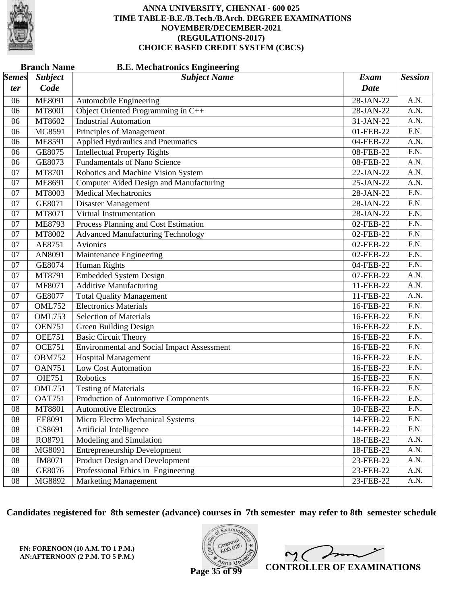

|                           | <b>Branch Name</b><br><b>B.E. Mechatronics Engineering</b> |                                                   |             |                   |
|---------------------------|------------------------------------------------------------|---------------------------------------------------|-------------|-------------------|
| $\mathcal{S}$ <i>emes</i> | <b>Subject</b>                                             | <b>Subject Name</b>                               | <b>Exam</b> | <b>Session</b>    |
| ter                       | Code                                                       |                                                   | <b>Date</b> |                   |
| 06                        | <b>ME8091</b>                                              | Automobile Engineering                            | 28-JAN-22   | A.N.              |
| 06                        | MT8001                                                     | Object Oriented Programming in C++                | 28-JAN-22   | A.N.              |
| 06                        | MT8602                                                     | <b>Industrial Automation</b>                      | 31-JAN-22   | $\overline{A.N.}$ |
| 06                        | MG8591                                                     | Principles of Management                          | 01-FEB-22   | $\overline{F.N.}$ |
| 06                        | <b>ME8591</b>                                              | <b>Applied Hydraulics and Pneumatics</b>          | 04-FEB-22   | A.N.              |
| 06                        | GE8075                                                     | <b>Intellectual Property Rights</b>               | 08-FEB-22   | $\overline{F.N.}$ |
| 06                        | GE8073                                                     | <b>Fundamentals of Nano Science</b>               | 08-FEB-22   | $\overline{A.N.}$ |
| 07                        | MT8701                                                     | Robotics and Machine Vision System                | 22-JAN-22   | A.N.              |
| 07                        | ME8691                                                     | Computer Aided Design and Manufacturing           | 25-JAN-22   | A.N.              |
| 07                        | MT8003                                                     | <b>Medical Mechatronics</b>                       | 28-JAN-22   | $\overline{F.N.}$ |
| 07                        | GE8071                                                     | <b>Disaster Management</b>                        | 28-JAN-22   | $\overline{F.N.}$ |
| 07                        | MT8071                                                     | Virtual Instrumentation                           | $28-JAN-22$ | $\overline{F.N.}$ |
| 07                        | <b>ME8793</b>                                              | Process Planning and Cost Estimation              | 02-FEB-22   | $\overline{F.N.}$ |
| 07                        | MT8002                                                     | <b>Advanced Manufacturing Technology</b>          | 02-FEB-22   | $\overline{F.N.}$ |
| 07                        | AE8751                                                     | Avionics                                          | 02-FEB-22   | $\overline{F.N.}$ |
| 07                        | AN8091                                                     | Maintenance Engineering                           | 02-FEB-22   | $\overline{F.N.}$ |
| 07                        | GE8074                                                     | <b>Human Rights</b>                               | 04-FEB-22   | $\overline{F.N.}$ |
| 07                        | MT8791                                                     | <b>Embedded System Design</b>                     | 07-FEB-22   | A.N.              |
| 07                        | MF8071                                                     | <b>Additive Manufacturing</b>                     | 11-FEB-22   | $\overline{A.N.}$ |
| 07                        | GE8077                                                     | <b>Total Quality Management</b>                   | 11-FEB-22   | A.N.              |
| 07                        | <b>OML752</b>                                              | <b>Electronics Materials</b>                      | 16-FEB-22   | $\overline{F.N.}$ |
| 07                        | <b>OML753</b>                                              | <b>Selection of Materials</b>                     | 16-FEB-22   | $\overline{F.N.}$ |
| 07                        | <b>OEN751</b>                                              | <b>Green Building Design</b>                      | 16-FEB-22   | $\overline{F.N.}$ |
| 07                        | <b>OEE751</b>                                              | <b>Basic Circuit Theory</b>                       | 16-FEB-22   | $\overline{F.N.}$ |
| 07                        | <b>OCE751</b>                                              | <b>Environmental and Social Impact Assessment</b> | 16-FEB-22   | $\overline{F.N.}$ |
| 07                        | <b>OBM752</b>                                              | <b>Hospital Management</b>                        | 16-FEB-22   | $\overline{F.N.}$ |
| 07                        | <b>OAN751</b>                                              | <b>Low Cost Automation</b>                        | 16-FEB-22   | F.N.              |
| 07                        | <b>OIE751</b>                                              | Robotics                                          | 16-FEB-22   | $\overline{F.N.}$ |
| 07                        | <b>OML751</b>                                              | <b>Testing of Materials</b>                       | 16-FEB-22   | F.N.              |
| 07                        | <b>OAT751</b>                                              | Production of Automotive Components               | 16-FEB-22   | F.N.              |
| 08                        | MT8801                                                     | <b>Automotive Electronics</b>                     | 10-FEB-22   | F.N.              |
| 08                        | EE8091                                                     | Micro Electro Mechanical Systems                  | 14-FEB-22   | F.N.              |
| 08                        | CS8691                                                     | Artificial Intelligence                           | 14-FEB-22   | F.N.              |
| 08                        | RO8791                                                     | Modeling and Simulation                           | 18-FEB-22   | A.N.              |
| 08                        | MG8091                                                     | <b>Entrepreneurship Development</b>               | 18-FEB-22   | A.N.              |
| 08                        | IM8071                                                     | <b>Product Design and Development</b>             | 23-FEB-22   | A.N.              |
| ${\bf 08}$                | GE8076                                                     | Professional Ethics in Engineering                | 23-FEB-22   | A.N.              |
| ${\bf 08}$                | MG8892                                                     | <b>Marketing Management</b>                       | 23-FEB-22   | A.N.              |

**Candidates registered for 8th semester (advance) courses in 7th semester may refer to 8th semester schedule**

**FN: FORENOON (10 A.M. TO 1 P.M.) AN:AFTERNOON (2 P.M. TO 5 P.M.)**



 $\overline{\phantom{a}}$  $\sim$  ( **CONTROLLER OF EXAMINATIONS**

**Page 35 of 99**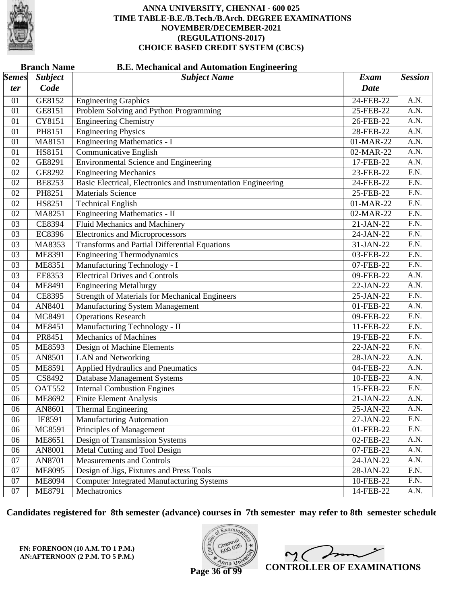

|              | <b>Branch Name</b><br><b>B.E. Mechanical and Automation Engineering</b> |                                                               |           |                   |  |  |
|--------------|-------------------------------------------------------------------------|---------------------------------------------------------------|-----------|-------------------|--|--|
| <i>Semes</i> | <b>Subject</b>                                                          | <b>Subject Name</b>                                           | Exam      | <b>Session</b>    |  |  |
| ter          | Code                                                                    |                                                               | Date      |                   |  |  |
| 01           | GE8152                                                                  | <b>Engineering Graphics</b>                                   | 24-FEB-22 | A.N.              |  |  |
| 01           | GE8151                                                                  | Problem Solving and Python Programming                        | 25-FEB-22 | A.N.              |  |  |
| 01           | CY8151                                                                  | <b>Engineering Chemistry</b>                                  | 26-FEB-22 | A.N.              |  |  |
| 01           | PH8151                                                                  | <b>Engineering Physics</b>                                    | 28-FEB-22 | A.N.              |  |  |
| 01           | MA8151                                                                  | <b>Engineering Mathematics - I</b>                            | 01-MAR-22 | A.N.              |  |  |
| 01           | HS8151                                                                  | <b>Communicative English</b>                                  | 02-MAR-22 | A.N.              |  |  |
| 02           | GE8291                                                                  | <b>Environmental Science and Engineering</b>                  | 17-FEB-22 | A.N.              |  |  |
| 02           | GE8292                                                                  | <b>Engineering Mechanics</b>                                  | 23-FEB-22 | $\overline{F.N.}$ |  |  |
| 02           | <b>BE8253</b>                                                           | Basic Electrical, Electronics and Instrumentation Engineering | 24-FEB-22 | F.N.              |  |  |
| 02           | PH8251                                                                  | <b>Materials Science</b>                                      | 25-FEB-22 | F.N.              |  |  |
| 02           | HS8251                                                                  | <b>Technical English</b>                                      | 01-MAR-22 | F.N.              |  |  |
| 02           | MA8251                                                                  | Engineering Mathematics - II                                  | 02-MAR-22 | $\overline{F.N.}$ |  |  |
| 03           | CE8394                                                                  | <b>Fluid Mechanics and Machinery</b>                          | 21-JAN-22 | $\overline{F.N.}$ |  |  |
| 03           | <b>EC8396</b>                                                           | <b>Electronics and Microprocessors</b>                        | 24-JAN-22 | $\overline{F.N.}$ |  |  |
| 03           | MA8353                                                                  | <b>Transforms and Partial Differential Equations</b>          | 31-JAN-22 | F.N.              |  |  |
| 03           | ME8391                                                                  | <b>Engineering Thermodynamics</b>                             | 03-FEB-22 | $\overline{F.N.}$ |  |  |
| 03           | <b>ME8351</b>                                                           | Manufacturing Technology - I                                  | 07-FEB-22 | F.N.              |  |  |
| 03           | EE8353                                                                  | <b>Electrical Drives and Controls</b>                         | 09-FEB-22 | A.N.              |  |  |
| 04           | ME8491                                                                  | <b>Engineering Metallurgy</b>                                 | 22-JAN-22 | A.N.              |  |  |
| 04           | CE8395                                                                  | <b>Strength of Materials for Mechanical Engineers</b>         | 25-JAN-22 | $\overline{F.N.}$ |  |  |
| 04           | AN8401                                                                  | Manufacturing System Management                               | 01-FEB-22 | A.N.              |  |  |
| 04           | MG8491                                                                  | <b>Operations Research</b>                                    | 09-FEB-22 | $\overline{F.N.}$ |  |  |
| 04           | ME8451                                                                  | Manufacturing Technology - II                                 | 11-FEB-22 | F.N.              |  |  |
| 04           | PR8451                                                                  | <b>Mechanics of Machines</b>                                  | 19-FEB-22 | $\overline{F.N.}$ |  |  |
| 05           | ME8593                                                                  | Design of Machine Elements                                    | 22-JAN-22 | F.N.              |  |  |
| 05           | AN8501                                                                  | <b>LAN</b> and Networking                                     | 28-JAN-22 | A.N.              |  |  |
| 05           | ME8591                                                                  | <b>Applied Hydraulics and Pneumatics</b>                      | 04-FEB-22 | A.N.              |  |  |
| 05           | CS8492                                                                  | Database Management Systems                                   | 10-FEB-22 | A.N.              |  |  |
| 05           | <b>OAT552</b>                                                           | <b>Internal Combustion Engines</b>                            | 15-FEB-22 | $\overline{F.N.}$ |  |  |
| 06           | ME8692                                                                  | <b>Finite Element Analysis</b>                                | 21-JAN-22 | A.N.              |  |  |
| 06           | AN8601                                                                  | <b>Thermal Engineering</b>                                    | 25-JAN-22 | A.N.              |  |  |
| 06           | IE8591                                                                  | <b>Manufacturing Automation</b>                               | 27-JAN-22 | F.N.              |  |  |
| 06           | MG8591                                                                  | Principles of Management                                      | 01-FEB-22 | F.N.              |  |  |
| 06           | <b>ME8651</b>                                                           | Design of Transmission Systems                                | 02-FEB-22 | A.N.              |  |  |
| 06           | AN8001                                                                  | Metal Cutting and Tool Design                                 | 07-FEB-22 | A.N.              |  |  |
| 07           | AN8701                                                                  | <b>Measurements and Controls</b>                              | 24-JAN-22 | A.N.              |  |  |
| 07           | <b>ME8095</b>                                                           | Design of Jigs, Fixtures and Press Tools                      | 28-JAN-22 | F.N.              |  |  |
| 07           | <b>ME8094</b>                                                           | <b>Computer Integrated Manufacturing Systems</b>              | 10-FEB-22 | F.N.              |  |  |
| 07           | ME8791                                                                  | Mechatronics                                                  | 14-FEB-22 | A.N.              |  |  |

**Candidates registered for 8th semester (advance) courses in 7th semester may refer to 8th semester schedule**

**FN: FORENOON (10 A.M. TO 1 P.M.) AN:AFTERNOON (2 P.M. TO 5 P.M.)**



 $\overline{\phantom{a}}$  $2<sub>1</sub>$ **CONTROLLER OF EXAMINATIONS**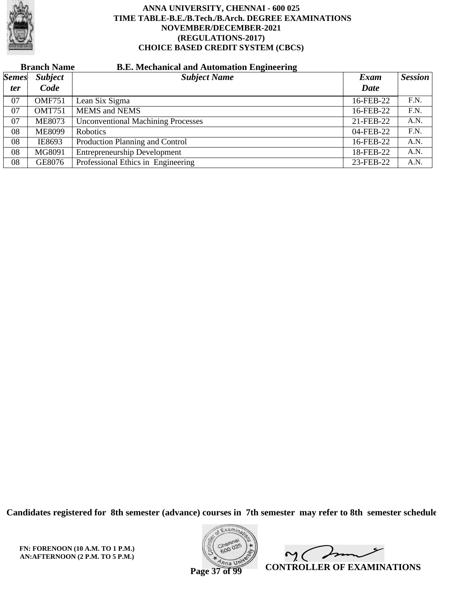

# **Branch Name B.E. Mechanical and Automation Engineering**

| <b>Semes</b> | <b>Subject</b> | <b>Subject Name</b>                       | Exam      | <b>Session</b> |
|--------------|----------------|-------------------------------------------|-----------|----------------|
| <i>ter</i>   | Code           |                                           | Date      |                |
| 07           | <b>OMF751</b>  | Lean Six Sigma                            | 16-FEB-22 | F.N.           |
| 07           | <b>OMT751</b>  | <b>MEMS</b> and <b>NEMS</b>               | 16-FEB-22 | F.N.           |
| 07           | <b>ME8073</b>  | <b>Unconventional Machining Processes</b> | 21-FEB-22 | A.N.           |
| 08           | <b>ME8099</b>  | <b>Robotics</b>                           | 04-FEB-22 | F.N.           |
| 08           | IE8693         | Production Planning and Control           | 16-FEB-22 | A.N.           |
| 08           | MG8091         | <b>Entrepreneurship Development</b>       | 18-FEB-22 | A.N.           |
| 08           | GE8076         | Professional Ethics in Engineering        | 23-FEB-22 | A.N.           |

**Candidates registered for 8th semester (advance) courses in 7th semester may refer to 8th semester schedule**



Imm  $\mathsf{M}(\cdot)$ **CONTROLLER OF EXAMINATIONS**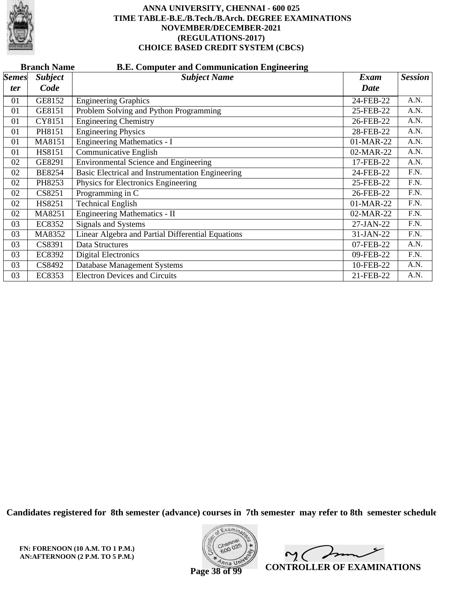

|              | <b>B.E. Computer and Communication Engineering</b><br><b>Branch Name</b> |                                                   |           |                |  |  |  |
|--------------|--------------------------------------------------------------------------|---------------------------------------------------|-----------|----------------|--|--|--|
| <b>Semes</b> | <b>Subject</b>                                                           | <b>Subject Name</b>                               | Exam      | <b>Session</b> |  |  |  |
| ter          | Code                                                                     |                                                   | Date      |                |  |  |  |
| 01           | GE8152                                                                   | <b>Engineering Graphics</b>                       | 24-FEB-22 | A.N.           |  |  |  |
| 01           | GE8151                                                                   | Problem Solving and Python Programming            | 25-FEB-22 | A.N.           |  |  |  |
| 01           | CY8151                                                                   | <b>Engineering Chemistry</b>                      | 26-FEB-22 | A.N.           |  |  |  |
| 01           | PH8151                                                                   | <b>Engineering Physics</b>                        | 28-FEB-22 | A.N.           |  |  |  |
| 01           | MA8151                                                                   | <b>Engineering Mathematics - I</b>                | 01-MAR-22 | A.N.           |  |  |  |
| 01           | HS8151                                                                   | Communicative English                             | 02-MAR-22 | A.N.           |  |  |  |
| 02           | GE8291                                                                   | <b>Environmental Science and Engineering</b>      | 17-FEB-22 | A.N.           |  |  |  |
| 02           | <b>BE8254</b>                                                            | Basic Electrical and Instrumentation Engineering  | 24-FEB-22 | F.N.           |  |  |  |
| 02           | PH8253                                                                   | Physics for Electronics Engineering               | 25-FEB-22 | F.N.           |  |  |  |
| 02           | CS8251                                                                   | Programming in C                                  | 26-FEB-22 | F.N.           |  |  |  |
| 02           | HS8251                                                                   | <b>Technical English</b>                          | 01-MAR-22 | F.N.           |  |  |  |
| 02           | MA8251                                                                   | Engineering Mathematics - II                      | 02-MAR-22 | F.N.           |  |  |  |
| 03           | EC8352                                                                   | Signals and Systems                               | 27-JAN-22 | F.N.           |  |  |  |
| 03           | MA8352                                                                   | Linear Algebra and Partial Differential Equations | 31-JAN-22 | F.N.           |  |  |  |
| 03           | CS8391                                                                   | Data Structures                                   | 07-FEB-22 | A.N.           |  |  |  |
| 03           | <b>EC8392</b>                                                            | <b>Digital Electronics</b>                        | 09-FEB-22 | F.N.           |  |  |  |
| 03           | CS8492                                                                   | Database Management Systems                       | 10-FEB-22 | A.N.           |  |  |  |
| 03           | EC8353                                                                   | <b>Electron Devices and Circuits</b>              | 21-FEB-22 | A.N.           |  |  |  |

**Candidates registered for 8th semester (advance) courses in 7th semester may refer to 8th semester schedule**

**FN: FORENOON (10 A.M. TO 1 P.M.) AN:AFTERNOON (2 P.M. TO 5 P.M.)**



 $\sqrt{2}$  $\mathsf{M}(\mathbb{C})$ **CONTROLLER OF EXAMINATIONS**

**Page 38 of 99**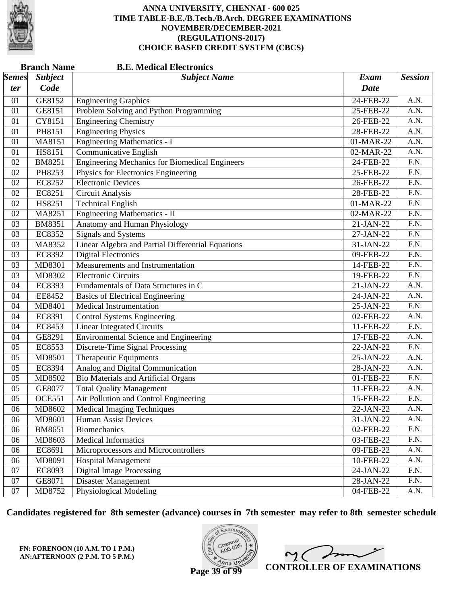

| <b>Branch Name</b><br><b>B.E. Medical Electronics</b> |                |                                                       |             |                   |  |  |
|-------------------------------------------------------|----------------|-------------------------------------------------------|-------------|-------------------|--|--|
| $\vert$ Semes $\vert$                                 | <b>Subject</b> | <b>Subject Name</b>                                   | <b>Exam</b> | <b>Session</b>    |  |  |
| ter                                                   | Code           |                                                       | <b>Date</b> |                   |  |  |
| 01                                                    | GE8152         | <b>Engineering Graphics</b>                           | 24-FEB-22   | A.N.              |  |  |
| 01                                                    | GE8151         | Problem Solving and Python Programming                | 25-FEB-22   | A.N.              |  |  |
| 01                                                    | CY8151         | <b>Engineering Chemistry</b>                          | 26-FEB-22   | $\overline{A.N.}$ |  |  |
| 01                                                    | PH8151         | <b>Engineering Physics</b>                            | 28-FEB-22   | $\overline{A.N.}$ |  |  |
| 01                                                    | MA8151         | <b>Engineering Mathematics - I</b>                    | 01-MAR-22   | A.N.              |  |  |
| 01                                                    | HS8151         | Communicative English                                 | 02-MAR-22   | A.N.              |  |  |
| 02                                                    | <b>BM8251</b>  | <b>Engineering Mechanics for Biomedical Engineers</b> | 24-FEB-22   | $\overline{F.N.}$ |  |  |
| 02                                                    | PH8253         | Physics for Electronics Engineering                   | 25-FEB-22   | $\overline{F.N.}$ |  |  |
| 02                                                    | EC8252         | <b>Electronic Devices</b>                             | 26-FEB-22   | F.N.              |  |  |
| 02                                                    | EC8251         | Circuit Analysis                                      | 28-FEB-22   | $\overline{F.N.}$ |  |  |
| 02                                                    | HS8251         | <b>Technical English</b>                              | 01-MAR-22   | $\overline{F.N.}$ |  |  |
| 02                                                    | MA8251         | Engineering Mathematics - II                          | 02-MAR-22   | $\overline{F.N.}$ |  |  |
| 03                                                    | BM8351         | Anatomy and Human Physiology                          | 21-JAN-22   | F.N.              |  |  |
| 03                                                    | <b>EC8352</b>  | <b>Signals and Systems</b>                            | 27-JAN-22   | F.N.              |  |  |
| 03                                                    | MA8352         | Linear Algebra and Partial Differential Equations     | 31-JAN-22   | $\overline{F.N.}$ |  |  |
| 03                                                    | EC8392         | <b>Digital Electronics</b>                            | 09-FEB-22   | $\overline{F.N.}$ |  |  |
| 03                                                    | MD8301         | Measurements and Instrumentation                      | 14-FEB-22   | F.N.              |  |  |
| 03                                                    | MD8302         | <b>Electronic Circuits</b>                            | 19-FEB-22   | F.N.              |  |  |
| 04                                                    | EC8393         | Fundamentals of Data Structures in C                  | 21-JAN-22   | $\overline{A.N.}$ |  |  |
| 04                                                    | EE8452         | <b>Basics of Electrical Engineering</b>               | 24-JAN-22   | A.N.              |  |  |
| 04                                                    | MD8401         | <b>Medical Instrumentation</b>                        | 25-JAN-22   | F.N.              |  |  |
| 04                                                    | EC8391         | <b>Control Systems Engineering</b>                    | 02-FEB-22   | A.N.              |  |  |
| 04                                                    | EC8453         | <b>Linear Integrated Circuits</b>                     | 11-FEB-22   | $\overline{F.N.}$ |  |  |
| 04                                                    | GE8291         | <b>Environmental Science and Engineering</b>          | 17-FEB-22   | A.N.              |  |  |
| 05                                                    | EC8553         | Discrete-Time Signal Processing                       | 22-JAN-22   | F.N.              |  |  |
| 05                                                    | MD8501         | Therapeutic Equipments                                | 25-JAN-22   | A.N.              |  |  |
| 05                                                    | <b>EC8394</b>  | Analog and Digital Communication                      | 28-JAN-22   | $\overline{A.N.}$ |  |  |
| 05                                                    | MD8502         | <b>Bio Materials and Artificial Organs</b>            | 01-FEB-22   | $\overline{F.N.}$ |  |  |
| 05                                                    | GE8077         | <b>Total Quality Management</b>                       | 11-FEB-22   | A.N.              |  |  |
| 05                                                    | <b>OCE551</b>  | Air Pollution and Control Engineering                 | 15-FEB-22   | F.N.              |  |  |
| 06                                                    | MD8602         | <b>Medical Imaging Techniques</b>                     | 22-JAN-22   | A.N.              |  |  |
| 06                                                    | MD8601         | Human Assist Devices                                  | 31-JAN-22   | A.N.              |  |  |
| 06                                                    | <b>BM8651</b>  | <b>Biomechanics</b>                                   | 02-FEB-22   | F.N.              |  |  |
| 06                                                    | MD8603         | <b>Medical Informatics</b>                            | 03-FEB-22   | F.N.              |  |  |
| 06                                                    | EC8691         | Microprocessors and Microcontrollers                  | 09-FEB-22   | A.N.              |  |  |
| 06                                                    | MD8091         | <b>Hospital Management</b>                            | 10-FEB-22   | A.N.              |  |  |
| 07                                                    | EC8093         | <b>Digital Image Processing</b>                       | 24-JAN-22   | F.N.              |  |  |
| 07                                                    | GE8071         | <b>Disaster Management</b>                            | 28-JAN-22   | F.N.              |  |  |
| 07                                                    | MD8752         | <b>Physiological Modeling</b>                         | 04-FEB-22   | A.N.              |  |  |

**Candidates registered for 8th semester (advance) courses in 7th semester may refer to 8th semester schedule**

**FN: FORENOON (10 A.M. TO 1 P.M.) AN:AFTERNOON (2 P.M. TO 5 P.M.)**



 $\overline{\mathscr{S}}$  $2<sub>1</sub>$ **CONTROLLER OF EXAMINATIONS**

**Page 39 of 99**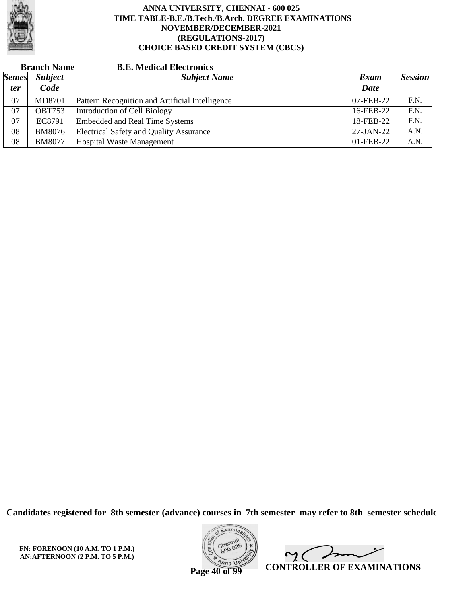

|              | <b>Branch Name</b> | <b>B.E. Medical Electronics</b>                 |             |                |
|--------------|--------------------|-------------------------------------------------|-------------|----------------|
| <b>Semes</b> | <b>Subject</b>     | <b>Subject Name</b>                             | Exam        | <b>Session</b> |
| <i>ter</i>   | Code               |                                                 | <b>Date</b> |                |
| 07           | <b>MD8701</b>      | Pattern Recognition and Artificial Intelligence | 07-FEB-22   | F.N.           |
| 07           | <b>OBT753</b>      | Introduction of Cell Biology                    | 16-FEB-22   | F.N.           |
| 07           | EC8791             | <b>Embedded and Real Time Systems</b>           | 18-FEB-22   | F.N.           |
| 08           | <b>BM8076</b>      | <b>Electrical Safety and Quality Assurance</b>  | $27-JAN-22$ | A.N.           |
| 08           | <b>BM8077</b>      | <b>Hospital Waste Management</b>                | 01-FEB-22   | A.N.           |

**Candidates registered for 8th semester (advance) courses in 7th semester may refer to 8th semester schedule**



 $\overline{\phantom{a}}$  $\sim$  ( **CONTROLLER OF EXAMINATIONS**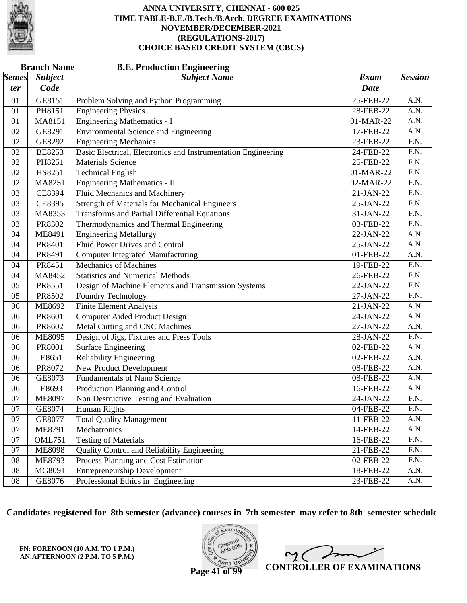

|              | <b>Branch Name</b><br><b>B.E. Production Engineering</b> |                                                               |              |                   |  |  |  |
|--------------|----------------------------------------------------------|---------------------------------------------------------------|--------------|-------------------|--|--|--|
| <i>Semes</i> | <b>Subject</b>                                           | <b>Subject Name</b>                                           | <b>Exam</b>  | <b>Session</b>    |  |  |  |
| ter          | Code                                                     |                                                               | <b>Date</b>  |                   |  |  |  |
| 01           | GE8151                                                   | Problem Solving and Python Programming                        | 25-FEB-22    | A.N.              |  |  |  |
| 01           | PH8151                                                   | <b>Engineering Physics</b>                                    | 28-FEB-22    | A.N.              |  |  |  |
| 01           | MA8151                                                   | <b>Engineering Mathematics - I</b>                            | 01-MAR-22    | $\overline{A.N.}$ |  |  |  |
| 02           | GE8291                                                   | <b>Environmental Science and Engineering</b>                  | 17-FEB-22    | A.N.              |  |  |  |
| 02           | GE8292                                                   | <b>Engineering Mechanics</b>                                  | 23-FEB-22    | $\overline{F.N.}$ |  |  |  |
| 02           | <b>BE8253</b>                                            | Basic Electrical, Electronics and Instrumentation Engineering | 24-FEB-22    | F.N.              |  |  |  |
| 02           | PH8251                                                   | <b>Materials Science</b>                                      | $25$ -FEB-22 | $\overline{F.N.}$ |  |  |  |
| 02           | HS8251                                                   | <b>Technical English</b>                                      | 01-MAR-22    | $\overline{F.N.}$ |  |  |  |
| 02           | MA8251                                                   | Engineering Mathematics - II                                  | 02-MAR-22    | F.N.              |  |  |  |
| 03           | CE8394                                                   | Fluid Mechanics and Machinery                                 | 21-JAN-22    | $\overline{F.N.}$ |  |  |  |
| 03           | <b>CE8395</b>                                            | <b>Strength of Materials for Mechanical Engineers</b>         | 25-JAN-22    | $\overline{F.N.}$ |  |  |  |
| 03           | MA8353                                                   | <b>Transforms and Partial Differential Equations</b>          | 31-JAN-22    | $\overline{F.N.}$ |  |  |  |
| 03           | PR8302                                                   | Thermodynamics and Thermal Engineering                        | 03-FEB-22    | F.N.              |  |  |  |
| 04           | ME8491                                                   | <b>Engineering Metallurgy</b>                                 | 22-JAN-22    | A.N.              |  |  |  |
| 04           | PR8401                                                   | <b>Fluid Power Drives and Control</b>                         | 25-JAN-22    | $\overline{A.N.}$ |  |  |  |
| 04           | PR8491                                                   | <b>Computer Integrated Manufacturing</b>                      | 01-FEB-22    | A.N.              |  |  |  |
| 04           | PR8451                                                   | <b>Mechanics of Machines</b>                                  | 19-FEB-22    | F.N.              |  |  |  |
| 04           | MA8452                                                   | <b>Statistics and Numerical Methods</b>                       | 26-FEB-22    | F.N.              |  |  |  |
| 05           | PR8551                                                   | Design of Machine Elements and Transmission Systems           | 22-JAN-22    | $\overline{F.N.}$ |  |  |  |
| 05           | PR8502                                                   | <b>Foundry Technology</b>                                     | 27-JAN-22    | $\overline{F.N.}$ |  |  |  |
| 06           | ME8692                                                   | <b>Finite Element Analysis</b>                                | 21-JAN-22    | A.N.              |  |  |  |
| 06           | PR8601                                                   | Computer Aided Product Design                                 | 24-JAN-22    | A.N.              |  |  |  |
| 06           | PR8602                                                   | Metal Cutting and CNC Machines                                | 27-JAN-22    | $\overline{A.N.}$ |  |  |  |
| 06           | <b>ME8095</b>                                            | Design of Jigs, Fixtures and Press Tools                      | 28-JAN-22    | $\overline{F.N.}$ |  |  |  |
| 06           | PR8001                                                   | <b>Surface Engineering</b>                                    | 02-FEB-22    | A.N.              |  |  |  |
| 06           | IE8651                                                   | <b>Reliability Engineering</b>                                | 02-FEB-22    | A.N.              |  |  |  |
| 06           | PR8072                                                   | New Product Development                                       | 08-FEB-22    | A.N.              |  |  |  |
| 06           | GE8073                                                   | <b>Fundamentals of Nano Science</b>                           | 08-FEB-22    | A.N.              |  |  |  |
| 06           | IE8693                                                   | Production Planning and Control                               | 16-FEB-22    | A.N.              |  |  |  |
| 07           | <b>ME8097</b>                                            | Non Destructive Testing and Evaluation                        | 24-JAN-22    | F.N.              |  |  |  |
| 07           | GE8074                                                   | Human Rights                                                  | 04-FEB-22    | F.N.              |  |  |  |
| 07           | GE8077                                                   | <b>Total Quality Management</b>                               | 11-FEB-22    | A.N.              |  |  |  |
| 07           | <b>ME8791</b>                                            | Mechatronics                                                  | 14-FEB-22    | A.N.              |  |  |  |
| 07           | <b>OML751</b>                                            | <b>Testing of Materials</b>                                   | 16-FEB-22    | F.N.              |  |  |  |
| 07           | <b>ME8098</b>                                            | Quality Control and Reliability Engineering                   | $21$ -FEB-22 | F.N.              |  |  |  |
| 08           | <b>ME8793</b>                                            | Process Planning and Cost Estimation                          | 02-FEB-22    | F.N.              |  |  |  |
| 08           | MG8091                                                   | Entrepreneurship Development                                  | 18-FEB-22    | A.N.              |  |  |  |
| ${\bf 08}$   | GE8076                                                   | Professional Ethics in Engineering                            | 23-FEB-22    | A.N.              |  |  |  |

**Candidates registered for 8th semester (advance) courses in 7th semester may refer to 8th semester schedule**

**FN: FORENOON (10 A.M. TO 1 P.M.) AN:AFTERNOON (2 P.M. TO 5 P.M.)**



 $\overline{\phantom{a}}$  $\sim$  ( **CONTROLLER OF EXAMINATIONS**

**Page 41 of 99**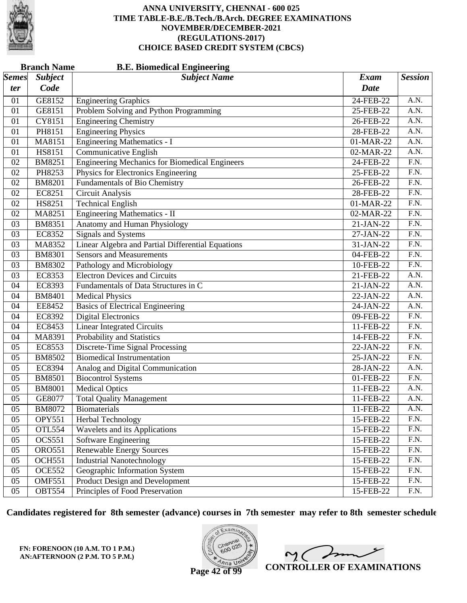

|              | <b>Branch Name</b><br><b>B.E. Biomedical Engineering</b> |                                                       |              |                   |  |  |
|--------------|----------------------------------------------------------|-------------------------------------------------------|--------------|-------------------|--|--|
| <i>Semes</i> | <b>Subject</b>                                           | <b>Subject Name</b>                                   | <b>Exam</b>  | <b>Session</b>    |  |  |
| ter          | Code                                                     |                                                       | <b>Date</b>  |                   |  |  |
| 01           | GE8152                                                   | <b>Engineering Graphics</b>                           | 24-FEB-22    | A.N.              |  |  |
| 01           | GE8151                                                   | Problem Solving and Python Programming                | 25-FEB-22    | A.N.              |  |  |
| 01           | CY8151                                                   | <b>Engineering Chemistry</b>                          | 26-FEB-22    | $\overline{A.N.}$ |  |  |
| 01           | PH8151                                                   | <b>Engineering Physics</b>                            | 28-FEB-22    | $\overline{A.N.}$ |  |  |
| 01           | MA8151                                                   | <b>Engineering Mathematics - I</b>                    | 01-MAR-22    | A.N.              |  |  |
| 01           | HS8151                                                   | Communicative English                                 | 02-MAR-22    | A.N.              |  |  |
| 02           | <b>BM8251</b>                                            | <b>Engineering Mechanics for Biomedical Engineers</b> | 24-FEB-22    | $\overline{F.N.}$ |  |  |
| 02           | PH8253                                                   | Physics for Electronics Engineering                   | 25-FEB-22    | $\overline{F.N.}$ |  |  |
| 02           | <b>BM8201</b>                                            | <b>Fundamentals of Bio Chemistry</b>                  | 26-FEB-22    | F.N.              |  |  |
| 02           | EC8251                                                   | Circuit Analysis                                      | 28-FEB-22    | $\overline{F.N.}$ |  |  |
| 02           | HS8251                                                   | <b>Technical English</b>                              | 01-MAR-22    | $\overline{F.N.}$ |  |  |
| 02           | MA8251                                                   | Engineering Mathematics - II                          | 02-MAR-22    | $\overline{F.N.}$ |  |  |
| 03           | <b>BM8351</b>                                            | Anatomy and Human Physiology                          | 21-JAN-22    | F.N.              |  |  |
| 03           | EC8352                                                   | <b>Signals and Systems</b>                            | 27-JAN-22    | F.N.              |  |  |
| 03           | MA8352                                                   | Linear Algebra and Partial Differential Equations     | 31-JAN-22    | $\overline{F.N.}$ |  |  |
| 03           | <b>BM8301</b>                                            | <b>Sensors and Measurements</b>                       | 04-FEB-22    | $\overline{F.N.}$ |  |  |
| 03           | <b>BM8302</b>                                            | Pathology and Microbiology                            | 10-FEB-22    | F.N.              |  |  |
| 03           | EC8353                                                   | <b>Electron Devices and Circuits</b>                  | 21-FEB-22    | A.N.              |  |  |
| 04           | EC8393                                                   | Fundamentals of Data Structures in C                  | 21-JAN-22    | $\overline{A.N.}$ |  |  |
| 04           | <b>BM8401</b>                                            | <b>Medical Physics</b>                                | 22-JAN-22    | A.N.              |  |  |
| 04           | EE8452                                                   | <b>Basics of Electrical Engineering</b>               | 24-JAN-22    | A.N.              |  |  |
| 04           | EC8392                                                   | <b>Digital Electronics</b>                            | 09-FEB-22    | F.N.              |  |  |
| 04           | EC8453                                                   | <b>Linear Integrated Circuits</b>                     | 11-FEB-22    | $\overline{F.N.}$ |  |  |
| 04           | MA8391                                                   | Probability and Statistics                            | 14-FEB-22    | $\overline{F.N.}$ |  |  |
| 05           | EC8553                                                   | Discrete-Time Signal Processing                       | 22-JAN-22    | F.N.              |  |  |
| 05           | <b>BM8502</b>                                            | <b>Biomedical Instrumentation</b>                     | 25-JAN-22    | F.N.              |  |  |
| 05           | <b>EC8394</b>                                            | Analog and Digital Communication                      | 28-JAN-22    | A.N.              |  |  |
| 05           | <b>BM8501</b>                                            | <b>Biocontrol Systems</b>                             | 01-FEB-22    | $\overline{F.N.}$ |  |  |
| 05           | <b>BM8001</b>                                            | <b>Medical Optics</b>                                 | 11-FEB-22    | A.N.              |  |  |
| 05           | GE8077                                                   | <b>Total Quality Management</b>                       | 11-FEB-22    | A.N.              |  |  |
| 05           | <b>BM8072</b>                                            | Biomaterials                                          | 11-FEB-22    | A.N.              |  |  |
| 05           | <b>OPY551</b>                                            | Herbal Technology                                     | 15-FEB-22    | F.N.              |  |  |
| 05           | <b>OTL554</b>                                            | Wavelets and its Applications                         | 15-FEB-22    | F.N.              |  |  |
| 05           | <b>OCS551</b>                                            | <b>Software Engineering</b>                           | 15-FEB-22    | F.N.              |  |  |
| 05           | <b>ORO551</b>                                            | <b>Renewable Energy Sources</b>                       | 15-FEB-22    | F.N.              |  |  |
| 05           | <b>OCH551</b>                                            | <b>Industrial Nanotechnology</b>                      | $15$ -FEB-22 | F.N.              |  |  |
| 05           | <b>OCE552</b>                                            | Geographic Information System                         | 15-FEB-22    | F.N.              |  |  |
| 05           | <b>OMF551</b>                                            | Product Design and Development                        | 15-FEB-22    | F.N.              |  |  |
| 05           | <b>OBT554</b>                                            | Principles of Food Preservation                       | 15-FEB-22    | F.N.              |  |  |

**Candidates registered for 8th semester (advance) courses in 7th semester may refer to 8th semester schedule**

**FN: FORENOON (10 A.M. TO 1 P.M.) AN:AFTERNOON (2 P.M. TO 5 P.M.)**



 $\overline{\phantom{a}}$  $2<sub>1</sub>$ **CONTROLLER OF EXAMINATIONS**

**Page 42 of 99**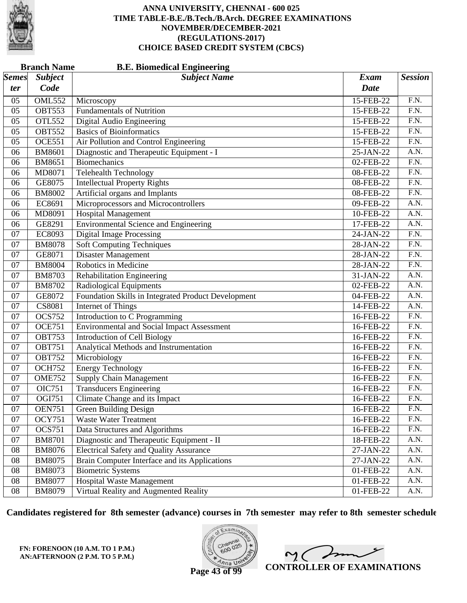

|                       | <b>Branch Name</b> | <b>B.E. Biomedical Engineering</b>                  |             |                   |
|-----------------------|--------------------|-----------------------------------------------------|-------------|-------------------|
| $\vert$ Semes $\vert$ | <b>Subject</b>     | <b>Subject Name</b>                                 | <b>Exam</b> | <b>Session</b>    |
| ter                   | Code               |                                                     | <b>Date</b> |                   |
| 05                    | <b>OML552</b>      | Microscopy                                          | 15-FEB-22   | F.N.              |
| 05                    | <b>OBT553</b>      | <b>Fundamentals of Nutrition</b>                    | 15-FEB-22   | F.N.              |
| 05                    | <b>OTL552</b>      | Digital Audio Engineering                           | 15-FEB-22   | $\overline{F.N.}$ |
| 05                    | <b>OBT552</b>      | <b>Basics of Bioinformatics</b>                     | 15-FEB-22   | $\overline{F.N.}$ |
| 05                    | <b>OCE551</b>      | Air Pollution and Control Engineering               | 15-FEB-22   | F.N.              |
| 06                    | <b>BM8601</b>      | Diagnostic and Therapeutic Equipment - I            | 25-JAN-22   | A.N.              |
| 06                    | BM8651             | Biomechanics                                        | 02-FEB-22   | $\overline{F.N.}$ |
| 06                    | MD8071             | <b>Telehealth Technology</b>                        | 08-FEB-22   | $\overline{F.N.}$ |
| 06                    | GE8075             | <b>Intellectual Property Rights</b>                 | 08-FEB-22   | F.N.              |
| 06                    | <b>BM8002</b>      | Artificial organs and Implants                      | 08-FEB-22   | $\overline{F.N.}$ |
| 06                    | EC8691             | Microprocessors and Microcontrollers                | 09-FEB-22   | $\overline{A.N.}$ |
| 06                    | MD8091             | <b>Hospital Management</b>                          | 10-FEB-22   | $\overline{A.N.}$ |
| 06                    | GE8291             | <b>Environmental Science and Engineering</b>        | 17-FEB-22   | A.N.              |
| 07                    | EC8093             | <b>Digital Image Processing</b>                     | 24-JAN-22   | $\overline{F.N.}$ |
| 07                    | <b>BM8078</b>      | <b>Soft Computing Techniques</b>                    | 28-JAN-22   | $\overline{F.N.}$ |
| 07                    | GE8071             | <b>Disaster Management</b>                          | 28-JAN-22   | $\overline{F.N.}$ |
| 07                    | <b>BM8004</b>      | Robotics in Medicine                                | 28-JAN-22   | F.N.              |
| 07                    | <b>BM8703</b>      | <b>Rehabilitation Engineering</b>                   | 31-JAN-22   | A.N.              |
| 07                    | <b>BM8702</b>      | Radiological Equipments                             | 02-FEB-22   | $\overline{A.N.}$ |
| 07                    | GE8072             | Foundation Skills in Integrated Product Development | 04-FEB-22   | $\overline{A.N.}$ |
| 07                    | <b>CS8081</b>      | Internet of Things                                  | 14-FEB-22   | A.N.              |
| 07                    | <b>OCS752</b>      | Introduction to C Programming                       | 16-FEB-22   | $\overline{F.N.}$ |
| 07                    | <b>OCE751</b>      | <b>Environmental and Social Impact Assessment</b>   | 16-FEB-22   | $\overline{F.N.}$ |
| 07                    | <b>OBT753</b>      | <b>Introduction of Cell Biology</b>                 | 16-FEB-22   | $\overline{F.N.}$ |
| 07                    | <b>OBT751</b>      | Analytical Methods and Instrumentation              | 16-FEB-22   | F.N.              |
| 07                    | <b>OBT752</b>      | Microbiology                                        | 16-FEB-22   | F.N.              |
| 07                    | <b>OCH752</b>      | <b>Energy Technology</b>                            | 16-FEB-22   | $\overline{F.N.}$ |
| 07                    | <b>OME752</b>      | <b>Supply Chain Management</b>                      | 16-FEB-22   | $\overline{F.N.}$ |
| 07                    | <b>OIC751</b>      | <b>Transducers Engineering</b>                      | 16-FEB-22   | F.N.              |
| 07                    | OGI751             | Climate Change and its Impact                       | 16-FEB-22   | F.N.              |
| 07                    | <b>OEN751</b>      | <b>Green Building Design</b>                        | 16-FEB-22   | F.N.              |
| 07                    | <b>OCY751</b>      | <b>Waste Water Treatment</b>                        | 16-FEB-22   | F.N.              |
| 07                    | <b>OCS751</b>      | Data Structures and Algorithms                      | 16-FEB-22   | F.N.              |
| 07                    | <b>BM8701</b>      | Diagnostic and Therapeutic Equipment - II           | 18-FEB-22   | A.N.              |
| 08                    | <b>BM8076</b>      | <b>Electrical Safety and Quality Assurance</b>      | $27-JAN-22$ | A.N.              |
| 08                    | <b>BM8075</b>      | Brain Computer Interface and its Applications       | 27-JAN-22   | A.N.              |
| 08                    | BM8073             | <b>Biometric Systems</b>                            | 01-FEB-22   | A.N.              |
| 08                    | <b>BM8077</b>      | Hospital Waste Management                           | 01-FEB-22   | A.N.              |
| 08                    | <b>BM8079</b>      | Virtual Reality and Augmented Reality               | 01-FEB-22   | A.N.              |

**Candidates registered for 8th semester (advance) courses in 7th semester may refer to 8th semester schedule**

**FN: FORENOON (10 A.M. TO 1 P.M.) AN:AFTERNOON (2 P.M. TO 5 P.M.)**



 $\overline{\phantom{a}}$  $2<sub>1</sub>$ **CONTROLLER OF EXAMINATIONS**

**Page 43 of 99**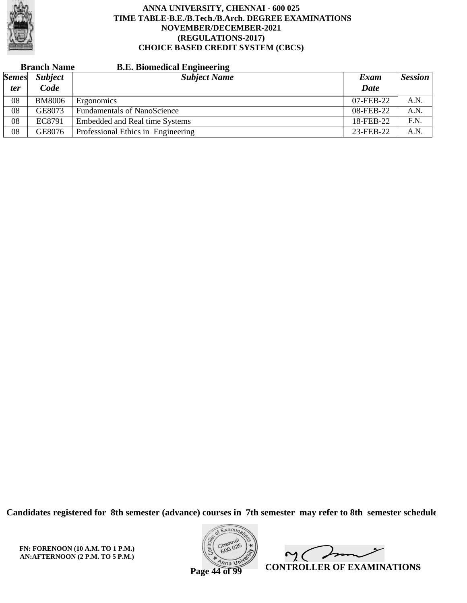

|              | <b>Branch Name</b> | <b>B.E. Biomedical Engineering</b> |           |         |
|--------------|--------------------|------------------------------------|-----------|---------|
| <b>Semes</b> | <b>Subject</b>     | <b>Subject Name</b>                | Exam      | Session |
| <i>ter</i>   | <b>Code</b>        |                                    | Date      |         |
| 08           | <b>BM8006</b>      | Ergonomics                         | 07-FEB-22 | A.N.    |
| 08           | GE8073             | <b>Fundamentals of NanoScience</b> | 08-FEB-22 | A.N.    |
| 08           | EC8791             | Embedded and Real time Systems     | 18-FEB-22 | F.N.    |
| 08           | GE8076             | Professional Ethics in Engineering | 23-FEB-22 | A.N.    |

**Candidates registered for 8th semester (advance) courses in 7th semester may refer to 8th semester schedule**



 $\overline{\phantom{a}}$  $\sim$  ( **CONTROLLER OF EXAMINATIONS**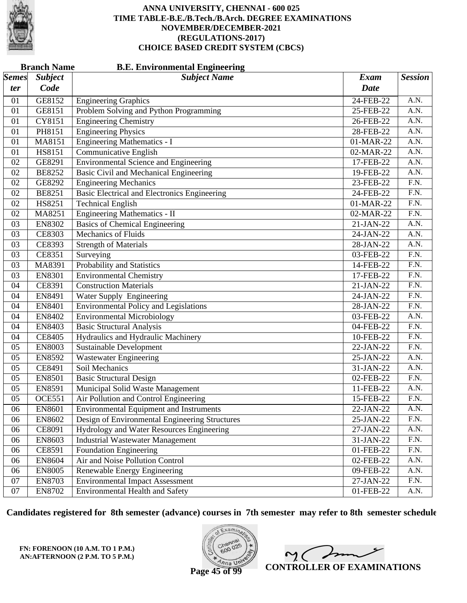

|                           | <b>Branch Name</b><br><b>B.E. Environmental Engineering</b> |                                                     |             |                   |  |  |  |
|---------------------------|-------------------------------------------------------------|-----------------------------------------------------|-------------|-------------------|--|--|--|
| $\mathcal{S}$ <i>emes</i> | <b>Subject</b>                                              | <b>Subject Name</b>                                 | <b>Exam</b> | <b>Session</b>    |  |  |  |
| ter                       | Code                                                        |                                                     | <b>Date</b> |                   |  |  |  |
| 01                        | GE8152                                                      | <b>Engineering Graphics</b>                         | 24-FEB-22   | A.N.              |  |  |  |
| 01                        | GE8151                                                      | Problem Solving and Python Programming              | 25-FEB-22   | A.N.              |  |  |  |
| 01                        | CY8151                                                      | <b>Engineering Chemistry</b>                        | 26-FEB-22   | $\overline{A.N.}$ |  |  |  |
| 01                        | PH8151                                                      | <b>Engineering Physics</b>                          | 28-FEB-22   | A.N.              |  |  |  |
| 01                        | MA8151                                                      | <b>Engineering Mathematics - I</b>                  | 01-MAR-22   | A.N.              |  |  |  |
| 01                        | <b>HS8151</b>                                               | <b>Communicative English</b>                        | 02-MAR-22   | A.N.              |  |  |  |
| 02                        | GE8291                                                      | <b>Environmental Science and Engineering</b>        | 17-FEB-22   | $\overline{A.N.}$ |  |  |  |
| 02                        | <b>BE8252</b>                                               | <b>Basic Civil and Mechanical Engineering</b>       | 19-FEB-22   | A.N.              |  |  |  |
| 02                        | GE8292                                                      | <b>Engineering Mechanics</b>                        | 23-FEB-22   | F.N.              |  |  |  |
| 02                        | <b>BE8251</b>                                               | <b>Basic Electrical and Electronics Engineering</b> | 24-FEB-22   | $\overline{F.N.}$ |  |  |  |
| 02                        | HS8251                                                      | <b>Technical English</b>                            | 01-MAR-22   | $\overline{F.N.}$ |  |  |  |
| 02                        | MA8251                                                      | Engineering Mathematics - II                        | 02-MAR-22   | $\overline{F.N.}$ |  |  |  |
| 03                        | <b>EN8302</b>                                               | <b>Basics of Chemical Engineering</b>               | 21-JAN-22   | A.N.              |  |  |  |
| 03                        | CE8303                                                      | <b>Mechanics of Fluids</b>                          | 24-JAN-22   | A.N.              |  |  |  |
| 03                        | CE8393                                                      | <b>Strength of Materials</b>                        | 28-JAN-22   | $\overline{A.N.}$ |  |  |  |
| 03                        | CE8351                                                      | Surveying                                           | 03-FEB-22   | $\overline{F.N.}$ |  |  |  |
| 03                        | MA8391                                                      | Probability and Statistics                          | 14-FEB-22   | F.N.              |  |  |  |
| 03                        | <b>EN8301</b>                                               | <b>Environmental Chemistry</b>                      | 17-FEB-22   | F.N.              |  |  |  |
| 04                        | CE8391                                                      | <b>Construction Materials</b>                       | 21-JAN-22   | $\overline{F.N.}$ |  |  |  |
| 04                        | EN8491                                                      | Water Supply Engineering                            | 24-JAN-22   | $\overline{F.N.}$ |  |  |  |
| 04                        | <b>EN8401</b>                                               | <b>Environmental Policy and Legislations</b>        | 28-JAN-22   | F.N.              |  |  |  |
| 04                        | EN8402                                                      | <b>Environmental Microbiology</b>                   | 03-FEB-22   | A.N.              |  |  |  |
| 04                        | <b>EN8403</b>                                               | <b>Basic Structural Analysis</b>                    | 04-FEB-22   | $\overline{F.N.}$ |  |  |  |
| 04                        | <b>CE8405</b>                                               | Hydraulics and Hydraulic Machinery                  | 10-FEB-22   | F.N.              |  |  |  |
| 05                        | <b>EN8003</b>                                               | <b>Sustainable Development</b>                      | 22-JAN-22   | F.N.              |  |  |  |
| 05                        | <b>EN8592</b>                                               | Wastewater Engineering                              | 25-JAN-22   | A.N.              |  |  |  |
| 05                        | CE8491                                                      | Soil Mechanics                                      | 31-JAN-22   | $\overline{A.N.}$ |  |  |  |
| 05                        | <b>EN8501</b>                                               | <b>Basic Structural Design</b>                      | 02-FEB-22   | F.N.              |  |  |  |
| 05                        | EN8591                                                      | Municipal Solid Waste Management                    | 11-FEB-22   | A.N.              |  |  |  |
| 05                        | <b>OCE551</b>                                               | Air Pollution and Control Engineering               | 15-FEB-22   | F.N.              |  |  |  |
| 06                        | <b>EN8601</b>                                               | <b>Environmental Equipment and Instruments</b>      | 22-JAN-22   | A.N.              |  |  |  |
| 06                        | EN8602                                                      | Design of Environmental Engineering Structures      | 25-JAN-22   | F.N.              |  |  |  |
| 06                        | CE8091                                                      | Hydrology and Water Resources Engineering           | 27-JAN-22   | A.N.              |  |  |  |
| 06                        | EN8603                                                      | <b>Industrial Wastewater Management</b>             | 31-JAN-22   | F.N.              |  |  |  |
| 06                        | CE8591                                                      | <b>Foundation Engineering</b>                       | 01-FEB-22   | F.N.              |  |  |  |
| 06                        | EN8604                                                      | Air and Noise Pollution Control                     | 02-FEB-22   | A.N.              |  |  |  |
| 06                        | <b>EN8005</b>                                               | Renewable Energy Engineering                        | 09-FEB-22   | A.N.              |  |  |  |
| 07                        | EN8703                                                      | <b>Environmental Impact Assessment</b>              | 27-JAN-22   | F.N.              |  |  |  |
| 07                        | <b>EN8702</b>                                               | <b>Environmental Health and Safety</b>              | 01-FEB-22   | A.N.              |  |  |  |

**Candidates registered for 8th semester (advance) courses in 7th semester may refer to 8th semester schedule**



 $2<sub>0</sub>$ **CONTROLLER OF EXAMINATIONS**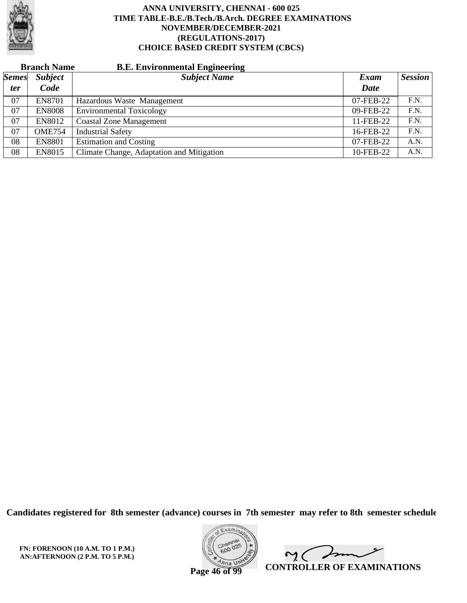

|              | <b>Branch Name</b> | <b>B.E. Environmental Engineering</b>     |           |                |
|--------------|--------------------|-------------------------------------------|-----------|----------------|
| <b>Semes</b> | <b>Subject</b>     | <b>Subject Name</b>                       | Exam      | <b>Session</b> |
| <i>ter</i>   | Code               |                                           | Date      |                |
| 07           | <b>EN8701</b>      | Hazardous Waste Management                | 07-FEB-22 | F.N.           |
| 07           | <b>EN8008</b>      | <b>Environmental Toxicology</b>           | 09-FEB-22 | F.N.           |
| 07           | <b>EN8012</b>      | <b>Coastal Zone Management</b>            | 11-FEB-22 | F.N.           |
| 07           | <b>OME754</b>      | <b>Industrial Safety</b>                  | 16-FEB-22 | F.N.           |
| 08           | <b>EN8801</b>      | <b>Estimation and Costing</b>             | 07-FEB-22 | A.N.           |
| 08           | <b>EN8015</b>      | Climate Change, Adaptation and Mitigation | 10-FEB-22 | A.N.           |

**Candidates registered for 8th semester (advance) courses in 7th semester may refer to 8th semester schedule**

**FN: FORENOON (10 A.M. TO 1 P.M.) AN:AFTERNOON (2 P.M. TO 5 P.M.)**



 $\overline{\phantom{a}}$  $\sim$  ( **CONTROLLER OF EXAMINATIONS**

**Page 46 of 99**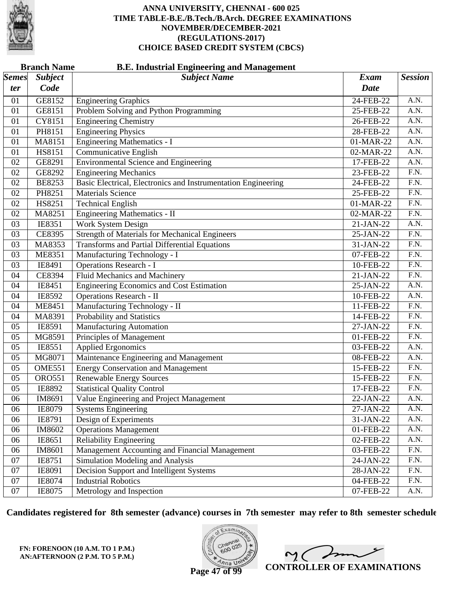

| <b>Branch Name</b><br><b>B.E. Industrial Engineering and Management</b> |                |                                                               |             |                   |  |
|-------------------------------------------------------------------------|----------------|---------------------------------------------------------------|-------------|-------------------|--|
| $\vert$ Semes $\vert$                                                   | <b>Subject</b> | <b>Subject Name</b>                                           | <b>Exam</b> | <b>Session</b>    |  |
| ter                                                                     | Code           |                                                               | <b>Date</b> |                   |  |
| 01                                                                      | GE8152         | <b>Engineering Graphics</b>                                   | 24-FEB-22   | A.N.              |  |
| 01                                                                      | GE8151         | Problem Solving and Python Programming                        | 25-FEB-22   | A.N.              |  |
| 01                                                                      | CY8151         | <b>Engineering Chemistry</b>                                  | 26-FEB-22   | A.N.              |  |
| 01                                                                      | PH8151         | <b>Engineering Physics</b>                                    | 28-FEB-22   | A.N.              |  |
| 01                                                                      | MA8151         | <b>Engineering Mathematics - I</b>                            | 01-MAR-22   | A.N.              |  |
| 01                                                                      | HS8151         | Communicative English                                         | 02-MAR-22   | A.N.              |  |
| 02                                                                      | GE8291         | <b>Environmental Science and Engineering</b>                  | 17-FEB-22   | A.N.              |  |
| 02                                                                      | GE8292         | <b>Engineering Mechanics</b>                                  | 23-FEB-22   | $\overline{F.N.}$ |  |
| 02                                                                      | <b>BE8253</b>  | Basic Electrical, Electronics and Instrumentation Engineering | 24-FEB-22   | F.N.              |  |
| 02                                                                      | PH8251         | <b>Materials Science</b>                                      | 25-FEB-22   | F.N.              |  |
| 02                                                                      | HS8251         | <b>Technical English</b>                                      | 01-MAR-22   | $\overline{F.N.}$ |  |
| 02                                                                      | MA8251         | <b>Engineering Mathematics - II</b>                           | 02-MAR-22   | $\overline{F.N.}$ |  |
| 03                                                                      | IE8351         | <b>Work System Design</b>                                     | 21-JAN-22   | A.N.              |  |
| 03                                                                      | CE8395         | <b>Strength of Materials for Mechanical Engineers</b>         | 25-JAN-22   | $\overline{F.N.}$ |  |
| 03                                                                      | MA8353         | <b>Transforms and Partial Differential Equations</b>          | 31-JAN-22   | $\overline{F.N.}$ |  |
| 03                                                                      | <b>ME8351</b>  | Manufacturing Technology - I                                  | 07-FEB-22   | $\overline{F.N.}$ |  |
| 03                                                                      | IE8491         | <b>Operations Research - I</b>                                | 10-FEB-22   | F.N.              |  |
| 04                                                                      | CE8394         | <b>Fluid Mechanics and Machinery</b>                          | 21-JAN-22   | F.N.              |  |
| 04                                                                      | IE8451         | Engineering Economics and Cost Estimation                     | 25-JAN-22   | $\overline{A.N.}$ |  |
| 04                                                                      | IE8592         | <b>Operations Research - II</b>                               | 10-FEB-22   | A.N.              |  |
| 04                                                                      | <b>ME8451</b>  | Manufacturing Technology - II                                 | 11-FEB-22   | F.N.              |  |
| 04                                                                      | MA8391         | Probability and Statistics                                    | 14-FEB-22   | F.N.              |  |
| 05                                                                      | IE8591         | <b>Manufacturing Automation</b>                               | 27-JAN-22   | $\overline{F.N.}$ |  |
| 05                                                                      | MG8591         | Principles of Management                                      | 01-FEB-22   | $\overline{F.N.}$ |  |
| 05                                                                      | IE8551         | <b>Applied Ergonomics</b>                                     | 03-FEB-22   | A.N.              |  |
| 05                                                                      | MG8071         | Maintenance Engineering and Management                        | 08-FEB-22   | A.N.              |  |
| 05                                                                      | <b>OME551</b>  | <b>Energy Conservation and Management</b>                     | 15-FEB-22   | $\overline{F.N.}$ |  |
| 05                                                                      | <b>ORO551</b>  | <b>Renewable Energy Sources</b>                               | 15-FEB-22   | $\overline{F.N.}$ |  |
| 05                                                                      | IE8892         | <b>Statistical Quality Control</b>                            | 17-FEB-22   | F.N.              |  |
| 06                                                                      | IM8691         | Value Engineering and Project Management                      | 22-JAN-22   | A.N.              |  |
| 06                                                                      | IE8079         | <b>Systems Engineering</b>                                    | 27-JAN-22   | A.N.              |  |
| 06                                                                      | IE8791         | Design of Experiments                                         | 31-JAN-22   | A.N.              |  |
| 06                                                                      | IM8602         | <b>Operations Management</b>                                  | 01-FEB-22   | A.N.              |  |
| 06                                                                      | IE8651         | <b>Reliability Engineering</b>                                | 02-FEB-22   | A.N.              |  |
| 06                                                                      | IM8601         | Management Accounting and Financial Management                | 03-FEB-22   | F.N.              |  |
| 07                                                                      | IE8751         | Simulation Modeling and Analysis                              | 24-JAN-22   | F.N.              |  |
| 07                                                                      | IE8091         | Decision Support and Intelligent Systems                      | 28-JAN-22   | F.N.              |  |
| 07                                                                      | IE8074         | <b>Industrial Robotics</b>                                    | 04-FEB-22   | F.N.              |  |
| 07                                                                      | IE8075         | Metrology and Inspection                                      | 07-FEB-22   | A.N.              |  |

**Candidates registered for 8th semester (advance) courses in 7th semester may refer to 8th semester schedule**

**FN: FORENOON (10 A.M. TO 1 P.M.) AN:AFTERNOON (2 P.M. TO 5 P.M.)**



 $\overline{\phantom{a}}$  $\sim$  ( **CONTROLLER OF EXAMINATIONS**

**Page 47 of 99**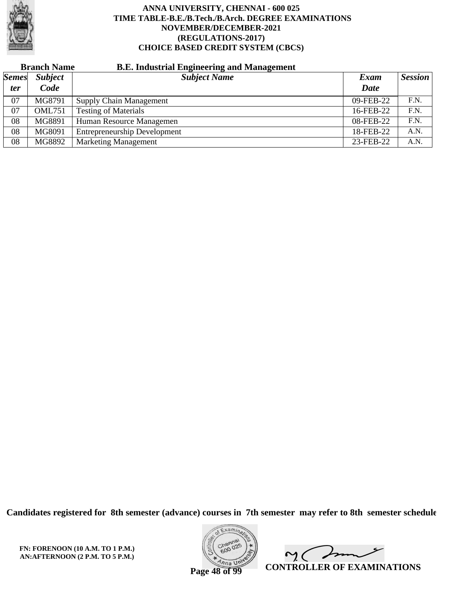

# **Branch Name B.E. Industrial Engineering and Management**

| <b>Semes</b> | <b>Subject</b> | <b>Subject Name</b>                 | Exam        | <b>Session</b> |
|--------------|----------------|-------------------------------------|-------------|----------------|
| <i>ter</i>   | Code           |                                     | <b>Date</b> |                |
| 07           | MG8791         | <b>Supply Chain Management</b>      | 09-FEB-22   | F.N.           |
| 07           | <b>OML751</b>  | <b>Testing of Materials</b>         | 16-FEB-22   | F.N.           |
| 08           | MG8891         | Human Resource Managemen            | 08-FEB-22   | F.N.           |
| 08           | MG8091         | <b>Entrepreneurship Development</b> | 18-FEB-22   | A.N.           |
| 08           | MG8892         | <b>Marketing Management</b>         | 23-FEB-22   | A.N.           |

**Candidates registered for 8th semester (advance) courses in 7th semester may refer to 8th semester schedule**

**FN: FORENOON (10 A.M. TO 1 P.M.) AN:AFTERNOON (2 P.M. TO 5 P.M.)**



Imm  $\mathsf{M}(\cdot)$ **CONTROLLER OF EXAMINATIONS**

**Page 48 of 99**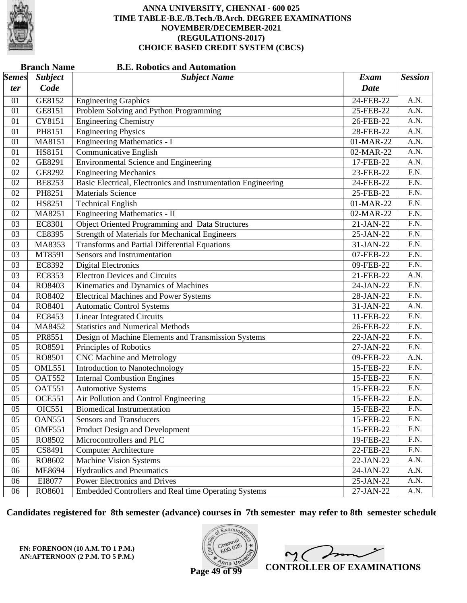

|              | <b>Branch Name</b><br><b>B.E. Robotics and Automation</b> |                                                               |              |                   |  |  |
|--------------|-----------------------------------------------------------|---------------------------------------------------------------|--------------|-------------------|--|--|
| <i>Semes</i> | <b>Subject</b>                                            | <b>Subject Name</b>                                           | <b>Exam</b>  | <b>Session</b>    |  |  |
| ter          | Code                                                      |                                                               | <b>Date</b>  |                   |  |  |
| 01           | GE8152                                                    | <b>Engineering Graphics</b>                                   | 24-FEB-22    | A.N.              |  |  |
| 01           | GE8151                                                    | Problem Solving and Python Programming                        | 25-FEB-22    | A.N.              |  |  |
| 01           | CY8151                                                    | <b>Engineering Chemistry</b>                                  | 26-FEB-22    | A.N.              |  |  |
| 01           | PH8151                                                    | <b>Engineering Physics</b>                                    | 28-FEB-22    | $\overline{A.N.}$ |  |  |
| 01           | MA8151                                                    | <b>Engineering Mathematics - I</b>                            | 01-MAR-22    | A.N.              |  |  |
| 01           | HS8151                                                    | Communicative English                                         | 02-MAR-22    | A.N.              |  |  |
| 02           | GE8291                                                    | <b>Environmental Science and Engineering</b>                  | 17-FEB-22    | $\overline{A.N.}$ |  |  |
| 02           | GE8292                                                    | <b>Engineering Mechanics</b>                                  | 23-FEB-22    | $\overline{F.N.}$ |  |  |
| 02           | <b>BE8253</b>                                             | Basic Electrical, Electronics and Instrumentation Engineering | 24-FEB-22    | F.N.              |  |  |
| 02           | PH8251                                                    | <b>Materials Science</b>                                      | 25-FEB-22    | $\overline{F.N.}$ |  |  |
| 02           | HS8251                                                    | <b>Technical English</b>                                      | 01-MAR-22    | $\overline{F.N.}$ |  |  |
| 02           | MA8251                                                    | <b>Engineering Mathematics - II</b>                           | 02-MAR-22    | $\overline{F.N.}$ |  |  |
| 03           | <b>EC8301</b>                                             | Object Oriented Programming and Data Structures               | 21-JAN-22    | F.N.              |  |  |
| 03           | CE8395                                                    | <b>Strength of Materials for Mechanical Engineers</b>         | 25-JAN-22    | F.N.              |  |  |
| 03           | MA8353                                                    | <b>Transforms and Partial Differential Equations</b>          | 31-JAN-22    | $\overline{F.N.}$ |  |  |
| 03           | MT8591                                                    | <b>Sensors and Instrumentation</b>                            | 07-FEB-22    | $\overline{F.N.}$ |  |  |
| 03           | EC8392                                                    | <b>Digital Electronics</b>                                    | 09-FEB-22    | F.N.              |  |  |
| 03           | EC8353                                                    | <b>Electron Devices and Circuits</b>                          | 21-FEB-22    | A.N.              |  |  |
| 04           | RO8403                                                    | Kinematics and Dynamics of Machines                           | 24-JAN-22    | $\overline{F.N.}$ |  |  |
| 04           | RO8402                                                    | <b>Electrical Machines and Power Systems</b>                  | 28-JAN-22    | $\overline{F.N.}$ |  |  |
| 04           | RO8401                                                    | <b>Automatic Control Systems</b>                              | 31-JAN-22    | A.N.              |  |  |
| 04           | EC8453                                                    | <b>Linear Integrated Circuits</b>                             | 11-FEB-22    | F.N.              |  |  |
| 04           | MA8452                                                    | <b>Statistics and Numerical Methods</b>                       | 26-FEB-22    | $\overline{F.N.}$ |  |  |
| 05           | PR8551                                                    | Design of Machine Elements and Transmission Systems           | 22-JAN-22    | $\overline{F.N.}$ |  |  |
| 05           | RO8591                                                    | Principles of Robotics                                        | 27-JAN-22    | F.N.              |  |  |
| 05           | RO8501                                                    | <b>CNC Machine and Metrology</b>                              | 09-FEB-22    | A.N.              |  |  |
| 05           | <b>OML551</b>                                             | Introduction to Nanotechnology                                | 15-FEB-22    | $\overline{F.N.}$ |  |  |
| 05           | <b>OAT552</b>                                             | <b>Internal Combustion Engines</b>                            | 15-FEB-22    | $\overline{F.N.}$ |  |  |
| 05           | <b>OAT551</b>                                             | <b>Automotive Systems</b>                                     | 15-FEB-22    | F.N.              |  |  |
| 05           | <b>OCE551</b>                                             | Air Pollution and Control Engineering                         | 15-FEB-22    | F.N.              |  |  |
| 05           | OIC551                                                    | <b>Biomedical Instrumentation</b>                             | 15-FEB-22    | F.N.              |  |  |
| 05           | <b>OAN551</b>                                             | <b>Sensors and Transducers</b>                                | 15-FEB-22    | F.N.              |  |  |
| 05           | <b>OMF551</b>                                             | Product Design and Development                                | 15-FEB-22    | F.N.              |  |  |
| 05           | RO8502                                                    | Microcontrollers and PLC                                      | 19-FEB-22    | F.N.              |  |  |
| 05           | CS8491                                                    | <b>Computer Architecture</b>                                  | $22$ -FEB-22 | F.N.              |  |  |
| 06           | RO8602                                                    | Machine Vision Systems                                        | 22-JAN-22    | A.N.              |  |  |
| 06           | <b>ME8694</b>                                             | <b>Hydraulics and Pneumatics</b>                              | 24-JAN-22    | A.N.              |  |  |
| 06           | EI8077                                                    | <b>Power Electronics and Drives</b>                           | 25-JAN-22    | A.N.              |  |  |
| 06           | RO8601                                                    | Embedded Controllers and Real time Operating Systems          | $27-JAN-22$  | A.N.              |  |  |

**Candidates registered for 8th semester (advance) courses in 7th semester may refer to 8th semester schedule**

**FN: FORENOON (10 A.M. TO 1 P.M.) AN:AFTERNOON (2 P.M. TO 5 P.M.)**



 $\overline{\phantom{a}}$  $2<sub>1</sub>$ **CONTROLLER OF EXAMINATIONS**

**Page 49 of 99**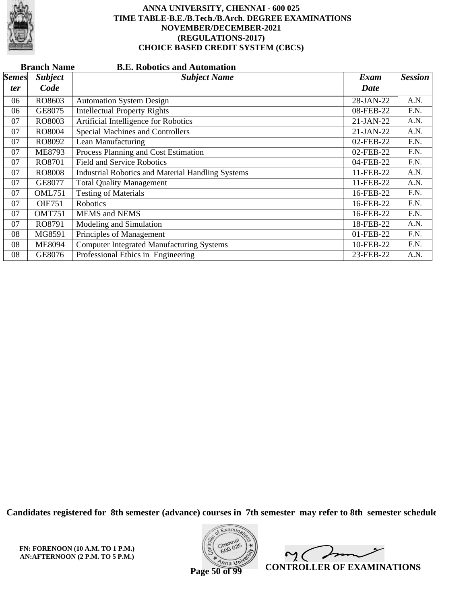

|              | <b>Branch Name</b><br><b>B.E. Robotics and Automation</b> |                                                          |             |                |  |  |
|--------------|-----------------------------------------------------------|----------------------------------------------------------|-------------|----------------|--|--|
| <b>Semes</b> | <b>Subject</b>                                            | <b>Subject Name</b>                                      | Exam        | <b>Session</b> |  |  |
| ter          | Code                                                      |                                                          | Date        |                |  |  |
| 06           | RO8603                                                    | <b>Automation System Design</b>                          | 28-JAN-22   | A.N.           |  |  |
| 06           | GE8075                                                    | <b>Intellectual Property Rights</b>                      | 08-FEB-22   | F.N.           |  |  |
| 07           | RO8003                                                    | Artificial Intelligence for Robotics                     | $21-JAN-22$ | A.N.           |  |  |
| 07           | RO8004                                                    | <b>Special Machines and Controllers</b>                  | 21-JAN-22   | A.N.           |  |  |
| 07           | RO8092                                                    | Lean Manufacturing                                       | 02-FEB-22   | F.N.           |  |  |
| 07           | <b>ME8793</b>                                             | Process Planning and Cost Estimation                     | 02-FEB-22   | F.N.           |  |  |
| 07           | RO8701                                                    | <b>Field and Service Robotics</b>                        | 04-FEB-22   | F.N.           |  |  |
| 07           | <b>RO8008</b>                                             | <b>Industrial Robotics and Material Handling Systems</b> | 11-FEB-22   | A.N.           |  |  |
| 07           | GE8077                                                    | <b>Total Quality Management</b>                          | 11-FEB-22   | A.N.           |  |  |
| 07           | <b>OML751</b>                                             | <b>Testing of Materials</b>                              | 16-FEB-22   | F.N.           |  |  |
| 07           | <b>OIE751</b>                                             | Robotics                                                 | 16-FEB-22   | F.N.           |  |  |
| 07           | <b>OMT751</b>                                             | <b>MEMS</b> and <b>NEMS</b>                              | 16-FEB-22   | F.N.           |  |  |
| 07           | RO8791                                                    | Modeling and Simulation                                  | 18-FEB-22   | A.N.           |  |  |
| 08           | MG8591                                                    | Principles of Management                                 | 01-FEB-22   | F.N.           |  |  |
| 08           | <b>ME8094</b>                                             | <b>Computer Integrated Manufacturing Systems</b>         | 10-FEB-22   | F.N.           |  |  |
| 08           | GE8076                                                    | Professional Ethics in Engineering                       | 23-FEB-22   | A.N.           |  |  |

**Candidates registered for 8th semester (advance) courses in 7th semester may refer to 8th semester schedule**

**FN: FORENOON (10 A.M. TO 1 P.M.) AN:AFTERNOON (2 P.M. TO 5 P.M.)**



 $\overline{\phantom{a}}$  $\sim$  ( **CONTROLLER OF EXAMINATIONS**

**Page 50 of 99**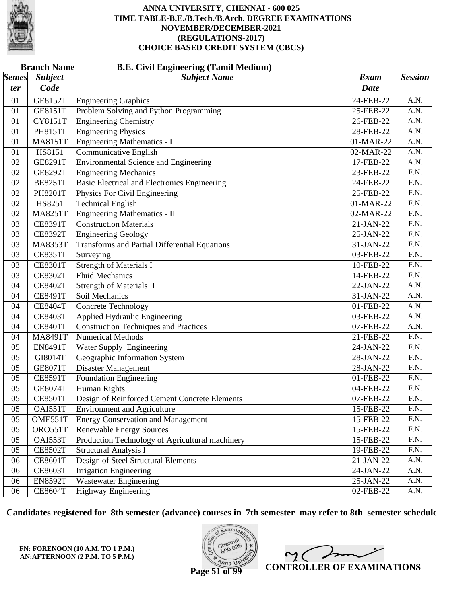

|              | <b>Branch Name</b><br><b>B.E. Civil Engineering (Tamil Medium)</b> |                                                      |             |                   |  |  |
|--------------|--------------------------------------------------------------------|------------------------------------------------------|-------------|-------------------|--|--|
| <b>Semes</b> | <b>Subject</b>                                                     | <b>Subject Name</b>                                  | <b>Exam</b> | <b>Session</b>    |  |  |
| ter          | Code                                                               |                                                      | <b>Date</b> |                   |  |  |
| 01           | <b>GE8152T</b>                                                     | <b>Engineering Graphics</b>                          | 24-FEB-22   | A.N.              |  |  |
| 01           | <b>GE8151T</b>                                                     | Problem Solving and Python Programming               | 25-FEB-22   | A.N.              |  |  |
| 01           | <b>CY8151T</b>                                                     | <b>Engineering Chemistry</b>                         | 26-FEB-22   | $\overline{A.N.}$ |  |  |
| 01           | PH8151T                                                            | <b>Engineering Physics</b>                           | 28-FEB-22   | A.N.              |  |  |
| 01           | <b>MA8151T</b>                                                     | <b>Engineering Mathematics - I</b>                   | 01-MAR-22   | A.N.              |  |  |
| 01           | <b>HS8151</b>                                                      | <b>Communicative English</b>                         | 02-MAR-22   | $\overline{A.N.}$ |  |  |
| 02           | GE8291T                                                            | <b>Environmental Science and Engineering</b>         | 17-FEB-22   | $\overline{A.N.}$ |  |  |
| 02           | <b>GE8292T</b>                                                     | <b>Engineering Mechanics</b>                         | 23-FEB-22   | $\overline{F.N.}$ |  |  |
| 02           | <b>BE8251T</b>                                                     | Basic Electrical and Electronics Engineering         | 24-FEB-22   | F.N.              |  |  |
| 02           | PH8201T                                                            | Physics For Civil Engineering                        | 25-FEB-22   | $\overline{F.N.}$ |  |  |
| 02           | HS8251                                                             | <b>Technical English</b>                             | 01-MAR-22   | $\overline{F.N.}$ |  |  |
| 02           | <b>MA8251T</b>                                                     | <b>Engineering Mathematics - II</b>                  | 02-MAR-22   | $\overline{F.N.}$ |  |  |
| 03           | <b>CE8391T</b>                                                     | <b>Construction Materials</b>                        | 21-JAN-22   | F.N.              |  |  |
| 03           | <b>CE8392T</b>                                                     | <b>Engineering Geology</b>                           | 25-JAN-22   | $\overline{F.N.}$ |  |  |
| 03           | <b>MA8353T</b>                                                     | <b>Transforms and Partial Differential Equations</b> | 31-JAN-22   | $\overline{F.N.}$ |  |  |
| 03           | <b>CE8351T</b>                                                     | Surveying                                            | 03-FEB-22   | $\overline{F.N.}$ |  |  |
| 03           | <b>CE8301T</b>                                                     | <b>Strength of Materials I</b>                       | 10-FEB-22   | F.N.              |  |  |
| 03           | <b>CE8302T</b>                                                     | <b>Fluid Mechanics</b>                               | 14-FEB-22   | $\overline{F.N.}$ |  |  |
| 04           | <b>CE8402T</b>                                                     | <b>Strength of Materials II</b>                      | 22-JAN-22   | $\overline{A.N.}$ |  |  |
| 04           | <b>CE8491T</b>                                                     | Soil Mechanics                                       | 31-JAN-22   | A.N.              |  |  |
| 04           | <b>CE8404T</b>                                                     | <b>Concrete Technology</b>                           | 01-FEB-22   | A.N.              |  |  |
| 04           | <b>CE8403T</b>                                                     | Applied Hydraulic Engineering                        | 03-FEB-22   | $\overline{A.N.}$ |  |  |
| 04           | <b>CE8401T</b>                                                     | <b>Construction Techniques and Practices</b>         | 07-FEB-22   | $\overline{A.N.}$ |  |  |
| 04           | MA8491T                                                            | <b>Numerical Methods</b>                             | 21-FEB-22   | $\overline{F.N.}$ |  |  |
| 05           | <b>EN8491T</b>                                                     | Water Supply Engineering                             | 24-JAN-22   | F.N.              |  |  |
| 05           | GI8014T                                                            | Geographic Information System                        | 28-JAN-22   | $\overline{F.N.}$ |  |  |
| 05           | <b>GE8071T</b>                                                     | Disaster Management                                  | 28-JAN-22   | $\overline{F.N.}$ |  |  |
| 05           | <b>CE8591T</b>                                                     | <b>Foundation Engineering</b>                        | 01-FEB-22   | $\overline{F.N.}$ |  |  |
| 05           | <b>GE8074T</b>                                                     | Human Rights                                         | 04-FEB-22   | F.N.              |  |  |
| 05           | <b>CE8501T</b>                                                     | Design of Reinforced Cement Concrete Elements        | 07-FEB-22   | $\overline{F.N.}$ |  |  |
| 05           | OAI551T                                                            | <b>Environment and Agriculture</b>                   | 15-FEB-22   | F.N.              |  |  |
| 05           | OME551T                                                            | <b>Energy Conservation and Management</b>            | 15-FEB-22   | F.N.              |  |  |
| 05           | ORO551T                                                            | <b>Renewable Energy Sources</b>                      | 15-FEB-22   | F.N.              |  |  |
| 05           | OAI553T                                                            | Production Technology of Agricultural machinery      | 15-FEB-22   | F.N.              |  |  |
| 05           | <b>CE8502T</b>                                                     | <b>Structural Analysis I</b>                         | 19-FEB-22   | F.N.              |  |  |
| 06           | <b>CE8601T</b>                                                     | Design of Steel Structural Elements                  | 21-JAN-22   | A.N.              |  |  |
| 06           | <b>CE8603T</b>                                                     | <b>Irrigation Engineering</b>                        | 24-JAN-22   | A.N.              |  |  |
| 06           | <b>EN8592T</b>                                                     | <b>Wastewater Engineering</b>                        | $25-JAN-22$ | A.N.              |  |  |
| 06           | <b>CE8604T</b>                                                     | <b>Highway Engineering</b>                           | 02-FEB-22   | A.N.              |  |  |

**Candidates registered for 8th semester (advance) courses in 7th semester may refer to 8th semester schedule**

**FN: FORENOON (10 A.M. TO 1 P.M.) AN:AFTERNOON (2 P.M. TO 5 P.M.)**



 $\overline{\phantom{a}}$  $\sim$  ( **CONTROLLER OF EXAMINATIONS**

**Page 51 of 99**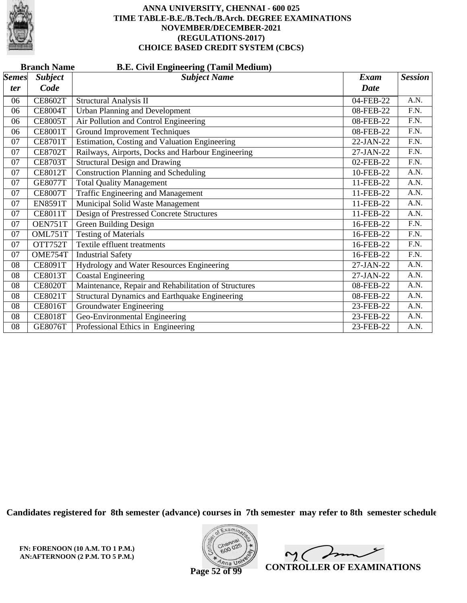

|                     | <b>Branch Name</b><br><b>B.E. Civil Engineering (Tamil Medium)</b> |                                                       |              |                   |  |  |  |
|---------------------|--------------------------------------------------------------------|-------------------------------------------------------|--------------|-------------------|--|--|--|
| <b>Semes</b><br>ter | <b>Subject</b><br>Code                                             | <b>Subject Name</b>                                   | Exam<br>Date | <b>Session</b>    |  |  |  |
| 06                  | <b>CE8602T</b>                                                     | <b>Structural Analysis II</b>                         | 04-FEB-22    | A.N.              |  |  |  |
| 06                  | <b>CE8004T</b>                                                     | <b>Urban Planning and Development</b>                 | 08-FEB-22    | F.N.              |  |  |  |
| 06                  | <b>CE8005T</b>                                                     | Air Pollution and Control Engineering                 | 08-FEB-22    | F.N.              |  |  |  |
| 06                  | <b>CE8001T</b>                                                     | <b>Ground Improvement Techniques</b>                  | 08-FEB-22    | $\overline{F.N.}$ |  |  |  |
| 07                  | <b>CE8701T</b>                                                     | Estimation, Costing and Valuation Engineering         | 22-JAN-22    | F.N.              |  |  |  |
| 07                  | <b>CE8702T</b>                                                     | Railways, Airports, Docks and Harbour Engineering     | 27-JAN-22    | $\overline{F.N.}$ |  |  |  |
| 07                  | <b>CE8703T</b>                                                     | <b>Structural Design and Drawing</b>                  | 02-FEB-22    | F.N.              |  |  |  |
| 07                  | <b>CE8012T</b>                                                     | <b>Construction Planning and Scheduling</b>           | 10-FEB-22    | A.N.              |  |  |  |
| 07                  | <b>GE8077T</b>                                                     | <b>Total Quality Management</b>                       | 11-FEB-22    | A.N.              |  |  |  |
| 07                  | <b>CE8007T</b>                                                     | <b>Traffic Engineering and Management</b>             | 11-FEB-22    | A.N.              |  |  |  |
| 07                  | <b>EN8591T</b>                                                     | Municipal Solid Waste Management                      | 11-FEB-22    | A.N.              |  |  |  |
| 07                  | <b>CE8011T</b>                                                     | <b>Design of Prestressed Concrete Structures</b>      | 11-FEB-22    | A.N.              |  |  |  |
| 07                  | OEN751T                                                            | Green Building Design                                 | 16-FEB-22    | F.N.              |  |  |  |
| 07                  | OML751T                                                            | <b>Testing of Materials</b>                           | 16-FEB-22    | F.N.              |  |  |  |
| 07                  | OTT752T                                                            | Textile effluent treatments                           | 16-FEB-22    | F.N.              |  |  |  |
| 07                  | OME754T                                                            | <b>Industrial Safety</b>                              | 16-FEB-22    | F.N.              |  |  |  |
| 08                  | <b>CE8091T</b>                                                     | Hydrology and Water Resources Engineering             | 27-JAN-22    | A.N.              |  |  |  |
| 08                  | <b>CE8013T</b>                                                     | <b>Coastal Engineering</b>                            | 27-JAN-22    | A.N.              |  |  |  |
| 08                  | <b>CE8020T</b>                                                     | Maintenance, Repair and Rehabilitation of Structures  | 08-FEB-22    | A.N.              |  |  |  |
| 08                  | <b>CE8021T</b>                                                     | <b>Structural Dynamics and Earthquake Engineering</b> | 08-FEB-22    | A.N.              |  |  |  |
| 08                  | <b>CE8016T</b>                                                     | <b>Groundwater Engineering</b>                        | 23-FEB-22    | A.N.              |  |  |  |
| 08                  | <b>CE8018T</b>                                                     | Geo-Environmental Engineering                         | 23-FEB-22    | A.N.              |  |  |  |
| 08                  | <b>GE8076T</b>                                                     | Professional Ethics in Engineering                    | 23-FEB-22    | A.N.              |  |  |  |

**Candidates registered for 8th semester (advance) courses in 7th semester may refer to 8th semester schedule**



 $\overline{\phantom{a}}$  $\sim$  ( **CONTROLLER OF EXAMINATIONS**

**Page 52 of 99**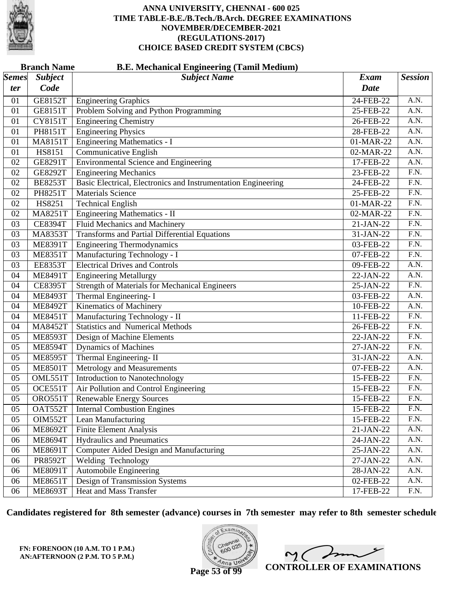

|              | <b>Branch Name</b><br><b>B.E. Mechanical Engineering (Tamil Medium)</b> |                                                               |             |                   |  |  |
|--------------|-------------------------------------------------------------------------|---------------------------------------------------------------|-------------|-------------------|--|--|
| <b>Semes</b> | <b>Subject</b>                                                          | <b>Subject Name</b>                                           | <b>Exam</b> | <b>Session</b>    |  |  |
| ter          | Code                                                                    |                                                               | <b>Date</b> |                   |  |  |
| 01           | <b>GE8152T</b>                                                          | <b>Engineering Graphics</b>                                   | 24-FEB-22   | A.N.              |  |  |
| 01           | <b>GE8151T</b>                                                          | Problem Solving and Python Programming                        | 25-FEB-22   | A.N.              |  |  |
| 01           | <b>CY8151T</b>                                                          | <b>Engineering Chemistry</b>                                  | 26-FEB-22   | $\overline{A.N.}$ |  |  |
| 01           | PH8151T                                                                 | <b>Engineering Physics</b>                                    | 28-FEB-22   | A.N.              |  |  |
| 01           | <b>MA8151T</b>                                                          | <b>Engineering Mathematics - I</b>                            | 01-MAR-22   | A.N.              |  |  |
| 01           | HS8151                                                                  | <b>Communicative English</b>                                  | 02-MAR-22   | A.N.              |  |  |
| 02           | GE8291T                                                                 | <b>Environmental Science and Engineering</b>                  | 17-FEB-22   | $\overline{A.N.}$ |  |  |
| 02           | <b>GE8292T</b>                                                          | <b>Engineering Mechanics</b>                                  | 23-FEB-22   | F.N.              |  |  |
| 02           | <b>BE8253T</b>                                                          | Basic Electrical, Electronics and Instrumentation Engineering | 24-FEB-22   | F.N.              |  |  |
| 02           | PH8251T                                                                 | <b>Materials Science</b>                                      | 25-FEB-22   | F.N.              |  |  |
| 02           | HS8251                                                                  | <b>Technical English</b>                                      | 01-MAR-22   | $\overline{F.N.}$ |  |  |
| 02           | <b>MA8251T</b>                                                          | <b>Engineering Mathematics - II</b>                           | 02-MAR-22   | F.N.              |  |  |
| 03           | <b>CE8394T</b>                                                          | Fluid Mechanics and Machinery                                 | 21-JAN-22   | F.N.              |  |  |
| 03           | <b>MA8353T</b>                                                          | <b>Transforms and Partial Differential Equations</b>          | 31-JAN-22   | F.N.              |  |  |
| 03           | <b>ME8391T</b>                                                          | <b>Engineering Thermodynamics</b>                             | 03-FEB-22   | $\overline{F.N.}$ |  |  |
| 03           | <b>ME8351T</b>                                                          | Manufacturing Technology - I                                  | 07-FEB-22   | F.N.              |  |  |
| 03           | <b>EE8353T</b>                                                          | <b>Electrical Drives and Controls</b>                         | 09-FEB-22   | A.N.              |  |  |
| 04           | <b>ME8491T</b>                                                          | <b>Engineering Metallurgy</b>                                 | 22-JAN-22   | A.N.              |  |  |
| 04           | <b>CE8395T</b>                                                          | <b>Strength of Materials for Mechanical Engineers</b>         | 25-JAN-22   | $\overline{F.N.}$ |  |  |
| 04           | <b>ME8493T</b>                                                          | Thermal Engineering-I                                         | 03-FEB-22   | A.N.              |  |  |
| 04           | <b>ME8492T</b>                                                          | Kinematics of Machinery                                       | 10-FEB-22   | A.N.              |  |  |
| 04           | <b>ME8451T</b>                                                          | Manufacturing Technology - II                                 | 11-FEB-22   | $\overline{F.N.}$ |  |  |
| 04           | <b>MA8452T</b>                                                          | <b>Statistics and Numerical Methods</b>                       | 26-FEB-22   | $\overline{F.N.}$ |  |  |
| 05           | <b>ME8593T</b>                                                          | Design of Machine Elements                                    | 22-JAN-22   | F.N.              |  |  |
| 05           | <b>ME8594T</b>                                                          | <b>Dynamics of Machines</b>                                   | 27-JAN-22   | F.N.              |  |  |
| 05           | <b>ME8595T</b>                                                          | Thermal Engineering-II                                        | 31-JAN-22   | A.N.              |  |  |
| 05           | <b>ME8501T</b>                                                          | Metrology and Measurements                                    | 07-FEB-22   | $\overline{A.N.}$ |  |  |
| 05           | OML551T                                                                 | Introduction to Nanotechnology                                | 15-FEB-22   | F.N.              |  |  |
| 05           | OCE551T                                                                 | Air Pollution and Control Engineering                         | 15-FEB-22   | F.N.              |  |  |
| 05           | ORO551T                                                                 | <b>Renewable Energy Sources</b>                               | 15-FEB-22   | F.N.              |  |  |
| 05           | OAT552T                                                                 | <b>Internal Combustion Engines</b>                            | 15-FEB-22   | F.N.              |  |  |
| 05           | OIM552T                                                                 | Lean Manufacturing                                            | 15-FEB-22   | F.N.              |  |  |
| 06           | <b>ME8692T</b>                                                          | <b>Finite Element Analysis</b>                                | 21-JAN-22   | A.N.              |  |  |
| 06           | <b>ME8694T</b>                                                          | <b>Hydraulics and Pneumatics</b>                              | 24-JAN-22   | A.N.              |  |  |
| 06           | <b>ME8691T</b>                                                          | <b>Computer Aided Design and Manufacturing</b>                | 25-JAN-22   | A.N.              |  |  |
| 06           | <b>PR8592T</b>                                                          | <b>Welding Technology</b>                                     | 27-JAN-22   | A.N.              |  |  |
| 06           | <b>ME8091T</b>                                                          | <b>Automobile Engineering</b>                                 | 28-JAN-22   | A.N.              |  |  |
| 06           | <b>ME8651T</b>                                                          | Design of Transmission Systems                                | 02-FEB-22   | A.N.              |  |  |
| 06           | <b>ME8693T</b>                                                          | Heat and Mass Transfer                                        | 17-FEB-22   | F.N.              |  |  |

**Candidates registered for 8th semester (advance) courses in 7th semester may refer to 8th semester schedule**



 $\overline{\phantom{a}}$  $\sim$  ( **CONTROLLER OF EXAMINATIONS**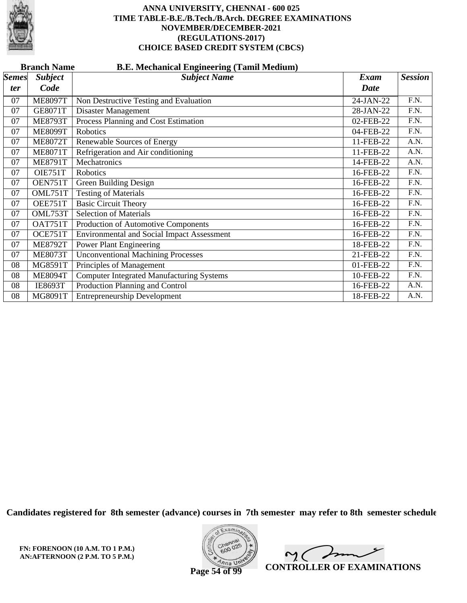

|                     | <b>Branch Name</b><br><b>B.E. Mechanical Engineering (Tamil Medium)</b> |                                                   |                     |                   |  |  |  |
|---------------------|-------------------------------------------------------------------------|---------------------------------------------------|---------------------|-------------------|--|--|--|
| <b>Semes</b><br>ter | <b>Subject</b><br>Code                                                  | <b>Subject Name</b>                               | Exam<br><b>Date</b> | <b>Session</b>    |  |  |  |
| 07                  | <b>ME8097T</b>                                                          | Non Destructive Testing and Evaluation            | 24-JAN-22           | F.N.              |  |  |  |
| 07                  | <b>GE8071T</b>                                                          | Disaster Management                               | 28-JAN-22           | $\overline{F.N.}$ |  |  |  |
| 07                  | <b>ME8793T</b>                                                          | Process Planning and Cost Estimation              | 02-FEB-22           | F.N.              |  |  |  |
| 07                  | <b>ME8099T</b>                                                          | Robotics                                          | 04-FEB-22           | F.N.              |  |  |  |
| 07                  | <b>ME8072T</b>                                                          | Renewable Sources of Energy                       | 11-FEB-22           | A.N.              |  |  |  |
| 07                  | <b>ME8071T</b>                                                          | Refrigeration and Air conditioning                | 11-FEB-22           | A.N.              |  |  |  |
| 07                  | <b>ME8791T</b>                                                          | Mechatronics                                      | 14-FEB-22           | A.N.              |  |  |  |
| 07                  | OIE751T                                                                 | Robotics                                          | 16-FEB-22           | F.N.              |  |  |  |
| 07                  | OEN751T                                                                 | <b>Green Building Design</b>                      | 16-FEB-22           | F.N.              |  |  |  |
| 07                  | OML751T                                                                 | <b>Testing of Materials</b>                       | 16-FEB-22           | F.N.              |  |  |  |
| 07                  | OEE751T                                                                 | <b>Basic Circuit Theory</b>                       | 16-FEB-22           | $\overline{F.N.}$ |  |  |  |
| 07                  | OML753T                                                                 | <b>Selection of Materials</b>                     | 16-FEB-22           | F.N.              |  |  |  |
| 07                  | OAT751T                                                                 | Production of Automotive Components               | 16-FEB-22           | F.N.              |  |  |  |
| 07                  | OCE751T                                                                 | <b>Environmental and Social Impact Assessment</b> | 16-FEB-22           | F.N.              |  |  |  |
| 07                  | <b>ME8792T</b>                                                          | <b>Power Plant Engineering</b>                    | 18-FEB-22           | F.N.              |  |  |  |
| 07                  | <b>ME8073T</b>                                                          | <b>Unconventional Machining Processes</b>         | 21-FEB-22           | F.N.              |  |  |  |
| 08                  | MG8591T                                                                 | Principles of Management                          | 01-FEB-22           | F.N.              |  |  |  |
| 08                  | <b>ME8094T</b>                                                          | <b>Computer Integrated Manufacturing Systems</b>  | 10-FEB-22           | F.N.              |  |  |  |
| 08                  | <b>IE8693T</b>                                                          | Production Planning and Control                   | 16-FEB-22           | A.N.              |  |  |  |
| 08                  | MG8091T                                                                 | <b>Entrepreneurship Development</b>               | 18-FEB-22           | A.N.              |  |  |  |

**Candidates registered for 8th semester (advance) courses in 7th semester may refer to 8th semester schedule**

**FN: FORENOON (10 A.M. TO 1 P.M.) AN:AFTERNOON (2 P.M. TO 5 P.M.)**



 $\sqrt{ }$  $\mathsf{M}(\mathbb{C})$ **CONTROLLER OF EXAMINATIONS**

**Page 54 of 99**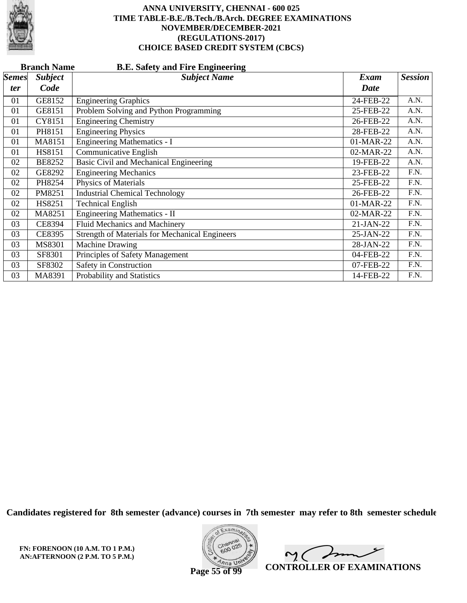

|              | <b>B.E. Safety and Fire Engineering</b><br><b>Branch Name</b> |                                                       |             |                |  |  |  |
|--------------|---------------------------------------------------------------|-------------------------------------------------------|-------------|----------------|--|--|--|
| <b>Semes</b> | <b>Subject</b>                                                | <b>Subject Name</b>                                   | Exam        | <b>Session</b> |  |  |  |
| <i>ter</i>   | Code                                                          |                                                       | <b>Date</b> |                |  |  |  |
| 01           | GE8152                                                        | <b>Engineering Graphics</b>                           | 24-FEB-22   | A.N.           |  |  |  |
| 01           | GE8151                                                        | Problem Solving and Python Programming                | 25-FEB-22   | A.N.           |  |  |  |
| 01           | CY8151                                                        | <b>Engineering Chemistry</b>                          | 26-FEB-22   | A.N.           |  |  |  |
| 01           | PH8151                                                        | <b>Engineering Physics</b>                            | 28-FEB-22   | A.N.           |  |  |  |
| 01           | MA8151                                                        | <b>Engineering Mathematics - I</b>                    | 01-MAR-22   | A.N.           |  |  |  |
| 01           | <b>HS8151</b>                                                 | Communicative English                                 | 02-MAR-22   | A.N.           |  |  |  |
| 02           | <b>BE8252</b>                                                 | Basic Civil and Mechanical Engineering                | 19-FEB-22   | A.N.           |  |  |  |
| 02           | GE8292                                                        | <b>Engineering Mechanics</b>                          | 23-FEB-22   | F.N.           |  |  |  |
| 02           | PH8254                                                        | Physics of Materials                                  | 25-FEB-22   | F.N.           |  |  |  |
| 02           | PM8251                                                        | <b>Industrial Chemical Technology</b>                 | 26-FEB-22   | F.N.           |  |  |  |
| 02           | HS8251                                                        | <b>Technical English</b>                              | 01-MAR-22   | F.N.           |  |  |  |
| 02           | MA8251                                                        | Engineering Mathematics - II                          | 02-MAR-22   | F.N.           |  |  |  |
| 03           | <b>CE8394</b>                                                 | Fluid Mechanics and Machinery                         | $21-JAN-22$ | F.N.           |  |  |  |
| 03           | <b>CE8395</b>                                                 | <b>Strength of Materials for Mechanical Engineers</b> | 25-JAN-22   | F.N.           |  |  |  |
| 03           | MS8301                                                        | Machine Drawing                                       | 28-JAN-22   | F.N.           |  |  |  |
| 03           | SF8301                                                        | Principles of Safety Management                       | 04-FEB-22   | F.N.           |  |  |  |
| 03           | SF8302                                                        | Safety in Construction                                | 07-FEB-22   | F.N.           |  |  |  |
| 03           | MA8391                                                        | Probability and Statistics                            | 14-FEB-22   | F.N.           |  |  |  |

**Candidates registered for 8th semester (advance) courses in 7th semester may refer to 8th semester schedule**



 $\overline{\phantom{a}}$  $\sim$  ( **CONTROLLER OF EXAMINATIONS**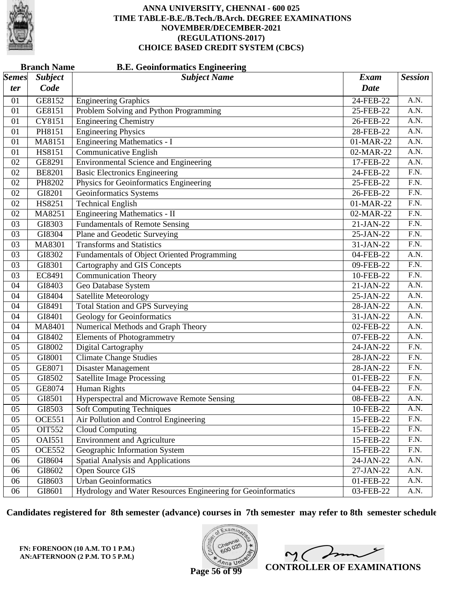

|              | <b>Branch Name</b><br><b>B.E. Geoinformatics Engineering</b> |                                                              |             |                   |  |  |
|--------------|--------------------------------------------------------------|--------------------------------------------------------------|-------------|-------------------|--|--|
| <b>Semes</b> | <b>Subject</b>                                               | <b>Subject Name</b>                                          | <b>Exam</b> | <b>Session</b>    |  |  |
| ter          | Code                                                         |                                                              | Date        |                   |  |  |
| 01           | GE8152                                                       | <b>Engineering Graphics</b>                                  | 24-FEB-22   | A.N.              |  |  |
| 01           | GE8151                                                       | Problem Solving and Python Programming                       | 25-FEB-22   | A.N.              |  |  |
| 01           | <b>CY8151</b>                                                | <b>Engineering Chemistry</b>                                 | 26-FEB-22   | $\overline{A.N.}$ |  |  |
| 01           | PH8151                                                       | <b>Engineering Physics</b>                                   | 28-FEB-22   | A.N.              |  |  |
| 01           | MA8151                                                       | <b>Engineering Mathematics - I</b>                           | 01-MAR-22   | A.N.              |  |  |
| 01           | <b>HS8151</b>                                                | <b>Communicative English</b>                                 | 02-MAR-22   | A.N.              |  |  |
| 02           | GE8291                                                       | <b>Environmental Science and Engineering</b>                 | 17-FEB-22   | $\overline{A.N.}$ |  |  |
| 02           | <b>BE8201</b>                                                | <b>Basic Electronics Engineering</b>                         | 24-FEB-22   | $\overline{F.N.}$ |  |  |
| 02           | PH8202                                                       | Physics for Geoinformatics Engineering                       | 25-FEB-22   | F.N.              |  |  |
| 02           | GI8201                                                       | <b>Geoinformatics Systems</b>                                | 26-FEB-22   | $\overline{F.N.}$ |  |  |
| 02           | HS8251                                                       | <b>Technical English</b>                                     | 01-MAR-22   | $\overline{F.N.}$ |  |  |
| 02           | MA8251                                                       | <b>Engineering Mathematics - II</b>                          | 02-MAR-22   | $\overline{F.N.}$ |  |  |
| 03           | GI8303                                                       | <b>Fundamentals of Remote Sensing</b>                        | 21-JAN-22   | F.N.              |  |  |
| 03           | GI8304                                                       | Plane and Geodetic Surveying                                 | 25-JAN-22   | $\overline{F.N.}$ |  |  |
| 03           | MA8301                                                       | <b>Transforms and Statistics</b>                             | 31-JAN-22   | $\overline{F.N.}$ |  |  |
| 03           | GI8302                                                       | Fundamentals of Object Oriented Programming                  | 04-FEB-22   | A.N.              |  |  |
| 03           | GI8301                                                       | Cartography and GIS Concepts                                 | 09-FEB-22   | F.N.              |  |  |
| 03           | EC8491                                                       | <b>Communication Theory</b>                                  | 10-FEB-22   | F.N.              |  |  |
| 04           | GI8403                                                       | Geo Database System                                          | 21-JAN-22   | A.N.              |  |  |
| 04           | GI8404                                                       | <b>Satellite Meteorology</b>                                 | 25-JAN-22   | A.N.              |  |  |
| 04           | GI8491                                                       | <b>Total Station and GPS Surveying</b>                       | 28-JAN-22   | A.N.              |  |  |
| 04           | GI8401                                                       | <b>Geology for Geoinformatics</b>                            | 31-JAN-22   | A.N.              |  |  |
| 04           | MA8401                                                       | <b>Numerical Methods and Graph Theory</b>                    | 02-FEB-22   | $\overline{A.N.}$ |  |  |
| 04           | GI8402                                                       | <b>Elements of Photogrammetry</b>                            | 07-FEB-22   | A.N.              |  |  |
| 05           | GI8002                                                       | Digital Cartography                                          | 24-JAN-22   | F.N.              |  |  |
| 05           | GI8001                                                       | <b>Climate Change Studies</b>                                | 28-JAN-22   | F.N.              |  |  |
| 05           | GE8071                                                       | <b>Disaster Management</b>                                   | 28-JAN-22   | $\overline{F.N.}$ |  |  |
| 05           | GI8502                                                       | <b>Satellite Image Processing</b>                            | 01-FEB-22   | F.N.              |  |  |
| 05           | GE8074                                                       | Human Rights                                                 | 04-FEB-22   | F.N.              |  |  |
| 05           | GI8501                                                       | <b>Hyperspectral and Microwave Remote Sensing</b>            | 08-FEB-22   | A.N.              |  |  |
| 05           | GI8503                                                       | <b>Soft Computing Techniques</b>                             | 10-FEB-22   | A.N.              |  |  |
| 05           | <b>OCE551</b>                                                | Air Pollution and Control Engineering                        | 15-FEB-22   | F.N.              |  |  |
| 05           | <b>OIT552</b>                                                | <b>Cloud Computing</b>                                       | 15-FEB-22   | F.N.              |  |  |
| 05           | <b>OAI551</b>                                                | <b>Environment and Agriculture</b>                           | 15-FEB-22   | F.N.              |  |  |
| 05           | <b>OCE552</b>                                                | Geographic Information System                                | 15-FEB-22   | F.N.              |  |  |
| 06           | GI8604                                                       | <b>Spatial Analysis and Applications</b>                     | 24-JAN-22   | A.N.              |  |  |
| 06           | GI8602                                                       | Open Source GIS                                              | 27-JAN-22   | A.N.              |  |  |
| 06           | GI8603                                                       | <b>Urban Geoinformatics</b>                                  | 01-FEB-22   | A.N.              |  |  |
| 06           | GI8601                                                       | Hydrology and Water Resources Engineering for Geoinformatics | 03-FEB-22   | A.N.              |  |  |

**Candidates registered for 8th semester (advance) courses in 7th semester may refer to 8th semester schedule**

**FN: FORENOON (10 A.M. TO 1 P.M.) AN:AFTERNOON (2 P.M. TO 5 P.M.)**



 $\overline{\phantom{a}}$  $2<sub>1</sub>$ **CONTROLLER OF EXAMINATIONS**

**Page 56 of 99**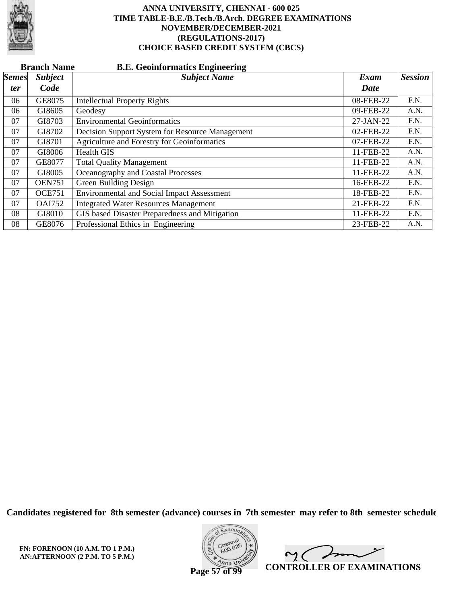

|              | <b>B.E. Geoinformatics Engineering</b><br><b>Branch Name</b> |                                                   |           |                |  |  |
|--------------|--------------------------------------------------------------|---------------------------------------------------|-----------|----------------|--|--|
| <b>Semes</b> | <b>Subject</b>                                               | <b>Subject Name</b>                               | Exam      | <b>Session</b> |  |  |
| <i>ter</i>   | Code                                                         |                                                   | Date      |                |  |  |
| 06           | GE8075                                                       | <b>Intellectual Property Rights</b>               | 08-FEB-22 | F.N.           |  |  |
| 06           | GI8605                                                       | Geodesy                                           | 09-FEB-22 | A.N.           |  |  |
| 07           | GI8703                                                       | <b>Environmental Geoinformatics</b>               | 27-JAN-22 | F.N.           |  |  |
| 07           | GI8702                                                       | Decision Support System for Resource Management   | 02-FEB-22 | F.N.           |  |  |
| 07           | GI8701                                                       | Agriculture and Forestry for Geoinformatics       | 07-FEB-22 | F.N.           |  |  |
| 07           | GI8006                                                       | <b>Health GIS</b>                                 | 11-FEB-22 | A.N.           |  |  |
| 07           | GE8077                                                       | <b>Total Quality Management</b>                   | 11-FEB-22 | A.N.           |  |  |
| 07           | GI8005                                                       | Oceanography and Coastal Processes                | 11-FEB-22 | A.N.           |  |  |
| 07           | <b>OEN751</b>                                                | Green Building Design                             | 16-FEB-22 | F.N.           |  |  |
| 07           | <b>OCE751</b>                                                | <b>Environmental and Social Impact Assessment</b> | 18-FEB-22 | F.N.           |  |  |
| 07           | <b>OAI752</b>                                                | <b>Integrated Water Resources Management</b>      | 21-FEB-22 | F.N.           |  |  |
| 08           | GI8010                                                       | GIS based Disaster Preparedness and Mitigation    | 11-FEB-22 | F.N.           |  |  |
| 08           | GE8076                                                       | Professional Ethics in Engineering                | 23-FEB-22 | A.N.           |  |  |

**Candidates registered for 8th semester (advance) courses in 7th semester may refer to 8th semester schedule**



 $\overline{\phantom{a}}$  $\sim$  ( **CONTROLLER OF EXAMINATIONS**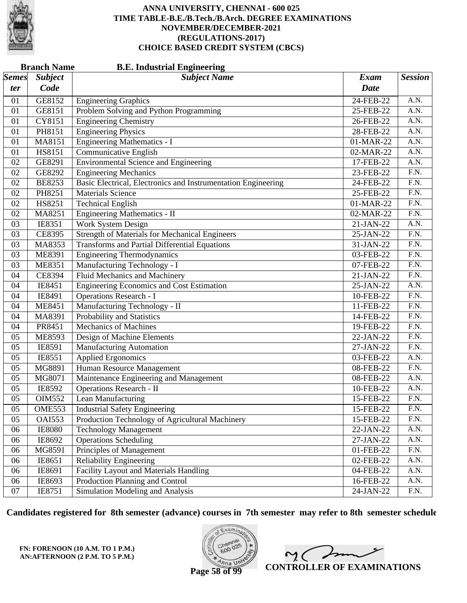

|              | <b>Branch Name</b><br><b>B.E. Industrial Engineering</b> |                                                               |             |                   |  |  |
|--------------|----------------------------------------------------------|---------------------------------------------------------------|-------------|-------------------|--|--|
| <i>Semes</i> | <b>Subject</b>                                           | <b>Subject Name</b>                                           | <b>Exam</b> | <b>Session</b>    |  |  |
| ter          | Code                                                     |                                                               | <b>Date</b> |                   |  |  |
| 01           | GE8152                                                   | <b>Engineering Graphics</b>                                   | 24-FEB-22   | A.N.              |  |  |
| 01           | GE8151                                                   | Problem Solving and Python Programming                        | 25-FEB-22   | A.N.              |  |  |
| 01           | CY8151                                                   | <b>Engineering Chemistry</b>                                  | 26-FEB-22   | $\overline{A.N.}$ |  |  |
| 01           | PH8151                                                   | <b>Engineering Physics</b>                                    | 28-FEB-22   | $\overline{A.N.}$ |  |  |
| 01           | MA8151                                                   | <b>Engineering Mathematics - I</b>                            | 01-MAR-22   | A.N.              |  |  |
| 01           | HS8151                                                   | Communicative English                                         | 02-MAR-22   | A.N.              |  |  |
| 02           | GE8291                                                   | <b>Environmental Science and Engineering</b>                  | 17-FEB-22   | $\overline{A.N.}$ |  |  |
| 02           | GE8292                                                   | <b>Engineering Mechanics</b>                                  | 23-FEB-22   | $\overline{F.N.}$ |  |  |
| 02           | <b>BE8253</b>                                            | Basic Electrical, Electronics and Instrumentation Engineering | 24-FEB-22   | F.N.              |  |  |
| 02           | PH8251                                                   | <b>Materials Science</b>                                      | 25-FEB-22   | $\overline{F.N.}$ |  |  |
| 02           | HS8251                                                   | <b>Technical English</b>                                      | 01-MAR-22   | $\overline{F.N.}$ |  |  |
| 02           | MA8251                                                   | Engineering Mathematics - II                                  | 02-MAR-22   | $\overline{F.N.}$ |  |  |
| 03           | IE8351                                                   | <b>Work System Design</b>                                     | 21-JAN-22   | A.N.              |  |  |
| 03           | CE8395                                                   | <b>Strength of Materials for Mechanical Engineers</b>         | 25-JAN-22   | $\overline{F.N.}$ |  |  |
| 03           | MA8353                                                   | <b>Transforms and Partial Differential Equations</b>          | 31-JAN-22   | $\overline{F.N.}$ |  |  |
| 03           | ME8391                                                   | <b>Engineering Thermodynamics</b>                             | 03-FEB-22   | $\overline{F.N.}$ |  |  |
| 03           | <b>ME8351</b>                                            | Manufacturing Technology - I                                  | 07-FEB-22   | F.N.              |  |  |
| 04           | CE8394                                                   | Fluid Mechanics and Machinery                                 | 21-JAN-22   | F.N.              |  |  |
| 04           | IE8451                                                   | Engineering Economics and Cost Estimation                     | 25-JAN-22   | $\overline{A.N.}$ |  |  |
| 04           | IE8491                                                   | <b>Operations Research - I</b>                                | 10-FEB-22   | $\overline{F.N.}$ |  |  |
| 04           | <b>ME8451</b>                                            | Manufacturing Technology - II                                 | 11-FEB-22   | F.N.              |  |  |
| 04           | MA8391                                                   | Probability and Statistics                                    | 14-FEB-22   | F.N.              |  |  |
| 04           | PR8451                                                   | <b>Mechanics of Machines</b>                                  | 19-FEB-22   | $\overline{F.N.}$ |  |  |
| 05           | ME8593                                                   | Design of Machine Elements                                    | 22-JAN-22   | $\overline{F.N.}$ |  |  |
| 05           | IE8591                                                   | Manufacturing Automation                                      | 27-JAN-22   | F.N.              |  |  |
| 05           | IE8551                                                   | Applied Ergonomics                                            | 03-FEB-22   | A.N.              |  |  |
| 05           | MG8891                                                   | Human Resource Management                                     | 08-FEB-22   | $\overline{F.N.}$ |  |  |
| 05           | MG8071                                                   | Maintenance Engineering and Management                        | 08-FEB-22   | A.N.              |  |  |
| 05           | IE8592                                                   | <b>Operations Research - II</b>                               | 10-FEB-22   | A.N.              |  |  |
| 05           | <b>OIM552</b>                                            | Lean Manufacturing                                            | 15-FEB-22   | F.N.              |  |  |
| 05           | <b>OME553</b>                                            | <b>Industrial Safety Engineering</b>                          | 15-FEB-22   | F.N.              |  |  |
| 05           | <b>OAI553</b>                                            | Production Technology of Agricultural Machinery               | 15-FEB-22   | F.N.              |  |  |
| 06           | <b>IE8080</b>                                            | <b>Technology Management</b>                                  | 22-JAN-22   | A.N.              |  |  |
| 06           | IE8692                                                   | <b>Operations Scheduling</b>                                  | 27-JAN-22   | A.N.              |  |  |
| 06           | MG8591                                                   | Principles of Management                                      | 01-FEB-22   | F.N.              |  |  |
| 06           | IE8651                                                   | <b>Reliability Engineering</b>                                | 02-FEB-22   | A.N.              |  |  |
| 06           | IE8691                                                   | Facility Layout and Materials Handling                        | 04-FEB-22   | A.N.              |  |  |
| 06           | IE8693                                                   | Production Planning and Control                               | 16-FEB-22   | A.N.              |  |  |
| 07           | IE8751                                                   | Simulation Modeling and Analysis                              | 24-JAN-22   | F.N.              |  |  |

**Candidates registered for 8th semester (advance) courses in 7th semester may refer to 8th semester schedule**



 $\overline{\phantom{a}}$  $2<sub>1</sub>$ **CONTROLLER OF EXAMINATIONS**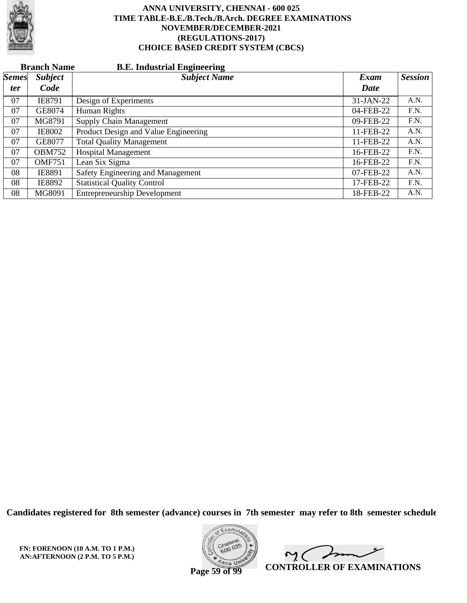

|              | <b>Branch Name</b><br><b>B.E. Industrial Engineering</b> |                                      |           |                |  |  |  |
|--------------|----------------------------------------------------------|--------------------------------------|-----------|----------------|--|--|--|
| <b>Semes</b> | <b>Subject</b>                                           | <b>Subject Name</b>                  | Exam      | <b>Session</b> |  |  |  |
| ter          | Code                                                     |                                      | Date      |                |  |  |  |
| 07           | IE8791                                                   | Design of Experiments                | 31-JAN-22 | A.N.           |  |  |  |
| 07           | GE8074                                                   | Human Rights                         | 04-FEB-22 | F.N.           |  |  |  |
| 07           | MG8791                                                   | Supply Chain Management              | 09-FEB-22 | F.N.           |  |  |  |
| 07           | <b>IE8002</b>                                            | Product Design and Value Engineering | 11-FEB-22 | A.N.           |  |  |  |
| 07           | GE8077                                                   | <b>Total Quality Management</b>      | 11-FEB-22 | A.N.           |  |  |  |
| 07           | <b>OBM752</b>                                            | <b>Hospital Management</b>           | 16-FEB-22 | F.N.           |  |  |  |
| 07           | <b>OMF751</b>                                            | Lean Six Sigma                       | 16-FEB-22 | F.N.           |  |  |  |
| 08           | IE8891                                                   | Safety Engineering and Management    | 07-FEB-22 | A.N.           |  |  |  |
| 08           | IE8892                                                   | <b>Statistical Quality Control</b>   | 17-FEB-22 | F.N.           |  |  |  |
| 08           | MG8091                                                   | <b>Entrepreneurship Development</b>  | 18-FEB-22 | A.N.           |  |  |  |

**Candidates registered for 8th semester (advance) courses in 7th semester may refer to 8th semester schedule**



 $\sqrt{ }$  $\sim$  ( **CONTROLLER OF EXAMINATIONS**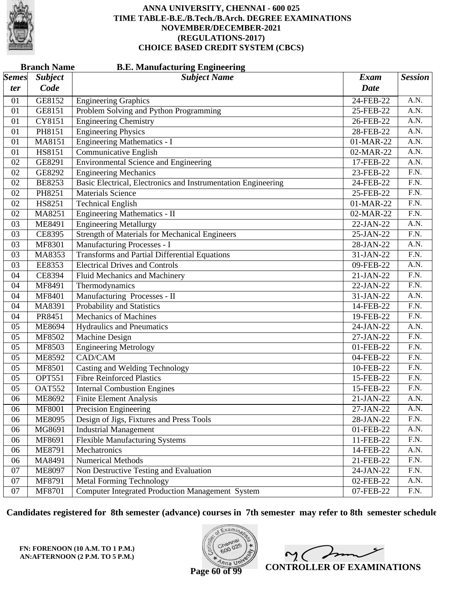

|              | <b>Branch Name</b> | <b>B.E. Manufacturing Engineering</b>                         |             |                   |
|--------------|--------------------|---------------------------------------------------------------|-------------|-------------------|
| <i>Semes</i> | <b>Subject</b>     | <b>Subject Name</b>                                           | <b>Exam</b> | <b>Session</b>    |
| ter          | Code               |                                                               | <b>Date</b> |                   |
| 01           | GE8152             | <b>Engineering Graphics</b>                                   | 24-FEB-22   | A.N.              |
| 01           | GE8151             | Problem Solving and Python Programming                        | 25-FEB-22   | A.N.              |
| 01           | CY8151             | <b>Engineering Chemistry</b>                                  | 26-FEB-22   | $\overline{A.N.}$ |
| 01           | PH8151             | <b>Engineering Physics</b>                                    | 28-FEB-22   | A.N.              |
| 01           | <b>MA8151</b>      | <b>Engineering Mathematics - I</b>                            | 01-MAR-22   | A.N.              |
| 01           | HS8151             | Communicative English                                         | 02-MAR-22   | A.N.              |
| 02           | GE8291             | <b>Environmental Science and Engineering</b>                  | 17-FEB-22   | $\overline{A.N.}$ |
| 02           | GE8292             | <b>Engineering Mechanics</b>                                  | 23-FEB-22   | $\overline{F.N.}$ |
| 02           | <b>BE8253</b>      | Basic Electrical, Electronics and Instrumentation Engineering | 24-FEB-22   | F.N.              |
| 02           | PH8251             | <b>Materials Science</b>                                      | 25-FEB-22   | F.N.              |
| 02           | HS8251             | <b>Technical English</b>                                      | 01-MAR-22   | $\overline{F.N.}$ |
| 02           | MA8251             | <b>Engineering Mathematics - II</b>                           | 02-MAR-22   | $\overline{F.N.}$ |
| 03           | <b>ME8491</b>      | <b>Engineering Metallurgy</b>                                 | 22-JAN-22   | A.N.              |
| 03           | CE8395             | <b>Strength of Materials for Mechanical Engineers</b>         | 25-JAN-22   | $\overline{F.N.}$ |
| 03           | MF8301             | Manufacturing Processes - I                                   | 28-JAN-22   | $\overline{A.N.}$ |
| 03           | MA8353             | <b>Transforms and Partial Differential Equations</b>          | 31-JAN-22   | $\overline{F.N.}$ |
| 03           | <b>EE8353</b>      | <b>Electrical Drives and Controls</b>                         | 09-FEB-22   | A.N.              |
| 04           | <b>CE8394</b>      | Fluid Mechanics and Machinery                                 | 21-JAN-22   | $\overline{F.N.}$ |
| 04           | MF8491             | Thermodynamics                                                | 22-JAN-22   | $\overline{F.N.}$ |
| 04           | MF8401             | Manufacturing Processes - II                                  | 31-JAN-22   | A.N.              |
| 04           | MA8391             | Probability and Statistics                                    | 14-FEB-22   | $\overline{F.N.}$ |
| 04           | PR8451             | <b>Mechanics of Machines</b>                                  | 19-FEB-22   | F.N.              |
| 05           | <b>ME8694</b>      | <b>Hydraulics and Pneumatics</b>                              | 24-JAN-22   | $\overline{A.N.}$ |
| 05           | MF8502             | <b>Machine Design</b>                                         | 27-JAN-22   | $\overline{F.N.}$ |
| 05           | MF8503             | <b>Engineering Metrology</b>                                  | 01-FEB-22   | F.N.              |
| 05           | ME8592             | CAD/CAM                                                       | 04-FEB-22   | F.N.              |
| 05           | MF8501             | Casting and Welding Technology                                | 10-FEB-22   | $\overline{F.N.}$ |
| 05           | <b>OPT551</b>      | <b>Fibre Reinforced Plastics</b>                              | 15-FEB-22   | $\overline{F.N.}$ |
| 05           | <b>OAT552</b>      | <b>Internal Combustion Engines</b>                            | 15-FEB-22   | F.N.              |
| 06           | ME8692             | <b>Finite Element Analysis</b>                                | 21-JAN-22   | A.N.              |
| 06           | <b>MF8001</b>      | <b>Precision Engineering</b>                                  | 27-JAN-22   | A.N.              |
| 06           | <b>ME8095</b>      | Design of Jigs, Fixtures and Press Tools                      | 28-JAN-22   | F.N.              |
| 06           | MG8691             | <b>Industrial Management</b>                                  | 01-FEB-22   | A.N.              |
| 06           | MF8691             | <b>Flexible Manufacturing Systems</b>                         | 11-FEB-22   | F.N.              |
| 06           | ME8791             | Mechatronics                                                  | 14-FEB-22   | A.N.              |
| 06           | MA8491             | <b>Numerical Methods</b>                                      | 21-FEB-22   | F.N.              |
| 07           | ME8097             | Non Destructive Testing and Evaluation                        | 24-JAN-22   | F.N.              |
| 07           | MF8791             | <b>Metal Forming Technology</b>                               | 02-FEB-22   | A.N.              |
| 07           | MF8701             | <b>Computer Integrated Production Management System</b>       | 07-FEB-22   | F.N.              |

**Candidates registered for 8th semester (advance) courses in 7th semester may refer to 8th semester schedule**

**FN: FORENOON (10 A.M. TO 1 P.M.) AN:AFTERNOON (2 P.M. TO 5 P.M.)**



 $\overline{\phantom{a}}$  $2<sub>0</sub>$ **CONTROLLER OF EXAMINATIONS**

**Page 60 of 99**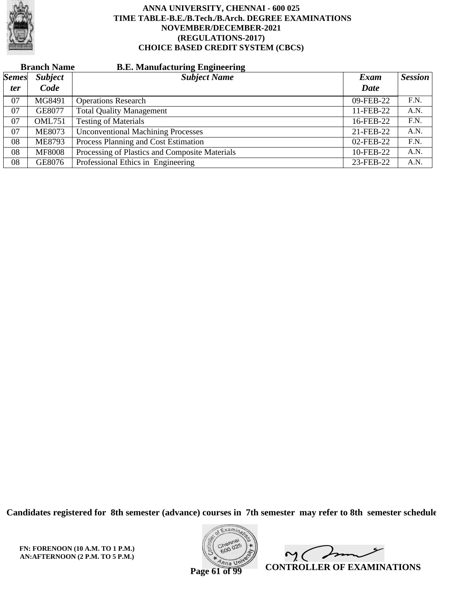

|              | <b>Branch Name</b> | <b>B.E. Manufacturing Engineering</b>          |           |         |
|--------------|--------------------|------------------------------------------------|-----------|---------|
| <b>Semes</b> | <b>Subject</b>     | <b>Subject Name</b>                            | Exam      | Session |
| <i>ter</i>   | Code               |                                                | Date      |         |
| 07           | MG8491             | <b>Operations Research</b>                     | 09-FEB-22 | F.N.    |
| 07           | GE8077             | <b>Total Quality Management</b>                | 11-FEB-22 | A.N.    |
| 07           | <b>OML751</b>      | <b>Testing of Materials</b>                    | 16-FEB-22 | F.N.    |
| 07           | <b>ME8073</b>      | <b>Unconventional Machining Processes</b>      | 21-FEB-22 | A.N.    |
| 08           | <b>ME8793</b>      | Process Planning and Cost Estimation           | 02-FEB-22 | F.N.    |
| 08           | <b>MF8008</b>      | Processing of Plastics and Composite Materials | 10-FEB-22 | A.N.    |
| 08           | GE8076             | Professional Ethics in Engineering             | 23-FEB-22 | A.N.    |

**Candidates registered for 8th semester (advance) courses in 7th semester may refer to 8th semester schedule**



 $\overline{\phantom{a}}$  $\sim$  ( **CONTROLLER OF EXAMINATIONS**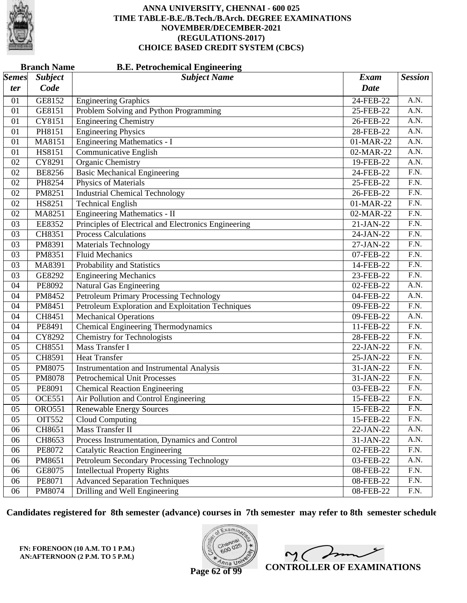

|              | <b>Branch Name</b><br><b>B.E. Petrochemical Engineering</b> |                                                      |             |                   |  |
|--------------|-------------------------------------------------------------|------------------------------------------------------|-------------|-------------------|--|
| <i>Semes</i> | <b>Subject</b>                                              | <b>Subject Name</b>                                  | <b>Exam</b> | <b>Session</b>    |  |
| ter          | Code                                                        |                                                      | <b>Date</b> |                   |  |
| 01           | GE8152                                                      | <b>Engineering Graphics</b>                          | 24-FEB-22   | A.N.              |  |
| 01           | GE8151                                                      | Problem Solving and Python Programming               | 25-FEB-22   | A.N.              |  |
| 01           | CY8151                                                      | <b>Engineering Chemistry</b>                         | 26-FEB-22   | $\overline{A.N.}$ |  |
| 01           | PH8151                                                      | <b>Engineering Physics</b>                           | 28-FEB-22   | A.N.              |  |
| 01           | MA8151                                                      | <b>Engineering Mathematics - I</b>                   | 01-MAR-22   | A.N.              |  |
| 01           | HS8151                                                      | <b>Communicative English</b>                         | 02-MAR-22   | A.N.              |  |
| 02           | CY8291                                                      | <b>Organic Chemistry</b>                             | 19-FEB-22   | $\overline{A.N.}$ |  |
| 02           | <b>BE8256</b>                                               | <b>Basic Mechanical Engineering</b>                  | 24-FEB-22   | $\overline{F.N.}$ |  |
| 02           | PH8254                                                      | Physics of Materials                                 | 25-FEB-22   | F.N.              |  |
| 02           | PM8251                                                      | <b>Industrial Chemical Technology</b>                | 26-FEB-22   | F.N.              |  |
| 02           | HS8251                                                      | <b>Technical English</b>                             | 01-MAR-22   | $\overline{F.N.}$ |  |
| 02           | MA8251                                                      | Engineering Mathematics - II                         | 02-MAR-22   | $\overline{F.N.}$ |  |
| 03           | EE8352                                                      | Principles of Electrical and Electronics Engineering | 21-JAN-22   | F.N.              |  |
| 03           | CH8351                                                      | <b>Process Calculations</b>                          | 24-JAN-22   | F.N.              |  |
| 03           | PM8391                                                      | <b>Materials Technology</b>                          | 27-JAN-22   | $\overline{F.N.}$ |  |
| 03           | PM8351                                                      | <b>Fluid Mechanics</b>                               | 07-FEB-22   | $\overline{F.N.}$ |  |
| 03           | MA8391                                                      | Probability and Statistics                           | 14-FEB-22   | F.N.              |  |
| 03           | GE8292                                                      | Engineering Mechanics                                | 23-FEB-22   | F.N.              |  |
| 04           | PE8092                                                      | Natural Gas Engineering                              | 02-FEB-22   | $\overline{A.N.}$ |  |
| 04           | PM8452                                                      | Petroleum Primary Processing Technology              | 04-FEB-22   | A.N.              |  |
| 04           | PM8451                                                      | Petroleum Exploration and Exploitation Techniques    | 09-FEB-22   | F.N.              |  |
| 04           | CH8451                                                      | <b>Mechanical Operations</b>                         | 09-FEB-22   | A.N.              |  |
| 04           | PE8491                                                      | <b>Chemical Engineering Thermodynamics</b>           | 11-FEB-22   | $\overline{F.N.}$ |  |
| 04           | CY8292                                                      | <b>Chemistry for Technologists</b>                   | 28-FEB-22   | $\overline{F.N.}$ |  |
| 05           | CH8551                                                      | <b>Mass Transfer I</b>                               | 22-JAN-22   | F.N.              |  |
| 05           | CH8591                                                      | <b>Heat Transfer</b>                                 | 25-JAN-22   | F.N.              |  |
| 05           | PM8075                                                      | <b>Instrumentation and Instrumental Analysis</b>     | 31-JAN-22   | $\overline{F.N.}$ |  |
| 05           | PM8078                                                      | <b>Petrochemical Unit Processes</b>                  | 31-JAN-22   | $\overline{F.N.}$ |  |
| 05           | PE8091                                                      | <b>Chemical Reaction Engineering</b>                 | 03-FEB-22   | F.N.              |  |
| 05           | <b>OCE551</b>                                               | Air Pollution and Control Engineering                | 15-FEB-22   | F.N.              |  |
| 05           | <b>ORO551</b>                                               | <b>Renewable Energy Sources</b>                      | 15-FEB-22   | F.N.              |  |
| 05           | OIT552                                                      | Cloud Computing                                      | 15-FEB-22   | F.N.              |  |
| 06           | CH8651                                                      | Mass Transfer II                                     | 22-JAN-22   | A.N.              |  |
| 06           | CH8653                                                      | Process Instrumentation, Dynamics and Control        | 31-JAN-22   | A.N.              |  |
| 06           | PE8072                                                      | <b>Catalytic Reaction Engineering</b>                | 02-FEB-22   | F.N.              |  |
| 06           | PM8651                                                      | Petroleum Secondary Processing Technology            | 03-FEB-22   | A.N.              |  |
| 06           | GE8075                                                      | <b>Intellectual Property Rights</b>                  | 08-FEB-22   | F.N.              |  |
| 06           | PE8071                                                      | <b>Advanced Separation Techniques</b>                | 08-FEB-22   | F.N.              |  |
| 06           | PM8074                                                      | Drilling and Well Engineering                        | 08-FEB-22   | F.N.              |  |

**Candidates registered for 8th semester (advance) courses in 7th semester may refer to 8th semester schedule**

**FN: FORENOON (10 A.M. TO 1 P.M.) AN:AFTERNOON (2 P.M. TO 5 P.M.)**



 $2<sub>0</sub>$ **CONTROLLER OF EXAMINATIONS**

**Page 62 of 99**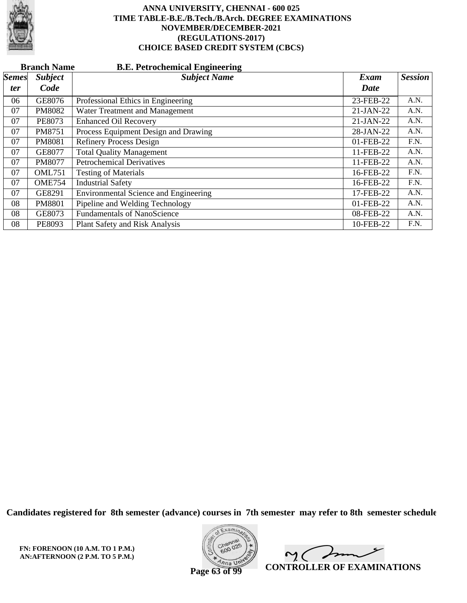

|              | <b>B.E. Petrochemical Engineering</b><br><b>Branch Name</b> |                                       |             |                |  |  |  |
|--------------|-------------------------------------------------------------|---------------------------------------|-------------|----------------|--|--|--|
| <i>Semes</i> | <b>Subject</b>                                              | <b>Subject Name</b>                   | Exam        | <b>Session</b> |  |  |  |
| <i>ter</i>   | Code                                                        |                                       | Date        |                |  |  |  |
| 06           | GE8076                                                      | Professional Ethics in Engineering    | 23-FEB-22   | A.N.           |  |  |  |
| 07           | PM8082                                                      | Water Treatment and Management        | $21-JAN-22$ | A.N.           |  |  |  |
| 07           | <b>PE8073</b>                                               | <b>Enhanced Oil Recovery</b>          | $21-JAN-22$ | A.N.           |  |  |  |
| 07           | PM8751                                                      | Process Equipment Design and Drawing  | 28-JAN-22   | A.N.           |  |  |  |
| 07           | PM8081                                                      | <b>Refinery Process Design</b>        | 01-FEB-22   | F.N.           |  |  |  |
| 07           | GE8077                                                      | <b>Total Quality Management</b>       | 11-FEB-22   | A.N.           |  |  |  |
| 07           | PM8077                                                      | <b>Petrochemical Derivatives</b>      | 11-FEB-22   | A.N.           |  |  |  |
| 07           | <b>OML751</b>                                               | <b>Testing of Materials</b>           | 16-FEB-22   | F.N.           |  |  |  |
| 07           | <b>OME754</b>                                               | <b>Industrial Safety</b>              | 16-FEB-22   | F.N.           |  |  |  |
| 07           | GE8291                                                      | Environmental Science and Engineering | 17-FEB-22   | A.N.           |  |  |  |
| 08           | <b>PM8801</b>                                               | Pipeline and Welding Technology       | 01-FEB-22   | A.N.           |  |  |  |
| 08           | GE8073                                                      | <b>Fundamentals of NanoScience</b>    | 08-FEB-22   | A.N.           |  |  |  |
| 08           | PE8093                                                      | Plant Safety and Risk Analysis        | 10-FEB-22   | F.N.           |  |  |  |

**Candidates registered for 8th semester (advance) courses in 7th semester may refer to 8th semester schedule**

**FN: FORENOON (10 A.M. TO 1 P.M.) AN:AFTERNOON (2 P.M. TO 5 P.M.)**



 $\overline{\phantom{a}}$  $\sim$  ( **CONTROLLER OF EXAMINATIONS**

**Page 63 of 99**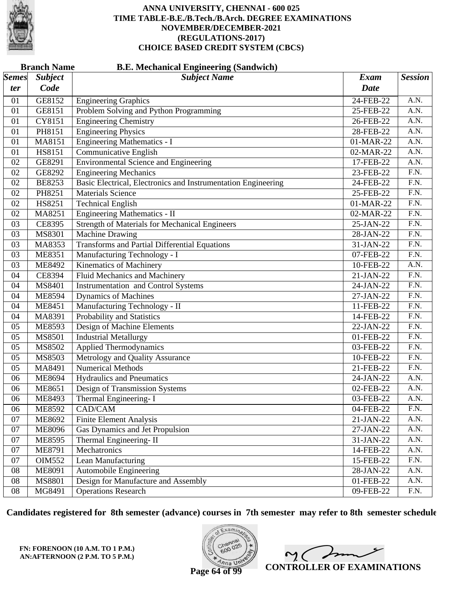

|              | <b>Branch Name</b><br><b>B.E. Mechanical Engineering (Sandwich)</b> |                                                               |             |                   |  |  |
|--------------|---------------------------------------------------------------------|---------------------------------------------------------------|-------------|-------------------|--|--|
| <b>Semes</b> | <b>Subject</b>                                                      | <b>Subject Name</b>                                           | <b>Exam</b> | <b>Session</b>    |  |  |
| ter          | Code                                                                |                                                               | <b>Date</b> |                   |  |  |
| 01           | GE8152                                                              | <b>Engineering Graphics</b>                                   | 24-FEB-22   | A.N.              |  |  |
| 01           | GE8151                                                              | Problem Solving and Python Programming                        | 25-FEB-22   | A.N.              |  |  |
| 01           | CY8151                                                              | <b>Engineering Chemistry</b>                                  | 26-FEB-22   | $\overline{A.N.}$ |  |  |
| 01           | PH8151                                                              | <b>Engineering Physics</b>                                    | 28-FEB-22   | A.N.              |  |  |
| 01           | MA8151                                                              | <b>Engineering Mathematics - I</b>                            | 01-MAR-22   | A.N.              |  |  |
| 01           | HS8151                                                              | <b>Communicative English</b>                                  | 02-MAR-22   | A.N.              |  |  |
| 02           | GE8291                                                              | <b>Environmental Science and Engineering</b>                  | 17-FEB-22   | $\overline{A.N.}$ |  |  |
| 02           | GE8292                                                              | <b>Engineering Mechanics</b>                                  | 23-FEB-22   | F.N.              |  |  |
| 02           | <b>BE8253</b>                                                       | Basic Electrical, Electronics and Instrumentation Engineering | 24-FEB-22   | F.N.              |  |  |
| 02           | PH8251                                                              | <b>Materials Science</b>                                      | 25-FEB-22   | F.N.              |  |  |
| 02           | HS8251                                                              | <b>Technical English</b>                                      | 01-MAR-22   | $\overline{F.N.}$ |  |  |
| 02           | MA8251                                                              | <b>Engineering Mathematics - II</b>                           | 02-MAR-22   | F.N.              |  |  |
| 03           | CE8395                                                              | <b>Strength of Materials for Mechanical Engineers</b>         | 25-JAN-22   | F.N.              |  |  |
| 03           | MS8301                                                              | <b>Machine Drawing</b>                                        | 28-JAN-22   | F.N.              |  |  |
| 03           | MA8353                                                              | <b>Transforms and Partial Differential Equations</b>          | 31-JAN-22   | $\overline{F.N.}$ |  |  |
| 03           | <b>ME8351</b>                                                       | Manufacturing Technology - I                                  | 07-FEB-22   | F.N.              |  |  |
| 03           | ME8492                                                              | Kinematics of Machinery                                       | 10-FEB-22   | A.N.              |  |  |
| 04           | CE8394                                                              | Fluid Mechanics and Machinery                                 | 21-JAN-22   | F.N.              |  |  |
| 04           | MS8401                                                              | <b>Instrumentation and Control Systems</b>                    | 24-JAN-22   | $\overline{F.N.}$ |  |  |
| 04           | <b>ME8594</b>                                                       | <b>Dynamics of Machines</b>                                   | 27-JAN-22   | $\overline{F.N.}$ |  |  |
| 04           | <b>ME8451</b>                                                       | Manufacturing Technology - II                                 | 11-FEB-22   | F.N.              |  |  |
| 04           | MA8391                                                              | Probability and Statistics                                    | 14-FEB-22   | F.N.              |  |  |
| 05           | ME8593                                                              | Design of Machine Elements                                    | 22-JAN-22   | $\overline{F.N.}$ |  |  |
| 05           | MS8501                                                              | <b>Industrial Metallurgy</b>                                  | 01-FEB-22   | F.N.              |  |  |
| 05           | MS8502                                                              | <b>Applied Thermodynamics</b>                                 | 03-FEB-22   | F.N.              |  |  |
| 05           | MS8503                                                              | Metrology and Quality Assurance                               | 10-FEB-22   | F.N.              |  |  |
| 05           | MA8491                                                              | <b>Numerical Methods</b>                                      | 21-FEB-22   | $\overline{F.N.}$ |  |  |
| 06           | <b>ME8694</b>                                                       | <b>Hydraulics and Pneumatics</b>                              | 24-JAN-22   | A.N.              |  |  |
| 06           | <b>ME8651</b>                                                       | Design of Transmission Systems                                | 02-FEB-22   | A.N.              |  |  |
| 06           | ME8493                                                              | Thermal Engineering-I                                         | 03-FEB-22   | A.N.              |  |  |
| 06           | ME8592                                                              | CAD/CAM                                                       | 04-FEB-22   | F.N.              |  |  |
| 07           | ME8692                                                              | <b>Finite Element Analysis</b>                                | 21-JAN-22   | A.N.              |  |  |
| 07           | <b>ME8096</b>                                                       | Gas Dynamics and Jet Propulsion                               | 27-JAN-22   | A.N.              |  |  |
| 07           | <b>ME8595</b>                                                       | Thermal Engineering-II                                        | 31-JAN-22   | A.N.              |  |  |
| 07           | ME8791                                                              | Mechatronics                                                  | 14-FEB-22   | A.N.              |  |  |
| 07           | <b>OIM552</b>                                                       | Lean Manufacturing                                            | 15-FEB-22   | F.N.              |  |  |
| 08           | <b>ME8091</b>                                                       | <b>Automobile Engineering</b>                                 | 28-JAN-22   | A.N.              |  |  |
| 08           | MS8801                                                              | Design for Manufacture and Assembly                           | 01-FEB-22   | A.N.              |  |  |
| 08           | MG8491                                                              | <b>Operations Research</b>                                    | 09-FEB-22   | F.N.              |  |  |

**Candidates registered for 8th semester (advance) courses in 7th semester may refer to 8th semester schedule**

**FN: FORENOON (10 A.M. TO 1 P.M.) AN:AFTERNOON (2 P.M. TO 5 P.M.)**



 $\overline{\mathscr{S}}$  $\sim$  ( **CONTROLLER OF EXAMINATIONS**

**Page 64 of 99**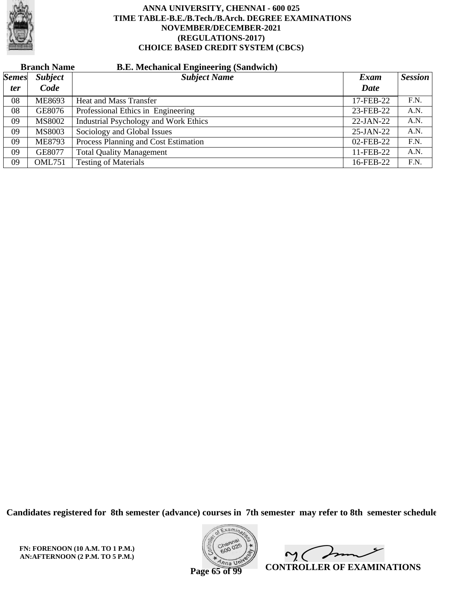

# **Branch Name B.E. Mechanical Engineering (Sandwich)**

| <i>Semes</i> | <b>Subject</b> | $\sim$<br><b>Subject Name</b>                | Exam      | <b>Session</b> |
|--------------|----------------|----------------------------------------------|-----------|----------------|
| <i>ter</i>   | Code           |                                              | Date      |                |
| 08           | ME8693         | <b>Heat and Mass Transfer</b>                | 17-FEB-22 | F.N.           |
| 08           | GE8076         | Professional Ethics in Engineering           | 23-FEB-22 | A.N.           |
| 09           | MS8002         | <b>Industrial Psychology and Work Ethics</b> | 22-JAN-22 | A.N.           |
| 09           | MS8003         | Sociology and Global Issues                  | 25-JAN-22 | A.N.           |
| 09           | <b>ME8793</b>  | Process Planning and Cost Estimation         | 02-FEB-22 | F.N.           |
| 09           | GE8077         | <b>Total Quality Management</b>              | 11-FEB-22 | A.N.           |
| 09           | <b>OML751</b>  | <b>Testing of Materials</b>                  | 16-FEB-22 | F.N.           |

**Candidates registered for 8th semester (advance) courses in 7th semester may refer to 8th semester schedule**

**FN: FORENOON (10 A.M. TO 1 P.M.) AN:AFTERNOON (2 P.M. TO 5 P.M.)**



Imm  $\mathsf{M}(\mathbb{C})$ **CONTROLLER OF EXAMINATIONS**

**Page 65 of 99**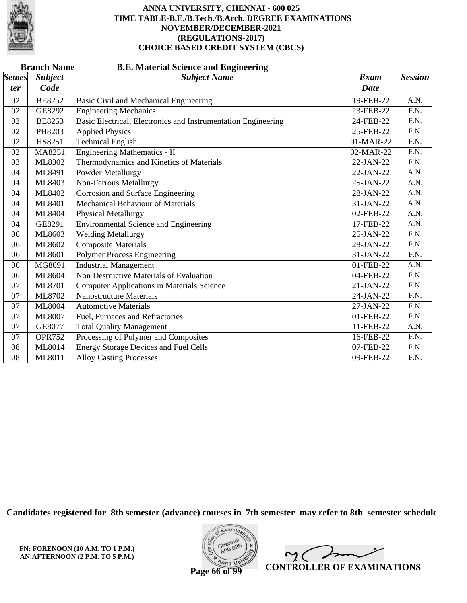

|              | <b>Branch Name</b><br><b>B.E. Material Science and Engineering</b> |                                                               |             |                   |  |  |  |
|--------------|--------------------------------------------------------------------|---------------------------------------------------------------|-------------|-------------------|--|--|--|
| <b>Semes</b> | <b>Subject</b>                                                     | <b>Subject Name</b>                                           | <b>Exam</b> | <b>Session</b>    |  |  |  |
| ter          | Code                                                               |                                                               | <b>Date</b> |                   |  |  |  |
| 02           | <b>BE8252</b>                                                      | Basic Civil and Mechanical Engineering                        | 19-FEB-22   | A.N.              |  |  |  |
| 02           | GE8292                                                             | <b>Engineering Mechanics</b>                                  | 23-FEB-22   | F.N.              |  |  |  |
| 02           | <b>BE8253</b>                                                      | Basic Electrical, Electronics and Instrumentation Engineering | 24-FEB-22   | $\overline{F.N.}$ |  |  |  |
| 02           | PH8203                                                             | <b>Applied Physics</b>                                        | 25-FEB-22   | F.N.              |  |  |  |
| 02           | HS8251                                                             | <b>Technical English</b>                                      | 01-MAR-22   | $\overline{F.N.}$ |  |  |  |
| 02           | MA8251                                                             | <b>Engineering Mathematics - II</b>                           | 02-MAR-22   | F.N.              |  |  |  |
| 03           | ML8302                                                             | Thermodynamics and Kinetics of Materials                      | 22-JAN-22   | $\overline{F.N.}$ |  |  |  |
| 04           | ML8491                                                             | <b>Powder Metallurgy</b>                                      | 22-JAN-22   | A.N.              |  |  |  |
| 04           | ML8403                                                             | <b>Non-Ferrous Metallurgy</b>                                 | 25-JAN-22   | A.N.              |  |  |  |
| 04           | ML8402                                                             | Corrosion and Surface Engineering                             | 28-JAN-22   | A.N.              |  |  |  |
| 04           | ML8401                                                             | <b>Mechanical Behaviour of Materials</b>                      | 31-JAN-22   | A.N.              |  |  |  |
| 04           | ML8404                                                             | <b>Physical Metallurgy</b>                                    | 02-FEB-22   | A.N.              |  |  |  |
| 04           | GE8291                                                             | <b>Environmental Science and Engineering</b>                  | 17-FEB-22   | A.N.              |  |  |  |
| 06           | ML8603                                                             | <b>Welding Metallurgy</b>                                     | 25-JAN-22   | F.N.              |  |  |  |
| 06           | ML8602                                                             | <b>Composite Materials</b>                                    | 28-JAN-22   | F.N.              |  |  |  |
| 06           | ML8601                                                             | <b>Polymer Process Engineering</b>                            | 31-JAN-22   | F.N.              |  |  |  |
| 06           | MG8691                                                             | <b>Industrial Management</b>                                  | 01-FEB-22   | A.N.              |  |  |  |
| 06           | ML8604                                                             | Non Destructive Materials of Evaluation                       | 04-FEB-22   | F.N.              |  |  |  |
| 07           | ML8701                                                             | <b>Computer Applications in Materials Science</b>             | 21-JAN-22   | F.N.              |  |  |  |
| 07           | ML8702                                                             | <b>Nanostructure Materials</b>                                | 24-JAN-22   | F.N.              |  |  |  |
| 07           | <b>ML8004</b>                                                      | <b>Automotive Materials</b>                                   | 27-JAN-22   | $\overline{F.N.}$ |  |  |  |
| 07           | ML8007                                                             | Fuel, Furnaces and Refractories                               | 01-FEB-22   | F.N.              |  |  |  |
| 07           | GE8077                                                             | <b>Total Quality Management</b>                               | 11-FEB-22   | A.N.              |  |  |  |
| 07           | <b>OPR752</b>                                                      | Processing of Polymer and Composites                          | 16-FEB-22   | F.N.              |  |  |  |
| 08           | ML8014                                                             | <b>Energy Storage Devices and Fuel Cells</b>                  | 07-FEB-22   | $\overline{F.N.}$ |  |  |  |
| 08           | ML8011                                                             | <b>Alloy Casting Processes</b>                                | 09-FEB-22   | F.N.              |  |  |  |

**Candidates registered for 8th semester (advance) courses in 7th semester may refer to 8th semester schedule**



 $\overline{\phantom{a}}$  $\mathsf{M}(\mathbb{C})$ **CONTROLLER OF EXAMINATIONS**

**Page 66 of 99**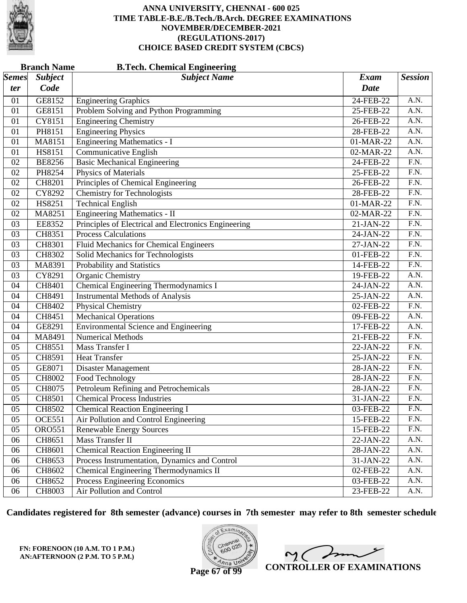

|              | <b>Branch Name</b> | <b>B.Tech. Chemical Engineering</b>                  |             |                   |
|--------------|--------------------|------------------------------------------------------|-------------|-------------------|
| <i>Semes</i> | <b>Subject</b>     | <b>Subject Name</b>                                  | <b>Exam</b> | <b>Session</b>    |
| ter          | Code               |                                                      | <b>Date</b> |                   |
| 01           | GE8152             | <b>Engineering Graphics</b>                          | 24-FEB-22   | A.N.              |
| 01           | GE8151             | Problem Solving and Python Programming               | 25-FEB-22   | A.N.              |
| 01           | CY8151             | <b>Engineering Chemistry</b>                         | 26-FEB-22   | $\overline{A.N.}$ |
| 01           | PH8151             | <b>Engineering Physics</b>                           | 28-FEB-22   | A.N.              |
| 01           | MA8151             | <b>Engineering Mathematics - I</b>                   | 01-MAR-22   | A.N.              |
| 01           | HS8151             | Communicative English                                | 02-MAR-22   | A.N.              |
| 02           | <b>BE8256</b>      | <b>Basic Mechanical Engineering</b>                  | 24-FEB-22   | $\overline{F.N.}$ |
| 02           | PH8254             | <b>Physics of Materials</b>                          | 25-FEB-22   | $\overline{F.N.}$ |
| 02           | CH8201             | Principles of Chemical Engineering                   | 26-FEB-22   | F.N.              |
| 02           | CY8292             | <b>Chemistry for Technologists</b>                   | 28-FEB-22   | F.N.              |
| 02           | HS8251             | <b>Technical English</b>                             | 01-MAR-22   | $\overline{F.N.}$ |
| 02           | MA8251             | Engineering Mathematics - II                         | 02-MAR-22   | $\overline{F.N.}$ |
| 03           | EE8352             | Principles of Electrical and Electronics Engineering | 21-JAN-22   | F.N.              |
| 03           | CH8351             | <b>Process Calculations</b>                          | 24-JAN-22   | F.N.              |
| 03           | CH8301             | Fluid Mechanics for Chemical Engineers               | 27-JAN-22   | $\overline{F.N.}$ |
| 03           | CH8302             | Solid Mechanics for Technologists                    | 01-FEB-22   | $\overline{F.N.}$ |
| 03           | MA8391             | Probability and Statistics                           | 14-FEB-22   | F.N.              |
| 03           | CY8291             | Organic Chemistry                                    | 19-FEB-22   | A.N.              |
| 04           | CH8401             | Chemical Engineering Thermodynamics I                | 24-JAN-22   | $\overline{A.N.}$ |
| 04           | CH8491             | <b>Instrumental Methods of Analysis</b>              | 25-JAN-22   | A.N.              |
| 04           | CH8402             | Physical Chemistry                                   | 02-FEB-22   | F.N.              |
| 04           | CH8451             | <b>Mechanical Operations</b>                         | 09-FEB-22   | A.N.              |
| 04           | GE8291             | <b>Environmental Science and Engineering</b>         | 17-FEB-22   | $\overline{A.N.}$ |
| 04           | MA8491             | <b>Numerical Methods</b>                             | 21-FEB-22   | $\overline{F.N.}$ |
| 05           | CH8551             | Mass Transfer I                                      | 22-JAN-22   | F.N.              |
| 05           | CH8591             | <b>Heat Transfer</b>                                 | 25-JAN-22   | F.N.              |
| 05           | GE8071             | <b>Disaster Management</b>                           | 28-JAN-22   | $\overline{F.N.}$ |
| 05           | <b>CH8002</b>      | Food Technology                                      | 28-JAN-22   | $\overline{F.N.}$ |
| 05           | CH8075             | Petroleum Refining and Petrochemicals                | 28-JAN-22   | F.N.              |
| 05           | CH8501             | <b>Chemical Process Industries</b>                   | 31-JAN-22   | F.N.              |
| 05           | CH8502             | <b>Chemical Reaction Engineering I</b>               | 03-FEB-22   | F.N.              |
| 05           | <b>OCE551</b>      | Air Pollution and Control Engineering                | 15-FEB-22   | F.N.              |
| 05           | <b>ORO551</b>      | <b>Renewable Energy Sources</b>                      | 15-FEB-22   | F.N.              |
| 06           | CH8651             | Mass Transfer II                                     | 22-JAN-22   | A.N.              |
| 06           | CH8601             | Chemical Reaction Engineering II                     | 28-JAN-22   | A.N.              |
| 06           | CH8653             | Process Instrumentation, Dynamics and Control        | 31-JAN-22   | A.N.              |
| 06           | CH8602             | Chemical Engineering Thermodynamics II               | 02-FEB-22   | A.N.              |
| 06           | CH8652             | Process Engineering Economics                        | 03-FEB-22   | A.N.              |
| 06           | CH8003             | Air Pollution and Control                            | 23-FEB-22   | A.N.              |

**Candidates registered for 8th semester (advance) courses in 7th semester may refer to 8th semester schedule**

**FN: FORENOON (10 A.M. TO 1 P.M.) AN:AFTERNOON (2 P.M. TO 5 P.M.)**



 $\overline{\phantom{a}}$  $2<sub>1</sub>$ **CONTROLLER OF EXAMINATIONS**

**Page 67 of 99**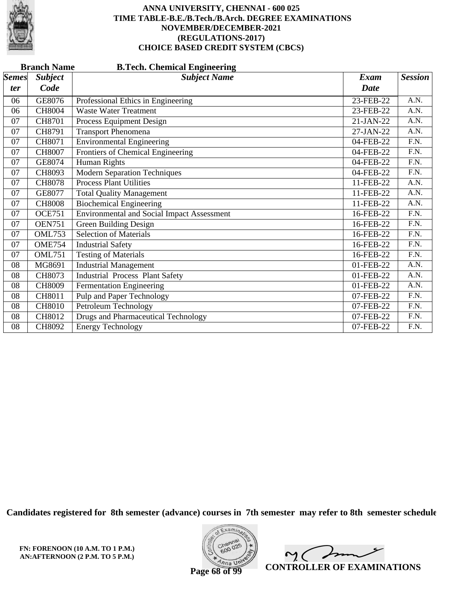

|                     | <b>Branch Name</b><br><b>B.Tech. Chemical Engineering</b> |                                                   |                     |                   |  |  |  |
|---------------------|-----------------------------------------------------------|---------------------------------------------------|---------------------|-------------------|--|--|--|
| <b>Semes</b><br>ter | <b>Subject</b><br>Code                                    | <b>Subject Name</b>                               | Exam<br><b>Date</b> | <b>Session</b>    |  |  |  |
| 06                  | GE8076                                                    | Professional Ethics in Engineering                | 23-FEB-22           | A.N.              |  |  |  |
| 06                  | <b>CH8004</b>                                             | <b>Waste Water Treatment</b>                      | 23-FEB-22           | A.N.              |  |  |  |
| 07                  | <b>CH8701</b>                                             | Process Equipment Design                          | $21-JAN-22$         | A.N.              |  |  |  |
| 07                  | CH8791                                                    | <b>Transport Phenomena</b>                        | 27-JAN-22           | A.N.              |  |  |  |
| 07                  | CH8071                                                    | <b>Environmental Engineering</b>                  | 04-FEB-22           | $\overline{F.N.}$ |  |  |  |
| 07                  | CH8007                                                    | Frontiers of Chemical Engineering                 | 04-FEB-22           | $\overline{F.N.}$ |  |  |  |
| 07                  | GE8074                                                    | <b>Human Rights</b>                               | 04-FEB-22           | F.N.              |  |  |  |
| 07                  | CH8093                                                    | <b>Modern Separation Techniques</b>               | 04-FEB-22           | F.N.              |  |  |  |
| 07                  | <b>CH8078</b>                                             | <b>Process Plant Utilities</b>                    | 11-FEB-22           | A.N.              |  |  |  |
| 07                  | GE8077                                                    | <b>Total Quality Management</b>                   | 11-FEB-22           | A.N.              |  |  |  |
| 07                  | <b>CH8008</b>                                             | <b>Biochemical Engineering</b>                    | 11-FEB-22           | A.N.              |  |  |  |
| 07                  | <b>OCE751</b>                                             | <b>Environmental and Social Impact Assessment</b> | 16-FEB-22           | F.N.              |  |  |  |
| 07                  | <b>OEN751</b>                                             | <b>Green Building Design</b>                      | 16-FEB-22           | $\overline{F.N.}$ |  |  |  |
| 07                  | <b>OML753</b>                                             | <b>Selection of Materials</b>                     | 16-FEB-22           | F.N.              |  |  |  |
| 07                  | <b>OME754</b>                                             | <b>Industrial Safety</b>                          | 16-FEB-22           | F.N.              |  |  |  |
| 07                  | <b>OML751</b>                                             | <b>Testing of Materials</b>                       | 16-FEB-22           | F.N.              |  |  |  |
| 08                  | MG8691                                                    | <b>Industrial Management</b>                      | 01-FEB-22           | A.N.              |  |  |  |
| 08                  | CH8073                                                    | <b>Industrial Process Plant Safety</b>            | 01-FEB-22           | A.N.              |  |  |  |
| 08                  | <b>CH8009</b>                                             | <b>Fermentation Engineering</b>                   | 01-FEB-22           | A.N.              |  |  |  |
| 08                  | CH8011                                                    | Pulp and Paper Technology                         | 07-FEB-22           | F.N.              |  |  |  |
| 08                  | <b>CH8010</b>                                             | Petroleum Technology                              | 07-FEB-22           | F.N.              |  |  |  |
| 08                  | <b>CH8012</b>                                             | <b>Drugs and Pharmaceutical Technology</b>        | 07-FEB-22           | F.N.              |  |  |  |
| 08                  | CH8092                                                    | <b>Energy Technology</b>                          | 07-FEB-22           | F.N.              |  |  |  |

**Candidates registered for 8th semester (advance) courses in 7th semester may refer to 8th semester schedule**



 $\overline{\mathscr{L}}$  $\sim$  ( **CONTROLLER OF EXAMINATIONS**

**Page 68 of 99**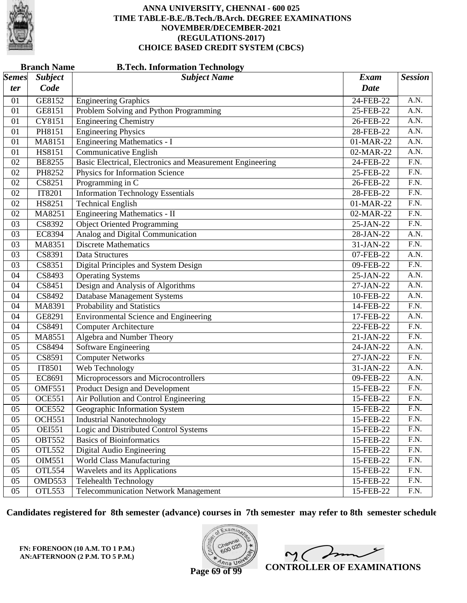

| <b>Branch Name</b><br><b>B.Tech. Information Technology</b> |                        |                                                           |                            |                   |  |
|-------------------------------------------------------------|------------------------|-----------------------------------------------------------|----------------------------|-------------------|--|
| $\vert$ Semes $\vert$<br>ter                                | <b>Subject</b><br>Code | <b>Subject Name</b>                                       | <b>Exam</b><br><b>Date</b> | <b>Session</b>    |  |
| 01                                                          | GE8152                 | <b>Engineering Graphics</b>                               | 24-FEB-22                  | A.N.              |  |
| 01                                                          | GE8151                 | Problem Solving and Python Programming                    | 25-FEB-22                  | A.N.              |  |
| 01                                                          | CY8151                 | <b>Engineering Chemistry</b>                              | 26-FEB-22                  | $\overline{A.N.}$ |  |
| 01                                                          | PH8151                 | <b>Engineering Physics</b>                                | 28-FEB-22                  | A.N.              |  |
| 01                                                          | MA8151                 | <b>Engineering Mathematics - I</b>                        | 01-MAR-22                  | A.N.              |  |
| 01                                                          | HS8151                 | <b>Communicative English</b>                              | 02-MAR-22                  | A.N.              |  |
| 02                                                          | <b>BE8255</b>          | Basic Electrical, Electronics and Measurement Engineering | 24-FEB-22                  | $\overline{F.N.}$ |  |
| 02                                                          | PH8252                 | Physics for Information Science                           | 25-FEB-22                  | F.N.              |  |
| 02                                                          | CS8251                 | Programming in C                                          | 26-FEB-22                  | F.N.              |  |
| 02                                                          | <b>IT8201</b>          | <b>Information Technology Essentials</b>                  | 28-FEB-22                  | $\overline{F.N.}$ |  |
| 02                                                          | HS8251                 | <b>Technical English</b>                                  | 01-MAR-22                  | $\overline{F.N.}$ |  |
| 02                                                          | MA8251                 | <b>Engineering Mathematics - II</b>                       | 02-MAR-22                  | $\overline{F.N.}$ |  |
| 03                                                          | CS8392                 | <b>Object Oriented Programming</b>                        | 25-JAN-22                  | F.N.              |  |
| 03                                                          | EC8394                 | Analog and Digital Communication                          | 28-JAN-22                  | A.N.              |  |
| 03                                                          | MA8351                 | <b>Discrete Mathematics</b>                               | 31-JAN-22                  | $\overline{F.N.}$ |  |
| 03                                                          | CS8391                 | Data Structures                                           | 07-FEB-22                  | A.N.              |  |
| 03                                                          | CS8351                 | Digital Principles and System Design                      | 09-FEB-22                  | F.N.              |  |
| 04                                                          | CS8493                 | <b>Operating Systems</b>                                  | 25-JAN-22                  | A.N.              |  |
| 04                                                          | CS8451                 | Design and Analysis of Algorithms                         | 27-JAN-22                  | $\overline{A.N.}$ |  |
| 04                                                          | CS8492                 | <b>Database Management Systems</b>                        | 10-FEB-22                  | A.N.              |  |
| 04                                                          | MA8391                 | Probability and Statistics                                | 14-FEB-22                  | F.N.              |  |
| 04                                                          | GE8291                 | <b>Environmental Science and Engineering</b>              | 17-FEB-22                  | A.N.              |  |
| 04                                                          | CS8491                 | <b>Computer Architecture</b>                              | 22-FEB-22                  | $\overline{F.N.}$ |  |
| 05                                                          | MA8551                 | Algebra and Number Theory                                 | 21-JAN-22                  | F.N.              |  |
| 05                                                          | CS8494                 | Software Engineering                                      | 24-JAN-22                  | A.N.              |  |
| 05                                                          | CS8591                 | <b>Computer Networks</b>                                  | 27-JAN-22                  | F.N.              |  |
| 05                                                          | <b>IT8501</b>          | Web Technology                                            | 31-JAN-22                  | $\overline{A.N.}$ |  |
| 05                                                          | EC8691                 | Microprocessors and Microcontrollers                      | 09-FEB-22                  | A.N.              |  |
| 05                                                          | <b>OMF551</b>          | <b>Product Design and Development</b>                     | 15-FEB-22                  | F.N.              |  |
| 05                                                          | <b>OCE551</b>          | Air Pollution and Control Engineering                     | 15-FEB-22                  | F.N.              |  |
| 05                                                          | <b>OCE552</b>          | Geographic Information System                             | 15-FEB-22                  | F.N.              |  |
| 05                                                          | <b>OCH551</b>          | <b>Industrial Nanotechnology</b>                          | 15-FEB-22                  | F.N.              |  |
| 05                                                          | <b>OEI551</b>          | Logic and Distributed Control Systems                     | 15-FEB-22                  | F.N.              |  |
| 05                                                          | <b>OBT552</b>          | <b>Basics of Bioinformatics</b>                           | 15-FEB-22                  | F.N.              |  |
| 05                                                          | <b>OTL552</b>          | Digital Audio Engineering                                 | 15-FEB-22                  | F.N.              |  |
| 05                                                          | OIM551                 | <b>World Class Manufacturing</b>                          | 15-FEB-22                  | F.N.              |  |
| 05                                                          | <b>OTL554</b>          | Wavelets and its Applications                             | 15-FEB-22                  | F.N.              |  |
| 05                                                          | OMD553                 | Telehealth Technology                                     | 15-FEB-22                  | F.N.              |  |
| 05                                                          | OTL553                 | <b>Telecommunication Network Management</b>               | 15-FEB-22                  | F.N.              |  |
|                                                             |                        |                                                           |                            |                   |  |

**Candidates registered for 8th semester (advance) courses in 7th semester may refer to 8th semester schedule**

**FN: FORENOON (10 A.M. TO 1 P.M.) AN:AFTERNOON (2 P.M. TO 5 P.M.)**



 $\overline{\mathscr{S}}$  $2<sub>1</sub>$ **CONTROLLER OF EXAMINATIONS**

**Page 69 of 99**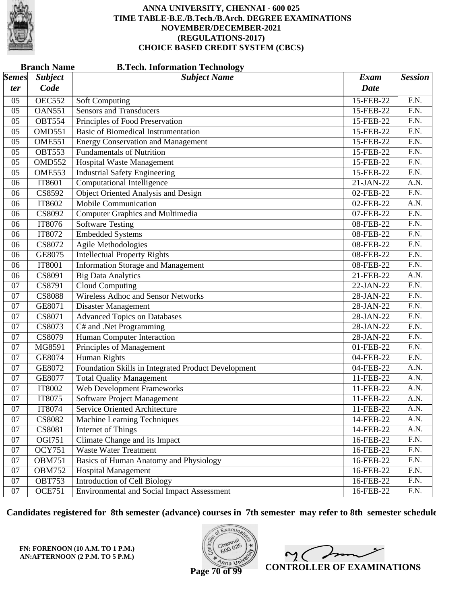

|                           | <b>Branch Name</b> | <b>B.Tech. Information Technology</b>               |              |                   |
|---------------------------|--------------------|-----------------------------------------------------|--------------|-------------------|
| $\mathcal{S}$ <i>emes</i> | <b>Subject</b>     | <b>Subject Name</b>                                 | Exam         | <b>Session</b>    |
| ter                       | Code               |                                                     | Date         |                   |
| 05                        | <b>OEC552</b>      | <b>Soft Computing</b>                               | 15-FEB-22    | F.N.              |
| 05                        | <b>OAN551</b>      | <b>Sensors and Transducers</b>                      | 15-FEB-22    | $\overline{F.N.}$ |
| 05                        | <b>OBT554</b>      | Principles of Food Preservation                     | 15-FEB-22    | $\overline{F.N.}$ |
| 05                        | <b>OMD551</b>      | <b>Basic of Biomedical Instrumentation</b>          | 15-FEB-22    | $\overline{F.N.}$ |
| 05                        | <b>OME551</b>      | <b>Energy Conservation and Management</b>           | 15-FEB-22    | F.N.              |
| 05                        | <b>OBT553</b>      | <b>Fundamentals of Nutrition</b>                    | 15-FEB-22    | $\overline{F.N.}$ |
| 05                        | <b>OMD552</b>      | <b>Hospital Waste Management</b>                    | 15-FEB-22    | $\overline{F.N.}$ |
| 05                        | <b>OME553</b>      | <b>Industrial Safety Engineering</b>                | 15-FEB-22    | $\overline{F.N.}$ |
| 06                        | IT8601             | <b>Computational Intelligence</b>                   | 21-JAN-22    | A.N.              |
| 06                        | CS8592             | <b>Object Oriented Analysis and Design</b>          | 02-FEB-22    | $\overline{F.N.}$ |
| 06                        | IT8602             | <b>Mobile Communication</b>                         | 02-FEB-22    | A.N.              |
| 06                        | CS8092             | <b>Computer Graphics and Multimedia</b>             | 07-FEB-22    | $\overline{F.N.}$ |
| 06                        | IT8076             | <b>Software Testing</b>                             | 08-FEB-22    | F.N.              |
| 06                        | IT8072             | <b>Embedded Systems</b>                             | 08-FEB-22    | $\overline{F.N.}$ |
| 06                        | CS8072             | <b>Agile Methodologies</b>                          | 08-FEB-22    | $\overline{F.N.}$ |
| 06                        | GE8075             | <b>Intellectual Property Rights</b>                 | 08-FEB-22    | $\overline{F.N.}$ |
| 06                        | <b>IT8001</b>      | <b>Information Storage and Management</b>           | 08-FEB-22    | F.N.              |
| 06                        | CS8091             | <b>Big Data Analytics</b>                           | 21-FEB-22    | A.N.              |
| 07                        | CS8791             | Cloud Computing                                     | 22-JAN-22    | $\overline{F.N.}$ |
| 07                        | <b>CS8088</b>      | Wireless Adhoc and Sensor Networks                  | 28-JAN-22    | $\overline{F.N.}$ |
| 07                        | GE8071             | Disaster Management                                 | 28-JAN-22    | F.N.              |
| 07                        | CS8071             | <b>Advanced Topics on Databases</b>                 | 28-JAN-22    | $\overline{F.N.}$ |
| 07                        | CS8073             | C# and .Net Programming                             | 28-JAN-22    | $\overline{F.N.}$ |
| 07                        | CS8079             | Human Computer Interaction                          | 28-JAN-22    | $\overline{F.N.}$ |
| 07                        | MG8591             | Principles of Management                            | 01-FEB-22    | F.N.              |
| 07                        | GE8074             | <b>Human Rights</b>                                 | 04-FEB-22    | $\overline{F.N.}$ |
| 07                        | GE8072             | Foundation Skills in Integrated Product Development | 04-FEB-22    | $\overline{A.N.}$ |
| 07                        | GE8077             | <b>Total Quality Management</b>                     | 11-FEB-22    | A.N.              |
| 07                        | IT8002             | <b>Web Development Frameworks</b>                   | 11-FEB-22    | A.N.              |
| 07                        | IT8075             | <b>Software Project Management</b>                  | 11-FEB-22    | A.N.              |
| 07                        | IT8074             | Service Oriented Architecture                       | 11-FEB-22    | A.N.              |
| 07                        | <b>CS8082</b>      | Machine Learning Techniques                         | 14-FEB-22    | A.N.              |
| 07                        | CS8081             | Internet of Things                                  | 14-FEB-22    | A.N.              |
| 07                        | OGI751             | Climate Change and its Impact                       | 16-FEB-22    | F.N.              |
| 07                        | <b>OCY751</b>      | <b>Waste Water Treatment</b>                        | $16$ -FEB-22 | F.N.              |
| $07\,$                    | <b>OBM751</b>      | Basics of Human Anatomy and Physiology              | 16-FEB-22    | F.N.              |
| 07                        | <b>OBM752</b>      | <b>Hospital Management</b>                          | 16-FEB-22    | F.N.              |
| 07                        | <b>OBT753</b>      | <b>Introduction of Cell Biology</b>                 | 16-FEB-22    | F.N.              |
| 07                        | <b>OCE751</b>      | <b>Environmental and Social Impact Assessment</b>   | 16-FEB-22    | F.N.              |

**Candidates registered for 8th semester (advance) courses in 7th semester may refer to 8th semester schedule**



 $2<sub>0</sub>$ **CONTROLLER OF EXAMINATIONS**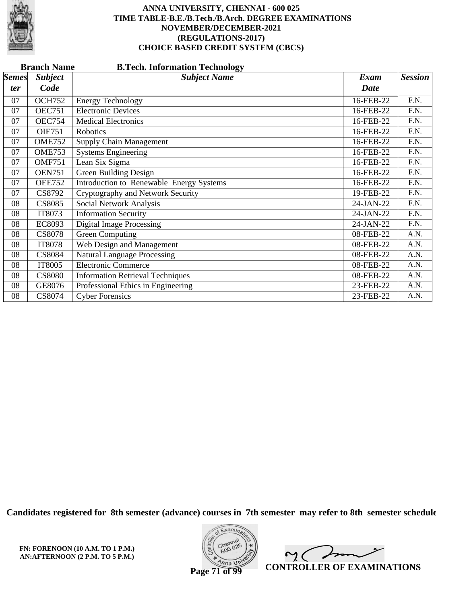

|              | <b>Branch Name</b><br><b>B.Tech. Information Technology</b> |                                                 |             |                   |  |  |  |
|--------------|-------------------------------------------------------------|-------------------------------------------------|-------------|-------------------|--|--|--|
| <b>Semes</b> | <b>Subject</b>                                              | <b>Subject Name</b>                             | <b>Exam</b> | <b>Session</b>    |  |  |  |
| ter          | Code                                                        |                                                 | <b>Date</b> |                   |  |  |  |
| 07           | <b>OCH752</b>                                               | <b>Energy Technology</b>                        | 16-FEB-22   | F.N.              |  |  |  |
| 07           | <b>OEC751</b>                                               | <b>Electronic Devices</b>                       | 16-FEB-22   | F.N.              |  |  |  |
| 07           | <b>OEC754</b>                                               | <b>Medical Electronics</b>                      | 16-FEB-22   | F.N.              |  |  |  |
| 07           | <b>OIE751</b>                                               | Robotics                                        | 16-FEB-22   | F.N.              |  |  |  |
| 07           | <b>OME752</b>                                               | <b>Supply Chain Management</b>                  | 16-FEB-22   | $\overline{F.N.}$ |  |  |  |
| 07           | <b>OME753</b>                                               | <b>Systems Engineering</b>                      | 16-FEB-22   | F.N.              |  |  |  |
| 07           | <b>OMF751</b>                                               | Lean Six Sigma                                  | 16-FEB-22   | F.N.              |  |  |  |
| 07           | <b>OEN751</b>                                               | Green Building Design                           | 16-FEB-22   | F.N.              |  |  |  |
| 07           | <b>OEE752</b>                                               | <b>Introduction to Renewable Energy Systems</b> | 16-FEB-22   | F.N.              |  |  |  |
| 07           | CS8792                                                      | Cryptography and Network Security               | 19-FEB-22   | F.N.              |  |  |  |
| 08           | <b>CS8085</b>                                               | Social Network Analysis                         | 24-JAN-22   | $\overline{F.N.}$ |  |  |  |
| 08           | IT8073                                                      | <b>Information Security</b>                     | 24-JAN-22   | F.N.              |  |  |  |
| 08           | EC8093                                                      | <b>Digital Image Processing</b>                 | 24-JAN-22   | F.N.              |  |  |  |
| 08           | <b>CS8078</b>                                               | Green Computing                                 | 08-FEB-22   | A.N.              |  |  |  |
| 08           | <b>IT8078</b>                                               | Web Design and Management                       | 08-FEB-22   | A.N.              |  |  |  |
| 08           | <b>CS8084</b>                                               | <b>Natural Language Processing</b>              | 08-FEB-22   | A.N.              |  |  |  |
| 08           | IT8005                                                      | <b>Electronic Commerce</b>                      | 08-FEB-22   | A.N.              |  |  |  |
| 08           | <b>CS8080</b>                                               | <b>Information Retrieval Techniques</b>         | 08-FEB-22   | A.N.              |  |  |  |
| 08           | GE8076                                                      | Professional Ethics in Engineering              | 23-FEB-22   | A.N.              |  |  |  |
| 08           | CS8074                                                      | <b>Cyber Forensics</b>                          | 23-FEB-22   | A.N.              |  |  |  |

**Candidates registered for 8th semester (advance) courses in 7th semester may refer to 8th semester schedule**

**FN: FORENOON (10 A.M. TO 1 P.M.) AN:AFTERNOON (2 P.M. TO 5 P.M.)**



 $\overline{\mathscr{L}}$  $\sim$  ( **CONTROLLER OF EXAMINATIONS**

**Page 71 of 99**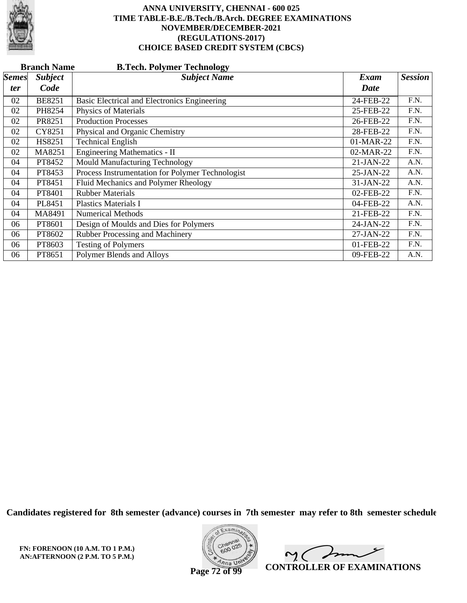

|              | <b>B.Tech. Polymer Technology</b><br><b>Branch Name</b> |                                                  |             |                |  |  |  |
|--------------|---------------------------------------------------------|--------------------------------------------------|-------------|----------------|--|--|--|
| <b>Semes</b> | <b>Subject</b>                                          | <b>Subject Name</b>                              | Exam        | <b>Session</b> |  |  |  |
| ter          | Code                                                    |                                                  | Date        |                |  |  |  |
| 02           | <b>BE8251</b>                                           | Basic Electrical and Electronics Engineering     | 24-FEB-22   | F.N.           |  |  |  |
| 02           | PH8254                                                  | <b>Physics of Materials</b>                      | 25-FEB-22   | F.N.           |  |  |  |
| 02           | PR8251                                                  | <b>Production Processes</b>                      | 26-FEB-22   | F.N.           |  |  |  |
| 02           | CY8251                                                  | Physical and Organic Chemistry                   | 28-FEB-22   | F.N.           |  |  |  |
| 02           | HS8251                                                  | <b>Technical English</b>                         | 01-MAR-22   | F.N.           |  |  |  |
| 02           | MA8251                                                  | Engineering Mathematics - II                     | 02-MAR-22   | F.N.           |  |  |  |
| 04           | PT8452                                                  | Mould Manufacturing Technology                   | $21-JAN-22$ | A.N.           |  |  |  |
| 04           | PT8453                                                  | Process Instrumentation for Polymer Technologist | 25-JAN-22   | A.N.           |  |  |  |
| 04           | PT8451                                                  | Fluid Mechanics and Polymer Rheology             | 31-JAN-22   | A.N.           |  |  |  |
| 04           | PT8401                                                  | <b>Rubber Materials</b>                          | 02-FEB-22   | F.N.           |  |  |  |
| 04           | PL8451                                                  | <b>Plastics Materials I</b>                      | 04-FEB-22   | A.N.           |  |  |  |
| 04           | MA8491                                                  | <b>Numerical Methods</b>                         | 21-FEB-22   | F.N.           |  |  |  |
| 06           | PT8601                                                  | Design of Moulds and Dies for Polymers           | 24-JAN-22   | F.N.           |  |  |  |
| 06           | PT8602                                                  | Rubber Processing and Machinery                  | 27-JAN-22   | F.N.           |  |  |  |
| 06           | PT8603                                                  | <b>Testing of Polymers</b>                       | 01-FEB-22   | F.N.           |  |  |  |
| 06           | PT8651                                                  | Polymer Blends and Alloys                        | 09-FEB-22   | A.N.           |  |  |  |

**Candidates registered for 8th semester (advance) courses in 7th semester may refer to 8th semester schedule**

**FN: FORENOON (10 A.M. TO 1 P.M.) AN:AFTERNOON (2 P.M. TO 5 P.M.)**



 $\sqrt{ }$  $\sim$  ( **CONTROLLER OF EXAMINATIONS**

**Page 72 of 99**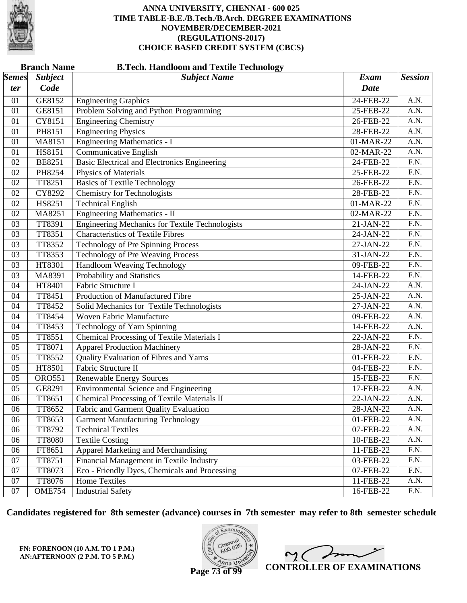

#### **Branch Name B.Tech. Handloom and Textile Technology**

| $\mathcal{S}$ <i>emes</i> | <b>Subject</b> | <b>Subject Name</b>                                    | Exam         | <b>Session</b>    |
|---------------------------|----------------|--------------------------------------------------------|--------------|-------------------|
| ter                       | Code           |                                                        | <b>Date</b>  |                   |
| 01                        | GE8152         | <b>Engineering Graphics</b>                            | 24-FEB-22    | A.N.              |
| 01                        | GE8151         | Problem Solving and Python Programming                 | 25-FEB-22    | A.N.              |
| 01                        | CY8151         | <b>Engineering Chemistry</b>                           | 26-FEB-22    | A.N.              |
| 01                        | PH8151         | <b>Engineering Physics</b>                             | 28-FEB-22    | A.N.              |
| 01                        | MA8151         | <b>Engineering Mathematics - I</b>                     | 01-MAR-22    | $\overline{A.N.}$ |
| 01                        | HS8151         | <b>Communicative English</b>                           | 02-MAR-22    | A.N.              |
| 02                        | <b>BE8251</b>  | Basic Electrical and Electronics Engineering           | 24-FEB-22    | F.N.              |
| 02                        | PH8254         | Physics of Materials                                   | 25-FEB-22    | F.N.              |
| 02                        | TT8251         | <b>Basics of Textile Technology</b>                    | 26-FEB-22    | $\overline{F.N.}$ |
| 02                        | CY8292         | <b>Chemistry for Technologists</b>                     | 28-FEB-22    | $\overline{F.N.}$ |
| 02                        | HS8251         | <b>Technical English</b>                               | 01-MAR-22    | F.N.              |
| 02                        | MA8251         | <b>Engineering Mathematics - II</b>                    | 02-MAR-22    | F.N.              |
| 03                        | TT8391         | <b>Engineering Mechanics for Textile Technologists</b> | 21-JAN-22    | $\overline{F.N.}$ |
| 03                        | TT8351         | <b>Characteristics of Textile Fibres</b>               | 24-JAN-22    | $\overline{F.N.}$ |
| 03                        | TT8352         | Technology of Pre Spinning Process                     | 27-JAN-22    | F.N.              |
| 03                        | TT8353         | <b>Technology of Pre Weaving Process</b>               | 31-JAN-22    | F.N.              |
| 03                        | HT8301         | Handloom Weaving Technology                            | 09-FEB-22    | $\overline{F.N.}$ |
| 03                        | MA8391         | Probability and Statistics                             | 14-FEB-22    | $\overline{F.N.}$ |
| 04                        | HT8401         | Fabric Structure I                                     | 24-JAN-22    | A.N.              |
| 04                        | TT8451         | Production of Manufactured Fibre                       | 25-JAN-22    | A.N.              |
| 04                        | TT8452         | Solid Mechanics for Textile Technologists              | 27-JAN-22    | A.N.              |
| 04                        | TT8454         | <b>Woven Fabric Manufacture</b>                        | 09-FEB-22    | A.N.              |
| 04                        | TT8453         | Technology of Yarn Spinning                            | 14-FEB-22    | A.N.              |
| 05                        | TT8551         | <b>Chemical Processing of Textile Materials I</b>      | 22-JAN-22    | F.N.              |
| 05                        | TT8071         | <b>Apparel Production Machinery</b>                    | 28-JAN-22    | F.N.              |
| 05                        | TT8552         | Quality Evaluation of Fibres and Yarns                 | 01-FEB-22    | $\overline{F.N.}$ |
| 05                        | HT8501         | Fabric Structure II                                    | 04-FEB-22    | F.N.              |
| 05                        | <b>ORO551</b>  | <b>Renewable Energy Sources</b>                        | 15-FEB-22    | F.N.              |
| 05                        | GE8291         | <b>Environmental Science and Engineering</b>           | 17-FEB-22    | A.N.              |
| 06                        | TT8651         | <b>Chemical Processing of Textile Materials II</b>     | $22$ -JAN-22 | A.N.              |
| 06                        | TT8652         | Fabric and Garment Quality Evaluation                  | 28-JAN-22    | A.N.              |
| 06                        | TT8653         | <b>Garment Manufacturing Technology</b>                | 01-FEB-22    | A.N.              |
| 06                        | TT8792         | <b>Technical Textiles</b>                              | 07-FEB-22    | A.N.              |
| 06                        | <b>TT8080</b>  | <b>Textile Costing</b>                                 | 10-FEB-22    | A.N.              |
| 06                        | FT8651         | Apparel Marketing and Merchandising                    | 11-FEB-22    | F.N.              |
| 07                        | TT8751         | Financial Management in Textile Industry               | 03-FEB-22    | F.N.              |
| 07                        | TT8073         | Eco - Friendly Dyes, Chemicals and Processing          | 07-FEB-22    | F.N.              |
| 07                        | TT8076         | Home Textiles                                          | 11-FEB-22    | A.N.              |
| 07                        | <b>OME754</b>  | <b>Industrial Safety</b>                               | 16-FEB-22    | $\Gamma.N.$       |

**Candidates registered for 8th semester (advance) courses in 7th semester may refer to 8th semester schedule**

**FN: FORENOON (10 A.M. TO 1 P.M.) AN:AFTERNOON (2 P.M. TO 5 P.M.)**



 $\overline{\mathscr{F}}$ 1 ( **CONTROLLER OF EXAMINATIONS**

**Page 73 of 99**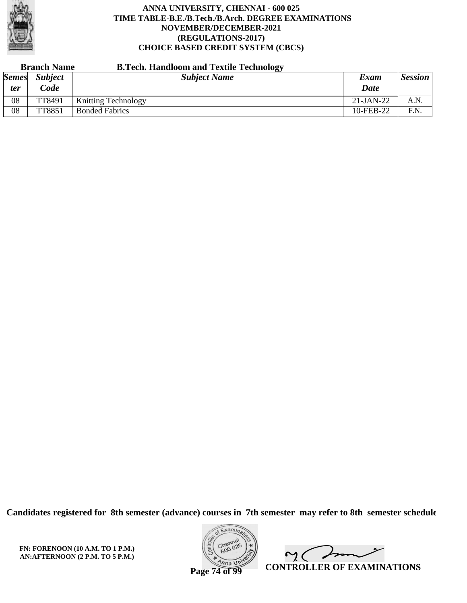

| <b>Branch Name</b>  |                        | <b>B.Tech. Handloom and Textile Technology</b> |              |                |
|---------------------|------------------------|------------------------------------------------|--------------|----------------|
| <b>Semes</b><br>ter | <b>Subject</b><br>Code | <b>Subject Name</b>                            | Exam<br>Date | <b>Session</b> |
| 08                  | TT8491                 | <b>Knitting Technology</b>                     | $21-JAN-22$  | A.N.           |
| 08                  | TT8851                 | <b>Bonded Fabrics</b>                          | 10-FEB-22    | F.N.           |

**Candidates registered for 8th semester (advance) courses in 7th semester may refer to 8th semester schedule**

**FN: FORENOON (10 A.M. TO 1 P.M.) AN:AFTERNOON (2 P.M. TO 5 P.M.)**



 $\overline{\phantom{a}}$  $\sim$  ( **CONTROLLER OF EXAMINATIONS**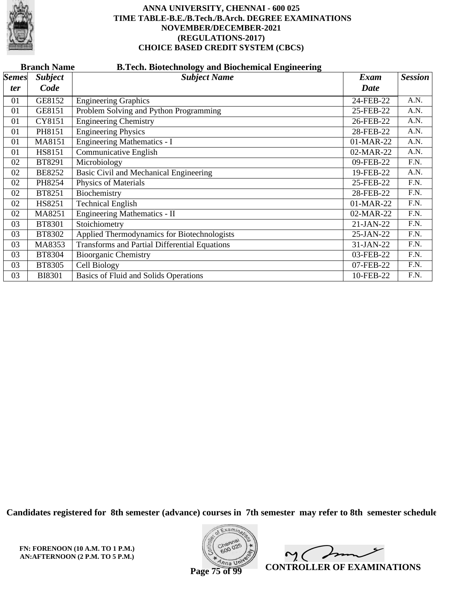

|              | <b>Branch Name</b><br><b>B.Tech. Biotechnology and Biochemical Engineering</b> |                                                      |             |                |  |  |  |
|--------------|--------------------------------------------------------------------------------|------------------------------------------------------|-------------|----------------|--|--|--|
| <b>Semes</b> | <b>Subject</b>                                                                 | <b>Subject Name</b>                                  | <b>Exam</b> | <b>Session</b> |  |  |  |
| ter          | Code                                                                           |                                                      | <b>Date</b> |                |  |  |  |
| 01           | GE8152                                                                         | <b>Engineering Graphics</b>                          | 24-FEB-22   | A.N.           |  |  |  |
| 01           | GE8151                                                                         | Problem Solving and Python Programming               | 25-FEB-22   | A.N.           |  |  |  |
| 01           | CY8151                                                                         | <b>Engineering Chemistry</b>                         | 26-FEB-22   | A.N.           |  |  |  |
| 01           | PH8151                                                                         | <b>Engineering Physics</b>                           | 28-FEB-22   | A.N.           |  |  |  |
| 01           | MA8151                                                                         | <b>Engineering Mathematics - I</b>                   | 01-MAR-22   | A.N.           |  |  |  |
| 01           | HS8151                                                                         | Communicative English                                | 02-MAR-22   | A.N.           |  |  |  |
| 02           | BT8291                                                                         | Microbiology                                         | 09-FEB-22   | F.N.           |  |  |  |
| 02           | <b>BE8252</b>                                                                  | Basic Civil and Mechanical Engineering               | 19-FEB-22   | A.N.           |  |  |  |
| 02           | PH8254                                                                         | <b>Physics of Materials</b>                          | 25-FEB-22   | F.N.           |  |  |  |
| 02           | BT8251                                                                         | Biochemistry                                         | 28-FEB-22   | F.N.           |  |  |  |
| 02           | HS8251                                                                         | <b>Technical English</b>                             | 01-MAR-22   | F.N.           |  |  |  |
| 02           | MA8251                                                                         | Engineering Mathematics - II                         | 02-MAR-22   | F.N.           |  |  |  |
| 03           | <b>BT8301</b>                                                                  | Stoichiometry                                        | 21-JAN-22   | F.N.           |  |  |  |
| 03           | BT8302                                                                         | Applied Thermodynamics for Biotechnologists          | 25-JAN-22   | F.N.           |  |  |  |
| 03           | MA8353                                                                         | <b>Transforms and Partial Differential Equations</b> | 31-JAN-22   | F.N.           |  |  |  |
| 03           | <b>BT8304</b>                                                                  | <b>Bioorganic Chemistry</b>                          | 03-FEB-22   | F.N.           |  |  |  |
| 03           | <b>BT8305</b>                                                                  | Cell Biology                                         | 07-FEB-22   | F.N.           |  |  |  |
| 03           | <b>BI8301</b>                                                                  | Basics of Fluid and Solids Operations                | 10-FEB-22   | F.N.           |  |  |  |

**Candidates registered for 8th semester (advance) courses in 7th semester may refer to 8th semester schedule**

**FN: FORENOON (10 A.M. TO 1 P.M.) AN:AFTERNOON (2 P.M. TO 5 P.M.)**



 $\sqrt{2}$  $\mathsf{M}(\mathbb{C})$ **CONTROLLER OF EXAMINATIONS**

**Page 75 of 99**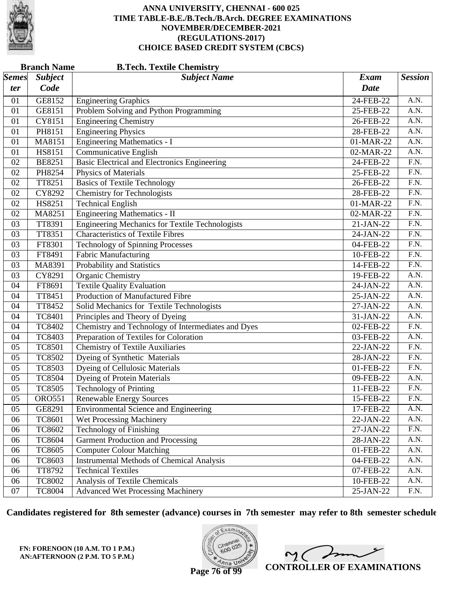

|              | <b>B.Tech. Textile Chemistry</b><br><b>Branch Name</b> |                                                        |                         |                   |  |  |
|--------------|--------------------------------------------------------|--------------------------------------------------------|-------------------------|-------------------|--|--|
| <b>Semes</b> | <b>Subject</b>                                         | <b>Subject Name</b>                                    | <b>Exam</b>             | <b>Session</b>    |  |  |
| ter          | Code                                                   |                                                        | <b>Date</b>             |                   |  |  |
| 01           | GE8152                                                 | <b>Engineering Graphics</b>                            | 24-FEB-22               | A.N.              |  |  |
| 01           | GE8151                                                 | Problem Solving and Python Programming                 | 25-FEB-22               | A.N.              |  |  |
| 01           | CY8151                                                 | <b>Engineering Chemistry</b>                           | 26-FEB-22               | A.N.              |  |  |
| 01           | PH8151                                                 | <b>Engineering Physics</b>                             | 28-FEB-22               | A.N.              |  |  |
| 01           | MA8151                                                 | <b>Engineering Mathematics - I</b>                     | 01-MAR-22               | A.N.              |  |  |
| 01           | HS8151                                                 | <b>Communicative English</b>                           | 02-MAR-22               | A.N.              |  |  |
| 02           | <b>BE8251</b>                                          | <b>Basic Electrical and Electronics Engineering</b>    | 24-FEB-22               | F.N.              |  |  |
| 02           | PH8254                                                 | <b>Physics of Materials</b>                            | 25-FEB-22               | $\overline{F.N.}$ |  |  |
| 02           | TT8251                                                 | <b>Basics of Textile Technology</b>                    | 26-FEB-22               | F.N.              |  |  |
| 02           | CY8292                                                 | <b>Chemistry for Technologists</b>                     | 28-FEB-22               | F.N.              |  |  |
| 02           | HS8251                                                 | <b>Technical English</b>                               | 01-MAR-22               | $\overline{F.N.}$ |  |  |
| 02           | MA8251                                                 | Engineering Mathematics - II                           | 02-MAR-22               | $\overline{F.N.}$ |  |  |
| 03           | TT8391                                                 | <b>Engineering Mechanics for Textile Technologists</b> | 21-JAN-22               | F.N.              |  |  |
| 03           | TT8351                                                 | <b>Characteristics of Textile Fibres</b>               | 24-JAN-22               | F.N.              |  |  |
| 03           | FT8301                                                 | <b>Technology of Spinning Processes</b>                | $04$ -FEB-22            | $\overline{F.N.}$ |  |  |
| 03           | FT8491                                                 | <b>Fabric Manufacturing</b>                            | 10-FEB-22               | $\overline{F.N.}$ |  |  |
| 03           | MA8391                                                 | Probability and Statistics                             | 14-FEB-22               | F.N.              |  |  |
| 03           | CY8291                                                 | <b>Organic Chemistry</b>                               | 19-FEB-22               | A.N.              |  |  |
| 04           | FT8691                                                 | <b>Textile Quality Evaluation</b>                      | 24-JAN-22               | A.N.              |  |  |
| 04           | TT8451                                                 | Production of Manufactured Fibre                       | 25-JAN-22               | A.N.              |  |  |
| 04           | TT8452                                                 | Solid Mechanics for Textile Technologists              | 27-JAN-22               | A.N.              |  |  |
| 04           | <b>TC8401</b>                                          | Principles and Theory of Dyeing                        | 31-JAN-22               | A.N.              |  |  |
| 04           | TC8402                                                 | Chemistry and Technology of Intermediates and Dyes     | $02$ -FEB-22            | $\overline{F.N.}$ |  |  |
| 04           | <b>TC8403</b>                                          | Preparation of Textiles for Coloration                 | $\overline{03}$ -FEB-22 | A.N.              |  |  |
| 05           | <b>TC8501</b>                                          | <b>Chemistry of Textile Auxiliaries</b>                | 22-JAN-22               | F.N.              |  |  |
| 05           | <b>TC8502</b>                                          | Dyeing of Synthetic Materials                          | 28-JAN-22               | F.N.              |  |  |
| 05           | <b>TC8503</b>                                          | <b>Dyeing of Cellulosic Materials</b>                  | 01-FEB-22               | $\overline{F.N.}$ |  |  |
| 05           | <b>TC8504</b>                                          | <b>Dyeing of Protein Materials</b>                     | 09-FEB-22               | A.N.              |  |  |
| 05           | <b>TC8505</b>                                          | <b>Technology of Printing</b>                          | 11-FEB-22               | F.N.              |  |  |
| 05           | <b>ORO551</b>                                          | <b>Renewable Energy Sources</b>                        | 15-FEB-22               | F.N.              |  |  |
| 05           | GE8291                                                 | <b>Environmental Science and Engineering</b>           | 17-FEB-22               | A.N.              |  |  |
| 06           | <b>TC8601</b>                                          | Wet Processing Machinery                               | 22-JAN-22               | A.N.              |  |  |
| 06           | <b>TC8602</b>                                          | <b>Technology of Finishing</b>                         | 27-JAN-22               | F.N.              |  |  |
| 06           | <b>TC8604</b>                                          | <b>Garment Production and Processing</b>               | 28-JAN-22               | A.N.              |  |  |
| 06           | <b>TC8605</b>                                          | <b>Computer Colour Matching</b>                        | 01-FEB-22               | A.N.              |  |  |
| 06           | TC8603                                                 | <b>Instrumental Methods of Chemical Analysis</b>       | 04-FEB-22               | A.N.              |  |  |
| 06           | TT8792                                                 | <b>Technical Textiles</b>                              | 07-FEB-22               | A.N.              |  |  |
| 06           | <b>TC8002</b>                                          | Analysis of Textile Chemicals                          | 10-FEB-22               | A.N.              |  |  |
| 07           | <b>TC8004</b>                                          | <b>Advanced Wet Processing Machinery</b>               | 25-JAN-22               | F.N.              |  |  |

**Candidates registered for 8th semester (advance) courses in 7th semester may refer to 8th semester schedule**

**FN: FORENOON (10 A.M. TO 1 P.M.) AN:AFTERNOON (2 P.M. TO 5 P.M.)**



 $\overline{\phantom{a}}$  $2<sub>1</sub>$ **CONTROLLER OF EXAMINATIONS**

**Page 76 of 99**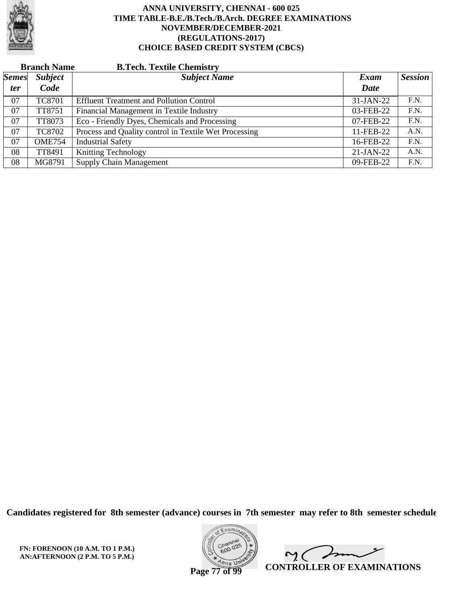

| <b>Branch Name</b> |                | <b>B.Tech. Textile Chemistry</b>                      |             |                |
|--------------------|----------------|-------------------------------------------------------|-------------|----------------|
| <i>Semes</i>       | <b>Subject</b> | <b>Subject Name</b>                                   | Exam        | <b>Session</b> |
| <i>ter</i>         | Code           |                                                       | Date        |                |
| 07                 | <b>TC8701</b>  | <b>Effluent Treatment and Pollution Control</b>       | 31-JAN-22   | F.N.           |
| 07                 | TT8751         | Financial Management in Textile Industry              | 03-FEB-22   | F.N.           |
| 07                 | TT8073         | Eco - Friendly Dyes, Chemicals and Processing         | 07-FEB-22   | F.N.           |
| 07                 | <b>TC8702</b>  | Process and Quality control in Textile Wet Processing | 11-FEB-22   | A.N.           |
| 07                 | <b>OME754</b>  | <b>Industrial Safety</b>                              | 16-FEB-22   | F.N.           |
| 08                 | TT8491         | <b>Knitting Technology</b>                            | $21-JAN-22$ | A.N.           |
| 08                 | MG8791         | <b>Supply Chain Management</b>                        | 09-FEB-22   | F.N.           |

**Candidates registered for 8th semester (advance) courses in 7th semester may refer to 8th semester schedule**

**FN: FORENOON (10 A.M. TO 1 P.M.) AN:AFTERNOON (2 P.M. TO 5 P.M.)**



 $\overline{\phantom{a}}$  $\sim$  ( **CONTROLLER OF EXAMINATIONS**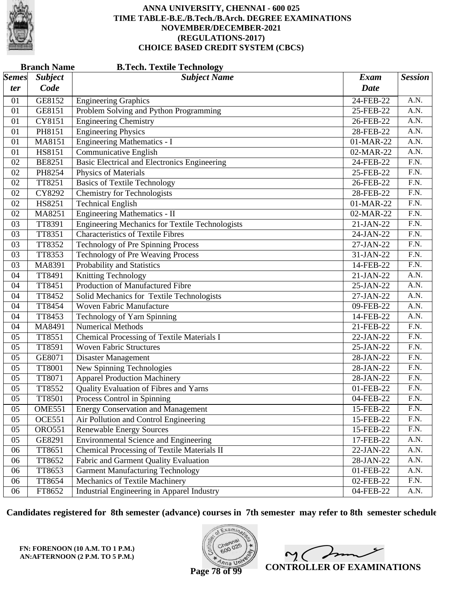

|              | <b>Branch Name</b><br><b>B.Tech. Textile Technology</b> |                                                        |             |                   |  |  |
|--------------|---------------------------------------------------------|--------------------------------------------------------|-------------|-------------------|--|--|
| <b>Semes</b> | <b>Subject</b>                                          | <b>Subject Name</b>                                    | <b>Exam</b> | <b>Session</b>    |  |  |
| ter          | Code                                                    |                                                        | <b>Date</b> |                   |  |  |
| 01           | GE8152                                                  | <b>Engineering Graphics</b>                            | 24-FEB-22   | A.N.              |  |  |
| 01           | GE8151                                                  | Problem Solving and Python Programming                 | 25-FEB-22   | A.N.              |  |  |
| 01           | CY8151                                                  | <b>Engineering Chemistry</b>                           | 26-FEB-22   | A.N.              |  |  |
| 01           | PH8151                                                  | <b>Engineering Physics</b>                             | 28-FEB-22   | $\overline{A.N.}$ |  |  |
| 01           | MA8151                                                  | <b>Engineering Mathematics - I</b>                     | 01-MAR-22   | A.N.              |  |  |
| 01           | HS8151                                                  | Communicative English                                  | 02-MAR-22   | A.N.              |  |  |
| 02           | <b>BE8251</b>                                           | Basic Electrical and Electronics Engineering           | 24-FEB-22   | $\overline{F.N.}$ |  |  |
| 02           | PH8254                                                  | <b>Physics of Materials</b>                            | 25-FEB-22   | $\overline{F.N.}$ |  |  |
| 02           | TT8251                                                  | <b>Basics of Textile Technology</b>                    | 26-FEB-22   | F.N.              |  |  |
| 02           | CY8292                                                  | <b>Chemistry for Technologists</b>                     | 28-FEB-22   | $\overline{F.N.}$ |  |  |
| 02           | HS8251                                                  | <b>Technical English</b>                               | 01-MAR-22   | $\overline{F.N.}$ |  |  |
| 02           | MA8251                                                  | <b>Engineering Mathematics - II</b>                    | 02-MAR-22   | $\overline{F.N.}$ |  |  |
| 03           | TT8391                                                  | <b>Engineering Mechanics for Textile Technologists</b> | 21-JAN-22   | F.N.              |  |  |
| 03           | TT8351                                                  | <b>Characteristics of Textile Fibres</b>               | 24-JAN-22   | F.N.              |  |  |
| 03           | TT8352                                                  | Technology of Pre Spinning Process                     | 27-JAN-22   | $\overline{F.N.}$ |  |  |
| 03           | TT8353                                                  | Technology of Pre Weaving Process                      | 31-JAN-22   | $\overline{F.N.}$ |  |  |
| 03           | MA8391                                                  | Probability and Statistics                             | 14-FEB-22   | F.N.              |  |  |
| 04           | TT8491                                                  | Knitting Technology                                    | 21-JAN-22   | A.N.              |  |  |
| 04           | TT8451                                                  | Production of Manufactured Fibre                       | 25-JAN-22   | $\overline{A.N.}$ |  |  |
| 04           | TT8452                                                  | Solid Mechanics for Textile Technologists              | 27-JAN-22   | A.N.              |  |  |
| 04           | TT8454                                                  | <b>Woven Fabric Manufacture</b>                        | 09-FEB-22   | A.N.              |  |  |
| 04           | TT8453                                                  | Technology of Yarn Spinning                            | 14-FEB-22   | A.N.              |  |  |
| 04           | MA8491                                                  | <b>Numerical Methods</b>                               | 21-FEB-22   | $\overline{F.N.}$ |  |  |
| 05           | TT8551                                                  | <b>Chemical Processing of Textile Materials I</b>      | 22-JAN-22   | $\overline{F.N.}$ |  |  |
| 05           | TT8591                                                  | <b>Woven Fabric Structures</b>                         | 25-JAN-22   | F.N.              |  |  |
| 05           | GE8071                                                  | Disaster Management                                    | 28-JAN-22   | F.N.              |  |  |
| 05           | <b>TT8001</b>                                           | New Spinning Technologies                              | 28-JAN-22   | $\overline{F.N.}$ |  |  |
| 05           | TT8071                                                  | <b>Apparel Production Machinery</b>                    | 28-JAN-22   | $\overline{F.N.}$ |  |  |
| 05           | TT8552                                                  | Quality Evaluation of Fibres and Yarns                 | 01-FEB-22   | F.N.              |  |  |
| 05           | <b>TT8501</b>                                           | Process Control in Spinning                            | 04-FEB-22   | F.N.              |  |  |
| 05           | <b>OME551</b>                                           | <b>Energy Conservation and Management</b>              | 15-FEB-22   | F.N.              |  |  |
| 05           | <b>OCE551</b>                                           | Air Pollution and Control Engineering                  | 15-FEB-22   | F.N.              |  |  |
| 05           | <b>ORO551</b>                                           | <b>Renewable Energy Sources</b>                        | 15-FEB-22   | F.N.              |  |  |
| 05           | GE8291                                                  | <b>Environmental Science and Engineering</b>           | 17-FEB-22   | A.N.              |  |  |
| 06           | TT8651                                                  | Chemical Processing of Textile Materials II            | $22-JAN-22$ | A.N.              |  |  |
| 06           | TT8652                                                  | Fabric and Garment Quality Evaluation                  | 28-JAN-22   | A.N.              |  |  |
| 06           | TT8653                                                  | <b>Garment Manufacturing Technology</b>                | 01-FEB-22   | A.N.              |  |  |
| 06           | TT8654                                                  | Mechanics of Textile Machinery                         | 02-FEB-22   | F.N.              |  |  |
| 06           | FT8652                                                  | Industrial Engineering in Apparel Industry             | 04-FEB-22   | A.N.              |  |  |

**Candidates registered for 8th semester (advance) courses in 7th semester may refer to 8th semester schedule**

**FN: FORENOON (10 A.M. TO 1 P.M.) AN:AFTERNOON (2 P.M. TO 5 P.M.)**



 $\overline{\phantom{a}}$ 2. C  $\overline{a}$ **CONTROLLER OF EXAMINATIONS**

**Page 78 of 99**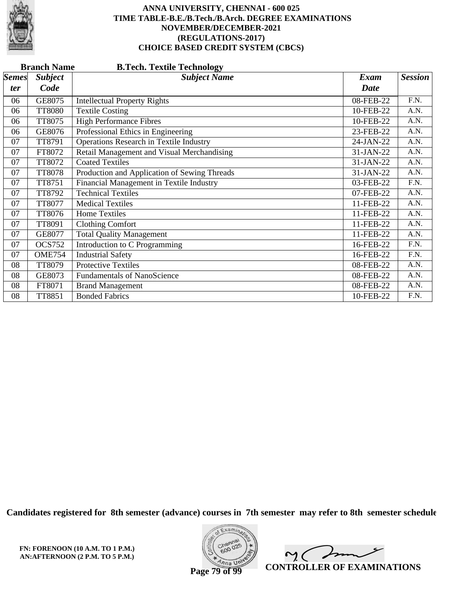

| <b>Branch Name</b><br><b>B.Tech. Textile Technology</b> |                |                                                |           |                |  |
|---------------------------------------------------------|----------------|------------------------------------------------|-----------|----------------|--|
| <b>Semes</b>                                            | <b>Subject</b> | <b>Subject Name</b>                            | Exam      | <b>Session</b> |  |
| <i>ter</i>                                              | Code           |                                                | Date      |                |  |
| 06                                                      | GE8075         | <b>Intellectual Property Rights</b>            | 08-FEB-22 | F.N.           |  |
| 06                                                      | <b>TT8080</b>  | <b>Textile Costing</b>                         | 10-FEB-22 | A.N.           |  |
| 06                                                      | TT8075         | <b>High Performance Fibres</b>                 | 10-FEB-22 | A.N.           |  |
| 06                                                      | GE8076         | Professional Ethics in Engineering             | 23-FEB-22 | A.N.           |  |
| 07                                                      | TT8791         | <b>Operations Research in Textile Industry</b> | 24-JAN-22 | A.N.           |  |
| 07                                                      | FT8072         | Retail Management and Visual Merchandising     | 31-JAN-22 | A.N.           |  |
| 07                                                      | TT8072         | <b>Coated Textiles</b>                         | 31-JAN-22 | A.N.           |  |
| 07                                                      | <b>TT8078</b>  | Production and Application of Sewing Threads   | 31-JAN-22 | A.N.           |  |
| 07                                                      | TT8751         | Financial Management in Textile Industry       | 03-FEB-22 | F.N.           |  |
| 07                                                      | TT8792         | <b>Technical Textiles</b>                      | 07-FEB-22 | A.N.           |  |
| 07                                                      | <b>TT8077</b>  | <b>Medical Textiles</b>                        | 11-FEB-22 | A.N.           |  |
| 07                                                      | TT8076         | <b>Home Textiles</b>                           | 11-FEB-22 | A.N.           |  |
| 07                                                      | TT8091         | <b>Clothing Comfort</b>                        | 11-FEB-22 | A.N.           |  |
| 07                                                      | GE8077         | <b>Total Quality Management</b>                | 11-FEB-22 | A.N.           |  |
| 07                                                      | <b>OCS752</b>  | <b>Introduction to C Programming</b>           | 16-FEB-22 | F.N.           |  |
| 07                                                      | <b>OME754</b>  | <b>Industrial Safety</b>                       | 16-FEB-22 | F.N.           |  |
| 08                                                      | TT8079         | <b>Protective Textiles</b>                     | 08-FEB-22 | A.N.           |  |
| 08                                                      | GE8073         | <b>Fundamentals of NanoScience</b>             | 08-FEB-22 | A.N.           |  |
| 08                                                      | FT8071         | <b>Brand Management</b>                        | 08-FEB-22 | A.N.           |  |
| 08                                                      | <b>TT8851</b>  | <b>Bonded Fabrics</b>                          | 10-FEB-22 | F.N.           |  |

**Candidates registered for 8th semester (advance) courses in 7th semester may refer to 8th semester schedule**

**FN: FORENOON (10 A.M. TO 1 P.M.) AN:AFTERNOON (2 P.M. TO 5 P.M.)**



 $\sqrt{ }$  $\sim$  ( **CONTROLLER OF EXAMINATIONS**

**Page 79 of 99**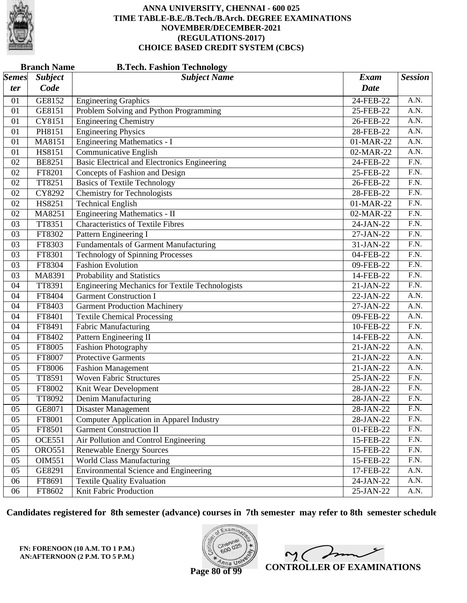

| <b>Branch Name</b><br><b>B.Tech. Fashion Technology</b> |                |                                                 |             |                   |
|---------------------------------------------------------|----------------|-------------------------------------------------|-------------|-------------------|
| $\vert$ Semes $\vert$                                   | <b>Subject</b> | <b>Subject Name</b>                             | <b>Exam</b> | <b>Session</b>    |
| ter                                                     | Code           |                                                 | <b>Date</b> |                   |
| 01                                                      | GE8152         | <b>Engineering Graphics</b>                     | 24-FEB-22   | A.N.              |
| 01                                                      | GE8151         | Problem Solving and Python Programming          | 25-FEB-22   | A.N.              |
| 01                                                      | CY8151         | <b>Engineering Chemistry</b>                    | 26-FEB-22   | $\overline{A.N.}$ |
| 01                                                      | PH8151         | <b>Engineering Physics</b>                      | 28-FEB-22   | $\overline{A.N.}$ |
| 01                                                      | MA8151         | <b>Engineering Mathematics - I</b>              | 01-MAR-22   | A.N.              |
| 01                                                      | HS8151         | Communicative English                           | 02-MAR-22   | A.N.              |
| 02                                                      | <b>BE8251</b>  | Basic Electrical and Electronics Engineering    | 24-FEB-22   | $\overline{F.N.}$ |
| 02                                                      | FT8201         | Concepts of Fashion and Design                  | 25-FEB-22   | $\overline{F.N.}$ |
| 02                                                      | TT8251         | <b>Basics of Textile Technology</b>             | 26-FEB-22   | F.N.              |
| 02                                                      | CY8292         | <b>Chemistry for Technologists</b>              | 28-FEB-22   | $\overline{F.N.}$ |
| 02                                                      | HS8251         | <b>Technical English</b>                        | 01-MAR-22   | $\overline{F.N.}$ |
| 02                                                      | MA8251         | <b>Engineering Mathematics - II</b>             | 02-MAR-22   | $\overline{F.N.}$ |
| 03                                                      | TT8351         | <b>Characteristics of Textile Fibres</b>        | 24-JAN-22   | F.N.              |
| 03                                                      | FT8302         | Pattern Engineering I                           | 27-JAN-22   | F.N.              |
| 03                                                      | FT8303         | <b>Fundamentals of Garment Manufacturing</b>    | 31-JAN-22   | $\overline{F.N.}$ |
| 03                                                      | FT8301         | <b>Technology of Spinning Processes</b>         | 04-FEB-22   | $\overline{F.N.}$ |
| 03                                                      | FT8304         | <b>Fashion Evolution</b>                        | 09-FEB-22   | F.N.              |
| 03                                                      | MA8391         | Probability and Statistics                      | 14-FEB-22   | F.N.              |
| 04                                                      | TT8391         | Engineering Mechanics for Textile Technologists | 21-JAN-22   | $\overline{F.N.}$ |
| 04                                                      | FT8404         | <b>Garment Construction I</b>                   | 22-JAN-22   | $\overline{A.N.}$ |
| 04                                                      | FT8403         | <b>Garment Production Machinery</b>             | 27-JAN-22   | A.N.              |
| 04                                                      | FT8401         | <b>Textile Chemical Processing</b>              | 09-FEB-22   | A.N.              |
| 04                                                      | FT8491         | <b>Fabric Manufacturing</b>                     | 10-FEB-22   | $\overline{F.N.}$ |
| 04                                                      | FT8402         | Pattern Engineering II                          | 14-FEB-22   | A.N.              |
| 05                                                      | FT8005         | <b>Fashion Photography</b>                      | 21-JAN-22   | A.N.              |
| 05                                                      | FT8007         | Protective Garments                             | 21-JAN-22   | A.N.              |
| 05                                                      | FT8006         | <b>Fashion Management</b>                       | 21-JAN-22   | $\overline{A.N.}$ |
| 05                                                      | TT8591         | <b>Woven Fabric Structures</b>                  | 25-JAN-22   | $\overline{F.N.}$ |
| 05                                                      | FT8002         | Knit Wear Development                           | 28-JAN-22   | F.N.              |
| 05                                                      | TT8092         | Denim Manufacturing                             | 28-JAN-22   | F.N.              |
| 05                                                      | GE8071         | <b>Disaster Management</b>                      | 28-JAN-22   | F.N.              |
| 05                                                      | FT8001         | <b>Computer Application in Apparel Industry</b> | 28-JAN-22   | F.N.              |
| 05                                                      | FT8501         | <b>Garment Construction II</b>                  | 01-FEB-22   | F.N.              |
| 05                                                      | <b>OCE551</b>  | Air Pollution and Control Engineering           | 15-FEB-22   | F.N.              |
| 05                                                      | <b>ORO551</b>  | <b>Renewable Energy Sources</b>                 | 15-FEB-22   | F.N.              |
| 05                                                      | OIM551         | World Class Manufacturing                       | 15-FEB-22   | F.N.              |
| 05                                                      | GE8291         | <b>Environmental Science and Engineering</b>    | 17-FEB-22   | A.N.              |
| 06                                                      | FT8691         | <b>Textile Quality Evaluation</b>               | 24-JAN-22   | A.N.              |
| 06                                                      | FT8602         | Knit Fabric Production                          | 25-JAN-22   | A.N.              |

**Candidates registered for 8th semester (advance) courses in 7th semester may refer to 8th semester schedule**

**FN: FORENOON (10 A.M. TO 1 P.M.) AN:AFTERNOON (2 P.M. TO 5 P.M.)**



 $\overline{\phantom{a}}$ 2. C  $\overline{a}$ **CONTROLLER OF EXAMINATIONS**

**Page 80 of 99**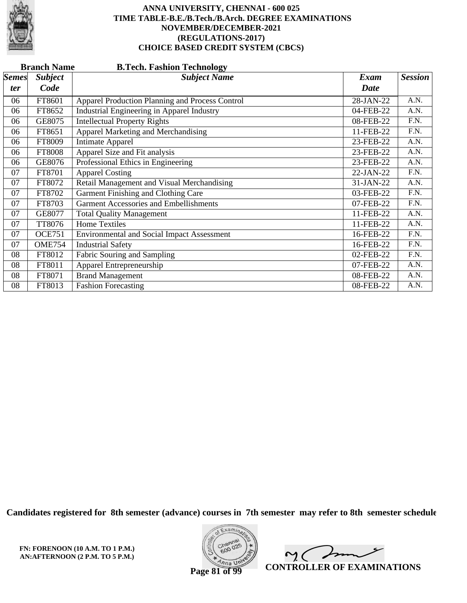

|                     | <b>Branch Name</b><br><b>B.Tech. Fashion Technology</b> |                                                   |                     |                |  |  |
|---------------------|---------------------------------------------------------|---------------------------------------------------|---------------------|----------------|--|--|
| <b>Semes</b><br>ter | <b>Subject</b><br>Code                                  | <b>Subject Name</b>                               | Exam<br><b>Date</b> | <b>Session</b> |  |  |
| 06                  | FT8601                                                  | Apparel Production Planning and Process Control   | 28-JAN-22           | A.N.           |  |  |
| 06                  | FT8652                                                  | Industrial Engineering in Apparel Industry        | 04-FEB-22           | A.N.           |  |  |
| 06                  | GE8075                                                  | <b>Intellectual Property Rights</b>               | 08-FEB-22           | F.N.           |  |  |
| 06                  | FT8651                                                  | Apparel Marketing and Merchandising               | 11-FEB-22           | F.N.           |  |  |
| 06                  | FT8009                                                  | <b>Intimate Apparel</b>                           | 23-FEB-22           | A.N.           |  |  |
| 06                  | FT8008                                                  | Apparel Size and Fit analysis                     | 23-FEB-22           | A.N.           |  |  |
| 06                  | GE8076                                                  | Professional Ethics in Engineering                | 23-FEB-22           | A.N.           |  |  |
| 07                  | FT8701                                                  | <b>Apparel Costing</b>                            | 22-JAN-22           | F.N.           |  |  |
| 07                  | FT8072                                                  | Retail Management and Visual Merchandising        | 31-JAN-22           | A.N.           |  |  |
| 07                  | FT8702                                                  | Garment Finishing and Clothing Care               | 03-FEB-22           | F.N.           |  |  |
| 07                  | FT8703                                                  | <b>Garment Accessories and Embellishments</b>     | 07-FEB-22           | F.N.           |  |  |
| 07                  | GE8077                                                  | <b>Total Quality Management</b>                   | 11-FEB-22           | A.N.           |  |  |
| 07                  | TT8076                                                  | <b>Home Textiles</b>                              | 11-FEB-22           | A.N.           |  |  |
| 07                  | <b>OCE751</b>                                           | <b>Environmental and Social Impact Assessment</b> | 16-FEB-22           | F.N.           |  |  |
| 07                  | <b>OME754</b>                                           | <b>Industrial Safety</b>                          | 16-FEB-22           | F.N.           |  |  |
| 08                  | FT8012                                                  | Fabric Souring and Sampling                       | 02-FEB-22           | F.N.           |  |  |
| 08                  | FT8011                                                  | Apparel Entrepreneurship                          | 07-FEB-22           | A.N.           |  |  |
| 08                  | FT8071                                                  | <b>Brand Management</b>                           | 08-FEB-22           | A.N.           |  |  |
| 08                  | FT8013                                                  | <b>Fashion Forecasting</b>                        | 08-FEB-22           | A.N.           |  |  |

**Candidates registered for 8th semester (advance) courses in 7th semester may refer to 8th semester schedule**

**FN: FORENOON (10 A.M. TO 1 P.M.) AN:AFTERNOON (2 P.M. TO 5 P.M.)**



 $\sqrt{ }$  $\sim$  ( **CONTROLLER OF EXAMINATIONS**

**Page 81 of 99**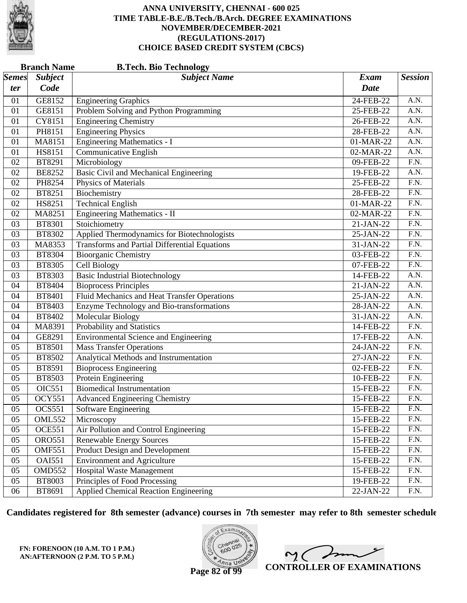

| <b>Branch Name</b><br><b>B.Tech. Bio Technology</b> |                |                                                      |             |                   |  |
|-----------------------------------------------------|----------------|------------------------------------------------------|-------------|-------------------|--|
| $\vert$ Semes $\vert$                               | <b>Subject</b> | <b>Subject Name</b>                                  | <b>Exam</b> | <b>Session</b>    |  |
| ter                                                 | Code           |                                                      | <b>Date</b> |                   |  |
| 01                                                  | GE8152         | <b>Engineering Graphics</b>                          | 24-FEB-22   | A.N.              |  |
| 01                                                  | GE8151         | Problem Solving and Python Programming               | 25-FEB-22   | A.N.              |  |
| 01                                                  | CY8151         | <b>Engineering Chemistry</b>                         | 26-FEB-22   | A.N.              |  |
| 01                                                  | PH8151         | <b>Engineering Physics</b>                           | 28-FEB-22   | $\overline{A.N.}$ |  |
| 01                                                  | MA8151         | <b>Engineering Mathematics - I</b>                   | 01-MAR-22   | A.N.              |  |
| 01                                                  | <b>HS8151</b>  | Communicative English                                | 02-MAR-22   | A.N.              |  |
| 02                                                  | BT8291         | Microbiology                                         | 09-FEB-22   | $\overline{F.N.}$ |  |
| 02                                                  | <b>BE8252</b>  | <b>Basic Civil and Mechanical Engineering</b>        | 19-FEB-22   | $\overline{A.N.}$ |  |
| 02                                                  | PH8254         | Physics of Materials                                 | 25-FEB-22   | F.N.              |  |
| 02                                                  | BT8251         | Biochemistry                                         | 28-FEB-22   | $\overline{F.N.}$ |  |
| 02                                                  | HS8251         | <b>Technical English</b>                             | 01-MAR-22   | $\overline{F.N.}$ |  |
| 02                                                  | MA8251         | Engineering Mathematics - II                         | 02-MAR-22   | $\overline{F.N.}$ |  |
| 03                                                  | <b>BT8301</b>  | Stoichiometry                                        | 21-JAN-22   | F.N.              |  |
| 03                                                  | BT8302         | Applied Thermodynamics for Biotechnologists          | 25-JAN-22   | F.N.              |  |
| 03                                                  | MA8353         | <b>Transforms and Partial Differential Equations</b> | 31-JAN-22   | $\overline{F.N.}$ |  |
| 03                                                  | <b>BT8304</b>  | <b>Bioorganic Chemistry</b>                          | 03-FEB-22   | $\overline{F.N.}$ |  |
| 03                                                  | <b>BT8305</b>  | <b>Cell Biology</b>                                  | 07-FEB-22   | F.N.              |  |
| 03                                                  | BT8303         | <b>Basic Industrial Biotechnology</b>                | 14-FEB-22   | A.N.              |  |
| 04                                                  | <b>BT8404</b>  | <b>Bioprocess Principles</b>                         | 21-JAN-22   | A.N.              |  |
| 04                                                  | BT8401         | Fluid Mechanics and Heat Transfer Operations         | 25-JAN-22   | A.N.              |  |
| 04                                                  | BT8403         | Enzyme Technology and Bio-transformations            | 28-JAN-22   | A.N.              |  |
| 04                                                  | BT8402         | Molecular Biology                                    | 31-JAN-22   | A.N.              |  |
| 04                                                  | MA8391         | Probability and Statistics                           | 14-FEB-22   | $\overline{F.N.}$ |  |
| 04                                                  | GE8291         | <b>Environmental Science and Engineering</b>         | 17-FEB-22   | A.N.              |  |
| 05                                                  | <b>BT8501</b>  | <b>Mass Transfer Operations</b>                      | 24-JAN-22   | F.N.              |  |
| 05                                                  | BT8502         | Analytical Methods and Instrumentation               | 27-JAN-22   | F.N.              |  |
| 05                                                  | BT8591         | <b>Bioprocess Engineering</b>                        | 02-FEB-22   | $\overline{F.N.}$ |  |
| 05                                                  | BT8503         | <b>Protein Engineering</b>                           | 10-FEB-22   | $\overline{F.N.}$ |  |
| 05                                                  | OIC551         | <b>Biomedical Instrumentation</b>                    | 15-FEB-22   | F.N.              |  |
| 05                                                  | <b>OCY551</b>  | <b>Advanced Engineering Chemistry</b>                | 15-FEB-22   | F.N.              |  |
| 05                                                  | <b>OCS551</b>  | Software Engineering                                 | 15-FEB-22   | F.N.              |  |
| 05                                                  | <b>OML552</b>  | Microscopy                                           | 15-FEB-22   | F.N.              |  |
| 05                                                  | <b>OCE551</b>  | Air Pollution and Control Engineering                | 15-FEB-22   | F.N.              |  |
| 05                                                  | <b>ORO551</b>  | <b>Renewable Energy Sources</b>                      | 15-FEB-22   | F.N.              |  |
| 05                                                  | <b>OMF551</b>  | Product Design and Development                       | 15-FEB-22   | F.N.              |  |
| 05                                                  | <b>OAI551</b>  | <b>Environment and Agriculture</b>                   | 15-FEB-22   | F.N.              |  |
| 05                                                  | OMD552         | <b>Hospital Waste Management</b>                     | 15-FEB-22   | F.N.              |  |
| 05                                                  | <b>BT8003</b>  | Principles of Food Processing                        | 19-FEB-22   | F.N.              |  |
| 06                                                  | BT8691         | <b>Applied Chemical Reaction Engineering</b>         | 22-JAN-22   | F.N.              |  |

**Candidates registered for 8th semester (advance) courses in 7th semester may refer to 8th semester schedule**

**FN: FORENOON (10 A.M. TO 1 P.M.) AN:AFTERNOON (2 P.M. TO 5 P.M.)**



 $\overline{\phantom{a}}$  $2<sub>1</sub>$ **CONTROLLER OF EXAMINATIONS**

**Page 82 of 99**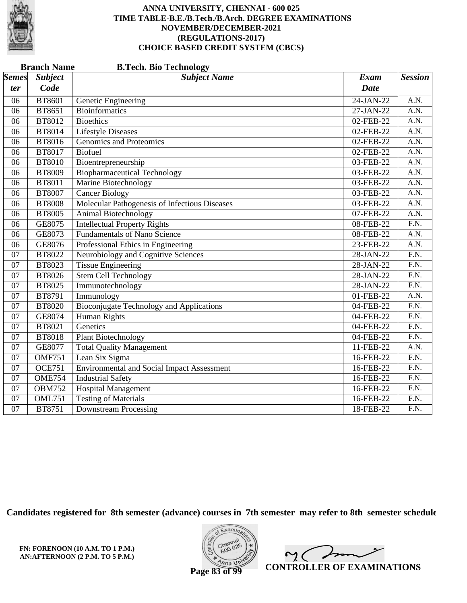

|                 | <b>Branch Name</b><br><b>B.Tech. Bio Technology</b> |                                                   |              |                   |  |  |
|-----------------|-----------------------------------------------------|---------------------------------------------------|--------------|-------------------|--|--|
| <b>Semes</b>    | <b>Subject</b>                                      | <b>Subject Name</b>                               | <b>Exam</b>  | <b>Session</b>    |  |  |
| ter             | Code                                                |                                                   | <b>Date</b>  |                   |  |  |
| 06              | <b>BT8601</b>                                       | Genetic Engineering                               | $24-JAN-22$  | A.N.              |  |  |
| 06              | BT8651                                              | <b>Bioinformatics</b>                             | 27-JAN-22    | $\overline{A.N.}$ |  |  |
| 06              | <b>BT8012</b>                                       | <b>Bioethics</b>                                  | 02-FEB-22    | A.N.              |  |  |
| 06              | <b>BT8014</b>                                       | <b>Lifestyle Diseases</b>                         | $02$ -FEB-22 | $\overline{A.N.}$ |  |  |
| 06              | <b>BT8016</b>                                       | Genomics and Proteomics                           | 02-FEB-22    | $\overline{A.N.}$ |  |  |
| 06              | <b>BT8017</b>                                       | Biofuel                                           | 02-FEB-22    | A.N.              |  |  |
| 06              | <b>BT8010</b>                                       | Bioentrepreneurship                               | 03-FEB-22    | A.N.              |  |  |
| 06              | <b>BT8009</b>                                       | <b>Biopharmaceutical Technology</b>               | 03-FEB-22    | A.N.              |  |  |
| 06              | <b>BT8011</b>                                       | Marine Biotechnology                              | 03-FEB-22    | A.N.              |  |  |
| 06              | <b>BT8007</b>                                       | <b>Cancer Biology</b>                             | 03-FEB-22    | A.N.              |  |  |
| 06              | <b>BT8008</b>                                       | Molecular Pathogenesis of Infectious Diseases     | 03-FEB-22    | A.N.              |  |  |
| 06              | <b>BT8005</b>                                       | Animal Biotechnology                              | 07-FEB-22    | $\overline{A.N.}$ |  |  |
| 06              | GE8075                                              | <b>Intellectual Property Rights</b>               | 08-FEB-22    | $\overline{F.N.}$ |  |  |
| 06              | GE8073                                              | <b>Fundamentals of Nano Science</b>               | 08-FEB-22    | A.N.              |  |  |
| 06              | GE8076                                              | Professional Ethics in Engineering                | 23-FEB-22    | A.N.              |  |  |
| 07              | BT8022                                              | Neurobiology and Cognitive Sciences               | 28-JAN-22    | $\overline{F.N.}$ |  |  |
| $\overline{07}$ | <b>BT8023</b>                                       | <b>Tissue Engineering</b>                         | 28-JAN-22    | $\overline{F.N.}$ |  |  |
| 07              | <b>BT8026</b>                                       | <b>Stem Cell Technology</b>                       | 28-JAN-22    | $\overline{F.N.}$ |  |  |
| 07              | <b>BT8025</b>                                       | Immunotechnology                                  | $28-JAN-22$  | $\overline{F.N.}$ |  |  |
| 07              | BT8791                                              | Immunology                                        | 01-FEB-22    | A.N.              |  |  |
| 07              | <b>BT8020</b>                                       | Bioconjugate Technology and Applications          | 04-FEB-22    | $\overline{F.N.}$ |  |  |
| 07              | GE8074                                              | <b>Human Rights</b>                               | 04-FEB-22    | $\overline{F.N.}$ |  |  |
| 07              | BT8021                                              | Genetics                                          | 04-FEB-22    | F.N.              |  |  |
| 07              | <b>BT8018</b>                                       | <b>Plant Biotechnology</b>                        | 04-FEB-22    | $\overline{F.N.}$ |  |  |
| $\overline{07}$ | GE8077                                              | <b>Total Quality Management</b>                   | 11-FEB-22    | A.N.              |  |  |
| $\overline{07}$ | <b>OMF751</b>                                       | Lean Six Sigma                                    | 16-FEB-22    | F.N.              |  |  |
| 07              | <b>OCE751</b>                                       | <b>Environmental and Social Impact Assessment</b> | 16-FEB-22    | $\overline{F.N.}$ |  |  |
| 07              | <b>OME754</b>                                       | <b>Industrial Safety</b>                          | 16-FEB-22    | $\overline{F.N.}$ |  |  |
| 07              | <b>OBM752</b>                                       | <b>Hospital Management</b>                        | 16-FEB-22    | $\overline{F.N.}$ |  |  |
| 07              | <b>OML751</b>                                       | <b>Testing of Materials</b>                       | 16-FEB-22    | $\overline{F.N.}$ |  |  |
| 07              | <b>BT8751</b>                                       | <b>Downstream Processing</b>                      | 18-FEB-22    | $\overline{F.N.}$ |  |  |

**Candidates registered for 8th semester (advance) courses in 7th semester may refer to 8th semester schedule**



 $\sqrt{2}$  $\mathsf{M}(\mathbb{C})$ **CONTROLLER OF EXAMINATIONS**

**Page 83 of 99**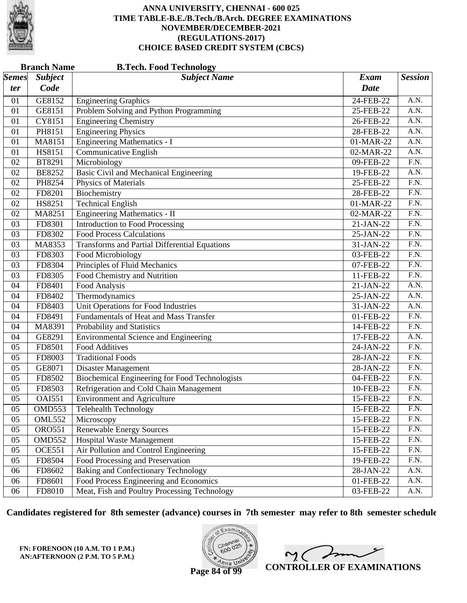

|              | <b>Branch Name</b><br><b>B.Tech. Food Technology</b> |                                                       |             |                   |  |  |
|--------------|------------------------------------------------------|-------------------------------------------------------|-------------|-------------------|--|--|
| <b>Semes</b> | <b>Subject</b>                                       | <b>Subject Name</b>                                   | <b>Exam</b> | <b>Session</b>    |  |  |
| ter          | Code                                                 |                                                       | <b>Date</b> |                   |  |  |
| 01           | GE8152                                               | <b>Engineering Graphics</b>                           | 24-FEB-22   | A.N.              |  |  |
| 01           | GE8151                                               | Problem Solving and Python Programming                | 25-FEB-22   | A.N.              |  |  |
| 01           | CY8151                                               | <b>Engineering Chemistry</b>                          | 26-FEB-22   | A.N.              |  |  |
| 01           | PH8151                                               | <b>Engineering Physics</b>                            | 28-FEB-22   | $\overline{A.N.}$ |  |  |
| 01           | MA8151                                               | <b>Engineering Mathematics - I</b>                    | 01-MAR-22   | A.N.              |  |  |
| 01           | HS8151                                               | Communicative English                                 | 02-MAR-22   | A.N.              |  |  |
| 02           | BT8291                                               | Microbiology                                          | 09-FEB-22   | $\overline{F.N.}$ |  |  |
| 02           | <b>BE8252</b>                                        | Basic Civil and Mechanical Engineering                | 19-FEB-22   | $\overline{A.N.}$ |  |  |
| 02           | PH8254                                               | Physics of Materials                                  | 25-FEB-22   | F.N.              |  |  |
| 02           | FD8201                                               | Biochemistry                                          | 28-FEB-22   | $\overline{F.N.}$ |  |  |
| 02           | HS8251                                               | <b>Technical English</b>                              | 01-MAR-22   | $\overline{F.N.}$ |  |  |
| 02           | MA8251                                               | Engineering Mathematics - II                          | 02-MAR-22   | $\overline{F.N.}$ |  |  |
| 03           | FD8301                                               | <b>Introduction to Food Processing</b>                | 21-JAN-22   | F.N.              |  |  |
| 03           | FD8302                                               | <b>Food Process Calculations</b>                      | 25-JAN-22   | $\overline{F.N.}$ |  |  |
| 03           | MA8353                                               | <b>Transforms and Partial Differential Equations</b>  | 31-JAN-22   | $\overline{F.N.}$ |  |  |
| 03           | FD8303                                               | <b>Food Microbiology</b>                              | 03-FEB-22   | $\overline{F.N.}$ |  |  |
| 03           | FD8304                                               | <b>Principles of Fluid Mechanics</b>                  | 07-FEB-22   | F.N.              |  |  |
| 03           | FD8305                                               | Food Chemistry and Nutrition                          | 11-FEB-22   | F.N.              |  |  |
| 04           | FD8401                                               | Food Analysis                                         | 21-JAN-22   | A.N.              |  |  |
| 04           | FD8402                                               | Thermodynamics                                        | 25-JAN-22   | A.N.              |  |  |
| 04           | FD8403                                               | Unit Operations for Food Industries                   | 31-JAN-22   | A.N.              |  |  |
| 04           | FD8491                                               | Fundamentals of Heat and Mass Transfer                | 01-FEB-22   | F.N.              |  |  |
| 04           | MA8391                                               | Probability and Statistics                            | 14-FEB-22   | $\overline{F.N.}$ |  |  |
| 04           | GE8291                                               | <b>Environmental Science and Engineering</b>          | 17-FEB-22   | A.N.              |  |  |
| 05           | FD8501                                               | <b>Food Additives</b>                                 | 24-JAN-22   | F.N.              |  |  |
| 05           | FD8003                                               | <b>Traditional Foods</b>                              | 28-JAN-22   | F.N.              |  |  |
| 05           | GE8071                                               | <b>Disaster Management</b>                            | 28-JAN-22   | $\overline{F.N.}$ |  |  |
| 05           | FD8502                                               | <b>Biochemical Engineering for Food Technologists</b> | 04-FEB-22   | $\overline{F.N.}$ |  |  |
| 05           | FD8503                                               | Refrigeration and Cold Chain Management               | 10-FEB-22   | F.N.              |  |  |
| 05           | <b>OAI551</b>                                        | <b>Environment and Agriculture</b>                    | 15-FEB-22   | F.N.              |  |  |
| 05           | <b>OMD553</b>                                        | <b>Telehealth Technology</b>                          | 15-FEB-22   | F.N.              |  |  |
| 05           | <b>OML552</b>                                        | Microscopy                                            | 15-FEB-22   | F.N.              |  |  |
| 05           | <b>ORO551</b>                                        | <b>Renewable Energy Sources</b>                       | 15-FEB-22   | F.N.              |  |  |
| 05           | OMD552                                               | Hospital Waste Management                             | 15-FEB-22   | F.N.              |  |  |
| 05           | <b>OCE551</b>                                        | Air Pollution and Control Engineering                 | 15-FEB-22   | F.N.              |  |  |
| 05           | FD8504                                               | Food Processing and Preservation                      | 19-FEB-22   | F.N.              |  |  |
| 06           | FD8602                                               | <b>Baking and Confectionary Technology</b>            | 28-JAN-22   | A.N.              |  |  |
| 06           | FD8601                                               | Food Process Engineering and Economics                | 01-FEB-22   | A.N.              |  |  |
| 06           | FD8010                                               | Meat, Fish and Poultry Processing Technology          | 03-FEB-22   | A.N.              |  |  |

**Candidates registered for 8th semester (advance) courses in 7th semester may refer to 8th semester schedule**

**FN: FORENOON (10 A.M. TO 1 P.M.) AN:AFTERNOON (2 P.M. TO 5 P.M.)**



 $\overline{\phantom{a}}$ 2. C  $\overline{a}$ **CONTROLLER OF EXAMINATIONS**

**Page 84 of 99**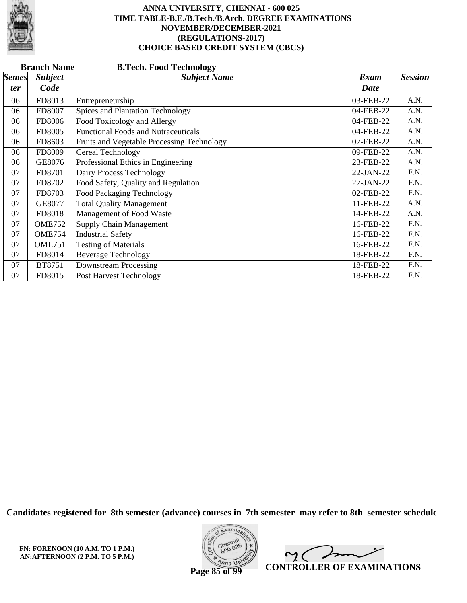

|              | <b>Branch Name</b><br><b>B.Tech. Food Technology</b> |                                            |             |                |  |  |  |
|--------------|------------------------------------------------------|--------------------------------------------|-------------|----------------|--|--|--|
| <b>Semes</b> | <b>Subject</b>                                       | <b>Subject Name</b>                        | Exam        | <b>Session</b> |  |  |  |
| ter          | Code                                                 |                                            | <b>Date</b> |                |  |  |  |
| 06           | FD8013                                               | Entrepreneurship                           | 03-FEB-22   | A.N.           |  |  |  |
| 06           | FD8007                                               | <b>Spices and Plantation Technology</b>    | 04-FEB-22   | A.N.           |  |  |  |
| 06           | FD8006                                               | Food Toxicology and Allergy                | 04-FEB-22   | A.N.           |  |  |  |
| 06           | FD8005                                               | <b>Functional Foods and Nutraceuticals</b> | 04-FEB-22   | A.N.           |  |  |  |
| 06           | FD8603                                               | Fruits and Vegetable Processing Technology | 07-FEB-22   | A.N.           |  |  |  |
| 06           | FD8009                                               | Cereal Technology                          | 09-FEB-22   | A.N.           |  |  |  |
| 06           | GE8076                                               | Professional Ethics in Engineering         | 23-FEB-22   | A.N.           |  |  |  |
| 07           | FD8701                                               | Dairy Process Technology                   | 22-JAN-22   | F.N.           |  |  |  |
| 07           | FD8702                                               | Food Safety, Quality and Regulation        | 27-JAN-22   | F.N.           |  |  |  |
| 07           | FD8703                                               | <b>Food Packaging Technology</b>           | 02-FEB-22   | F.N.           |  |  |  |
| 07           | GE8077                                               | <b>Total Quality Management</b>            | 11-FEB-22   | A.N.           |  |  |  |
| 07           | FD8018                                               | Management of Food Waste                   | 14-FEB-22   | A.N.           |  |  |  |
| 07           | <b>OME752</b>                                        | <b>Supply Chain Management</b>             | 16-FEB-22   | F.N.           |  |  |  |
| 07           | <b>OME754</b>                                        | <b>Industrial Safety</b>                   | 16-FEB-22   | F.N.           |  |  |  |
| 07           | <b>OML751</b>                                        | <b>Testing of Materials</b>                | 16-FEB-22   | F.N.           |  |  |  |
| 07           | FD8014                                               | <b>Beverage Technology</b>                 | 18-FEB-22   | F.N.           |  |  |  |
| 07           | BT8751                                               | <b>Downstream Processing</b>               | 18-FEB-22   | F.N.           |  |  |  |
| 07           | FD8015                                               | Post Harvest Technology                    | 18-FEB-22   | F.N.           |  |  |  |

**Candidates registered for 8th semester (advance) courses in 7th semester may refer to 8th semester schedule**

**FN: FORENOON (10 A.M. TO 1 P.M.) AN:AFTERNOON (2 P.M. TO 5 P.M.)**



 $\sqrt{ }$ 2. C  $\overline{a}$ **CONTROLLER OF EXAMINATIONS**

**Page 85 of 99**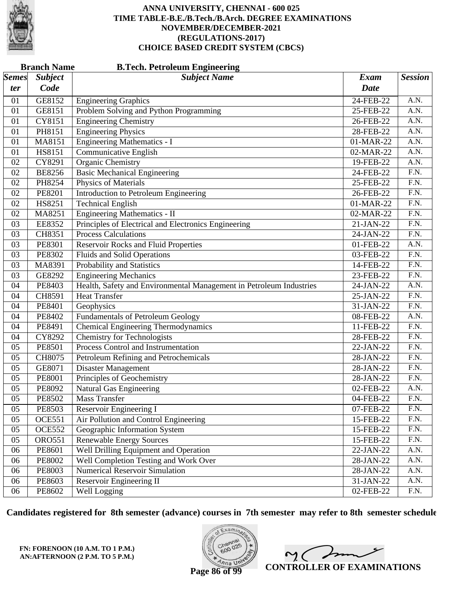

|                     | <b>Branch Name</b><br><b>B.Tech. Petroleum Engineering</b> |                                                                     |                            |                   |  |  |  |
|---------------------|------------------------------------------------------------|---------------------------------------------------------------------|----------------------------|-------------------|--|--|--|
| <b>Semes</b><br>ter | <b>Subject</b><br>Code                                     | <b>Subject Name</b>                                                 | <b>Exam</b><br><b>Date</b> | <b>Session</b>    |  |  |  |
| 01                  | GE8152                                                     | <b>Engineering Graphics</b>                                         | 24-FEB-22                  | A.N.              |  |  |  |
| 01                  | GE8151                                                     | Problem Solving and Python Programming                              | $25$ -FEB-22               | A.N.              |  |  |  |
| 01                  | CY8151                                                     | <b>Engineering Chemistry</b>                                        | 26-FEB-22                  | A.N.              |  |  |  |
| 01                  | PH8151                                                     | <b>Engineering Physics</b>                                          | 28-FEB-22                  | A.N.              |  |  |  |
| 01                  | MA8151                                                     | <b>Engineering Mathematics - I</b>                                  | 01-MAR-22                  | A.N.              |  |  |  |
| 01                  | HS8151                                                     | <b>Communicative English</b>                                        | 02-MAR-22                  | A.N.              |  |  |  |
| 02                  | CY8291                                                     | <b>Organic Chemistry</b>                                            | 19-FEB-22                  | $\overline{A.N.}$ |  |  |  |
| 02                  | <b>BE8256</b>                                              | <b>Basic Mechanical Engineering</b>                                 | 24-FEB-22                  | $\overline{F.N.}$ |  |  |  |
| 02                  | PH8254                                                     | Physics of Materials                                                | 25-FEB-22                  | $\overline{F.N.}$ |  |  |  |
| 02                  | PE8201                                                     | <b>Introduction to Petroleum Engineering</b>                        | 26-FEB-22                  | $\overline{F.N.}$ |  |  |  |
| 02                  | HS8251                                                     | <b>Technical English</b>                                            | 01-MAR-22                  | $\overline{F.N.}$ |  |  |  |
| 02                  | MA8251                                                     | <b>Engineering Mathematics - II</b>                                 | 02-MAR-22                  | $\overline{F.N.}$ |  |  |  |
| 03                  | EE8352                                                     | Principles of Electrical and Electronics Engineering                | 21-JAN-22                  | $\overline{F.N.}$ |  |  |  |
| 03                  | CH8351                                                     | <b>Process Calculations</b>                                         | 24-JAN-22                  | $\overline{F.N.}$ |  |  |  |
| 03                  | PE8301                                                     | <b>Reservoir Rocks and Fluid Properties</b>                         | 01-FEB-22                  | $\overline{A.N.}$ |  |  |  |
| 03                  | PE8302                                                     | <b>Fluids and Solid Operations</b>                                  | 03-FEB-22                  | $\overline{F.N.}$ |  |  |  |
| 03                  | MA8391                                                     | Probability and Statistics                                          | 14-FEB-22                  | $\overline{F.N.}$ |  |  |  |
| 03                  | GE8292                                                     | <b>Engineering Mechanics</b>                                        | 23-FEB-22                  | $\overline{F.N.}$ |  |  |  |
| 04                  | PE8403                                                     | Health, Safety and Environmental Management in Petroleum Industries | 24-JAN-22                  | $\overline{A.N.}$ |  |  |  |
| 04                  | CH8591                                                     | <b>Heat Transfer</b>                                                | 25-JAN-22                  | $\overline{F.N.}$ |  |  |  |
| 04                  | PE8401                                                     | Geophysics                                                          | 31-JAN-22                  | $\overline{F.N.}$ |  |  |  |
| 04                  | PE8402                                                     | <b>Fundamentals of Petroleum Geology</b>                            | 08-FEB-22                  | A.N.              |  |  |  |
| 04                  | PE8491                                                     | <b>Chemical Engineering Thermodynamics</b>                          | 11-FEB-22                  | $\overline{F.N.}$ |  |  |  |
| 04                  | CY8292                                                     | <b>Chemistry for Technologists</b>                                  | 28-FEB-22                  | $\overline{F.N.}$ |  |  |  |
| 05                  | PE8501                                                     | Process Control and Instrumentation                                 | 22-JAN-22                  | $\overline{F.N.}$ |  |  |  |
| 05                  | CH8075                                                     | Petroleum Refining and Petrochemicals                               | 28-JAN-22                  | $\overline{F.N.}$ |  |  |  |
| 05                  | GE8071                                                     | <b>Disaster Management</b>                                          | 28-JAN-22                  | F.N.              |  |  |  |
| 05                  | PE8001                                                     | Principles of Geochemistry                                          | 28-JAN-22                  | $\overline{F.N.}$ |  |  |  |
| 05                  | PE8092                                                     | Natural Gas Engineering                                             | 02-FEB-22                  | A.N.              |  |  |  |
| 05                  | PE8502                                                     | <b>Mass Transfer</b>                                                | 04-FEB-22                  | F.N.              |  |  |  |
| 05                  | PE8503                                                     | Reservoir Engineering I                                             | 07-FEB-22                  | F.N.              |  |  |  |
| 05                  | <b>OCE551</b>                                              | Air Pollution and Control Engineering                               | 15-FEB-22                  | F.N.              |  |  |  |
| 05                  | <b>OCE552</b>                                              | Geographic Information System                                       | 15-FEB-22                  | F.N.              |  |  |  |
| 05                  | <b>ORO551</b>                                              | <b>Renewable Energy Sources</b>                                     | 15-FEB-22                  | F.N.              |  |  |  |
| 06                  | PE8601                                                     | <b>Well Drilling Equipment and Operation</b>                        | 22-JAN-22                  | A.N.              |  |  |  |
| 06                  | PE8002                                                     | Well Completion Testing and Work Over                               | 28-JAN-22                  | A.N.              |  |  |  |
| 06                  | PE8003                                                     | <b>Numerical Reservoir Simulation</b>                               | 28-JAN-22                  | A.N.              |  |  |  |
| 06                  | PE8603                                                     | Reservoir Engineering II                                            | 31-JAN-22                  | A.N.              |  |  |  |
| 06                  | PE8602                                                     | Well Logging                                                        | 02-FEB-22                  | F.N.              |  |  |  |

**Candidates registered for 8th semester (advance) courses in 7th semester may refer to 8th semester schedule**

**FN: FORENOON (10 A.M. TO 1 P.M.) AN:AFTERNOON (2 P.M. TO 5 P.M.)**



 $\overline{\phantom{a}}$  $2<sub>1</sub>$ **CONTROLLER OF EXAMINATIONS**

**Page 86 of 99**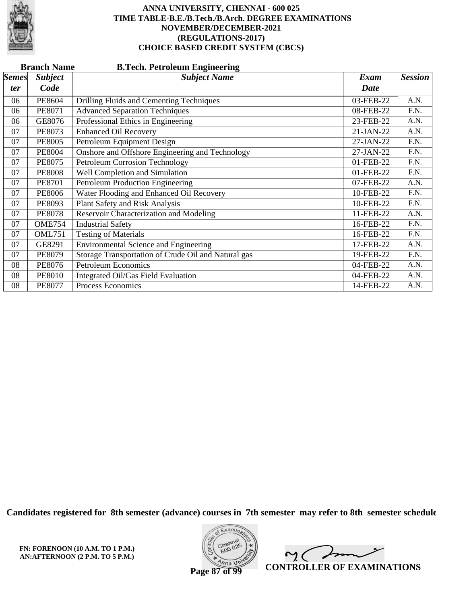

|              | <b>Branch Name</b><br><b>B.Tech. Petroleum Engineering</b> |                                                     |             |                |  |  |  |
|--------------|------------------------------------------------------------|-----------------------------------------------------|-------------|----------------|--|--|--|
| <b>Semes</b> | <b>Subject</b>                                             | <b>Subject Name</b>                                 | <b>Exam</b> | <b>Session</b> |  |  |  |
| ter          | Code                                                       |                                                     | <b>Date</b> |                |  |  |  |
| 06           | PE8604                                                     | Drilling Fluids and Cementing Techniques            | 03-FEB-22   | A.N.           |  |  |  |
| 06           | PE8071                                                     | <b>Advanced Separation Techniques</b>               | 08-FEB-22   | F.N.           |  |  |  |
| 06           | GE8076                                                     | Professional Ethics in Engineering                  | 23-FEB-22   | A.N.           |  |  |  |
| 07           | PE8073                                                     | <b>Enhanced Oil Recovery</b>                        | 21-JAN-22   | A.N.           |  |  |  |
| 07           | <b>PE8005</b>                                              | Petroleum Equipment Design                          | 27-JAN-22   | F.N.           |  |  |  |
| 07           | <b>PE8004</b>                                              | Onshore and Offshore Engineering and Technology     | 27-JAN-22   | F.N.           |  |  |  |
| 07           | <b>PE8075</b>                                              | Petroleum Corrosion Technology                      | 01-FEB-22   | F.N.           |  |  |  |
| 07           | <b>PE8008</b>                                              | Well Completion and Simulation                      | 01-FEB-22   | F.N.           |  |  |  |
| 07           | <b>PE8701</b>                                              | Petroleum Production Engineering                    | 07-FEB-22   | A.N.           |  |  |  |
| 07           | <b>PE8006</b>                                              | Water Flooding and Enhanced Oil Recovery            | 10-FEB-22   | F.N.           |  |  |  |
| 07           | PE8093                                                     | Plant Safety and Risk Analysis                      | 10-FEB-22   | F.N.           |  |  |  |
| 07           | <b>PE8078</b>                                              | Reservoir Characterization and Modeling             | 11-FEB-22   | A.N.           |  |  |  |
| 07           | <b>OME754</b>                                              | <b>Industrial Safety</b>                            | 16-FEB-22   | F.N.           |  |  |  |
| 07           | <b>OML751</b>                                              | <b>Testing of Materials</b>                         | 16-FEB-22   | F.N.           |  |  |  |
| 07           | GE8291                                                     | <b>Environmental Science and Engineering</b>        | 17-FEB-22   | A.N.           |  |  |  |
| 07           | <b>PE8079</b>                                              | Storage Transportation of Crude Oil and Natural gas | 19-FEB-22   | F.N.           |  |  |  |
| 08           | <b>PE8076</b>                                              | <b>Petroleum Economics</b>                          | 04-FEB-22   | A.N.           |  |  |  |
| 08           | <b>PE8010</b>                                              | Integrated Oil/Gas Field Evaluation                 | 04-FEB-22   | A.N.           |  |  |  |
| 08           | <b>PE8077</b>                                              | Process Economics                                   | 14-FEB-22   | A.N.           |  |  |  |

**Candidates registered for 8th semester (advance) courses in 7th semester may refer to 8th semester schedule**

**FN: FORENOON (10 A.M. TO 1 P.M.) AN:AFTERNOON (2 P.M. TO 5 P.M.)**



 $\overline{\phantom{a}}$  $\sim$  ( **CONTROLLER OF EXAMINATIONS**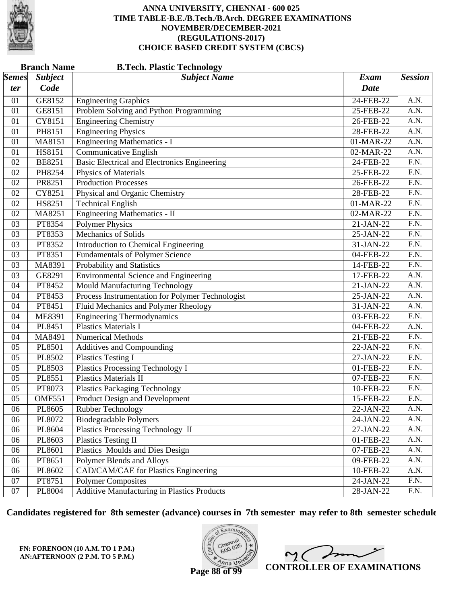

|                       | <b>Branch Name</b><br><b>B.Tech. Plastic Technology</b> |                                                     |             |                   |  |  |
|-----------------------|---------------------------------------------------------|-----------------------------------------------------|-------------|-------------------|--|--|
| $\vert$ Semes $\vert$ | <b>Subject</b>                                          | <b>Subject Name</b>                                 | <b>Exam</b> | <b>Session</b>    |  |  |
| ter                   | Code                                                    |                                                     | <b>Date</b> |                   |  |  |
| 01                    | GE8152                                                  | <b>Engineering Graphics</b>                         | 24-FEB-22   | A.N.              |  |  |
| 01                    | GE8151                                                  | Problem Solving and Python Programming              | 25-FEB-22   | A.N.              |  |  |
| 01                    | CY8151                                                  | <b>Engineering Chemistry</b>                        | 26-FEB-22   | $\overline{A.N.}$ |  |  |
| 01                    | PH8151                                                  | <b>Engineering Physics</b>                          | 28-FEB-22   | $\overline{A.N.}$ |  |  |
| 01                    | MA8151                                                  | <b>Engineering Mathematics - I</b>                  | 01-MAR-22   | A.N.              |  |  |
| 01                    | HS8151                                                  | Communicative English                               | 02-MAR-22   | A.N.              |  |  |
| 02                    | <b>BE8251</b>                                           | <b>Basic Electrical and Electronics Engineering</b> | 24-FEB-22   | $\overline{F.N.}$ |  |  |
| 02                    | PH8254                                                  | <b>Physics of Materials</b>                         | 25-FEB-22   | $\overline{F.N.}$ |  |  |
| 02                    | PR8251                                                  | <b>Production Processes</b>                         | 26-FEB-22   | F.N.              |  |  |
| 02                    | CY8251                                                  | Physical and Organic Chemistry                      | 28-FEB-22   | $\overline{F.N.}$ |  |  |
| 02                    | HS8251                                                  | <b>Technical English</b>                            | 01-MAR-22   | $\overline{F.N.}$ |  |  |
| 02                    | MA8251                                                  | <b>Engineering Mathematics - II</b>                 | 02-MAR-22   | $\overline{F.N.}$ |  |  |
| 03                    | PT8354                                                  | <b>Polymer Physics</b>                              | 21-JAN-22   | F.N.              |  |  |
| 03                    | PT8353                                                  | Mechanics of Solids                                 | 25-JAN-22   | F.N.              |  |  |
| 03                    | PT8352                                                  | Introduction to Chemical Engineering                | 31-JAN-22   | $\overline{F.N.}$ |  |  |
| 03                    | PT8351                                                  | <b>Fundamentals of Polymer Science</b>              | 04-FEB-22   | $\overline{F.N.}$ |  |  |
| 03                    | MA8391                                                  | Probability and Statistics                          | 14-FEB-22   | F.N.              |  |  |
| 03                    | GE8291                                                  | <b>Environmental Science and Engineering</b>        | 17-FEB-22   | A.N.              |  |  |
| 04                    | PT8452                                                  | <b>Mould Manufacturing Technology</b>               | 21-JAN-22   | $\overline{A.N.}$ |  |  |
| 04                    | PT8453                                                  | Process Instrumentation for Polymer Technologist    | 25-JAN-22   | $\overline{A.N.}$ |  |  |
| 04                    | PT8451                                                  | Fluid Mechanics and Polymer Rheology                | 31-JAN-22   | A.N.              |  |  |
| 04                    | <b>ME8391</b>                                           | <b>Engineering Thermodynamics</b>                   | 03-FEB-22   | F.N.              |  |  |
| 04                    | PL8451                                                  | <b>Plastics Materials I</b>                         | 04-FEB-22   | $\overline{A.N.}$ |  |  |
| 04                    | MA8491                                                  | <b>Numerical Methods</b>                            | 21-FEB-22   | $\overline{F.N.}$ |  |  |
| 05                    | PL8501                                                  | <b>Additives and Compounding</b>                    | 22-JAN-22   | F.N.              |  |  |
| 05                    | PL8502                                                  | <b>Plastics Testing I</b>                           | 27-JAN-22   | F.N.              |  |  |
| 05                    | PL8503                                                  | <b>Plastics Processing Technology I</b>             | 01-FEB-22   | $\overline{F.N.}$ |  |  |
| 05                    | PL8551                                                  | <b>Plastics Materials II</b>                        | 07-FEB-22   | $\overline{F.N.}$ |  |  |
| 05                    | PT8073                                                  | <b>Plastics Packaging Technology</b>                | 10-FEB-22   | F.N.              |  |  |
| 05                    | <b>OMF551</b>                                           | Product Design and Development                      | 15-FEB-22   | F.N.              |  |  |
| 06                    | PL8605                                                  | <b>Rubber Technology</b>                            | 22-JAN-22   | A.N.              |  |  |
| 06                    | PL8072                                                  | <b>Biodegradable Polymers</b>                       | 24-JAN-22   | A.N.              |  |  |
| 06                    | PL8604                                                  | <b>Plastics Processing Technology II</b>            | 27-JAN-22   | A.N.              |  |  |
| 06                    | PL8603                                                  | <b>Plastics Testing II</b>                          | 01-FEB-22   | A.N.              |  |  |
| 06                    | PL8601                                                  | Plastics Moulds and Dies Design                     | 07-FEB-22   | A.N.              |  |  |
| 06                    | PT8651                                                  | Polymer Blends and Alloys                           | 09-FEB-22   | A.N.              |  |  |
| 06                    | PL8602                                                  | CAD/CAM/CAE for Plastics Engineering                | 10-FEB-22   | A.N.              |  |  |
| 07                    | PT8751                                                  | <b>Polymer Composites</b>                           | 24-JAN-22   | F.N.              |  |  |
| 07                    | PL8004                                                  | Additive Manufacturing in Plastics Products         | 28-JAN-22   | F.N.              |  |  |

**Candidates registered for 8th semester (advance) courses in 7th semester may refer to 8th semester schedule**

**FN: FORENOON (10 A.M. TO 1 P.M.) AN:AFTERNOON (2 P.M. TO 5 P.M.)**



 $\overline{\phantom{a}}$ 2. C  $\overline{a}$ **CONTROLLER OF EXAMINATIONS**

**Page 88 of 99**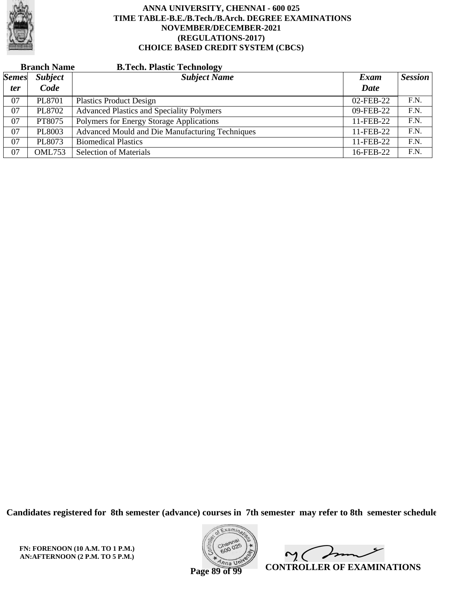

|              | <b>Branch Name</b> | <b>B.Tech. Plastic Technology</b>                |           |                |
|--------------|--------------------|--------------------------------------------------|-----------|----------------|
| <b>Semes</b> | <b>Subject</b>     | <b>Subject Name</b>                              | Exam      | <b>Session</b> |
| <i>ter</i>   | Code               |                                                  | Date      |                |
| 07           | PL8701             | <b>Plastics Product Design</b>                   | 02-FEB-22 | F.N.           |
| 07           | PL8702             | <b>Advanced Plastics and Speciality Polymers</b> | 09-FEB-22 | F.N.           |
| 07           | PT8075             | Polymers for Energy Storage Applications         | 11-FEB-22 | F.N.           |
| 07           | PL8003             | Advanced Mould and Die Manufacturing Techniques  | 11-FEB-22 | F.N.           |
| 07           | PL8073             | <b>Biomedical Plastics</b>                       | 11-FEB-22 | F.N.           |
| 07           | <b>OML753</b>      | <b>Selection of Materials</b>                    | 16-FEB-22 | F.N.           |

**Candidates registered for 8th semester (advance) courses in 7th semester may refer to 8th semester schedule**

**FN: FORENOON (10 A.M. TO 1 P.M.) AN:AFTERNOON (2 P.M. TO 5 P.M.)**



 $\sqrt{ }$  $\sim$  ( **CONTROLLER OF EXAMINATIONS**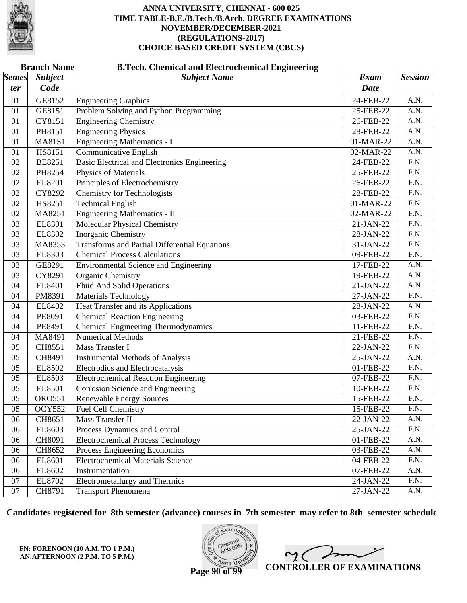

|              | <b>Branch Name</b><br><b>B.Tech. Chemical and Electrochemical Engineering</b> |                                                      |                         |                   |  |  |
|--------------|-------------------------------------------------------------------------------|------------------------------------------------------|-------------------------|-------------------|--|--|
| <b>Semes</b> | <b>Subject</b>                                                                | <b>Subject Name</b>                                  | Exam                    | <b>Session</b>    |  |  |
| ter          | Code                                                                          |                                                      | <b>Date</b>             |                   |  |  |
| 01           | GE8152                                                                        | <b>Engineering Graphics</b>                          | 24-FEB-22               | A.N.              |  |  |
| 01           | GE8151                                                                        | Problem Solving and Python Programming               | 25-FEB-22               | $\overline{A.N.}$ |  |  |
| 01           | CY8151                                                                        | <b>Engineering Chemistry</b>                         | 26-FEB-22               | A.N.              |  |  |
| 01           | PH8151                                                                        | <b>Engineering Physics</b>                           | 28-FEB-22               | A.N.              |  |  |
| 01           | MA8151                                                                        | <b>Engineering Mathematics - I</b>                   | 01-MAR-22               | $\overline{A.N.}$ |  |  |
| 01           | HS8151                                                                        | <b>Communicative English</b>                         | 02-MAR-22               | $\overline{A.N.}$ |  |  |
| 02           | <b>BE8251</b>                                                                 | <b>Basic Electrical and Electronics Engineering</b>  | 24-FEB-22               | $\overline{F.N.}$ |  |  |
| 02           | PH8254                                                                        | Physics of Materials                                 | 25-FEB-22               | F.N.              |  |  |
| 02           | EL8201                                                                        | Principles of Electrochemistry                       | 26-FEB-22               | $\overline{F.N.}$ |  |  |
| 02           | CY8292                                                                        | <b>Chemistry for Technologists</b>                   | 28-FEB-22               | F.N.              |  |  |
| 02           | HS8251                                                                        | <b>Technical English</b>                             | 01-MAR-22               | $\overline{F.N.}$ |  |  |
| 02           | MA8251                                                                        | <b>Engineering Mathematics - II</b>                  | 02-MAR-22               | F.N.              |  |  |
| 03           | EL8301                                                                        | <b>Molecular Physical Chemistry</b>                  | 21-JAN-22               | $\overline{F.N.}$ |  |  |
| 03           | EL8302                                                                        | <b>Inorganic Chemistry</b>                           | 28-JAN-22               | $\overline{F.N.}$ |  |  |
| 03           | MA8353                                                                        | <b>Transforms and Partial Differential Equations</b> | 31-JAN-22               | $\overline{F.N.}$ |  |  |
| 03           | EL8303                                                                        | <b>Chemical Process Calculations</b>                 | 09-FEB-22               | F.N.              |  |  |
| 03           | GE8291                                                                        | <b>Environmental Science and Engineering</b>         | 17-FEB-22               | A.N.              |  |  |
| 03           | CY8291                                                                        | Organic Chemistry                                    | 19-FEB-22               | $\overline{A.N.}$ |  |  |
| 04           | EL8401                                                                        | <b>Fluid And Solid Operations</b>                    | 21-JAN-22               | $\overline{A.N.}$ |  |  |
| 04           | PM8391                                                                        | <b>Materials Technology</b>                          | 27-JAN-22               | F.N.              |  |  |
| 04           | EL8402                                                                        | <b>Heat Transfer and its Applications</b>            | 28-JAN-22               | $\overline{A.N.}$ |  |  |
| 04           | PE8091                                                                        | <b>Chemical Reaction Engineering</b>                 | 03-FEB-22               | $\overline{F.N.}$ |  |  |
| 04           | PE8491                                                                        | <b>Chemical Engineering Thermodynamics</b>           | 11-FEB-22               | $\overline{F.N.}$ |  |  |
| 04           | MA8491                                                                        | <b>Numerical Methods</b>                             | 21-FEB-22               | F.N.              |  |  |
| 05           | CH8551                                                                        | Mass Transfer I                                      | 22-JAN-22               | $\overline{F.N.}$ |  |  |
| 05           | CH8491                                                                        | <b>Instrumental Methods of Analysis</b>              | 25-JAN-22               | $\overline{A.N.}$ |  |  |
| 05           | EL8502                                                                        | Electrodics and Electrocatalysis                     | 01-FEB-22               | $\overline{F.N.}$ |  |  |
| 05           | EL8503                                                                        | <b>Electrochemical Reaction Engineering</b>          | $07$ -FEB-22            | F.N.              |  |  |
| 05           | EL8501                                                                        | <b>Corrosion Science and Engineering</b>             | 10-FEB-22               | $\overline{F.N.}$ |  |  |
| 05           | <b>ORO551</b>                                                                 | <b>Renewable Energy Sources</b>                      | 15-FEB-22               | $\overline{F.N.}$ |  |  |
| 05           | OCY552                                                                        | Fuel Cell Chemistry                                  | 15-FEB-22               | F.N.              |  |  |
| 06           | CH8651                                                                        | <b>Mass Transfer II</b>                              | 22-JAN-22               | A.N.              |  |  |
| 06           | EL8603                                                                        | Process Dynamics and Control                         | 25-JAN-22               | F.N.              |  |  |
| 06           | CH8091                                                                        | <b>Electrochemical Process Technology</b>            | $\overline{0}$ 1-FEB-22 | A.N.              |  |  |
| 06           | CH8652                                                                        | Process Engineering Economics                        | 03-FEB-22               | A.N.              |  |  |
| 06           | EL8601                                                                        | <b>Electrochemical Materials Science</b>             | 04-FEB-22               | F.N.              |  |  |
| 06           | EL8602                                                                        | Instrumentation                                      | 07-FEB-22               | A.N.              |  |  |
| 07           | EL8702                                                                        | <b>Electrometallurgy and Thermics</b>                | 24-JAN-22               | F.N.              |  |  |
| 07           | CH8791                                                                        | <b>Transport Phenomena</b>                           | 27-JAN-22               | A.N.              |  |  |

**Candidates registered for 8th semester (advance) courses in 7th semester may refer to 8th semester schedule**

**FN: FORENOON (10 A.M. TO 1 P.M.) AN:AFTERNOON (2 P.M. TO 5 P.M.)**



 $\overline{\phantom{a}}$  $\sim$  ( **CONTROLLER OF EXAMINATIONS**

**Page 90 of 99**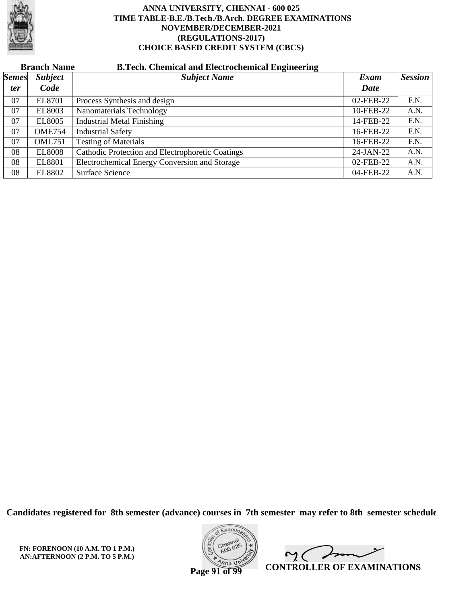

# **Branch Name B.Tech. Chemical and Electrochemical Engineering**

| $\vert$ Semes $\vert$ | <b>Subject</b> | <b>Subject Name</b>                              | Exam      | <b>Session</b> |
|-----------------------|----------------|--------------------------------------------------|-----------|----------------|
| <i>ter</i>            | Code           |                                                  | Date      |                |
| 07                    | EL8701         | Process Synthesis and design                     | 02-FEB-22 | F.N.           |
| 07                    | <b>EL8003</b>  | Nanomaterials Technology                         | 10-FEB-22 | A.N.           |
| 07                    | <b>EL8005</b>  | <b>Industrial Metal Finishing</b>                | 14-FEB-22 | F.N.           |
| 07                    | <b>OME754</b>  | <b>Industrial Safety</b>                         | 16-FEB-22 | F.N.           |
| 07                    | <b>OML751</b>  | <b>Testing of Materials</b>                      | 16-FEB-22 | F.N.           |
| 08                    | <b>EL8008</b>  | Cathodic Protection and Electrophoretic Coatings | 24-JAN-22 | A.N.           |
| 08                    | <b>EL8801</b>  | Electrochemical Energy Conversion and Storage    | 02-FEB-22 | A.N.           |
| 08                    | <b>EL8802</b>  | Surface Science                                  | 04-FEB-22 | A.N.           |

**Candidates registered for 8th semester (advance) courses in 7th semester may refer to 8th semester schedule**

**FN: FORENOON (10 A.M. TO 1 P.M.) AN:AFTERNOON (2 P.M. TO 5 P.M.)**



Imm  $\mathsf{M}(\mathbb{C})$ **CONTROLLER OF EXAMINATIONS**

**Page 91 of 99**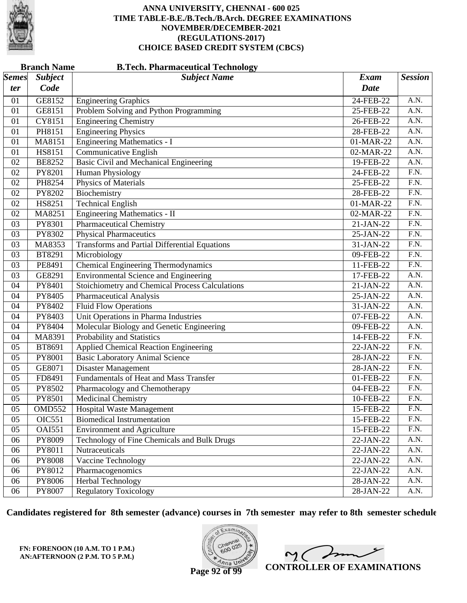

|                           | <b>Branch Name</b> | <b>B.Tech. Pharmaceutical Technology</b>               |              |                   |
|---------------------------|--------------------|--------------------------------------------------------|--------------|-------------------|
| $\mathcal{S}$ <i>emes</i> | <b>Subject</b>     | <b>Subject Name</b>                                    | <b>Exam</b>  | <b>Session</b>    |
| ter                       | Code               |                                                        | Date         |                   |
| 01                        | GE8152             | <b>Engineering Graphics</b>                            | 24-FEB-22    | A.N.              |
| 01                        | GE8151             | Problem Solving and Python Programming                 | 25-FEB-22    | A.N.              |
| 01                        | CY8151             | <b>Engineering Chemistry</b>                           | 26-FEB-22    | $\overline{A.N.}$ |
| 01                        | PH8151             | <b>Engineering Physics</b>                             | 28-FEB-22    | A.N.              |
| 01                        | MA8151             | <b>Engineering Mathematics - I</b>                     | 01-MAR-22    | A.N.              |
| 01                        | HS8151             | <b>Communicative English</b>                           | 02-MAR-22    | A.N.              |
| 02                        | <b>BE8252</b>      | <b>Basic Civil and Mechanical Engineering</b>          | 19-FEB-22    | $\overline{A.N.}$ |
| 02                        | PY8201             | <b>Human Physiology</b>                                | 24-FEB-22    | F.N.              |
| 02                        | PH8254             | Physics of Materials                                   | 25-FEB-22    | F.N.              |
| 02                        | PY8202             | Biochemistry                                           | 28-FEB-22    | $\overline{F.N.}$ |
| 02                        | HS8251             | <b>Technical English</b>                               | 01-MAR-22    | $\overline{F.N.}$ |
| 02                        | MA8251             | <b>Engineering Mathematics - II</b>                    | 02-MAR-22    | $\overline{F.N.}$ |
| 03                        | PY8301             | <b>Pharmaceutical Chemistry</b>                        | 21-JAN-22    | F.N.              |
| 03                        | PY8302             | <b>Physical Pharmaceutics</b>                          | 25-JAN-22    | $\overline{F.N.}$ |
| 03                        | MA8353             | <b>Transforms and Partial Differential Equations</b>   | 31-JAN-22    | $\overline{F.N.}$ |
| 03                        | BT8291             | Microbiology                                           | 09-FEB-22    | $\overline{F.N.}$ |
| 03                        | PE8491             | <b>Chemical Engineering Thermodynamics</b>             | 11-FEB-22    | F.N.              |
| 03                        | GE8291             | <b>Environmental Science and Engineering</b>           | 17-FEB-22    | A.N.              |
| 04                        | PY8401             | <b>Stoichiometry and Chemical Process Calculations</b> | 21-JAN-22    | $\overline{A.N.}$ |
| 04                        | PY8405             | <b>Pharmaceutical Analysis</b>                         | 25-JAN-22    | A.N.              |
| 04                        | PY8402             | <b>Fluid Flow Operations</b>                           | 31-JAN-22    | A.N.              |
| 04                        | PY8403             | Unit Operations in Pharma Industries                   | 07-FEB-22    | A.N.              |
| 04                        | PY8404             | Molecular Biology and Genetic Engineering              | 09-FEB-22    | $\overline{A.N.}$ |
| 04                        | MA8391             | Probability and Statistics                             | 14-FEB-22    | F.N.              |
| 05                        | BT8691             | <b>Applied Chemical Reaction Engineering</b>           | 22-JAN-22    | F.N.              |
| 05                        | PY8001             | <b>Basic Laboratory Animal Science</b>                 | 28-JAN-22    | $\overline{F.N.}$ |
| 05                        | GE8071             | <b>Disaster Management</b>                             | 28-JAN-22    | $\overline{F.N.}$ |
| 05                        | FD8491             | Fundamentals of Heat and Mass Transfer                 | $01$ -FEB-22 | F.N.              |
| 05                        | PY8502             | Pharmacology and Chemotherapy                          | 04-FEB-22    | F.N.              |
| 05                        | PY8501             | <b>Medicinal Chemistry</b>                             | 10-FEB-22    | F.N.              |
| 05                        | OMD552             | Hospital Waste Management                              | 15-FEB-22    | F.N.              |
| 05                        | <b>OIC551</b>      | <b>Biomedical Instrumentation</b>                      | 15-FEB-22    | F.N.              |
| 05                        | <b>OAI551</b>      | <b>Environment and Agriculture</b>                     | 15-FEB-22    | F.N.              |
| 06                        | PY8009             | Technology of Fine Chemicals and Bulk Drugs            | 22-JAN-22    | A.N.              |
| 06                        | PY8011             | Nutraceuticals                                         | 22-JAN-22    | A.N.              |
| 06                        | PY8008             | Vaccine Technology                                     | 22-JAN-22    | A.N.              |
| 06                        | PY8012             | Pharmacogenomics                                       | 22-JAN-22    | A.N.              |
| 06                        | PY8006             | <b>Herbal Technology</b>                               | 28-JAN-22    | A.N.              |
| 06                        | PY8007             | <b>Regulatory Toxicology</b>                           | 28-JAN-22    | A.N.              |

**Candidates registered for 8th semester (advance) courses in 7th semester may refer to 8th semester schedule**

**FN: FORENOON (10 A.M. TO 1 P.M.) AN:AFTERNOON (2 P.M. TO 5 P.M.)**



ノ  $2<sub>1</sub>$ **CONTROLLER OF EXAMINATIONS**

**Page 92 of 99**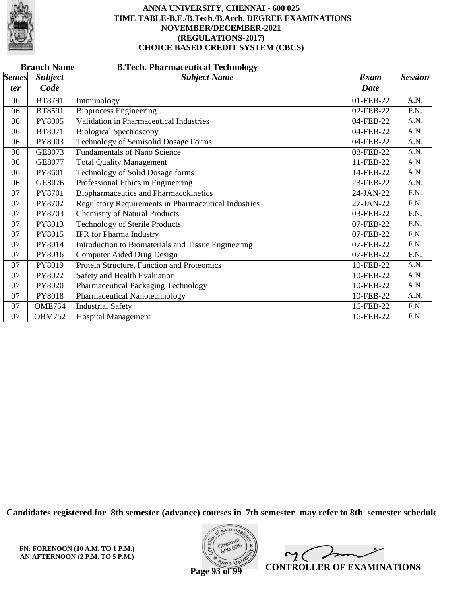

|              | <b>Branch Name</b><br><b>B.Tech. Pharmaceutical Technology</b> |                                                             |             |                   |  |  |
|--------------|----------------------------------------------------------------|-------------------------------------------------------------|-------------|-------------------|--|--|
| <b>Semes</b> | <b>Subject</b>                                                 | <b>Subject Name</b>                                         | Exam        | <b>Session</b>    |  |  |
| <i>ter</i>   | Code                                                           |                                                             | <b>Date</b> |                   |  |  |
| 06           | BT8791                                                         | Immunology                                                  | 01-FEB-22   | A.N.              |  |  |
| 06           | BT8591                                                         | <b>Bioprocess Engineering</b>                               | 02-FEB-22   | $\overline{F.N.}$ |  |  |
| 06           | PY8005                                                         | Validation in Pharmaceutical Industries                     | 04-FEB-22   | A.N.              |  |  |
| 06           | BT8071                                                         | <b>Biological Spectroscopy</b>                              | 04-FEB-22   | A.N.              |  |  |
| 06           | PY8003                                                         | <b>Technology of Semisolid Dosage Forms</b>                 | 04-FEB-22   | A.N.              |  |  |
| 06           | GE8073                                                         | <b>Fundamentals of Nano Science</b>                         | 08-FEB-22   | A.N.              |  |  |
| 06           | GE8077                                                         | <b>Total Quality Management</b>                             | 11-FEB-22   | A.N.              |  |  |
| 06           | PY8601                                                         | Technology of Solid Dosage forms                            | 14-FEB-22   | A.N.              |  |  |
| 06           | GE8076                                                         | Professional Ethics in Engineering                          | 23-FEB-22   | A.N.              |  |  |
| 07           | PY8701                                                         | <b>Biopharmaceutics and Pharmacokinetics</b>                | 24-JAN-22   | F.N.              |  |  |
| 07           | PY8702                                                         | <b>Regulatory Requirements in Pharmaceutical Industries</b> | 27-JAN-22   | F.N.              |  |  |
| 07           | PY8703                                                         | <b>Chemistry of Natural Products</b>                        | 03-FEB-22   | F.N.              |  |  |
| 07           | PY8013                                                         | <b>Technology of Sterile Products</b>                       | 07-FEB-22   | F.N.              |  |  |
| 07           | PY8015                                                         | <b>IPR</b> for Pharma Industry                              | 07-FEB-22   | F.N.              |  |  |
| 07           | PY8014                                                         | Introduction to Biomaterials and Tissue Engineering         | 07-FEB-22   | F.N.              |  |  |
| 07           | PY8016                                                         | Computer Aided Drug Design                                  | 07-FEB-22   | F.N.              |  |  |
| 07           | PY8019                                                         | Protein Structure, Function and Proteomics                  | 10-FEB-22   | A.N.              |  |  |
| 07           | PY8022                                                         | Safety and Health Evaluation                                | 10-FEB-22   | A.N.              |  |  |
| 07           | PY8020                                                         | <b>Pharmaceutical Packaging Technology</b>                  | 10-FEB-22   | A.N.              |  |  |
| 07           | PY8018                                                         | Pharmaceutical Nanotechnology                               | 10-FEB-22   | A.N.              |  |  |
| 07           | <b>OME754</b>                                                  | <b>Industrial Safety</b>                                    | 16-FEB-22   | F.N.              |  |  |
| 07           | <b>OBM752</b>                                                  | <b>Hospital Management</b>                                  | 16-FEB-22   | F.N.              |  |  |

**Candidates registered for 8th semester (advance) courses in 7th semester may refer to 8th semester schedule**



 $\sqrt{ }$  $\sim$  ( **CONTROLLER OF EXAMINATIONS**

**Page 93 of 99**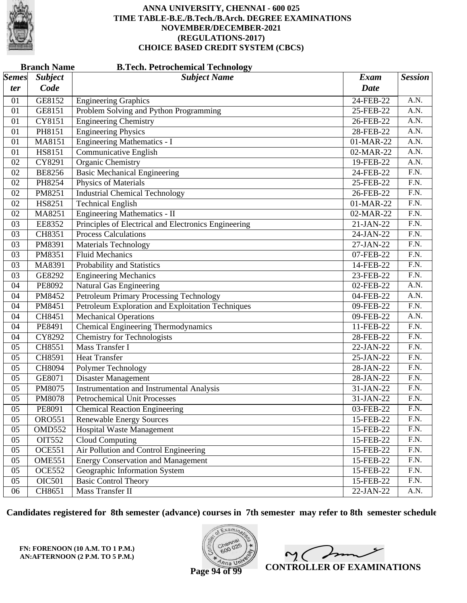

|              | <b>Branch Name</b><br><b>B.Tech. Petrochemical Technology</b> |                                                      |             |                   |  |
|--------------|---------------------------------------------------------------|------------------------------------------------------|-------------|-------------------|--|
| <b>Semes</b> | <b>Subject</b>                                                | <b>Subject Name</b>                                  | <b>Exam</b> | <b>Session</b>    |  |
| <i>ter</i>   | Code                                                          |                                                      | Date        |                   |  |
| 01           | GE8152                                                        | <b>Engineering Graphics</b>                          | 24-FEB-22   | A.N.              |  |
| 01           | GE8151                                                        | Problem Solving and Python Programming               | 25-FEB-22   | A.N.              |  |
| 01           | CY8151                                                        | <b>Engineering Chemistry</b>                         | 26-FEB-22   | $\overline{A.N.}$ |  |
| 01           | PH8151                                                        | <b>Engineering Physics</b>                           | 28-FEB-22   | A.N.              |  |
| 01           | MA8151                                                        | <b>Engineering Mathematics - I</b>                   | 01-MAR-22   | A.N.              |  |
| 01           | HS8151                                                        | <b>Communicative English</b>                         | 02-MAR-22   | A.N.              |  |
| 02           | CY8291                                                        | <b>Organic Chemistry</b>                             | 19-FEB-22   | $\overline{A.N.}$ |  |
| 02           | <b>BE8256</b>                                                 | <b>Basic Mechanical Engineering</b>                  | 24-FEB-22   | $\overline{F.N.}$ |  |
| 02           | PH8254                                                        | Physics of Materials                                 | 25-FEB-22   | F.N.              |  |
| 02           | PM8251                                                        | <b>Industrial Chemical Technology</b>                | 26-FEB-22   | $\overline{F.N.}$ |  |
| 02           | HS8251                                                        | <b>Technical English</b>                             | 01-MAR-22   | $\overline{F.N.}$ |  |
| 02           | MA8251                                                        | <b>Engineering Mathematics - II</b>                  | 02-MAR-22   | $\overline{F.N.}$ |  |
| 03           | EE8352                                                        | Principles of Electrical and Electronics Engineering | 21-JAN-22   | F.N.              |  |
| 03           | CH8351                                                        | <b>Process Calculations</b>                          | $24-JAN-22$ | $\overline{F.N.}$ |  |
| 03           | PM8391                                                        | <b>Materials Technology</b>                          | 27-JAN-22   | $\overline{F.N.}$ |  |
| 03           | PM8351                                                        | <b>Fluid Mechanics</b>                               | 07-FEB-22   | $\overline{F.N.}$ |  |
| 03           | MA8391                                                        | Probability and Statistics                           | 14-FEB-22   | F.N.              |  |
| 03           | GE8292                                                        | <b>Engineering Mechanics</b>                         | 23-FEB-22   | $\overline{F.N.}$ |  |
| 04           | PE8092                                                        | <b>Natural Gas Engineering</b>                       | 02-FEB-22   | $\overline{A.N.}$ |  |
| 04           | PM8452                                                        | <b>Petroleum Primary Processing Technology</b>       | 04-FEB-22   | A.N.              |  |
| 04           | PM8451                                                        | Petroleum Exploration and Exploitation Techniques    | 09-FEB-22   | F.N.              |  |
| 04           | CH8451                                                        | <b>Mechanical Operations</b>                         | 09-FEB-22   | A.N.              |  |
| 04           | PE8491                                                        | Chemical Engineering Thermodynamics                  | 11-FEB-22   | $\overline{F.N.}$ |  |
| 04           | CY8292                                                        | <b>Chemistry for Technologists</b>                   | 28-FEB-22   | F.N.              |  |
| 05           | CH8551                                                        | Mass Transfer I                                      | 22-JAN-22   | F.N.              |  |
| 05           | CH8591                                                        | <b>Heat Transfer</b>                                 | $25-JAN-22$ | $\overline{F.N.}$ |  |
| 05           | CH8094                                                        | Polymer Technology                                   | 28-JAN-22   | $\overline{F.N.}$ |  |
| 05           | GE8071                                                        | Disaster Management                                  | 28-JAN-22   | F.N.              |  |
| 05           | PM8075                                                        | <b>Instrumentation and Instrumental Analysis</b>     | 31-JAN-22   | F.N.              |  |
| 05           | PM8078                                                        | <b>Petrochemical Unit Processes</b>                  | 31-JAN-22   | F.N.              |  |
| 05           | PE8091                                                        | <b>Chemical Reaction Engineering</b>                 | 03-FEB-22   | F.N.              |  |
| 05           | <b>ORO551</b>                                                 | <b>Renewable Energy Sources</b>                      | 15-FEB-22   | F.N.              |  |
| 05           | OMD552                                                        | <b>Hospital Waste Management</b>                     | 15-FEB-22   | F.N.              |  |
| 05           | <b>OIT552</b>                                                 | <b>Cloud Computing</b>                               | 15-FEB-22   | F.N.              |  |
| 05           | <b>OCE551</b>                                                 | Air Pollution and Control Engineering                | 15-FEB-22   | F.N.              |  |
| 05           | <b>OME551</b>                                                 | <b>Energy Conservation and Management</b>            | 15-FEB-22   | F.N.              |  |
| 05           | <b>OCE552</b>                                                 | Geographic Information System                        | 15-FEB-22   | F.N.              |  |
| 05           | <b>OIC501</b>                                                 | <b>Basic Control Theory</b>                          | 15-FEB-22   | F.N.              |  |
| 06           | CH8651                                                        | <b>Mass Transfer II</b>                              | 22-JAN-22   | A.N.              |  |

**Candidates registered for 8th semester (advance) courses in 7th semester may refer to 8th semester schedule**

**FN: FORENOON (10 A.M. TO 1 P.M.) AN:AFTERNOON (2 P.M. TO 5 P.M.)**



 $2<sub>1</sub>$ **CONTROLLER OF EXAMINATIONS**

**Page 94 of 99**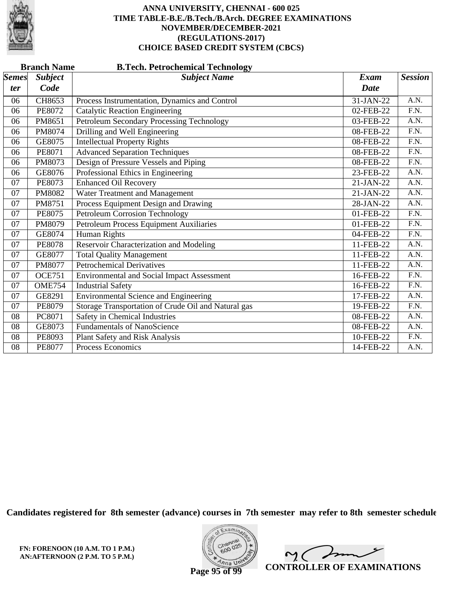

|              | <b>Branch Name</b><br><b>B.Tech. Petrochemical Technology</b> |                                                     |             |                   |  |  |
|--------------|---------------------------------------------------------------|-----------------------------------------------------|-------------|-------------------|--|--|
| <b>Semes</b> | <b>Subject</b>                                                | <b>Subject Name</b>                                 | <b>Exam</b> | <b>Session</b>    |  |  |
| ter          | Code                                                          |                                                     | <b>Date</b> |                   |  |  |
| 06           | CH8653                                                        | Process Instrumentation, Dynamics and Control       | 31-JAN-22   | A.N.              |  |  |
| 06           | PE8072                                                        | <b>Catalytic Reaction Engineering</b>               | 02-FEB-22   | F.N.              |  |  |
| 06           | PM8651                                                        | Petroleum Secondary Processing Technology           | 03-FEB-22   | A.N.              |  |  |
| 06           | PM8074                                                        | Drilling and Well Engineering                       | 08-FEB-22   | $\overline{F.N.}$ |  |  |
| 06           | GE8075                                                        | <b>Intellectual Property Rights</b>                 | 08-FEB-22   | F.N.              |  |  |
| 06           | PE8071                                                        | <b>Advanced Separation Techniques</b>               | 08-FEB-22   | F.N.              |  |  |
| 06           | PM8073                                                        | Design of Pressure Vessels and Piping               | 08-FEB-22   | F.N.              |  |  |
| 06           | GE8076                                                        | Professional Ethics in Engineering                  | 23-FEB-22   | A.N.              |  |  |
| 07           | PE8073                                                        | <b>Enhanced Oil Recovery</b>                        | 21-JAN-22   | A.N.              |  |  |
| 07           | PM8082                                                        | Water Treatment and Management                      | $21-JAN-22$ | A.N.              |  |  |
| 07           | PM8751                                                        | Process Equipment Design and Drawing                | 28-JAN-22   | A.N.              |  |  |
| 07           | <b>PE8075</b>                                                 | <b>Petroleum Corrosion Technology</b>               | 01-FEB-22   | $\overline{F.N.}$ |  |  |
| 07           | PM8079                                                        | Petroleum Process Equipment Auxiliaries             | 01-FEB-22   | F.N.              |  |  |
| 07           | GE8074                                                        | <b>Human Rights</b>                                 | 04-FEB-22   | $\overline{F.N.}$ |  |  |
| 07           | <b>PE8078</b>                                                 | Reservoir Characterization and Modeling             | 11-FEB-22   | A.N.              |  |  |
| 07           | GE8077                                                        | <b>Total Quality Management</b>                     | 11-FEB-22   | A.N.              |  |  |
| 07           | PM8077                                                        | <b>Petrochemical Derivatives</b>                    | 11-FEB-22   | A.N.              |  |  |
| 07           | <b>OCE751</b>                                                 | <b>Environmental and Social Impact Assessment</b>   | 16-FEB-22   | F.N.              |  |  |
| 07           | <b>OME754</b>                                                 | <b>Industrial Safety</b>                            | 16-FEB-22   | F.N.              |  |  |
| 07           | GE8291                                                        | <b>Environmental Science and Engineering</b>        | 17-FEB-22   | A.N.              |  |  |
| 07           | <b>PE8079</b>                                                 | Storage Transportation of Crude Oil and Natural gas | 19-FEB-22   | F.N.              |  |  |
| 08           | PC8071                                                        | Safety in Chemical Industries                       | 08-FEB-22   | A.N.              |  |  |
| 08           | GE8073                                                        | <b>Fundamentals of NanoScience</b>                  | 08-FEB-22   | A.N.              |  |  |
| 08           | PE8093                                                        | Plant Safety and Risk Analysis                      | 10-FEB-22   | F.N.              |  |  |
| 08           | <b>PE8077</b>                                                 | Process Economics                                   | 14-FEB-22   | A.N.              |  |  |

**Candidates registered for 8th semester (advance) courses in 7th semester may refer to 8th semester schedule**



 $\sqrt{ }$  $\sim$  ( **CONTROLLER OF EXAMINATIONS**

**Page 95 of 99**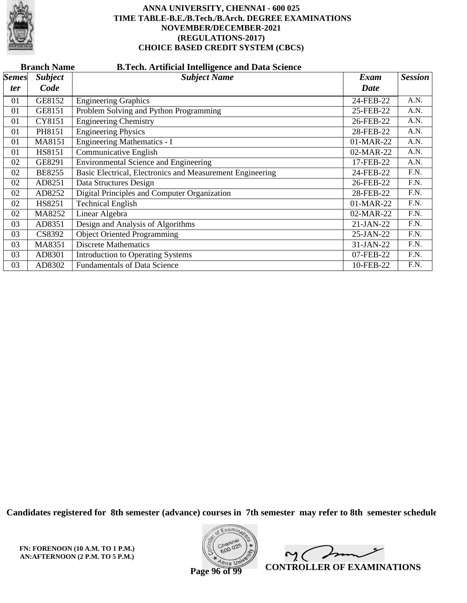

|              | <b>Branch Name</b><br><b>B.Tech. Artificial Intelligence and Data Science</b> |                                                           |           |                |  |  |  |
|--------------|-------------------------------------------------------------------------------|-----------------------------------------------------------|-----------|----------------|--|--|--|
| <b>Semes</b> | <b>Subject</b>                                                                | <b>Subject Name</b>                                       | Exam      | <b>Session</b> |  |  |  |
| ter          | Code                                                                          |                                                           | Date      |                |  |  |  |
| 01           | GE8152                                                                        | <b>Engineering Graphics</b>                               | 24-FEB-22 | A.N.           |  |  |  |
| 01           | GE8151                                                                        | Problem Solving and Python Programming                    | 25-FEB-22 | A.N.           |  |  |  |
| 01           | CY8151                                                                        | <b>Engineering Chemistry</b>                              | 26-FEB-22 | A.N.           |  |  |  |
| 01           | PH8151                                                                        | <b>Engineering Physics</b>                                | 28-FEB-22 | A.N.           |  |  |  |
| 01           | MA8151                                                                        | <b>Engineering Mathematics - I</b>                        | 01-MAR-22 | A.N.           |  |  |  |
| 01           | HS8151                                                                        | Communicative English                                     | 02-MAR-22 | A.N.           |  |  |  |
| 02           | GE8291                                                                        | <b>Environmental Science and Engineering</b>              | 17-FEB-22 | A.N.           |  |  |  |
| 02           | <b>BE8255</b>                                                                 | Basic Electrical, Electronics and Measurement Engineering | 24-FEB-22 | F.N.           |  |  |  |
| 02           | AD8251                                                                        | Data Structures Design                                    | 26-FEB-22 | F.N.           |  |  |  |
| 02           | AD8252                                                                        | Digital Principles and Computer Organization              | 28-FEB-22 | F.N.           |  |  |  |
| 02           | HS8251                                                                        | <b>Technical English</b>                                  | 01-MAR-22 | F.N.           |  |  |  |
| 02           | MA8252                                                                        | Linear Algebra                                            | 02-MAR-22 | F.N.           |  |  |  |
| 03           | AD8351                                                                        | Design and Analysis of Algorithms                         | 21-JAN-22 | F.N.           |  |  |  |
| 03           | CS8392                                                                        | <b>Object Oriented Programming</b>                        | 25-JAN-22 | F.N.           |  |  |  |
| 03           | MA8351                                                                        | <b>Discrete Mathematics</b>                               | 31-JAN-22 | F.N.           |  |  |  |
| 03           | AD8301                                                                        | <b>Introduction to Operating Systems</b>                  | 07-FEB-22 | F.N.           |  |  |  |
| 03           | AD8302                                                                        | <b>Fundamentals of Data Science</b>                       | 10-FEB-22 | F.N.           |  |  |  |

**Candidates registered for 8th semester (advance) courses in 7th semester may refer to 8th semester schedule**

**FN: FORENOON (10 A.M. TO 1 P.M.) AN:AFTERNOON (2 P.M. TO 5 P.M.)**



man  $\sim$  ( **CONTROLLER OF EXAMINATIONS**

**Page 96 of 99**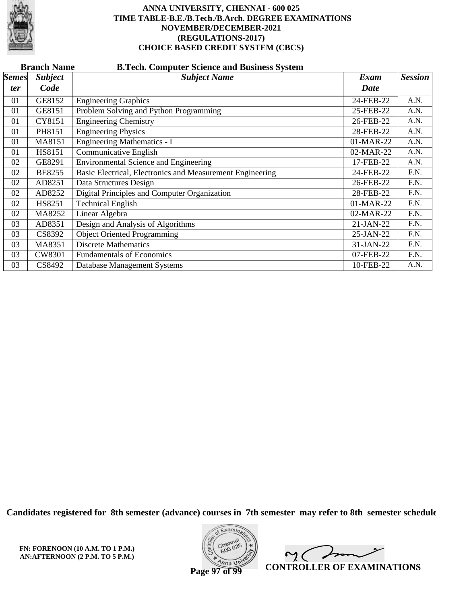

| <b>Branch Name</b><br><b>B.Tech. Computer Science and Business System</b> |                |                                                           |             |                |  |  |  |  |
|---------------------------------------------------------------------------|----------------|-----------------------------------------------------------|-------------|----------------|--|--|--|--|
| <b>Semes</b>                                                              | <b>Subject</b> | <b>Subject Name</b>                                       | Exam        | <b>Session</b> |  |  |  |  |
| ter                                                                       | Code           |                                                           | Date        |                |  |  |  |  |
| 01                                                                        | GE8152         | <b>Engineering Graphics</b>                               | 24-FEB-22   | A.N.           |  |  |  |  |
| 01                                                                        | GE8151         | Problem Solving and Python Programming                    | 25-FEB-22   | A.N.           |  |  |  |  |
| 01                                                                        | CY8151         | <b>Engineering Chemistry</b>                              | 26-FEB-22   | A.N.           |  |  |  |  |
| 01                                                                        | PH8151         | <b>Engineering Physics</b>                                | 28-FEB-22   | A.N.           |  |  |  |  |
| 01                                                                        | MA8151         | <b>Engineering Mathematics - I</b>                        | 01-MAR-22   | A.N.           |  |  |  |  |
| 01                                                                        | HS8151         | Communicative English                                     | 02-MAR-22   | A.N.           |  |  |  |  |
| 02                                                                        | GE8291         | <b>Environmental Science and Engineering</b>              | 17-FEB-22   | A.N.           |  |  |  |  |
| 02                                                                        | <b>BE8255</b>  | Basic Electrical, Electronics and Measurement Engineering | 24-FEB-22   | F.N.           |  |  |  |  |
| 02                                                                        | AD8251         | Data Structures Design                                    | 26-FEB-22   | F.N.           |  |  |  |  |
| 02                                                                        | AD8252         | Digital Principles and Computer Organization              | 28-FEB-22   | F.N.           |  |  |  |  |
| 02                                                                        | HS8251         | <b>Technical English</b>                                  | 01-MAR-22   | F.N.           |  |  |  |  |
| 02                                                                        | MA8252         | Linear Algebra                                            | 02-MAR-22   | F.N.           |  |  |  |  |
| 03                                                                        | AD8351         | Design and Analysis of Algorithms                         | $21-JAN-22$ | F.N.           |  |  |  |  |
| 03                                                                        | CS8392         | <b>Object Oriented Programming</b>                        | 25-JAN-22   | F.N.           |  |  |  |  |
| 03                                                                        | MA8351         | <b>Discrete Mathematics</b>                               | 31-JAN-22   | F.N.           |  |  |  |  |
| 03                                                                        | CW8301         | <b>Fundamentals of Economics</b>                          | 07-FEB-22   | F.N.           |  |  |  |  |
| 03                                                                        | CS8492         | Database Management Systems                               | 10-FEB-22   | A.N.           |  |  |  |  |

**Candidates registered for 8th semester (advance) courses in 7th semester may refer to 8th semester schedule**

**FN: FORENOON (10 A.M. TO 1 P.M.) AN:AFTERNOON (2 P.M. TO 5 P.M.)**



 $\sqrt{2}$  $\sim$  ( **CONTROLLER OF EXAMINATIONS**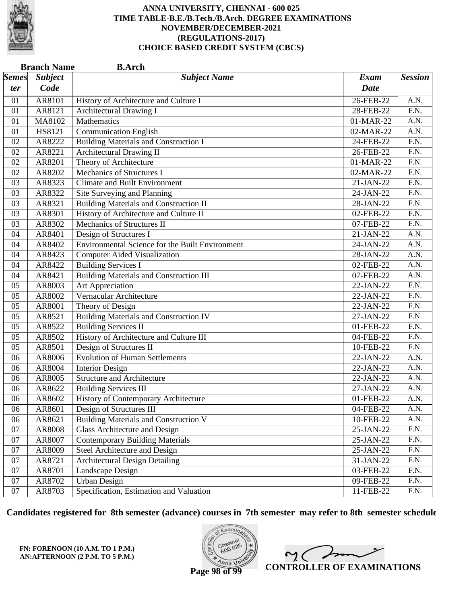

|              | <b>Branch Name</b> | <b>B.Arch</b>                                   |             |                   |
|--------------|--------------------|-------------------------------------------------|-------------|-------------------|
| <b>Semes</b> | <b>Subject</b>     | <b>Subject Name</b>                             | <b>Exam</b> | <b>Session</b>    |
| ter          | Code               |                                                 | <b>Date</b> |                   |
| 01           | AR8101             | History of Architecture and Culture I           | 26-FEB-22   | A.N.              |
| 01           | AR8121             | Architectural Drawing I                         | 28-FEB-22   | $\overline{F.N.}$ |
| 01           | MA8102             | Mathematics                                     | 01-MAR-22   | $\overline{A.N.}$ |
| 01           | HS8121             | <b>Communication English</b>                    | 02-MAR-22   | A.N.              |
| 02           | AR8222             | <b>Building Materials and Construction I</b>    | 24-FEB-22   | $\overline{F.N.}$ |
| 02           | AR8221             | <b>Architectural Drawing II</b>                 | 26-FEB-22   | F.N.              |
| 02           | AR8201             | Theory of Architecture                          | 01-MAR-22   | F.N.              |
| 02           | AR8202             | <b>Mechanics of Structures I</b>                | 02-MAR-22   | $\overline{F.N.}$ |
| 03           | AR8323             | <b>Climate and Built Environment</b>            | 21-JAN-22   | F.N.              |
| 03           | AR8322             | Site Surveying and Planning                     | 24-JAN-22   | $\overline{F.N.}$ |
| 03           | AR8321             | <b>Building Materials and Construction II</b>   | 28-JAN-22   | F.N.              |
| 03           | AR8301             | History of Architecture and Culture II          | 02-FEB-22   | $\overline{F.N.}$ |
| 03           | AR8302             | Mechanics of Structures II                      | 07-FEB-22   | F.N.              |
| 04           | AR8401             | Design of Structures I                          | 21-JAN-22   | $\overline{A.N.}$ |
| 04           | AR8402             | Environmental Science for the Built Environment | 24-JAN-22   | $\overline{A.N.}$ |
| 04           | AR8423             | <b>Computer Aided Visualization</b>             | 28-JAN-22   | A.N.              |
| 04           | AR8422             | <b>Building Services I</b>                      | 02-FEB-22   | A.N.              |
| 04           | AR8421             | <b>Building Materials and Construction III</b>  | 07-FEB-22   | $\overline{A.N.}$ |
| 05           | AR8003             | Art Appreciation                                | 22-JAN-22   | $\overline{F.N.}$ |
| 05           | AR8002             | Vernacular Architecture                         | 22-JAN-22   | $\overline{F.N.}$ |
| 05           | AR8001             | Theory of Design                                | 22-JAN-22   | F.N.              |
| 05           | AR8521             | <b>Building Materials and Construction IV</b>   | 27-JAN-22   | $\overline{F.N.}$ |
| 05           | AR8522             | <b>Building Services II</b>                     | 01-FEB-22   | $\overline{F.N.}$ |
| 05           | AR8502             | History of Architecture and Culture III         | 04-FEB-22   | $\overline{F.N.}$ |
| 05           | AR8501             | Design of Structures II                         | 10-FEB-22   | F.N.              |
| 06           | AR8006             | <b>Evolution of Human Settlements</b>           | 22-JAN-22   | $\overline{A.N.}$ |
| 06           | AR8004             | <b>Interior Design</b>                          | 22-JAN-22   | $\overline{A.N.}$ |
| 06           | AR8005             | <b>Structure and Architecture</b>               | 22-JAN-22   | A.N.              |
| 06           | AR8622             | <b>Building Services III</b>                    | 27-JAN-22   | A.N.              |
| 06           | AR8602             | History of Contemporary Architecture            | 01-FEB-22   | A.N.              |
| 06           | AR8601             | Design of Structures III                        | 04-FEB-22   | A.N.              |
| 06           | AR8621             | <b>Building Materials and Construction V</b>    | 10-FEB-22   | A.N.              |
| 07           | AR8008             | <b>Glass Architecture and Design</b>            | 25-JAN-22   | F.N.              |
| 07           | AR8007             | <b>Contemporary Building Materials</b>          | 25-JAN-22   | $\overline{F.N.}$ |
| 07           | AR8009             | Steel Architecture and Design                   | 25-JAN-22   | F.N.              |
| 07           | AR8721             | <b>Architectural Design Detailing</b>           | 31-JAN-22   | F.N.              |
| 07           | AR8701             | Landscape Design                                | 03-FEB-22   | F.N.              |
| 07           | AR8702             | <b>Urban Design</b>                             | 09-FEB-22   | F.N.              |
| 07           | AR8703             | Specification, Estimation and Valuation         | 11-FEB-22   | F.N.              |

**Candidates registered for 8th semester (advance) courses in 7th semester may refer to 8th semester schedule**

**FN: FORENOON (10 A.M. TO 1 P.M.) AN:AFTERNOON (2 P.M. TO 5 P.M.)**



 $\overline{\mathscr{S}}$  $2<sub>1</sub>$ **CONTROLLER OF EXAMINATIONS**

**Page 98 of 99**